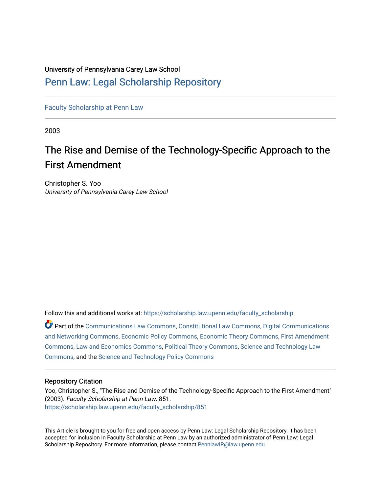### University of Pennsylvania Carey Law School

# [Penn Law: Legal Scholarship Repository](https://scholarship.law.upenn.edu/)

[Faculty Scholarship at Penn Law](https://scholarship.law.upenn.edu/faculty_scholarship)

2003

# The Rise and Demise of the Technology-Specific Approach to the First Amendment

Christopher S. Yoo University of Pennsylvania Carey Law School

Follow this and additional works at: [https://scholarship.law.upenn.edu/faculty\\_scholarship](https://scholarship.law.upenn.edu/faculty_scholarship?utm_source=scholarship.law.upenn.edu%2Ffaculty_scholarship%2F851&utm_medium=PDF&utm_campaign=PDFCoverPages) 

Part of the [Communications Law Commons,](http://network.bepress.com/hgg/discipline/587?utm_source=scholarship.law.upenn.edu%2Ffaculty_scholarship%2F851&utm_medium=PDF&utm_campaign=PDFCoverPages) [Constitutional Law Commons,](http://network.bepress.com/hgg/discipline/589?utm_source=scholarship.law.upenn.edu%2Ffaculty_scholarship%2F851&utm_medium=PDF&utm_campaign=PDFCoverPages) [Digital Communications](http://network.bepress.com/hgg/discipline/262?utm_source=scholarship.law.upenn.edu%2Ffaculty_scholarship%2F851&utm_medium=PDF&utm_campaign=PDFCoverPages)  [and Networking Commons,](http://network.bepress.com/hgg/discipline/262?utm_source=scholarship.law.upenn.edu%2Ffaculty_scholarship%2F851&utm_medium=PDF&utm_campaign=PDFCoverPages) [Economic Policy Commons](http://network.bepress.com/hgg/discipline/1025?utm_source=scholarship.law.upenn.edu%2Ffaculty_scholarship%2F851&utm_medium=PDF&utm_campaign=PDFCoverPages), [Economic Theory Commons](http://network.bepress.com/hgg/discipline/344?utm_source=scholarship.law.upenn.edu%2Ffaculty_scholarship%2F851&utm_medium=PDF&utm_campaign=PDFCoverPages), [First Amendment](http://network.bepress.com/hgg/discipline/1115?utm_source=scholarship.law.upenn.edu%2Ffaculty_scholarship%2F851&utm_medium=PDF&utm_campaign=PDFCoverPages)  [Commons](http://network.bepress.com/hgg/discipline/1115?utm_source=scholarship.law.upenn.edu%2Ffaculty_scholarship%2F851&utm_medium=PDF&utm_campaign=PDFCoverPages), [Law and Economics Commons](http://network.bepress.com/hgg/discipline/612?utm_source=scholarship.law.upenn.edu%2Ffaculty_scholarship%2F851&utm_medium=PDF&utm_campaign=PDFCoverPages), [Political Theory Commons](http://network.bepress.com/hgg/discipline/391?utm_source=scholarship.law.upenn.edu%2Ffaculty_scholarship%2F851&utm_medium=PDF&utm_campaign=PDFCoverPages), [Science and Technology Law](http://network.bepress.com/hgg/discipline/875?utm_source=scholarship.law.upenn.edu%2Ffaculty_scholarship%2F851&utm_medium=PDF&utm_campaign=PDFCoverPages) [Commons](http://network.bepress.com/hgg/discipline/875?utm_source=scholarship.law.upenn.edu%2Ffaculty_scholarship%2F851&utm_medium=PDF&utm_campaign=PDFCoverPages), and the [Science and Technology Policy Commons](http://network.bepress.com/hgg/discipline/1029?utm_source=scholarship.law.upenn.edu%2Ffaculty_scholarship%2F851&utm_medium=PDF&utm_campaign=PDFCoverPages) 

### Repository Citation

Yoo, Christopher S., "The Rise and Demise of the Technology-Specific Approach to the First Amendment" (2003). Faculty Scholarship at Penn Law. 851. [https://scholarship.law.upenn.edu/faculty\\_scholarship/851](https://scholarship.law.upenn.edu/faculty_scholarship/851?utm_source=scholarship.law.upenn.edu%2Ffaculty_scholarship%2F851&utm_medium=PDF&utm_campaign=PDFCoverPages) 

This Article is brought to you for free and open access by Penn Law: Legal Scholarship Repository. It has been accepted for inclusion in Faculty Scholarship at Penn Law by an authorized administrator of Penn Law: Legal Scholarship Repository. For more information, please contact [PennlawIR@law.upenn.edu.](mailto:PennlawIR@law.upenn.edu)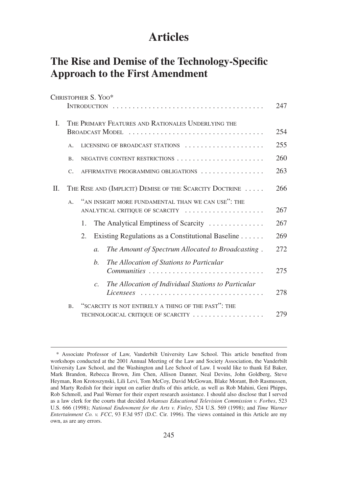# **Articles**

# **The Rise and Demise of the Technology-Specific Approach to the First Amendment**

|    |                | CHRISTOPHER S. YOO*                                                                       |     |
|----|----------------|-------------------------------------------------------------------------------------------|-----|
|    |                |                                                                                           | 247 |
| L  |                | THE PRIMARY FEATURES AND RATIONALES UNDERLYING THE<br>BROADCAST MODEL                     | 254 |
|    | A.             | LICENSING OF BROADCAST STATIONS                                                           | 255 |
|    | <b>B.</b>      | NEGATIVE CONTENT RESTRICTIONS                                                             | 260 |
|    | $C_{\bullet}$  | AFFIRMATIVE PROGRAMMING OBLIGATIONS                                                       | 263 |
| H. |                | THE RISE AND (IMPLICIT) DEMISE OF THE SCARCITY DOCTRINE                                   | 266 |
|    | A <sub>1</sub> | "AN INSIGHT MORE FUNDAMENTAL THAN WE CAN USE": THE<br>ANALYTICAL CRITIQUE OF SCARCITY     | 267 |
|    |                | The Analytical Emptiness of Scarcity<br>1.                                                | 267 |
|    |                | Existing Regulations as a Constitutional Baseline<br>2.                                   | 269 |
|    |                | The Amount of Spectrum Allocated to Broadcasting.<br>$\mathfrak{a}.$                      | 272 |
|    |                | The Allocation of Stations to Particular<br>b.<br>Communities                             | 275 |
|    |                | The Allocation of Individual Stations to Particular<br>$\overline{c}$ .                   | 278 |
|    | <b>B.</b>      | "SCARCITY IS NOT ENTIRELY A THING OF THE PAST": THE<br>TECHNOLOGICAL CRITIQUE OF SCARCITY | 279 |

<sup>\*</sup> Associate Professor of Law, Vanderbilt University Law School. This article benefited from workshops conducted at the 2001 Annual Meeting of the Law and Society Association, the Vanderbilt University Law School, and the Washington and Lee School of Law. I would like to thank Ed Baker, Mark Brandon, Rebecca Brown, Jim Chen, Allison Danner, Neal Devins, John Goldberg, Steve Heyman, Ron Krotoszynski, Lili Levi, Tom McCoy, David McGowan, Blake Morant, Bob Rasmussen, and Marty Redish for their input on earlier drafts of this article, as well as Rob Mahini, Geni Phipps, Rob Schmoll, and Paul Werner for their expert research assistance. I should also disclose that I served as a law clerk for the courts that decided *Arkansas Educational Television Commission v. Forbes*, 523 U.S. 666 (1998); *National Endowment for the Arts v. Finley*, 524 U.S. 569 (1998); and *Time Warner Entertainment Co. v. FCC*, 93 F.3d 957 (D.C. Cir. 1996). The views contained in this Article are my own, as are any errors.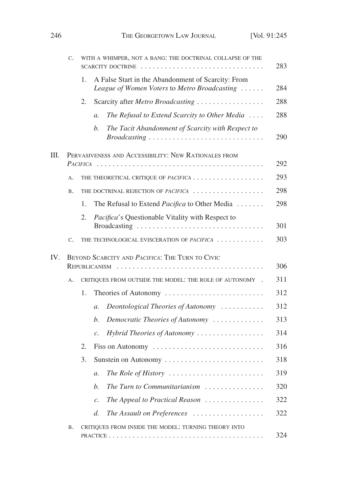|     | C.                                                   |          | WITH A WHIMPER, NOT A BANG: THE DOCTRINAL COLLAPSE OF THE                                                                                                | 283 |  |  |  |  |
|-----|------------------------------------------------------|----------|----------------------------------------------------------------------------------------------------------------------------------------------------------|-----|--|--|--|--|
|     |                                                      | 1.       | A False Start in the Abandonment of Scarcity: From<br>League of Women Voters to Metro Broadcasting                                                       | 284 |  |  |  |  |
|     |                                                      | 2.       | Scarcity after Metro Broadcasting                                                                                                                        | 288 |  |  |  |  |
|     |                                                      |          | The Refusal to Extend Scarcity to Other Media<br>$\mathfrak{a}.$                                                                                         | 288 |  |  |  |  |
|     |                                                      |          | $\mathfrak{b}.$<br>The Tacit Abandonment of Scarcity with Respect to<br>$Broadcasting \dots \dots \dots \dots \dots \dots \dots \dots \dots \dots \dots$ | 290 |  |  |  |  |
| Ш.  | PERVASIVENESS AND ACCESSIBILITY: NEW RATIONALES FROM |          |                                                                                                                                                          |     |  |  |  |  |
|     |                                                      | PACIFICA |                                                                                                                                                          | 292 |  |  |  |  |
|     | A.                                                   |          |                                                                                                                                                          | 293 |  |  |  |  |
|     | <b>B.</b>                                            |          | THE DOCTRINAL REJECTION OF PACIFICA                                                                                                                      | 298 |  |  |  |  |
|     |                                                      | 1.       | The Refusal to Extend Pacifica to Other Media                                                                                                            | 298 |  |  |  |  |
|     |                                                      | 2.       | <i>Pacifica's</i> Questionable Vitality with Respect to                                                                                                  | 301 |  |  |  |  |
|     | C.                                                   |          | THE TECHNOLOGICAL EVISCERATION OF PACIFICA                                                                                                               | 303 |  |  |  |  |
|     |                                                      |          |                                                                                                                                                          |     |  |  |  |  |
| IV. |                                                      |          | BEYOND SCARCITY AND PACIFICA: THE TURN TO CIVIC<br>REPUBLICANISM                                                                                         | 306 |  |  |  |  |
|     | A.                                                   |          | CRITIQUES FROM OUTSIDE THE MODEL: THE ROLE OF AUTONOMY .                                                                                                 | 311 |  |  |  |  |
|     |                                                      | 1.       | Theories of Autonomy                                                                                                                                     | 312 |  |  |  |  |
|     |                                                      |          | Deontological Theories of Autonomy<br>$a$ .                                                                                                              | 312 |  |  |  |  |
|     |                                                      |          | b.<br>Democratic Theories of Autonomy                                                                                                                    | 313 |  |  |  |  |
|     |                                                      |          | Hybrid Theories of Autonomy<br>$\mathcal{C}$ .                                                                                                           | 314 |  |  |  |  |
|     |                                                      | 2.       | Fiss on Autonomy                                                                                                                                         | 316 |  |  |  |  |
|     |                                                      | 3.       | Sunstein on Autonomy                                                                                                                                     | 318 |  |  |  |  |
|     |                                                      |          |                                                                                                                                                          | 319 |  |  |  |  |
|     |                                                      |          | The Role of History $\ldots \ldots \ldots \ldots \ldots \ldots \ldots$<br>a.                                                                             |     |  |  |  |  |
|     |                                                      |          | The Turn to Communitarianism<br>b.                                                                                                                       | 320 |  |  |  |  |
|     |                                                      |          | The Appeal to Practical Reason $\ldots \ldots \ldots \ldots$<br>$\mathcal{C}$ .                                                                          | 322 |  |  |  |  |
|     |                                                      |          | The Assault on Preferences<br>d.                                                                                                                         | 322 |  |  |  |  |
|     | <b>B.</b>                                            |          | CRITIQUES FROM INSIDE THE MODEL: TURNING THEORY INTO                                                                                                     | 324 |  |  |  |  |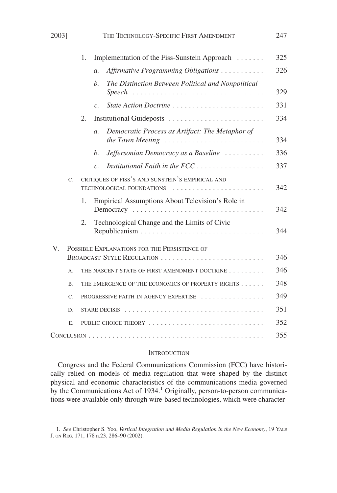| 2003]       | THE TECHNOLOGY-SPECIFIC FIRST AMENDMENT                                                | 247 |
|-------------|----------------------------------------------------------------------------------------|-----|
|             | Implementation of the Fiss-Sunstein Approach<br>1.                                     | 325 |
|             | Affirmative Programming Obligations<br>$\mathfrak{a}.$                                 | 326 |
|             | The Distinction Between Political and Nonpolitical<br>$b$ .<br><b>Speech</b>           | 329 |
|             | State Action Doctrine<br>$\overline{c}$ .                                              | 331 |
|             | Institutional Guideposts<br>2.                                                         | 334 |
|             | Democratic Process as Artifact: The Metaphor of<br>$\mathfrak{a}.$<br>the Town Meeting | 334 |
|             | Jeffersonian Democracy as a Baseline<br>b.                                             | 336 |
|             | Institutional Faith in the FCC<br>$\mathcal{C}$ .                                      | 337 |
| $C_{\star}$ | CRITIQUES OF FISS'S AND SUNSTEIN'S EMPIRICAL AND<br>TECHNOLOGICAL FOUNDATIONS          | 342 |
|             | Empirical Assumptions About Television's Role in<br>1.<br>Democracy                    | 342 |
|             | Technological Change and the Limits of Civic<br>2.                                     | 344 |
| V.          | POSSIBLE EXPLANATIONS FOR THE PERSISTENCE OF                                           |     |
|             | BROADCAST-STYLE REGULATION                                                             | 346 |
| A.          | THE NASCENT STATE OF FIRST AMENDMENT DOCTRINE                                          | 346 |
| <b>B.</b>   | THE EMERGENCE OF THE ECONOMICS OF PROPERTY RIGHTS                                      | 348 |
| C.          | PROGRESSIVE FAITH IN AGENCY EXPERTISE                                                  | 349 |
| D.          |                                                                                        | 351 |
| Ε.          | PUBLIC CHOICE THEORY                                                                   | 352 |
|             |                                                                                        | 355 |

#### **INTRODUCTION**

Congress and the Federal Communications Commission (FCC) have historically relied on models of media regulation that were shaped by the distinct physical and economic characteristics of the communications media governed by the Communications Act of 1934.<sup>1</sup> Originally, person-to-person communications were available only through wire-based technologies, which were character-

<sup>1.</sup> *See* Christopher S. Yoo, *Vertical Integration and Media Regulation in the New Economy*, 19 YALE J. ON REG. 171, 178 n.23, 286–90 (2002).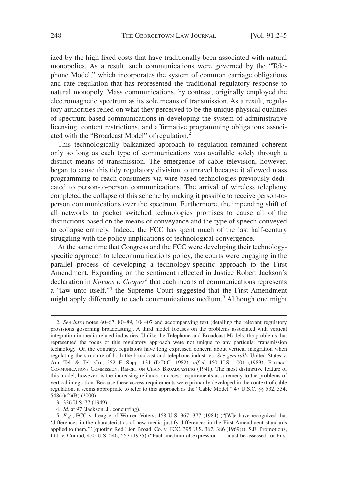ized by the high fixed costs that have traditionally been associated with natural monopolies. As a result, such communications were governed by the "Telephone Model," which incorporates the system of common carriage obligations and rate regulation that has represented the traditional regulatory response to natural monopoly. Mass communications, by contrast, originally employed the electromagnetic spectrum as its sole means of transmission. As a result, regulatory authorities relied on what they perceived to be the unique physical qualities of spectrum-based communications in developing the system of administrative licensing, content restrictions, and affirmative programming obligations associated with the "Broadcast Model" of regulation.<sup>2</sup>

This technologically balkanized approach to regulation remained coherent only so long as each type of communications was available solely through a distinct means of transmission. The emergence of cable television, however, began to cause this tidy regulatory division to unravel because it allowed mass programming to reach consumers via wire-based technologies previously dedicated to person-to-person communications. The arrival of wireless telephony completed the collapse of this scheme by making it possible to receive person-toperson communications over the spectrum. Furthermore, the impending shift of all networks to packet switched technologies promises to cause all of the distinctions based on the means of conveyance and the type of speech conveyed to collapse entirely. Indeed, the FCC has spent much of the last half-century struggling with the policy implications of technological convergence.

At the same time that Congress and the FCC were developing their technologyspecific approach to telecommunications policy, the courts were engaging in the parallel process of developing a technology-specific approach to the First Amendment. Expanding on the sentiment reflected in Justice Robert Jackson's declaration in *Kovacs v. Cooper*<sup>3</sup> that each means of communications represents a "law unto itself,"<sup>4</sup> the Supreme Court suggested that the First Amendment might apply differently to each communications medium.<sup>5</sup> Although one might

4. *Id.* at 97 (Jackson, J., concurring).

<sup>2.</sup> *See infra* notes 60–67, 80–89, 104–07 and accompanying text (detailing the relevant regulatory provisions governing broadcasting). A third model focuses on the problems associated with vertical integration in media-related industries. Unlike the Telephone and Broadcast Models, the problems that represented the focus of this regulatory approach were not unique to any particular transmission technology. On the contrary, regulators have long expressed concern about vertical integration when regulating the structure of both the broadcast and telephone industries. *See generally* United States v. Am. Tel. & Tel. Co., 552 F. Supp. 131 (D.D.C. 1982), *aff'd*, 460 U.S. 1001 (1983); FEDERAL COMMUNICATIONS COMMISSION, REPORT ON CHAIN BROADCASTING (1941). The most distinctive feature of this model, however, is the increasing reliance on access requirements as a remedy to the problems of vertical integration. Because these access requirements were primarily developed in the context of cable regulation, it seems appropriate to refer to this approach as the "Cable Model." 47 U.S.C. §§ 532, 534, 548(c)(2)(B) (2000).

<sup>3. 336</sup> U.S. 77 (1949).

<sup>5.</sup> *E.g.*, FCC v. League of Women Voters, 468 U.S. 367, 377 (1984) ("[W]e have recognized that 'differences in the characteristics of new media justify differences in the First Amendment standards applied to them.'" (quoting Red Lion Broad. Co. v. FCC, 395 U.S. 367, 386 (1969))); S.E. Promotions, Ltd. v. Conrad, 420 U.S. 546, 557 (1975) ("Each medium of expression . . . must be assessed for First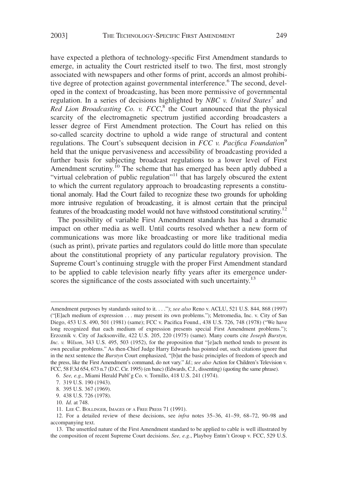have expected a plethora of technology-specific First Amendment standards to emerge, in actuality the Court restricted itself to two. The first, most strongly associated with newspapers and other forms of print, accords an almost prohibitive degree of protection against governmental interference.<sup>6</sup> The second, developed in the context of broadcasting, has been more permissive of governmental regulation. In a series of decisions highlighted by *NBC v. United States*<sup>7</sup> and Red Lion Broadcasting Co. v. FCC,<sup>8</sup> the Court announced that the physical scarcity of the electromagnetic spectrum justified according broadcasters a lesser degree of First Amendment protection. The Court has relied on this so-called scarcity doctrine to uphold a wide range of structural and content regulations. The Court's subsequent decision in *FCC v. Pacifica Foundation*<sup>9</sup> held that the unique pervasiveness and accessibility of broadcasting provided a further basis for subjecting broadcast regulations to a lower level of First Amendment scrutiny.<sup>10</sup> The scheme that has emerged has been aptly dubbed a "virtual celebration of public regulation"<sup>11</sup> that has largely obscured the extent to which the current regulatory approach to broadcasting represents a constitutional anomaly. Had the Court failed to recognize these two grounds for upholding more intrusive regulation of broadcasting, it is almost certain that the principal features of the broadcasting model would not have withstood constitutional scrutiny.<sup>12</sup>

The possibility of variable First Amendment standards has had a dramatic impact on other media as well. Until courts resolved whether a new form of communications was more like broadcasting or more like traditional media (such as print), private parties and regulators could do little more than speculate about the constitutional propriety of any particular regulatory provision. The Supreme Court's continuing struggle with the proper First Amendment standard to be applied to cable television nearly fifty years after its emergence underscores the significance of the costs associated with such uncertainty.<sup>13</sup>

Amendment purposes by standards suited to it. . . ."); *see also* Reno v. ACLU, 521 U.S. 844, 868 (1997) ("[E]ach medium of expression . . . may present its own problems."); Metromedia, Inc. v. City of San Diego, 453 U.S. 490, 501 (1981) (same); FCC v. Pacifica Found., 438 U.S. 726, 748 (1978) ("We have long recognized that each medium of expression presents special First Amendment problems."); Erzoznik v. City of Jacksonville, 422 U.S. 205, 220 (1975) (same). Many courts cite *Joseph Burstyn, Inc. v. Wilson*, 343 U.S. 495, 503 (1952), for the proposition that "[e]ach method tends to present its own peculiar problems." As then-Chief Judge Harry Edwards has pointed out, such citations ignore that in the next sentence the *Burstyn* Court emphasized, "[b]ut the basic principles of freedom of speech and the press, like the First Amendment's command, do not vary." *Id.*; *see also* Action for Children's Television v. FCC, 58 F.3d 654, 673 n.7 (D.C. Cir. 1995) (en banc) (Edwards, C.J., dissenting) (quoting the same phrase).

<sup>6.</sup> *See, e.g.*, Miami Herald Publ'g Co. v. Tornillo, 418 U.S. 241 (1974).

<sup>7. 319</sup> U.S. 190 (1943).

<sup>8. 395</sup> U.S. 367 (1969).

<sup>9. 438</sup> U.S. 726 (1978).

<sup>10.</sup> *Id*. at 748.

<sup>11.</sup> LEE C. BOLLINGER, IMAGES OF A FREE PRESS 71 (1991).

<sup>12.</sup> For a detailed review of these decisions, see *infra* notes 35–36, 41–59, 68–72, 90–98 and accompanying text.

<sup>13.</sup> The unsettled nature of the First Amendment standard to be applied to cable is well illustrated by the composition of recent Supreme Court decisions. *See, e.g*., Playboy Entm't Group v. FCC, 529 U.S.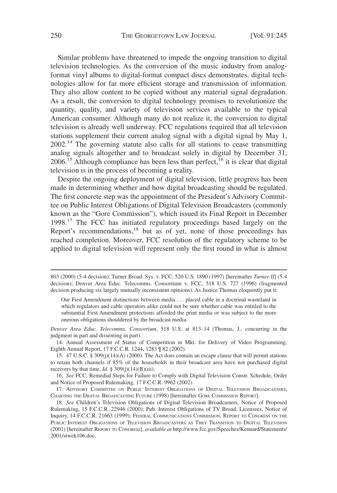Similar problems have threatened to impede the ongoing transition to digital television technologies. As the conversion of the music industry from analogformat vinyl albums to digital-format compact discs demonstrates, digital technologies allow for far more efficient storage and transmission of information. They also allow content to be copied without any material signal degradation. As a result, the conversion to digital technology promises to revolutionize the quantity, quality, and variety of television services available to the typical American consumer. Although many do not realize it, the conversion to digital television is already well underway. FCC regulations required that all television stations supplement their current analog signal with a digital signal by May 1,  $2002<sup>14</sup>$ . The governing statute also calls for all stations to cease transmitting analog signals altogether and to broadcast solely in digital by December 31,  $2006<sup>15</sup>$  Although compliance has been less than perfect,<sup>16</sup> it is clear that digital television is in the process of becoming a reality.

Despite the ongoing deployment of digital television, little progress has been made in determining whether and how digital broadcasting should be regulated. The first concrete step was the appointment of the President's Advisory Committee on Public Interest Obligations of Digital Television Broadcasters (commonly known as the "Gore Commission"), which issued its Final Report in December 1998.<sup>17</sup> The FCC has initiated regulatory proceedings based largely on the Report's recommendations,<sup>18</sup> but as of yet, none of those proceedings has reached completion. Moreover, FCC resolution of the regulatory scheme to be applied to digital television will represent only the first round in what is almost

Our First Amendment distinctions between media . . . placed cable in a doctrinal wasteland in which regulators and cable operators alike could not be sure whether cable was entitled to the substantial First Amendment protections afforded the print media or was subject to the more onerous obligations shouldered by the broadcast media.

*Denver Area Educ. Telecomms. Consortium*, 518 U.S. at 813–14 (Thomas, J., concurring in the judgment in part and dissenting in part).

16. *See* FCC, Remedial Steps for Failure to Comply with Digital Television Constr. Schedule, Order and Notice of Proposed Rulemaking, 17 F.C.C.R. 9962 (2002).

17. ADVISORY COMMITTEE ON PUBLIC INTEREST OBLIGATIONS OF DIGITAL TELEVISION BROADCASTERS, CHARTING THE DIGITAL BROADCASTING FUTURE (1998) [hereinafter GORE COMMISSION REPORT].

18. *See* Children's Television Obligations of Digital Television Broadcasters, Notice of Proposed Rulemaking, 15 F.C.C.R. 22946 (2000); Pub. Interest Obligations of TV Broad. Licensees, Notice of Inquiry, 14 F.C.C.R. 21663 (1999); FEDERAL COMMUNICATIONS COMMISSION, REPORT TO CONGRESS ON THE PUBLIC INTEREST OBLIGATIONS OF TELEVISION BROADCASTERS AS THEY TRANSITION TO DIGITAL TELEVISION (2001) [hereinafter REPORT TO CONGRESS], *available at* http://www.fcc.gov/Speeches/Kennard/Statements/ 2001/stwek106.doc.

<sup>803 (2000) (5-4</sup> decision); Turner Broad. Sys. v. FCC, 520 U.S. 1890 (1997) [hereinafter *Turner II*] (5-4 decision); Denver Area Educ. Telecomms. Consortium v. FCC, 518 U.S. 727 (1996) (fragmented decision producing six largely mutually inconsistent opinions). As Justice Thomas eloquently put it:

<sup>14.</sup> Annual Assessment of Status of Competition in Mkt. for Delivery of Video Programming, Eighth Annual Report, 17 F.C.C.R. 1244, 1283 ¶ 82 (2002).

<sup>15. 47</sup> U.S.C. § 309(j)(14)(A) (2000). The Act does contain an escape clause that will permit stations to retain both channels if 85% of the households in their broadcast area have not purchased digital receivers by that time. *Id.*  $\S$  309(j)(14)(B)(iii).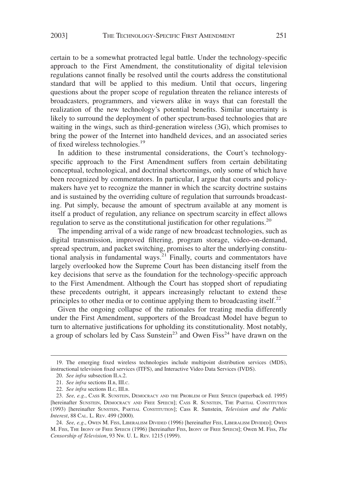certain to be a somewhat protracted legal battle. Under the technology-specific approach to the First Amendment, the constitutionality of digital television regulations cannot finally be resolved until the courts address the constitutional standard that will be applied to this medium. Until that occurs, lingering questions about the proper scope of regulation threaten the reliance interests of broadcasters, programmers, and viewers alike in ways that can forestall the realization of the new technology's potential benefits. Similar uncertainty is likely to surround the deployment of other spectrum-based technologies that are waiting in the wings, such as third-generation wireless (3G), which promises to bring the power of the Internet into handheld devices, and an associated series of fixed wireless technologies.<sup>19</sup>

In addition to these instrumental considerations, the Court's technologyspecific approach to the First Amendment suffers from certain debilitating conceptual, technological, and doctrinal shortcomings, only some of which have been recognized by commentators. In particular, I argue that courts and policymakers have yet to recognize the manner in which the scarcity doctrine sustains and is sustained by the overriding culture of regulation that surrounds broadcasting. Put simply, because the amount of spectrum available at any moment is itself a product of regulation, any reliance on spectrum scarcity in effect allows regulation to serve as the constitutional justification for other regulations.<sup>20</sup>

The impending arrival of a wide range of new broadcast technologies, such as digital transmission, improved filtering, program storage, video-on-demand, spread spectrum, and packet switching, promises to alter the underlying constitutional analysis in fundamental ways. $21$  Finally, courts and commentators have largely overlooked how the Supreme Court has been distancing itself from the key decisions that serve as the foundation for the technology-specific approach to the First Amendment. Although the Court has stopped short of repudiating these precedents outright, it appears increasingly reluctant to extend these principles to other media or to continue applying them to broadcasting itself.<sup>22</sup>

Given the ongoing collapse of the rationales for treating media differently under the First Amendment, supporters of the Broadcast Model have begun to turn to alternative justifications for upholding its constitutionality. Most notably, a group of scholars led by Cass Sunstein<sup>23</sup> and Owen Fiss<sup>24</sup> have drawn on the

<sup>19.</sup> The emerging fixed wireless technologies include multipoint distribution services (MDS), instructional television fixed services (ITFS), and Interactive Video Data Services (IVDS).

<sup>20.</sup> *See infra* subsection II.A.2.

<sup>21.</sup> *See infra* sections II.B, III.C.

<sup>22.</sup> *See infra* sections II.C, III.B.

<sup>23.</sup> *See, e.g*., CASS R. SUNSTEIN, DEMOCRACY AND THE PROBLEM OF FREE SPEECH (paperback ed. 1995) [hereinafter SUNSTEIN, DEMOCRACY AND FREE SPEECH]; CASS R. SUNSTEIN, THE PARTIAL CONSTITUTION (1993) [hereinafter SUNSTEIN, PARTIAL CONSTITUTION]; Cass R. Sunstein, *Television and the Public Interest*, 88 CAL. L. REV. 499 (2000).

<sup>24.</sup> *See, e.g*., OWEN M. FISS, LIBERALISM DIVIDED (1996) [hereinafter FISS, LIBERALISM DIVIDED]; OWEN M. FISS, THE IRONY OF FREE SPEECH (1996) [hereinafter FISS, IRONY OF FREE SPEECH]; Owen M. Fiss, *The Censorship of Television*, 93 NW. U. L. REV. 1215 (1999).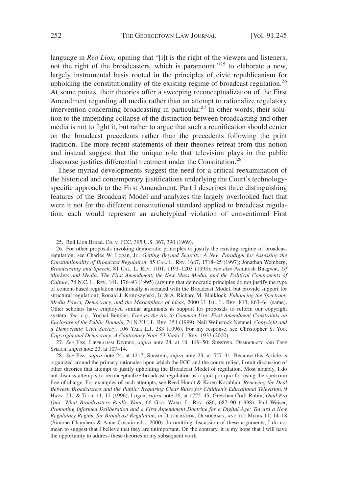language in *Red Lion*, opining that "[i]t is the right of the viewers and listeners, not the right of the broadcasters, which is paramount,"<sup>25</sup> to elaborate a new, largely instrumental basis rooted in the principles of civic republicanism for upholding the constitutionality of the existing regime of broadcast regulation.<sup>26</sup> At some points, their theories offer a sweeping reconceptualization of the First Amendment regarding all media rather than an attempt to rationalize regulatory intervention concerning broadcasting in particular.<sup>27</sup> In other words, their solution to the impending collapse of the distinction between broadcasting and other media is not to fight it, but rather to argue that such a reunification should center on the broadcast precedents rather than the precedents following the print tradition. The more recent statements of their theories retreat from this notion and instead suggest that the unique role that television plays in the public discourse justifies differential treatment under the Constitution.<sup>28</sup>

These myriad developments suggest the need for a critical reexamination of the historical and contemporary justifications underlying the Court's technologyspecific approach to the First Amendment. Part I describes three distinguishing features of the Broadcast Model and analyzes the largely overlooked fact that were it not for the different constitutional standard applied to broadcast regulation, each would represent an archetypical violation of conventional First

<sup>25.</sup> Red Lion Broad. Co. v. FCC, 395 U.S. 367, 390 (1969).

<sup>26.</sup> For other proposals invoking democratic principles to justify the existing regime of broadcast regulation, see Charles W. Logan, Jr., *Getting Beyond Scarcity: A New Paradigm for Assessing the Constitutionality of Broadcast Regulation*, 85 CAL. L. REV. 1687, 1718–25 (1997); Jonathan Weinberg, *Broadcasting and Speech*, 81 CAL. L. REV. 1101, 1193–1203 (1993); *see also* Ashutosh Bhagwat, *Of Markets and Media: The First Amendment, the New Mass Media, and the Political Components of Culture*, 74 N.C. L. REV. 141, 176–93 (1995) (arguing that democratic principles do not justify the type of content-based regulation traditionally associated with the Broadcast Model, but provide support for structural regulation); Ronald J. Krotoszynski, Jr. & A. Richard M. Blaiklock, *Enhancing the Spectrum: Media Power, Democracy, and the Marketplace of Ideas*, 2000 U. ILL. L. REV. 813, 863–64 (same). Other scholars have employed similar arguments as support for proposals to reform our copyright system. *See, e.g.*, Yochai Benkler, *Free as the Air to Common Use: First Amendment Constraints on Enclosure of the Public Domain*, 74 N.Y.U. L. REV. 354 (1999); Neil Weinstock Netanel, *Copyright and a Democratic Civil Society*, 106 YALE L.J. 283 (1996). For my response, see Christopher S. Yoo, *Copyright and Democracy: A Cautionary Note*, 53 VAND. L. REV. 1933 (2000).

<sup>27.</sup> *See* FISS, LIBERALISM DIVIDED, *supra* note 24, at 18, 149–50; SUNSTEIN, DEMOCRACY AND FREE SPEECH, *supra* note 23, at 107–14.

<sup>28.</sup> *See* Fiss, *supra* note 24, at 1217; Sunstein, *supra* note 23, at 527–31. Because this Article is organized around the primary rationales upon which the FCC and the courts relied, I omit discussion of other theories that attempt to justify upholding the Broadcast Model of regulation. Most notably, I do not discuss attempts to reconceptualize broadcast regulation as a quid pro quo for using the spectrum free of charge. For examples of such attempts, see Reed Hundt & Karen Kornbluh, *Renewing the Deal Between Broadcasters and the Public: Requiring Clear Rules for Children's Educational Television*, 9 HARV. J.L. & TECH. 11, 17 (1996); Logan, *supra* note 26, at 1725–45; Gretchen Craft Rubin, *Quid Pro Quo: What Broadcasters Really Want*, 66 GEO. WASH. L. REV. 686, 687–90 (1998); Phil Weiser, *Promoting Informed Deliberation and a First Amendment Doctrine for a Digital Age: Toward a New Regulatory Regime for Broadcast Regulation*, *in* DELIBERATION, DEMOCRACY, AND THE MEDIA 11, 14–18 (Simone Chambers & Anne Costain eds., 2000). In omitting discussion of these arguments, I do not mean to suggest that I believe that they are unimportant. On the contrary, it is my hope that I will have the opportunity to address these theories in my subsequent work.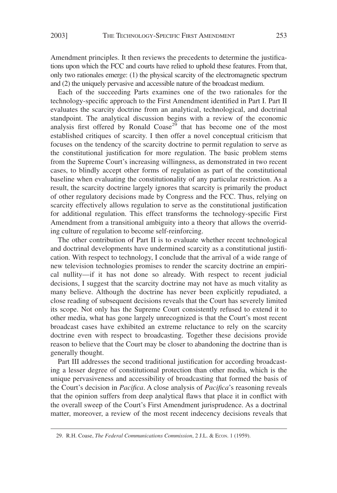Amendment principles. It then reviews the precedents to determine the justifications upon which the FCC and courts have relied to uphold these features. From that, only two rationales emerge: (1) the physical scarcity of the electromagnetic spectrum and (2) the uniquely pervasive and accessible nature of the broadcast medium.

Each of the succeeding Parts examines one of the two rationales for the technology-specific approach to the First Amendment identified in Part I. Part II evaluates the scarcity doctrine from an analytical, technological, and doctrinal standpoint. The analytical discussion begins with a review of the economic analysis first offered by Ronald Coase<sup>29</sup> that has become one of the most established critiques of scarcity. I then offer a novel conceptual criticism that focuses on the tendency of the scarcity doctrine to permit regulation to serve as the constitutional justification for more regulation. The basic problem stems from the Supreme Court's increasing willingness, as demonstrated in two recent cases, to blindly accept other forms of regulation as part of the constitutional baseline when evaluating the constitutionality of any particular restriction. As a result, the scarcity doctrine largely ignores that scarcity is primarily the product of other regulatory decisions made by Congress and the FCC. Thus, relying on scarcity effectively allows regulation to serve as the constitutional justification for additional regulation. This effect transforms the technology-specific First Amendment from a transitional ambiguity into a theory that allows the overriding culture of regulation to become self-reinforcing.

The other contribution of Part II is to evaluate whether recent technological and doctrinal developments have undermined scarcity as a constitutional justification. With respect to technology, I conclude that the arrival of a wide range of new television technologies promises to render the scarcity doctrine an empirical nullity—if it has not done so already. With respect to recent judicial decisions, I suggest that the scarcity doctrine may not have as much vitality as many believe. Although the doctrine has never been explicitly repudiated, a close reading of subsequent decisions reveals that the Court has severely limited its scope. Not only has the Supreme Court consistently refused to extend it to other media, what has gone largely unrecognized is that the Court's most recent broadcast cases have exhibited an extreme reluctance to rely on the scarcity doctrine even with respect to broadcasting. Together these decisions provide reason to believe that the Court may be closer to abandoning the doctrine than is generally thought.

Part III addresses the second traditional justification for according broadcasting a lesser degree of constitutional protection than other media, which is the unique pervasiveness and accessibility of broadcasting that formed the basis of the Court's decision in *Pacifica*. A close analysis of *Pacifica*'s reasoning reveals that the opinion suffers from deep analytical flaws that place it in conflict with the overall sweep of the Court's First Amendment jurisprudence. As a doctrinal matter, moreover, a review of the most recent indecency decisions reveals that

<sup>29.</sup> R.H. Coase, *The Federal Communications Commission*, 2 J.L. & Econ. 1 (1959).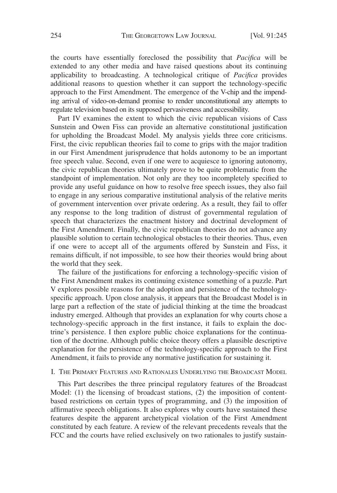the courts have essentially foreclosed the possibility that *Pacifica* will be extended to any other media and have raised questions about its continuing applicability to broadcasting. A technological critique of *Pacifica* provides additional reasons to question whether it can support the technology-specific approach to the First Amendment. The emergence of the V-chip and the impending arrival of video-on-demand promise to render unconstitutional any attempts to regulate television based on its supposed pervasiveness and accessibility.

Part IV examines the extent to which the civic republican visions of Cass Sunstein and Owen Fiss can provide an alternative constitutional justification for upholding the Broadcast Model. My analysis yields three core criticisms. First, the civic republican theories fail to come to grips with the major tradition in our First Amendment jurisprudence that holds autonomy to be an important free speech value. Second, even if one were to acquiesce to ignoring autonomy, the civic republican theories ultimately prove to be quite problematic from the standpoint of implementation. Not only are they too incompletely specified to provide any useful guidance on how to resolve free speech issues, they also fail to engage in any serious comparative institutional analysis of the relative merits of government intervention over private ordering. As a result, they fail to offer any response to the long tradition of distrust of governmental regulation of speech that characterizes the enactment history and doctrinal development of the First Amendment. Finally, the civic republican theories do not advance any plausible solution to certain technological obstacles to their theories. Thus, even if one were to accept all of the arguments offered by Sunstein and Fiss, it remains difficult, if not impossible, to see how their theories would bring about the world that they seek.

The failure of the justifications for enforcing a technology-specific vision of the First Amendment makes its continuing existence something of a puzzle. Part V explores possible reasons for the adoption and persistence of the technologyspecific approach. Upon close analysis, it appears that the Broadcast Model is in large part a reflection of the state of judicial thinking at the time the broadcast industry emerged. Although that provides an explanation for why courts chose a technology-specific approach in the first instance, it fails to explain the doctrine's persistence. I then explore public choice explanations for the continuation of the doctrine. Although public choice theory offers a plausible descriptive explanation for the persistence of the technology-specific approach to the First Amendment, it fails to provide any normative justification for sustaining it.

#### I. THE PRIMARY FEATURES AND RATIONALES UNDERLYING THE BROADCAST MODEL

This Part describes the three principal regulatory features of the Broadcast Model: (1) the licensing of broadcast stations, (2) the imposition of contentbased restrictions on certain types of programming, and  $(\overline{3})$  the imposition of affirmative speech obligations. It also explores why courts have sustained these features despite the apparent archetypical violation of the First Amendment constituted by each feature. A review of the relevant precedents reveals that the FCC and the courts have relied exclusively on two rationales to justify sustain-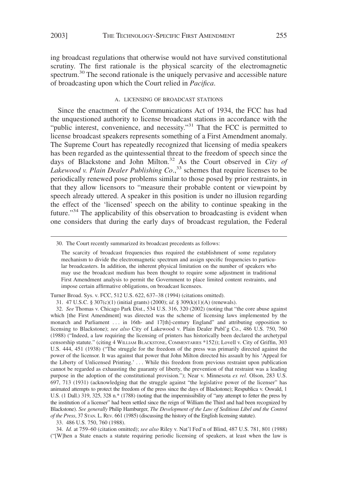ing broadcast regulations that otherwise would not have survived constitutional scrutiny. The first rationale is the physical scarcity of the electromagnetic spectrum.<sup>30</sup> The second rationale is the uniquely pervasive and accessible nature of broadcasting upon which the Court relied in *Pacifica*.

#### A. LICENSING OF BROADCAST STATIONS

Since the enactment of the Communications Act of 1934, the FCC has had the unquestioned authority to license broadcast stations in accordance with the "public interest, convenience, and necessity."<sup>31</sup> That the FCC is permitted to license broadcast speakers represents something of a First Amendment anomaly. The Supreme Court has repeatedly recognized that licensing of media speakers has been regarded as the quintessential threat to the freedom of speech since the days of Blackstone and John Milton.<sup>32</sup> As the Court observed in *City of* Lakewood v. Plain Dealer Publishing Co.,<sup>33</sup> schemes that require licenses to be periodically renewed pose problems similar to those posed by prior restraints, in that they allow licensors to "measure their probable content or viewpoint by speech already uttered. A speaker in this position is under no illusion regarding the effect of the 'licensed' speech on the ability to continue speaking in the future."<sup>34</sup> The applicability of this observation to broadcasting is evident when one considers that during the early days of broadcast regulation, the Federal

Turner Broad. Sys. v. FCC, 512 U.S. 622, 637–38 (1994) (citations omitted).

33. 486 U.S. 750, 760 (1988).

34. *Id.* at 759–60 (citation omitted); *see also* Riley v. Nat'l Fed'n of Blind, 487 U.S. 781, 801 (1988) ("[W]hen a State enacts a statute requiring periodic licensing of speakers, at least when the law is

<sup>30.</sup> The Court recently summarized its broadcast precedents as follows:

The scarcity of broadcast frequencies thus required the establishment of some regulatory mechanism to divide the electromagnetic spectrum and assign specific frequencies to particular broadcasters. In addition, the inherent physical limitation on the number of speakers who may use the broadcast medium has been thought to require some adjustment in traditional First Amendment analysis to permit the Government to place limited content restraints, and impose certain affirmative obligations, on broadcast licensees.

<sup>31. 47</sup> U.S.C. § 307(c)(1) (initial grants) (2000); *id*. § 309(k)(1)(A) (renewals).

<sup>32.</sup> *See* Thomas v. Chicago Park Dist., 534 U.S. 316, 320 (2002) (noting that "the core abuse against which [the First Amendment] was directed was the scheme of licensing laws implemented by the monarch and Parliament . . . in 16th- and 17[th]-century England" and attributing opposition to licensing to Blackstone); *see also* City of Lakewood v. Plain Dealer Publ'g Co., 486 U.S. 750, 760 (1988) ("Indeed, a law requiring the licensing of printers has historically been declared the archetypal censorship statute." (citing 4 WILLIAM BLACKSTONE, COMMENTARIES \*152)); Lovell v. City of Griffin, 303 U.S. 444, 451 (1938) ("The struggle for the freedom of the press was primarily directed against the power of the licensor. It was against that power that John Milton directed his assault by his 'Appeal for the Liberty of Unlicensed Printing.' . . . While this freedom from previous restraint upon publication cannot be regarded as exhausting the guaranty of liberty, the prevention of that restraint was a leading purpose in the adoption of the constitutional provision."); Near v. Minnesota *ex rel.* Olson, 283 U.S. 697, 713 (1931) (acknowledging that the struggle against "the legislative power of the licenser" has animated attempts to protect the freedom of the press since the days of Blackstone); Respublica v. Oswald, 1 U.S. (1 Dall.) 319, 325, 328 n.\* (1788) (noting that the impermissibility of "any attempt to fetter the press by the institution of a licenser" had been settled since the reign of William the Third and had been recognized by Blackstone). *See generally* Philip Hamburger, *The Development of the Law of Seditious Libel and the Control of the Press*, 37 STAN. L. REV. 661 (1985) (discussing the history of the English licensing statute).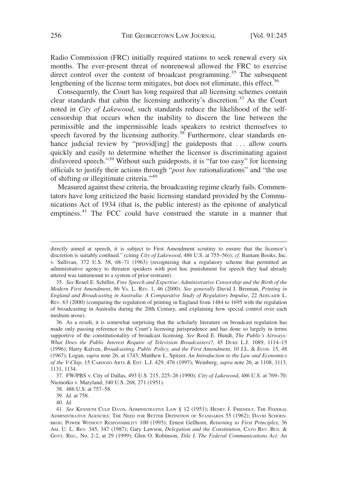Radio Commission (FRC) initially required stations to seek renewal every six months. The ever-present threat of nonrenewal allowed the FRC to exercise direct control over the content of broadcast programming.<sup>35</sup> The subsequent lengthening of the license term mitigates, but does not eliminate, this effect.<sup>36</sup>

Consequently, the Court has long required that all licensing schemes contain clear standards that cabin the licensing authority's discretion.<sup>37</sup> As the Court noted in *City of Lakewood*, such standards reduce the likelihood of the selfcensorship that occurs when the inability to discern the line between the permissible and the impermissible leads speakers to restrict themselves to speech favored by the licensing authority.<sup>38</sup> Furthermore, clear standards enhance judicial review by "provid[ing] the guideposts that ... allow courts quickly and easily to determine whether the licensor is discriminating against disfavored speech."39 Without such guideposts, it is "far too easy" for licensing officials to justify their actions through "*post hoc* rationalizations" and "the use of shifting or illegitimate criteria."40

Measured against these criteria, the broadcasting regime clearly fails. Commentators have long criticized the basic licensing standard provided by the Communications Act of 1934 (that is, the public interest) as the epitome of analytical emptiness.<sup>41</sup> The FCC could have construed the statute in a manner that

35. *See* Reuel E. Schiller, *Free Speech and Expertise: Administrative Censorship and the Birth of the Modern First Amendment*, 86 VA. L. REV. 1, 46 (2000). *See generally* David J. Brennan, *Printing in England and Broadcasting in Australia: A Comparative Study of Regulatory Impulse*, 22 ADELAIDE L. REV. 63 (2000) (comparing the regulation of printing in England from 1484 to 1695 with the regulation of broadcasting in Australia during the 20th Century, and explaining how special control over each medium arose).

38. 486 U.S. at 757–58.

40. *Id.*

directly aimed at speech, it is subject to First Amendment scrutiny to ensure that the licensor's discretion is suitably confined." (citing *City of Lakewood*, 486 U.S. at 755–56)); *cf.* Bantam Books, Inc. v. Sullivan, 372 U.S. 58, 68–71 (1963) (recognizing that a regulatory scheme that permitted an administrative agency to threaten speakers with post hoc punishment for speech they had already uttered was tantamount to a system of prior restraint).

<sup>36.</sup> As a result, it is somewhat surprising that the scholarly literature on broadcast regulation has made only passing reference to the Court's licensing jurisprudence and has done so largely in terms supportive of the constitutionality of broadcast licensing. *See* Reed E. Hundt, *The Public's Airways: What Does the Public Interest Require of Television Broadcasters*?, 45 DUKE L.J. 1089, 1114–15 (1996); Harry Kalven, *Broadcasting, Public Policy, and the First Amendment*, 10 J.L. & ECON. 15, 48 (1967); Logan, *supra* note 26, at 1743; Matthew L. Spitzer, *An Introduction to the Law and Economics of the V-Chip*, 15 CARDOZO ARTS & ENT. L.J. 429, 476 (1997); Weinberg, *supra* note 26, at 1108, 1113, 1131, 1134.

<sup>37.</sup> FW/PBS v. City of Dallas, 493 U.S. 215, 225–26 (1990); *City of Lakewood*, 486 U.S. at 769–70; Niemotko v. Maryland, 340 U.S. 268, 271 (1951).

<sup>39.</sup> *Id.* at 758.

<sup>41.</sup> *See* KENNETH CULP DAVIS, ADMINISTRATIVE LAW § 12 (1951); HENRY J. FRIENDLY, THE FEDERAL ADMINISTRATIVE AGENCIES: THE NEED FOR BETTER DEFINITION OF STANDARDS 55 (1962); DAVID SCHOEN-BROD, POWER WITHOUT RESPONSIBILITY 100 (1993); Ernest Gellhorn, *Returning to First Principles*, 36 AM. U. L. REV. 345, 347 (1987); Gary Lawson, *Delegation and the Constitution*, CATO REV. BUS. & GOVT. REG., No. 2-2, at 29 (1999); Glen O. Robinson, *Title I, The Federal Communications Act: An*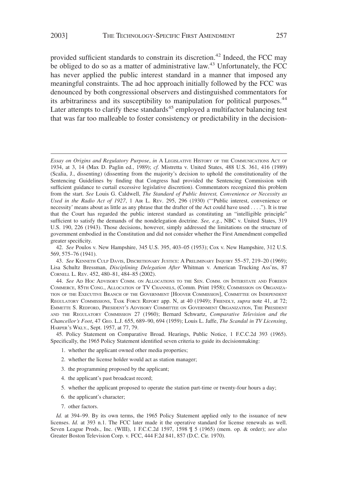provided sufficient standards to constrain its discretion.<sup>42</sup> Indeed, the FCC may be obliged to do so as a matter of administrative law.<sup>43</sup> Unfortunately, the FCC has never applied the public interest standard in a manner that imposed any meaningful constraints. The ad hoc approach initially followed by the FCC was denounced by both congressional observers and distinguished commentators for its arbitrariness and its susceptibility to manipulation for political purposes.<sup>44</sup> Later attempts to clarify these standards<sup>45</sup> employed a multifactor balancing test that was far too malleable to foster consistency or predictability in the decision-

44. *See* AD HOC ADVISORY COMM. ON ALLOCATIONS TO THE SEN. COMM. ON INTERSTATE AND FOREIGN COMMERCE, 85TH CONG., ALLOCATION OF TV CHANNELS, (Comm. Print 1958); COMMISSION ON ORGANIZA-TION OF THE EXECUTIVE BRANCH OF THE GOVERNMENT [HOOVER COMMISSION], COMMITTEE ON INDEPENDENT REGULATORY COMMISSIONS, TASK FORCE REPORT app. N, at 40 (1949); FRIENDLY, *supra* note 41, at 72; EMMETTE S. REDFORD, PRESIDENT'S ADVISORY COMMITTEE ON GOVERNMENT ORGANIZATION, THE PRESIDENT AND THE REGULATORY COMMISSION 27 (1960); Bernard Schwartz, *Comparative Television and the Chancellor's Foot*, 47 GEO. L.J. 655, 689–90, 694 (1959); Louis L. Jaffe, *The Scandal in TV Licensing*, HARPER'S WKLY., Sept. 1957, at 77, 79.

45. Policy Statement on Comparative Broad. Hearings, Public Notice, 1 F.C.C.2d 393 (1965). Specifically, the 1965 Policy Statement identified seven criteria to guide its decisionmaking:

- 1. whether the applicant owned other media properties;
- 2. whether the license holder would act as station manager;
- 3. the programming proposed by the applicant;
- 4. the applicant's past broadcast record;
- 5. whether the applicant proposed to operate the station part-time or twenty-four hours a day;
- 6. the applicant's character;
- 7. other factors.

*Id.* at 394–99. By its own terms, the 1965 Policy Statement applied only to the issuance of new licenses. *Id.* at 393 n.1. The FCC later made it the operative standard for license renewals as well. Seven League Prods., Inc. (WIII), 1 F.C.C.2d 1597, 1598 ¶ 5 (1965) (mem. op. & order); *see also* Greater Boston Television Corp. v. FCC, 444 F.2d 841, 857 (D.C. Cir. 1970).

*Essay on Origins and Regulatory Purpose*, *in* A LEGISLATIVE HISTORY OF THE COMMUNICATIONS ACT OF 1934, at 3, 14 (Max D. Paglin ed., 1989); *cf.* Mistretta v. United States, 488 U.S. 361, 416 (1989) (Scalia, J., dissenting) (dissenting from the majority's decision to uphold the constitutionality of the Sentencing Guidelines by finding that Congress had provided the Sentencing Commission with sufficient guidance to curtail excessive legislative discretion). Commentators recognized this problem from the start. *See* Louis G. Caldwell, *The Standard of Public Interest, Convenience or Necessity as Used in the Radio Act of 1927*,1AIR L. REV. 295, 296 (1930) ("'Public interest, convenience or necessity' means about as little as any phrase that the drafter of the Act could have used . . . ."). It is true that the Court has regarded the public interest standard as constituting an "intelligible principle" sufficient to satisfy the demands of the nondelegation doctrine. *See, e.g.*, NBC v. United States, 319 U.S. 190, 226 (1943). Those decisions, however, simply addressed the limitations on the structure of government embodied in the Constitution and did not consider whether the First Amendment compelled greater specificity.

<sup>42.</sup> *See* Poulos v. New Hampshire, 345 U.S. 395, 403–05 (1953); Cox v. New Hampshire, 312 U.S. 569, 575–76 (1941).

<sup>43.</sup> *See* KENNETH CULP DAVIS, DISCRETIONARY JUSTICE:APRELIMINARY INQUIRY 55–57, 219–20 (1969); Lisa Schultz Bressman, *Disciplining Delegation After* Whitman v. American Trucking Ass'ns, 87 CORNELL L. REV. 452, 480–81, 484–85 (2002).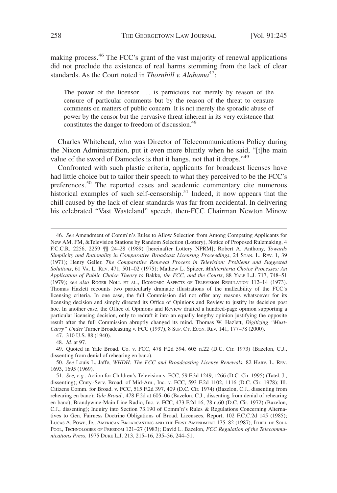making process.<sup>46</sup> The FCC's grant of the vast majority of renewal applications did not preclude the existence of real harms stemming from the lack of clear standards. As the Court noted in *Thornhill v. Alabama*<sup>47</sup>:

The power of the licensor . . . is pernicious not merely by reason of the censure of particular comments but by the reason of the threat to censure comments on matters of public concern. It is not merely the sporadic abuse of power by the censor but the pervasive threat inherent in its very existence that constitutes the danger to freedom of discussion.<sup>48</sup>

Charles Whitehead, who was Director of Telecommunications Policy during the Nixon Administration, put it even more bluntly when he said, "[t]he main value of the sword of Damocles is that it hangs, not that it drops."<sup>49</sup>

Confronted with such plastic criteria, applicants for broadcast licenses have had little choice but to tailor their speech to what they perceived to be the FCC's preferences.<sup>50</sup> The reported cases and academic commentary cite numerous historical examples of such self-censorship.<sup>51</sup> Indeed, it now appears that the chill caused by the lack of clear standards was far from accidental. In delivering his celebrated "Vast Wasteland" speech, then-FCC Chairman Newton Minow

<sup>46.</sup> *See* Amendment of Comm'n's Rules to Allow Selection from Among Competing Applicants for New AM, FM, &Television Stations by Random Selection (Lottery), Notice of Proposed Rulemaking, 4 F.C.C.R. 2256, 2259 ¶¶ 24–28 (1989) [hereinafter Lottery NPRM]; Robert A. Anthony, *Towards Simplicity and Rationality in Comparative Broadcast Licensing Proceedings*, 24 STAN. L. REV. 1, 39 (1971); Henry Geller, *The Comparative Renewal Process in Television: Problems and Suggested Solutions*, 61 VA. L. REV. 471, 501–02 (1975); Mathew L. Spitzer, *Multicriteria Choice Processes: An Application of Public Choice Theory to* Bakke*, the FCC, and the Courts*, 88 YALE L.J. 717, 748–51 (1979); *see also* ROGER NOLL ET AL., ECONOMIC ASPECTS OF TELEVISION REGULATION 112–14 (1973). Thomas Hazlett recounts two particularly dramatic illustrations of the malleability of the FCC's licensing criteria. In one case, the full Commission did not offer any reasons whatsoever for its licensing decision and simply directed its Office of Opinions and Review to justify its decision post hoc. In another case, the Office of Opinions and Review drafted a hundred-page opinion supporting a particular licensing decision, only to redraft it into an equally lengthy opinion justifying the opposite result after the full Commission abruptly changed its mind. Thomas W. Hazlett, *Digitizing "Must-Carry" Under* Turner Broadcasting v. FCC (1997), 8 SUP. CT. ECON. REV. 141, 177–78 (2000).

<sup>47. 310</sup> U.S. 88 (1940).

<sup>48.</sup> *Id.* at 97.

<sup>49.</sup> Quoted in Yale Broad. Co. v. FCC, 478 F.2d 594, 605 n.22 (D.C. Cir. 1973) (Bazelon, C.J., dissenting from denial of rehearing en banc).

<sup>50.</sup> *See* Louis L. Jaffe, *WHDH: The FCC and Broadcasting License Renewals*, 82 HARV. L. REV. 1693, 1695 (1969).

<sup>51.</sup> *See, e.g.*, Action for Children's Television v. FCC, 59 F.3d 1249, 1266 (D.C. Cir. 1995) (Tatel, J., dissenting); Cmty.-Serv. Broad. of Mid-Am., Inc. v. FCC, 593 F.2d 1102, 1116 (D.C. Cir. 1978); Ill. Citizens Comm. for Broad. v. FCC, 515 F.2d 397, 409 (D.C. Cir. 1974) (Bazelon, C.J., dissenting from rehearing en banc); *Yale Broad*., 478 F.2d at 605–06 (Bazelon, C.J., dissenting from denial of rehearing en banc); Brandywine-Main Line Radio, Inc. v. FCC, 473 F.2d 16, 78 n.60 (D.C. Cir. 1972) (Bazelon, C.J., dissenting); Inquiry into Section 73.190 of Comm'n's Rules & Regulations Concerning Alternatives to Gen. Fairness Doctrine Obligations of Broad. Licensees, Report, 102 F.C.C.2d 145 (1985); LUCAS A. POWE, JR., AMERICAN BROADCASTING AND THE FIRST AMENDMENT 175–82 (1987); ITHIEL DE SOLA POOL, TECHNOLOGIES OF FREEDOM 121–27 (1983); David L. Bazelon, *FCC Regulation of the Telecommunications Press*, 1975 DUKE L.J. 213, 215–16, 235–36, 244–51.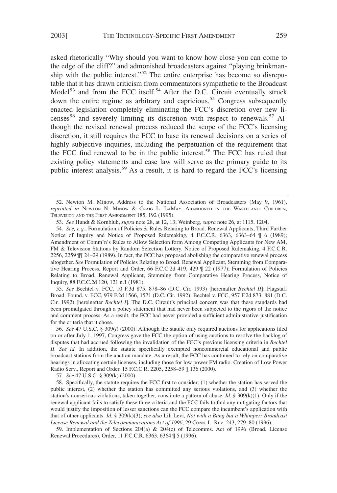asked rhetorically "Why should you want to know how close you can come to the edge of the cliff?" and admonished broadcasters against "playing brinkmanship with the public interest."<sup>52</sup> The entire enterprise has become so disreputable that it has drawn criticism from commentators sympathetic to the Broadcast Model<sup>53</sup> and from the FCC itself.<sup>54</sup> After the D.C. Circuit eventually struck down the entire regime as arbitrary and capricious,<sup>55</sup> Congress subsequently enacted legislation completely eliminating the FCC's discretion over new licenses<sup>56</sup> and severely limiting its discretion with respect to renewals.<sup>57</sup> Although the revised renewal process reduced the scope of the FCC's licensing discretion, it still requires the FCC to base its renewal decisions on a series of highly subjective inquiries, including the perpetuation of the requirement that the FCC find renewal to be in the public interest.<sup>58</sup> The FCC has ruled that existing policy statements and case law will serve as the primary guide to its public interest analysis.<sup>59</sup> As a result, it is hard to regard the FCC's licensing

53. *See* Hundt & Kornbluh, *supra* note 28, at 12, 13; Weinberg, *supra* note 26, at 1115, 1204.

55. *See* Bechtel v. FCC, 10 F.3d 875, 878–86 (D.C. Cir. 1993) [hereinafter *Bechtel II*]; Flagstaff Broad. Found. v. FCC, 979 F.2d 1566, 1571 (D.C. Cir. 1992); Bechtel v. FCC, 957 F.2d 873, 881 (D.C. Cir. 1992) [hereinafter *Bechtel I*]. The D.C. Circuit's principal concern was that these standards had been promulgated through a policy statement that had never been subjected to the rigors of the notice and comment process. As a result, the FCC had never provided a sufficient administrative justification for the criteria that it chose.

56. *See* 47 U.S.C. § 309(*l*) (2000). Although the statute only required auctions for applications filed on or after July 1, 1997, Congress gave the FCC the option of using auctions to resolve the backlog of disputes that had accrued following the invalidation of the FCC's previous licensing criteria in *Bechtel II*. *See id.* In addition, the statute specifically exempted noncommercial educational and public broadcast stations from the auction mandate. As a result, the FCC has continued to rely on comparative hearings in allocating certain licenses, including those for low power FM radio. Creation of Low Power Radio Serv., Report and Order, 15 F.C.C.R. 2205, 2258–59 ¶ 136 (2000).

57. *See* 47 U.S.C. § 309(k) (2000).

58. Specifically, the statute requires the FCC first to consider: (1) whether the station has served the public interest, (2) whether the station has committed any serious violations, and (3) whether the station's nonserious violations, taken together, constitute a pattern of abuse. *Id.*  $\S 309(k)(1)$ . Only if the renewal applicant fails to satisfy these three criteria and the FCC fails to find any mitigating factors that would justify the imposition of lesser sanctions can the FCC compare the incumbent's application with that of other applicants. *Id.* § 309(k)(3); *see also* Lili Levi, *Not with a Bang but a Whimper: Broadcast License Renewal and the Telecommunications Act of 1996*, 29 CONN. L. REV. 243, 279–80 (1996).

59. Implementation of Sections 204(a) & 204(c) of Telecomms. Act of 1996 (Broad. License Renewal Procedures), Order, 11 F.C.C.R. 6363, 6364 ¶ 5 (1996).

<sup>52.</sup> Newton M. Minow, Address to the National Association of Broadcasters (May 9, 1961), *reprinted in* NEWTON N. MINOW & CRAIG L. LAMAY, ABANDONED IN THE WASTELAND: CHILDREN, TELEVISION AND THE FIRST AMENDMENT 185, 192 (1995).

<sup>54.</sup> *See, e.g.*, Formulation of Policies & Rules Relating to Broad. Renewal Applicants, Third Further Notice of Inquiry and Notice of Proposed Rulemaking, 4 F.C.C.R. 6363, 6363–64 ¶ 6 (1989); Amendment of Comm'n's Rules to Allow Selection form Among Competing Applicants for New AM, FM & Television Stations by Random Selection Lottery, Notice of Proposed Rulemaking, 4 F.C.C.R. 2256, 2259 ¶¶ 24–29 (1989). In fact, the FCC has proposed abolishing the comparative renewal process altogether. *See* Formulation of Policies Relating to Broad. Renewal Applicant, Stemming from Comparative Hearing Process, Report and Order, 66 F.C.C.2d 419, 429 ¶ 22 (1977); Formulation of Policies Relating to Broad. Renewal Applicant, Stemming from Comparative Hearing Process, Notice of Inquiry, 88 F.C.C.2d 120, 121 n.1 (1981).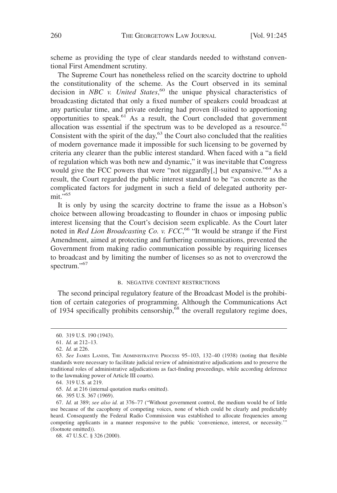scheme as providing the type of clear standards needed to withstand conventional First Amendment scrutiny.

The Supreme Court has nonetheless relied on the scarcity doctrine to uphold the constitutionality of the scheme. As the Court observed in its seminal decision in *NBC v. United States*, <sup>60</sup> the unique physical characteristics of broadcasting dictated that only a fixed number of speakers could broadcast at any particular time, and private ordering had proven ill-suited to apportioning opportunities to speak.61 As a result, the Court concluded that government allocation was essential if the spectrum was to be developed as a resource.<sup>62</sup> Consistent with the spirit of the day, $63$  the Court also concluded that the realities of modern governance made it impossible for such licensing to be governed by criteria any clearer than the public interest standard. When faced with a "a field of regulation which was both new and dynamic," it was inevitable that Congress would give the FCC powers that were "not niggardly[,] but expansive."<sup>64</sup> As a result, the Court regarded the public interest standard to be "as concrete as the complicated factors for judgment in such a field of delegated authority per $mit.$ "65

It is only by using the scarcity doctrine to frame the issue as a Hobson's choice between allowing broadcasting to flounder in chaos or imposing public interest licensing that the Court's decision seem explicable. As the Court later noted in *Red Lion Broadcasting Co. v. FCC*, <sup>66</sup> "It would be strange if the First Amendment, aimed at protecting and furthering communications, prevented the Government from making radio communication possible by requiring licenses to broadcast and by limiting the number of licenses so as not to overcrowd the spectrum."<sup>67</sup>

#### B. NEGATIVE CONTENT RESTRICTIONS

The second principal regulatory feature of the Broadcast Model is the prohibition of certain categories of programming. Although the Communications Act of 1934 specifically prohibits censorship,  $\frac{68}{68}$  the overall regulatory regime does,

66. 395 U.S. 367 (1969).

<sup>60. 319</sup> U.S. 190 (1943).

<sup>61.</sup> *Id.* at 212–13.

<sup>62.</sup> *Id.* at 226.

<sup>63.</sup> *See* JAMES LANDIS, THE ADMINISTRATIVE PROCESS 95–103, 132–40 (1938) (noting that flexible standards were necessary to facilitate judicial review of administrative adjudications and to preserve the traditional roles of administrative adjudications as fact-finding proceedings, while according deference to the lawmaking power of Article III courts).

<sup>64. 319</sup> U.S. at 219.

<sup>65.</sup> *Id.* at 216 (internal quotation marks omitted).

<sup>67.</sup> *Id.* at 389; *see also id.* at 376–77 ("Without government control, the medium would be of little use because of the cacophony of competing voices, none of which could be clearly and predictably heard. Consequently the Federal Radio Commission was established to allocate frequencies among competing applicants in a manner responsive to the public 'convenience, interest, or necessity.'" (footnote omitted)).

<sup>68. 47</sup> U.S.C. § 326 (2000).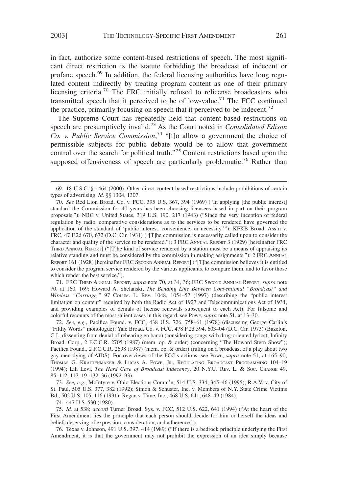in fact, authorize some content-based restrictions of speech. The most significant direct restriction is the statute forbidding the broadcast of indecent or profane speech.<sup>69</sup> In addition, the federal licensing authorities have long regulated content indirectly by treating program content as one of their primary licensing criteria.<sup>70</sup> The FRC initially refused to relicense broadcasters who transmitted speech that it perceived to be of low-value.<sup>71</sup> The FCC continued the practice, primarily focusing on speech that it perceived to be indecent.<sup>72</sup>

The Supreme Court has repeatedly held that content-based restrictions on speech are presumptively invalid.73 As the Court noted in *Consolidated Edison Co. v. Public Service Commission*, <sup>74</sup> "[t]o allow a government the choice of permissible subjects for public debate would be to allow that government control over the search for political truth."<sup>75</sup> Content restrictions based upon the supposed offensiveness of speech are particularly problematic.<sup>76</sup> Rather than

71. FRC THIRD ANNUAL REPORT, *supra* note 70, at 34, 36; FRC SECOND ANNUAL REPORT, *supra* note 70, at 160, 169; Howard A. Shelanski, *The Bending Line Between Conventional "Broadcast" and Wireless "Carriage,"* 97 COLUM. L. REV. 1048, 1054–57 (1997) (describing the "public interest limitation on content" required by both the Radio Act of 1927 and Telecommunications Act of 1934, and providing examples of denials of license renewals subsequent to each Act). For fulsome and colorful recounts of the most salient cases in this regard, see POWE, *supra* note 51, at 13–30.

72. *See, e.g.*, Pacifica Found. v. FCC, 438 U.S. 726, 758–61 (1978) (discussing George Carlin's "Filthy Words" monologue); Yale Broad. Co. v. FCC, 478 F.2d 594, 603–04 (D.C. Cir. 1973) (Bazelon, C.J., dissenting from denial of rehearing en banc) (considering songs with drug-oriented lyrics); Infinity Broad. Corp., 2 F.C.C.R. 2705 (1987) (mem. op. & order) (concerning "The Howard Stern Show"); Pacifica Found., 2 F.C.C.R. 2698 (1987) (mem. op. & order) (ruling on a broadcast of a play about two gay men dying of AIDS). For overviews of the FCC's actions, see POWE, *supra* note 51, at 165–90; THOMAS G. KRATTENMAKER & LUCAS A. POWE, JR., REGULATING BROADCAST PROGRAMMING 104–19 (1994); Lili Levi, *The Hard Case of Broadcast Indecency*, 20 N.Y.U. REV. L. & SOC. CHANGE 49, 85–112, 117–19, 132–36 (1992–93).

73. *See, e.g.*, McIntyre v. Ohio Elections Comm'n, 514 U.S. 334, 345–46 (1995); R.A.V. v. City of St. Paul, 505 U.S. 377, 382 (1992); Simon & Schuster, Inc. v. Members of N.Y. State Crime Victims Bd., 502 U.S. 105, 116 (1991); Regan v. Time, Inc., 468 U.S. 641, 648–49 (1984).

74. 447 U.S. 530 (1980).

75. *Id.* at 538; *accord* Turner Broad. Sys. v. FCC, 512 U.S. 622, 641 (1994) ("At the heart of the First Amendment lies the principle that each person should decide for him or herself the ideas and beliefs deserving of expression, consideration, and adherence.").

76. Texas v. Johnson, 491 U.S. 397, 414 (1989) ("If there is a bedrock principle underlying the First Amendment, it is that the government may not prohibit the expression of an idea simply because

<sup>69. 18</sup> U.S.C. § 1464 (2000). Other direct content-based restrictions include prohibitions of certain types of advertising. *Id.* §§ 1304, 1307.

<sup>70.</sup> *See* Red Lion Broad. Co. v. FCC, 395 U.S. 367, 394 (1969) ("In applying [the public interest] standard the Commission for 40 years has been choosing licensees based in part on their program proposals."); NBC v. United States, 319 U.S. 190, 217 (1943) ("Since the very inception of federal regulation by radio, comparative considerations as to the services to be rendered have governed the application of the standard of 'public interest, convenience, or necessity.'"); KFKB Broad. Ass'n v. FRC, 47 F.2d 670, 672 (D.C. Cir. 1931) ("[T]he commission is necessarily called upon to consider the character and quality of the service to be rendered."); 3 FRC ANNUAL REPORT 3 (1929) [hereinafter FRC THIRD ANNUAL REPORT] ("[T]he kind of service rendered by a station must be a means of appraising its relative standing and must be considered by the commission in making assignments."); 2 FRC ANNUAL REPORT 161 (1928) [hereinafter FRC SECOND ANNUAL REPORT] ("[T]he commission believes it is entitled to consider the program service rendered by the various applicants, to compare them, and to favor those which render the best service.").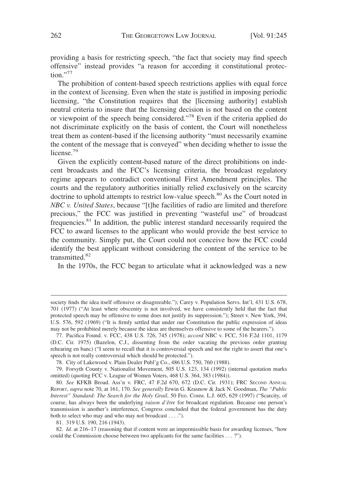providing a basis for restricting speech, "the fact that society may find speech offensive" instead provides "a reason for according it constitutional protec $tion.$ "77

The prohibition of content-based speech restrictions applies with equal force in the context of licensing. Even when the state is justified in imposing periodic licensing, "the Constitution requires that the [licensing authority] establish neutral criteria to insure that the licensing decision is not based on the content or viewpoint of the speech being considered."78 Even if the criteria applied do not discriminate explicitly on the basis of content, the Court will nonetheless treat them as content-based if the licensing authority "must necessarily examine the content of the message that is conveyed" when deciding whether to issue the license.<sup>79</sup>

Given the explicitly content-based nature of the direct prohibitions on indecent broadcasts and the FCC's licensing criteria, the broadcast regulatory regime appears to contradict conventional First Amendment principles. The courts and the regulatory authorities initially relied exclusively on the scarcity doctrine to uphold attempts to restrict low-value speech.<sup>80</sup> As the Court noted in *NBC v. United States*, because "[t]he facilities of radio are limited and therefore precious," the FCC was justified in preventing "wasteful use" of broadcast frequencies.<sup>81</sup> In addition, the public interest standard necessarily required the FCC to award licenses to the applicant who would provide the best service to the community. Simply put, the Court could not conceive how the FCC could identify the best applicant without considering the content of the service to be transmitted.<sup>82</sup>

In the 1970s, the FCC began to articulate what it acknowledged was a new

78. City of Lakewood v. Plain Dealer Publ'g Co., 486 U.S. 750, 760 (1988).

society finds the idea itself offensive or disagreeable."); Carey v. Population Servs. Int'l, 431 U.S. 678, 701 (1977) ("At least where obscenity is not involved, we have consistently held that the fact that protected speech may be offensive to some does not justify its suppression."); Street v. New York, 394, U.S. 576, 592 (1969) ("It is firmly settled that under our Constitution the public expression of ideas may not be prohibited merely because the ideas are themselves offensive to some of the hearers.").

<sup>77.</sup> Pacifica Found. v. FCC, 438 U.S. 726, 745 (1978); *accord* NBC v. FCC, 516 F.2d 1101, 1179 (D.C. Cir. 1975) (Bazelon, C.J., dissenting from the order vacating the previous order granting rehearing en banc) ("I seem to recall that it is controversial speech and not the right to assert that one's speech is not really controversial which should be protected.").

<sup>79.</sup> Forsyth County v. Nationalist Movement, 505 U.S. 123, 134 (1992) (internal quotation marks omitted) (quoting FCC v. League of Women Voters, 468 U.S. 364, 383 (1984)).

<sup>80.</sup> *See* KFKB Broad. Ass'n v. FRC, 47 F.2d 670, 672 (D.C. Cir. 1931); FRC SECOND ANNUAL REPORT, *supra* note 70, at 161, 170. *See generally* Erwin G. Krasnow & Jack N. Goodman, *The "Public Interest" Standard: The Search for the Holy Grail*, 50 FED. COMM. L.J. 605, 629 (1997) ("Scarcity, of course, has always been the underlying *raison d'être* for broadcast regulation. Because one person's transmission is another's interference, Congress concluded that the federal government has the duty both to select who may and who may not broadcast . . . .").

<sup>81. 319</sup> U.S. 190, 216 (1943).

<sup>82.</sup> *Id.* at 216–17 (reasoning that if content were an impermissible basis for awarding licenses, "how could the Commission choose between two applicants for the same facilities . . . ?").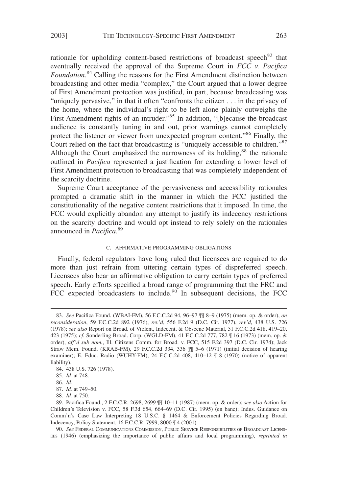rationale for upholding content-based restrictions of broadcast speech<sup>83</sup> that eventually received the approval of the Supreme Court in *FCC v. Pacifica Foundation*. <sup>84</sup> Calling the reasons for the First Amendment distinction between broadcasting and other media "complex," the Court argued that a lower degree of First Amendment protection was justified, in part, because broadcasting was "uniquely pervasive," in that it often "confronts the citizen . . . in the privacy of the home, where the individual's right to be left alone plainly outweighs the First Amendment rights of an intruder."<sup>85</sup> In addition, "[b]ecause the broadcast audience is constantly tuning in and out, prior warnings cannot completely protect the listener or viewer from unexpected program content."<sup>86</sup> Finally, the Court relied on the fact that broadcasting is "uniquely accessible to children."<sup>87</sup> Although the Court emphasized the narrowness of its holding, $88$  the rationale outlined in *Pacifica* represented a justification for extending a lower level of First Amendment protection to broadcasting that was completely independent of the scarcity doctrine.

Supreme Court acceptance of the pervasiveness and accessibility rationales prompted a dramatic shift in the manner in which the FCC justified the constitutionality of the negative content restrictions that it imposed. In time, the FCC would explicitly abandon any attempt to justify its indecency restrictions on the scarcity doctrine and would opt instead to rely solely on the rationales announced in *Pacifica*. 89

#### C. AFFIRMATIVE PROGRAMMING OBLIGATIONS

Finally, federal regulators have long ruled that licensees are required to do more than just refrain from uttering certain types of dispreferred speech. Licensees also bear an affirmative obligation to carry certain types of preferred speech. Early efforts specified a broad range of programming that the FRC and FCC expected broadcasters to include.<sup>90</sup> In subsequent decisions, the FCC

<sup>83.</sup> *See* Pacifica Found. (WBAI-FM), 56 F.C.C.2d 94, 96–97 ¶¶ 8–9 (1975) (mem. op. & order), *on reconsideration*, 59 F.C.C.2d 892 (1976), *rev'd*, 556 F.2d 9 (D.C. Cir. 1977), *rev'd*, 438 U.S. 726 (1978); *see also* Report on Broad. of Violent, Indecent, & Obscene Material, 51 F.C.C.2d 418, 419–20, 423 (1975); *cf.* Sonderling Broad. Corp. (WGLD-FM), 41 F.C.C.2d 777, 782 ¶ 16 (1973) (mem. op. & order), *aff'd sub nom.*, Ill. Citizens Comm. for Broad. v. FCC, 515 F.2d 397 (D.C. Cir. 1974); Jack Straw Mem. Found. (KRAB-FM), 29 F.C.C.2d 334, 336 ¶¶ 5–6 (1971) (initial decision of hearing examiner); E. Educ. Radio (WUHY-FM), 24 F.C.C.2d 408, 410–12 ¶ 8 (1970) (notice of apparent liability).

<sup>84. 438</sup> U.S. 726 (1978).

<sup>85.</sup> *Id.* at 748.

<sup>86.</sup> *Id.*

<sup>87.</sup> *Id.* at 749–50.

<sup>88.</sup> *Id.* at 750.

<sup>89.</sup> Pacifica Found., 2 F.C.C.R. 2698, 2699 ¶¶ 10–11 (1987) (mem. op. & order); *see also* Action for Children's Television v. FCC, 58 F.3d 654, 664–69 (D.C. Cir. 1995) (en banc); Indus. Guidance on Comm'n's Case Law Interpreting 18 U.S.C. § 1464 & Enforcement Policies Regarding Broad. Indecency, Policy Statement, 16 F.C.C.R. 7999, 8000 ¶ 4 (2001).

<sup>90.</sup> *See* FEDERAL COMMUNICATIONS COMMISSION, PUBLIC SERVICE RESPONSIBILITIES OF BROADCAST LICENS-EES (1946) (emphasizing the importance of public affairs and local programming), *reprinted in*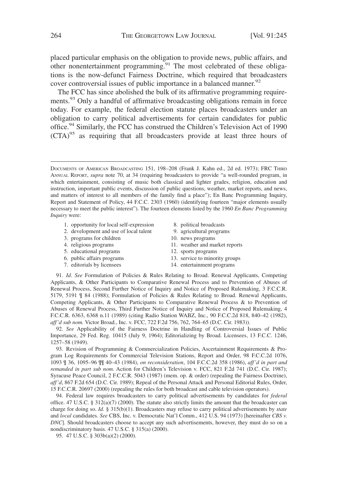placed particular emphasis on the obligation to provide news, public affairs, and other nonentertainment programming.<sup>91</sup> The most celebrated of these obligations is the now-defunct Fairness Doctrine, which required that broadcasters cover controversial issues of public importance in a balanced manner.<sup>92</sup>

The FCC has since abolished the bulk of its affirmative programming requirements.<sup>93</sup> Only a handful of affirmative broadcasting obligations remain in force today. For example, the federal election statute places broadcasters under an obligation to carry political advertisements for certain candidates for public office.<sup>94</sup> Similarly, the FCC has construed the Children's Television Act of 1990 (CTA)95 as requiring that all broadcasters provide at least three hours of

- 1. opportunity for local self-expression
- 2. development and use of local talent
- 3. programs for children
- 4. religious programs
- 5. educational programs
- 6. public affairs programs
- 7. editorials by licensees
- 8. political broadcasts
- 9. agricultural programs
- 10. news programs
- 11. weather and market reports
- 12. sports programs
- 13. service to minority groups
- 14. entertainment programs

91. *Id. See* Formulation of Policies & Rules Relating to Broad. Renewal Applicants, Competing Applicants, & Other Participants to Comparative Renewal Process and to Prevention of Abuses of Renewal Process, Second Further Notice of Inquiry and Notice of Proposed Rulemaking, 3 F.C.C.R. 5179, 5191 ¶ 84 (1988); Formulation of Policies & Rules Relating to Broad. Renewal Applicants, Competing Applicants, & Other Participants to Comparative Renewal Process & to Prevention of Abuses of Renewal Process, Third Further Notice of Inquiry and Notice of Proposed Rulemaking, 4 F.C.C.R. 6363, 6368 n.11 (1989) (citing Radio Station WABZ, Inc., 90 F.C.C.2d 818, 840–42 (1982), *aff'd sub nom.* Victor Broad., Inc. v. FCC, 722 F.2d 756, 762, 764–65 (D.C. Cir. 1983)).

92. *See* Applicability of the Fairness Doctrine in Handling of Controversial Issues of Public Importance, 29 Fed. Reg. 10415 (July 9, 1964); Editorializing by Broad. Licensees, 13 F.C.C. 1246, 1257–58 (1949).

93. Revision of Programming & Commercialization Policies, Ascertainment Requirements & Program Log Requirements for Commercial Television Stations, Report and Order, 98 F.C.C.2d 1076, 1093 ¶ 36, 1095–96 ¶¶ 40–43 (1984), *on reconsideration*, 104 F.C.C.2d 358 (1986), *aff'd in part and remanded in part sub nom.* Action for Children's Television v. FCC, 821 F.2d 741 (D.C. Cir. 1987); Syracuse Peace Council, 2 F.C.C.R. 5043 (1987) (mem. op. & order) (repealing the Fairness Doctrine), *aff'd*, 867 F.2d 654 (D.C. Cir. 1989); Repeal of the Personal Attack and Personal Editorial Rules, Order, 15 F.C.C.R. 20697 (2000) (repealing the rules for both broadcast and cable television operators).

94. Federal law requires broadcasters to carry political advertisements by candidates for *federal* office. 47 U.S.C. § 312(a)(7) (2000). The statute also strictly limits the amount that the broadcaster can charge for doing so. *Id.* § 315(b)(1). Broadcasters may refuse to carry political advertisements by *state* and *local* candidates. *See* CBS, Inc. v. Democratic Nat'l Comm., 412 U.S. 94 (1973) [hereinafter *CBS v. DNC*]. Should broadcasters choose to accept any such advertisements, however, they must do so on a nondiscriminatory basis. 47 U.S.C. § 315(a) (2000).

95. 47 U.S.C. § 303b(a)(2) (2000).

DOCUMENTS OF AMERICAN BROADCASTING 151, 198–208 (Frank J. Kahn ed., 2d ed. 1973); FRC THIRD ANNUAL REPORT, *supra* note 70, at 34 (requiring broadcasters to provide "a well-rounded program, in which entertainment, consisting of music both classical and lighter grades, religion, education and instruction, important public events, discussion of public questions, weather, market reports, and news, and matters of interest to all members of the family find a place"); En Banc Programming Inquiry, Report and Statement of Policy, 44 F.C.C. 2303 (1960) (identifying fourteen "major elements usually necessary to meet the public interest"). The fourteen elements listed by the 1960 *En Banc Programming Inquiry* were: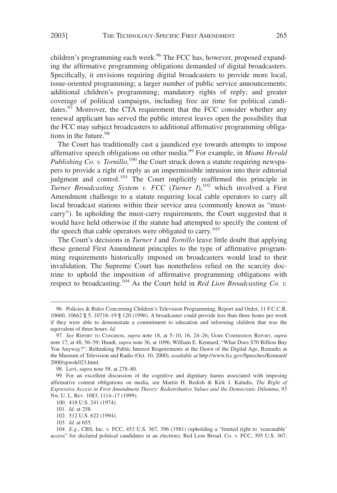children's programming each week.<sup>96</sup> The FCC has, however, proposed expanding the affirmative programming obligations demanded of digital broadcasters. Specifically, it envisions requiring digital broadcasters to provide more local, issue-oriented programming; a larger number of public service announcements; additional children's programming; mandatory rights of reply; and greater coverage of political campaigns, including free air time for political candidates.<sup>97</sup> Moreover, the CTA requirement that the FCC consider whether any renewal applicant has served the public interest leaves open the possibility that the FCC may subject broadcasters to additional affirmative programming obligations in the future. $98$ 

The Court has traditionally cast a jaundiced eye towards attempts to impose affirmative speech obligations on other media.99 For example, in *Miami Herald* Publishing Co. v. Tornillo,<sup>100</sup> the Court struck down a statute requiring newspapers to provide a right of reply as an impermissible intrusion into their editorial judgment and control.<sup>101</sup> The Court implicitly reaffirmed this principle in *Turner Broadcasting System v. FCC* (*Turner I*),<sup>102</sup> which involved a First Amendment challenge to a statute requiring local cable operators to carry all local broadcast stations within their service area (commonly known as "mustcarry"). In upholding the must-carry requirements, the Court suggested that it would have held otherwise if the statute had attempted to specify the content of the speech that cable operators were obligated to carry.<sup>103</sup>

The Court's decisions in *Turner I* and *Tornillo* leave little doubt that applying these general First Amendment principles to the type of affirmative programming requirements historically imposed on broadcasters would lead to their invalidation. The Supreme Court has nonetheless relied on the scarcity doctrine to uphold the imposition of affirmative programming obligations with respect to broadcasting.<sup>104</sup> As the Court held in *Red Lion Broadcasting Co. v.*

102. 512 U.S. 622 (1994).

<sup>96.</sup> Policies & Rules Concerning Children's Television Programming, Report and Order, 11 F.C.C.R. 10660, 10662 ¶ 5, 10718–19 ¶ 120 (1996). A broadcaster could provide less than three hours per week if they were able to demonstrate a commitment to education and informing children that was the equivalent of three hours. *Id.*

<sup>97.</sup> *See* REPORT TO CONGRESS, *supra* note 18, at 5–10, 16, 24–26; GORE COMMISSION REPORT, *supra* note 17, at 48, 56–59; Hundt, *supra* note 36, at 1096; William E. Kennard, "What Does \$70 Billion Buy You Anyway?": Rethinking Public Interest Requirements at the Dawn of the Digital Age, Remarks at the Museum of Television and Radio (Oct. 10, 2000), *available at* http://www.fcc.gov/Speeches/Kennard/ 2000/spwek023.html.

<sup>98.</sup> Levi, *supra* note 58, at 278–80.

<sup>99.</sup> For an excellent discussion of the cognitive and dignitary harms associated with imposing affirmative content obligations on media, see Martin H. Redish & Kirk J. Kaludis, *The Right of Expressive Access in First Amendment Theory: Redistributive Values and the Democratic Dilemma*, 93 NW. U. L. REV. 1083, 1114–17 (1999).

<sup>100. 418</sup> U.S. 241 (1974).

<sup>101.</sup> *Id.* at 258.

<sup>103.</sup> *Id.* at 655.

<sup>104.</sup> *E.g.*, CBS, Inc. v. FCC, 453 U.S. 367, 396 (1981) (upholding a "limited right to 'reasonable' access" for declared political candidates in an election); Red Lion Broad. Co. v. FCC, 395 U.S. 367,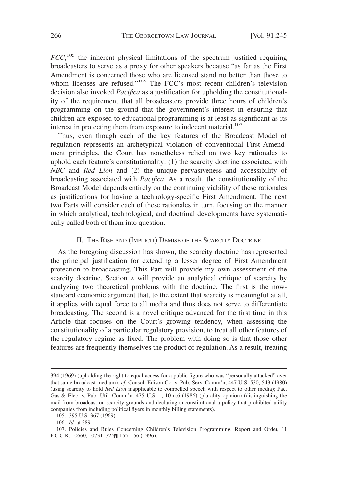*FCC*,<sup>105</sup> the inherent physical limitations of the spectrum justified requiring broadcasters to serve as a proxy for other speakers because "as far as the First Amendment is concerned those who are licensed stand no better than those to whom licenses are refused."<sup>106</sup> The FCC's most recent children's television decision also invoked *Pacifica* as a justification for upholding the constitutionality of the requirement that all broadcasters provide three hours of children's programming on the ground that the government's interest in ensuring that children are exposed to educational programming is at least as significant as its interest in protecting them from exposure to indecent material.<sup>107</sup>

Thus, even though each of the key features of the Broadcast Model of regulation represents an archetypical violation of conventional First Amendment principles, the Court has nonetheless relied on two key rationales to uphold each feature's constitutionality: (1) the scarcity doctrine associated with *NBC* and *Red Lion* and (2) the unique pervasiveness and accessibility of broadcasting associated with *Pacifica*. As a result, the constitutionality of the Broadcast Model depends entirely on the continuing viability of these rationales as justifications for having a technology-specific First Amendment. The next two Parts will consider each of these rationales in turn, focusing on the manner in which analytical, technological, and doctrinal developments have systematically called both of them into question.

#### II. THE RISE AND (IMPLICIT) DEMISE OF THE SCARCITY DOCTRINE

As the foregoing discussion has shown, the scarcity doctrine has represented the principal justification for extending a lesser degree of First Amendment protection to broadcasting. This Part will provide my own assessment of the scarcity doctrine. Section A will provide an analytical critique of scarcity by analyzing two theoretical problems with the doctrine. The first is the nowstandard economic argument that, to the extent that scarcity is meaningful at all, it applies with equal force to all media and thus does not serve to differentiate broadcasting. The second is a novel critique advanced for the first time in this Article that focuses on the Court's growing tendency, when assessing the constitutionality of a particular regulatory provision, to treat all other features of the regulatory regime as fixed. The problem with doing so is that those other features are frequently themselves the product of regulation. As a result, treating

<sup>394 (1969) (</sup>upholding the right to equal access for a public figure who was "personally attacked" over that same broadcast medium); *cf.* Consol. Edison Co. v. Pub. Serv. Comm'n, 447 U.S. 530, 543 (1980) (using scarcity to hold *Red Lion* inapplicable to compelled speech with respect to other media); Pac. Gas & Elec. v. Pub. Util. Comm'n, 475 U.S. 1, 10 n.6 (1986) (plurality opinion) (distinguishing the mail from broadcast on scarcity grounds and declaring unconstitutional a policy that prohibited utility companies from including political flyers in monthly billing statements).

<sup>105. 395</sup> U.S. 367 (1969).

<sup>106.</sup> *Id.* at 389.

<sup>107.</sup> Policies and Rules Concerning Children's Television Programming, Report and Order, 11 F.C.C.R. 10660, 10731–32 ¶¶ 155–156 (1996).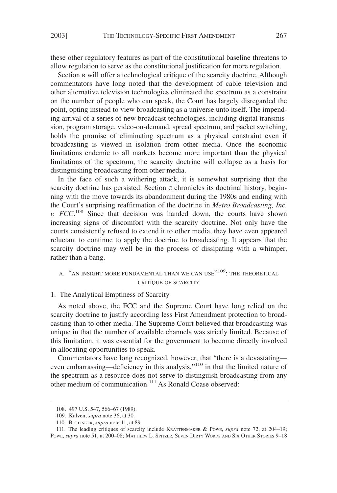these other regulatory features as part of the constitutional baseline threatens to allow regulation to serve as the constitutional justification for more regulation.

Section B will offer a technological critique of the scarcity doctrine. Although commentators have long noted that the development of cable television and other alternative television technologies eliminated the spectrum as a constraint on the number of people who can speak, the Court has largely disregarded the point, opting instead to view broadcasting as a universe unto itself. The impending arrival of a series of new broadcast technologies, including digital transmission, program storage, video-on-demand, spread spectrum, and packet switching, holds the promise of eliminating spectrum as a physical constraint even if broadcasting is viewed in isolation from other media. Once the economic limitations endemic to all markets become more important than the physical limitations of the spectrum, the scarcity doctrine will collapse as a basis for distinguishing broadcasting from other media.

In the face of such a withering attack, it is somewhat surprising that the scarcity doctrine has persisted. Section c chronicles its doctrinal history, beginning with the move towards its abandonment during the 1980s and ending with the Court's surprising reaffirmation of the doctrine in *Metro Broadcasting, Inc. v. FCC*. <sup>108</sup> Since that decision was handed down, the courts have shown increasing signs of discomfort with the scarcity doctrine. Not only have the courts consistently refused to extend it to other media, they have even appeared reluctant to continue to apply the doctrine to broadcasting. It appears that the scarcity doctrine may well be in the process of dissipating with a whimper, rather than a bang.

## A. "AN INSIGHT MORE FUNDAMENTAL THAN WE CAN USE"<sup>109</sup>: THE THEORETICAL CRITIQUE OF SCARCITY

#### 1. The Analytical Emptiness of Scarcity

As noted above, the FCC and the Supreme Court have long relied on the scarcity doctrine to justify according less First Amendment protection to broadcasting than to other media. The Supreme Court believed that broadcasting was unique in that the number of available channels was strictly limited. Because of this limitation, it was essential for the government to become directly involved in allocating opportunities to speak.

Commentators have long recognized, however, that "there is a devastating even embarrassing—deficiency in this analysis,"<sup>110</sup> in that the limited nature of the spectrum as a resource does not serve to distinguish broadcasting from any other medium of communication.<sup>111</sup> As Ronald Coase observed:

<sup>108. 497</sup> U.S. 547, 566–67 (1989).

<sup>109.</sup> Kalven, *supra* note 36, at 30.

<sup>110.</sup> BOLLINGER, *supra* note 11, at 89.

<sup>111.</sup> The leading critiques of scarcity include KRATTENMAKER & POWE, *supra* note 72, at 204–19; POWE, *supra* note 51, at 200-08; MATTHEW L. SPITZER, SEVEN DIRTY WORDS AND SIX OTHER STORIES 9-18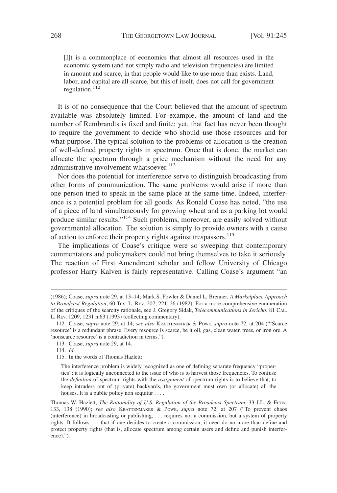[I]t is a commonplace of economics that almost all resources used in the economic system (and not simply radio and television frequencies) are limited in amount and scarce, in that people would like to use more than exists. Land, labor, and capital are all scarce, but this of itself, does not call for government regulation. $11^{\frac{1}{2}}$ 

It is of no consequence that the Court believed that the amount of spectrum available was absolutely limited. For example, the amount of land and the number of Rembrandts is fixed and finite; yet, that fact has never been thought to require the government to decide who should use those resources and for what purpose. The typical solution to the problems of allocation is the creation of well-defined property rights in spectrum. Once that is done, the market can allocate the spectrum through a price mechanism without the need for any administrative involvement whatsoever.<sup>113</sup>

Nor does the potential for interference serve to distinguish broadcasting from other forms of communication. The same problems would arise if more than one person tried to speak in the same place at the same time. Indeed, interference is a potential problem for all goods. As Ronald Coase has noted, "the use of a piece of land simultaneously for growing wheat and as a parking lot would produce similar results."<sup>114</sup> Such problems, moreover, are easily solved without governmental allocation. The solution is simply to provide owners with a cause of action to enforce their property rights against trespassers.<sup>115</sup>

The implications of Coase's critique were so sweeping that contemporary commentators and policymakers could not bring themselves to take it seriously. The reaction of First Amendment scholar and fellow University of Chicago professor Harry Kalven is fairly representative. Calling Coase's argument "an

<sup>(1986);</sup> Coase, *supra* note 29, at 13–14; Mark S. Fowler & Daniel L. Brenner, *A Marketplace Approach to Broadcast Regulation*, 60 TEX. L. REV. 207, 221–26 (1982). For a more comprehensive enumeration of the critiques of the scarcity rationale, see J. Gregory Sidak, *Telecommunications in Jericho*, 81 CAL. L. REV. 1209, 1231 n.63 (1993) (collecting commentary).

<sup>112.</sup> Coase, *supra* note 29, at 14; *see also* KRATTENMAKER & POWE, *supra* note 72, at 204 ("'Scarce resource' is a redundant phrase. Every resource is scarce, be it oil, gas, clean water, trees, or iron ore. A 'nonscarce resource' is a contradiction in terms.").

<sup>113.</sup> Coase, *supra* note 29, at 14.

<sup>114.</sup> *Id*.

<sup>115.</sup> In the words of Thomas Hazlett:

The interference problem is widely recognized as one of defining separate frequency "properties"; it is logically unconnected to the issue of who is to harvest those frequencies. To confuse the *definition* of spectrum rights with the *assignment* of spectrum rights is to believe that, to keep intruders out of (private) backyards, the government must own (or allocate) all the houses. It is a public policy non sequitur . . . .

Thomas W. Hazlett, *The Rationality of U.S. Regulation of the Broadcast Spectrum*, 33 J.L. & ECON. 133, 138 (1990); *see also* KRATTENMAKER & POWE, *supra* note 72, at 207 ("To prevent chaos (interference) in broadcasting or publishing, . . . requires not a commission, but a system of property rights. It follows . . . that if one decides to create a commission, it need do no more than define and protect property rights (that is, allocate spectrum among certain users and define and punish interference).").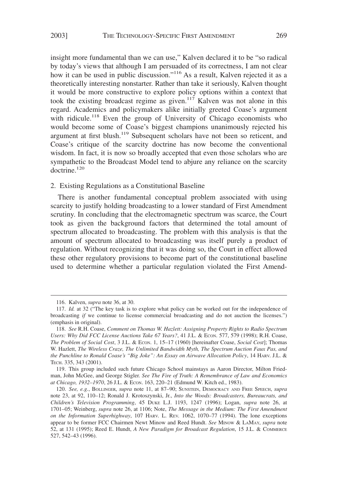insight more fundamental than we can use," Kalven declared it to be "so radical by today's views that although I am persuaded of its correctness, I am not clear how it can be used in public discussion."<sup>116</sup> As a result, Kalven rejected it as a theoretically interesting nonstarter. Rather than take it seriously, Kalven thought it would be more constructive to explore policy options within a context that took the existing broadcast regime as given.<sup>117</sup> Kalven was not alone in this regard. Academics and policymakers alike initially greeted Coase's argument with ridicule.<sup>118</sup> Even the group of University of Chicago economists who would become some of Coase's biggest champions unanimously rejected his argument at first blush.<sup>119</sup> Subsequent scholars have not been so reticent, and Coase's critique of the scarcity doctrine has now become the conventional wisdom. In fact, it is now so broadly accepted that even those scholars who are sympathetic to the Broadcast Model tend to abjure any reliance on the scarcity  $d$ octrine.<sup>120</sup>

2. Existing Regulations as a Constitutional Baseline

There is another fundamental conceptual problem associated with using scarcity to justify holding broadcasting to a lower standard of First Amendment scrutiny. In concluding that the electromagnetic spectrum was scarce, the Court took as given the background factors that determined the total amount of spectrum allocated to broadcasting. The problem with this analysis is that the amount of spectrum allocated to broadcasting was itself purely a product of regulation. Without recognizing that it was doing so, the Court in effect allowed these other regulatory provisions to become part of the constitutional baseline used to determine whether a particular regulation violated the First Amend-

<sup>116.</sup> Kalven, *supra* note 36, at 30.

<sup>117.</sup> *Id.* at 32 ("The key task is to explore what policy can be worked out for the independence of broadcasting *if* we continue to license commercial broadcasting and do not auction the licenses.") (emphasis in original).

<sup>118.</sup> *See* R.H. Coase, *Comment on Thomas W. Hazlett: Assigning Property Rights to Radio Spectrum Users: Why Did FCC License Auctions Take 67 Years?*, 41 J.L. & ECON. 577, 579 (1998); R.H. Coase, *The Problem of Social Cost*, 3 J.L. & ECON. 1, 15–17 (1960) [hereinafter Coase, *Social Cost*]; Thomas W. Hazlett, *The Wireless Craze, The Unlimited Bandwidth Myth, The Spectrum Auction Faux Pas, and the Punchline to Ronald Coase's "Big Joke": An Essay on Airwave Allocation Policy*, 14 HARV. J.L. & TECH. 335, 343 (2001).

<sup>119.</sup> This group included such future Chicago School mainstays as Aaron Director, Milton Friedman, John McGee, and George Stigler. *See The Fire of Truth: A Remembrance of Law and Economics at Chicago, 1932–1970*, 26 J.L. & ECON. 163, 220–21 (Edmund W. Kitch ed., 1983).

<sup>120.</sup> *See, e.g.*, BOLLINGER, *supra* note 11, at 87–90; SUNSTEIN, DEMOCRACY AND FREE SPEECH, *supra* note 23, at 92, 110–12; Ronald J. Krotoszynski, Jr., *Into the Woods: Broadcasters, Bureaucrats, and Children's Television Programming*, 45 DUKE L.J. 1193, 1247 (1996); Logan, *supra* note 26, at 1701–05; Weinberg, *supra* note 26, at 1106; Note, *The Message in the Medium: The First Amendment on the Information Superhighway*, 107 HARV. L. REV. 1062, 1070–77 (1994). The lone exceptions appear to be former FCC Chairmen Newt Minow and Reed Hundt. *See* MINOW & LAMAY, *supra* note 52, at 131 (1995); Reed E. Hundt, *A New Paradigm for Broadcast Regulation*, 15 J.L. & COMMERCE 527, 542–43 (1996).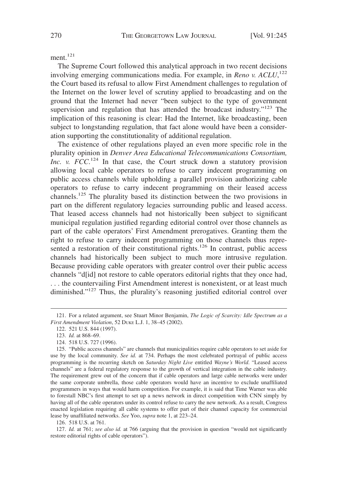ment. $121$ 

The Supreme Court followed this analytical approach in two recent decisions involving emerging communications media. For example, in *Reno v. ACLU*, 122 the Court based its refusal to allow First Amendment challenges to regulation of the Internet on the lower level of scrutiny applied to broadcasting and on the ground that the Internet had never "been subject to the type of government supervision and regulation that has attended the broadcast industry."<sup>123</sup> The implication of this reasoning is clear: Had the Internet, like broadcasting, been subject to longstanding regulation, that fact alone would have been a consideration supporting the constitutionality of additional regulation.

The existence of other regulations played an even more specific role in the plurality opinion in *Denver Area Educational Telecommunications Consortium,* Inc. v. FCC.<sup>124</sup> In that case, the Court struck down a statutory provision allowing local cable operators to refuse to carry indecent programming on public access channels while upholding a parallel provision authorizing cable operators to refuse to carry indecent programming on their leased access channels.<sup>125</sup> The plurality based its distinction between the two provisions in part on the different regulatory legacies surrounding public and leased access. That leased access channels had not historically been subject to significant municipal regulation justified regarding editorial control over those channels as part of the cable operators' First Amendment prerogatives. Granting them the right to refuse to carry indecent programming on those channels thus represented a restoration of their constitutional rights.<sup>126</sup> In contrast, public access channels had historically been subject to much more intrusive regulation. Because providing cable operators with greater control over their public access channels "d[id] not restore to cable operators editorial rights that they once had, . . . the countervailing First Amendment interest is nonexistent, or at least much diminished."<sup>127</sup> Thus, the plurality's reasoning justified editorial control over

126. 518 U.S. at 761.

127. *Id.* at 761; *see also id.* at 766 (arguing that the provision in question "would not significantly restore editorial rights of cable operators").

<sup>121.</sup> For a related argument, see Stuart Minor Benjamin, *The Logic of Scarcity: Idle Spectrum as a First Amendment Violation*, 52 DUKE L.J. 1, 38–45 (2002).

<sup>122. 521</sup> U.S. 844 (1997).

<sup>123.</sup> *Id.* at 868–69.

<sup>124. 518</sup> U.S. 727 (1996).

<sup>125.</sup> "Public access channels" are channels that municipalities require cable operators to set aside for use by the local community. *See id.* at 734. Perhaps the most celebrated portrayal of public access programming is the recurring sketch on *Saturday Night Live* entitled *Wayne's World*. "Leased access channels" are a federal regulatory response to the growth of vertical integration in the cable industry. The requirement grew out of the concern that if cable operators and large cable networks were under the same corporate umbrella, those cable operators would have an incentive to exclude unaffiliated programmers in ways that would harm competition. For example, it is said that Time Warner was able to forestall NBC's first attempt to set up a news network in direct competition with CNN simply by having all of the cable operators under its control refuse to carry the new network. As a result, Congress enacted legislation requiring all cable systems to offer part of their channel capacity for commercial lease by unaffiliated networks. *See* Yoo, *supra* note 1, at 223–24.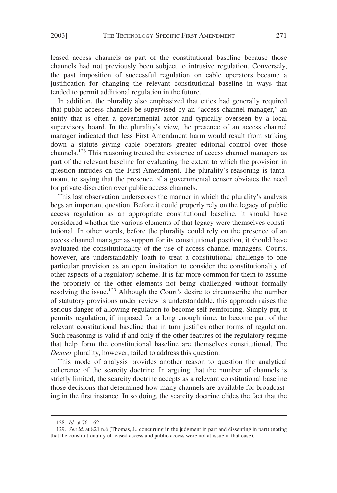leased access channels as part of the constitutional baseline because those channels had not previously been subject to intrusive regulation. Conversely, the past imposition of successful regulation on cable operators became a justification for changing the relevant constitutional baseline in ways that tended to permit additional regulation in the future.

In addition, the plurality also emphasized that cities had generally required that public access channels be supervised by an "access channel manager," an entity that is often a governmental actor and typically overseen by a local supervisory board. In the plurality's view, the presence of an access channel manager indicated that less First Amendment harm would result from striking down a statute giving cable operators greater editorial control over those channels.128 This reasoning treated the existence of access channel managers as part of the relevant baseline for evaluating the extent to which the provision in question intrudes on the First Amendment. The plurality's reasoning is tantamount to saying that the presence of a governmental censor obviates the need for private discretion over public access channels.

This last observation underscores the manner in which the plurality's analysis begs an important question. Before it could properly rely on the legacy of public access regulation as an appropriate constitutional baseline, it should have considered whether the various elements of that legacy were themselves constitutional. In other words, before the plurality could rely on the presence of an access channel manager as support for its constitutional position, it should have evaluated the constitutionality of the use of access channel managers. Courts, however, are understandably loath to treat a constitutional challenge to one particular provision as an open invitation to consider the constitutionality of other aspects of a regulatory scheme. It is far more common for them to assume the propriety of the other elements not being challenged without formally resolving the issue.<sup>129</sup> Although the Court's desire to circumscribe the number of statutory provisions under review is understandable, this approach raises the serious danger of allowing regulation to become self-reinforcing. Simply put, it permits regulation, if imposed for a long enough time, to become part of the relevant constitutional baseline that in turn justifies other forms of regulation. Such reasoning is valid if and only if the other features of the regulatory regime that help form the constitutional baseline are themselves constitutional. The *Denver* plurality, however, failed to address this question.

This mode of analysis provides another reason to question the analytical coherence of the scarcity doctrine. In arguing that the number of channels is strictly limited, the scarcity doctrine accepts as a relevant constitutional baseline those decisions that determined how many channels are available for broadcasting in the first instance. In so doing, the scarcity doctrine elides the fact that the

<sup>128.</sup> *Id.* at 761–62.

<sup>129.</sup> *See id.* at 821 n.6 (Thomas, J., concurring in the judgment in part and dissenting in part) (noting that the constitutionality of leased access and public access were not at issue in that case).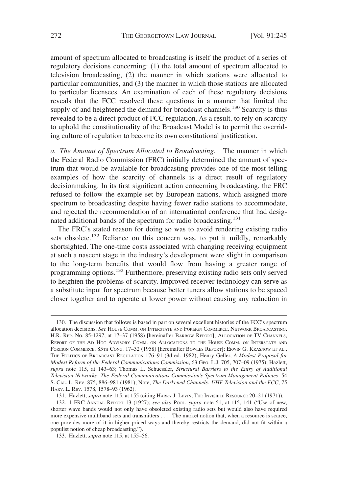amount of spectrum allocated to broadcasting is itself the product of a series of regulatory decisions concerning: (1) the total amount of spectrum allocated to television broadcasting, (2) the manner in which stations were allocated to particular communities, and (3) the manner in which those stations are allocated to particular licensees. An examination of each of these regulatory decisions reveals that the FCC resolved these questions in a manner that limited the supply of and heightened the demand for broadcast channels.<sup>130</sup> Scarcity is thus revealed to be a direct product of FCC regulation. As a result, to rely on scarcity to uphold the constitutionality of the Broadcast Model is to permit the overriding culture of regulation to become its own constitutional justification.

*a. The Amount of Spectrum Allocated to Broadcasting.* The manner in which the Federal Radio Commission (FRC) initially determined the amount of spectrum that would be available for broadcasting provides one of the most telling examples of how the scarcity of channels is a direct result of regulatory decisionmaking. In its first significant action concerning broadcasting, the FRC refused to follow the example set by European nations, which assigned more spectrum to broadcasting despite having fewer radio stations to accommodate, and rejected the recommendation of an international conference that had designated additional bands of the spectrum for radio broadcasting.<sup>131</sup>

The FRC's stated reason for doing so was to avoid rendering existing radio sets obsolete.<sup>132</sup> Reliance on this concern was, to put it mildly, remarkably shortsighted. The one-time costs associated with changing receiving equipment at such a nascent stage in the industry's development were slight in comparison to the long-term benefits that would flow from having a greater range of programming options.133 Furthermore, preserving existing radio sets only served to heighten the problems of scarcity. Improved receiver technology can serve as a substitute input for spectrum because better tuners allow stations to be spaced closer together and to operate at lower power without causing any reduction in

<sup>130.</sup> The discussion that follows is based in part on several excellent histories of the FCC's spectrum allocation decisions. *See* HOUSE COMM. ON INTERSTATE AND FOREIGN COMMERCE, NETWORK BROADCASTING, H.R. REP. NO. 85-1297, at 17–37 (1958) [hereinafter BARROW REPORT]; ALLOCATION OF TV CHANNELS, REPORT OF THE AD HOC ADVISORY COMM. ON ALLOCATIONS TO THE HOUSE COMM. ON INTERSTATE AND FOREIGN COMMERCE, 85TH CONG. 17–32 (1958) [hereinafter BOWLES REPORT]; ERWIN G. KRASNOW ET AL., THE POLITICS OF BROADCAST REGULATION 176–91 (3d ed. 1982); Henry Geller, *A Modest Proposal for Modest Reform of the Federal Communications Commission*, 63 GEO. L.J. 705, 707–09 (1975); Hazlett, *supra* note 115, at 143–63; Thomas L. Schuessler, *Structural Barriers to the Entry of Additional Television Networks: The Federal Communications Commission's Spectrum Management Policies*, 54 S. CAL. L. REV. 875, 886–981 (1981); Note, *The Darkened Channels: UHF Television and the FCC*, 75 HARV. L. REV. 1578, 1578–93 (1962).

<sup>131.</sup> Hazlett, *supra* note 115, at 155 (citing HARRY J. LEVIN, THE INVISIBLE RESOURCE 20–21 (1971)).

<sup>132. 1</sup> FRC ANNUAL REPORT 13 (1927); *see also* POOL, *supra* note 51, at 115, 141 ("Use of new, shorter wave bands would not only have obsoleted existing radio sets but would also have required more expensive multiband sets and transmitters . . . . The market notion that, when a resource is scarce, one provides more of it in higher priced ways and thereby restricts the demand, did not fit within a populist notion of cheap broadcasting.").

<sup>133.</sup> Hazlett, *supra* note 115, at 155–56.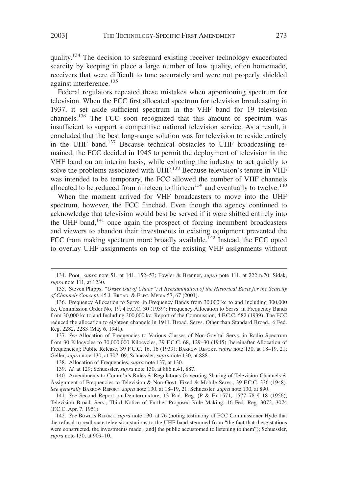quality.<sup>134</sup> The decision to safeguard existing receiver technology exacerbated scarcity by keeping in place a large number of low quality, often homemade, receivers that were difficult to tune accurately and were not properly shielded against interference.<sup>135</sup>

Federal regulators repeated these mistakes when apportioning spectrum for television. When the FCC first allocated spectrum for television broadcasting in 1937, it set aside sufficient spectrum in the VHF band for 19 television channels.<sup>136</sup> The FCC soon recognized that this amount of spectrum was insufficient to support a competitive national television service. As a result, it concluded that the best long-range solution was for television to reside entirely in the UHF band.<sup>137</sup> Because technical obstacles to UHF broadcasting remained, the FCC decided in 1945 to permit the deployment of television in the VHF band on an interim basis, while exhorting the industry to act quickly to solve the problems associated with UHF.<sup>138</sup> Because television's tenure in VHF was intended to be temporary, the FCC allowed the number of VHF channels allocated to be reduced from nineteen to thirteen<sup>139</sup> and eventually to twelve.<sup>140</sup>

When the moment arrived for VHF broadcasters to move into the UHF spectrum, however, the FCC flinched. Even though the agency continued to acknowledge that television would best be served if it were shifted entirely into the UHF band, $141$  once again the prospect of forcing incumbent broadcasters and viewers to abandon their investments in existing equipment prevented the FCC from making spectrum more broadly available.<sup>142</sup> Instead, the FCC opted to overlay UHF assignments on top of the existing VHF assignments without

<sup>134.</sup> POOL, *supra* note 51, at 141, 152–53; Fowler & Brenner, *supra* note 111, at 222 n.70; Sidak, *supra* note 111, at 1230.

<sup>135.</sup> Steven Phipps, *"Order Out of Chaos": A Reexamination of the Historical Basis for the Scarcity of Channels Concept*, 45 J. BROAD.&ELEC. MEDIA 57, 67 (2001).

<sup>136.</sup> Frequency Allocation to Servs. in Frequency Bands from 30,000 kc to and Including 300,000 kc, Commission Order No. 19, 4 F.C.C. 30 (1939); Frequency Allocation to Servs. in Frequency Bands from 30,000 kc to and Including 300,000 kc, Report of the Commission, 4 F.C.C. 582 (1939). The FCC reduced the allocation to eighteen channels in 1941. Broad. Servs. Other than Standard Broad., 6 Fed. Reg. 2282, 2283 (May 6, 1941).

<sup>137.</sup> *See* Allocation of Frequencies to Various Classes of Non-Gov'tal Servs. in Radio Spectrum from 30 Kilocycles to 30,000,000 Kilocycles, 39 F.C.C. 68, 129–30 (1945) [hereinafter Allocation of Frequencies]; Public Release, 39 F.C.C. 16, 16 (1939); BARROW REPORT, *supra* note 130, at 18–19, 21; Geller, *supra* note 130, at 707–09; Schuessler, *supra* note 130, at 888.

<sup>138.</sup> Allocation of Frequencies, *supra* note 137, at 130.

<sup>139.</sup> *Id.* at 129; Schuessler, *supra* note 130, at 886 n.41, 887.

<sup>140.</sup> Amendments to Comm'n's Rules & Regulations Governing Sharing of Television Channels & Assignment of Frequencies to Television & Non-Govt. Fixed & Mobile Servs., 39 F.C.C. 336 (1948). *See generally* BARROW REPORT, *supra* note 130, at 18–19, 21; Schuessler, *supra* note 130, at 890.

<sup>141.</sup> *See* Second Report on Deintermixture, 13 Rad. Reg. (P & F) 1571, 1577–78 ¶ 18 (1956); Television Broad. Serv., Third Notice of Further Proposed Rule Making, 16 Fed. Reg. 3072, 3074 (F.C.C. Apr. 7, 1951).

<sup>142.</sup> *See* BOWLES REPORT, *supra* note 130, at 76 (noting testimony of FCC Commissioner Hyde that the refusal to reallocate television stations to the UHF band stemmed from "the fact that these stations were constructed, the investments made, [and] the public accustomed to listening to them"); Schuessler, *supra* note 130, at 909–10.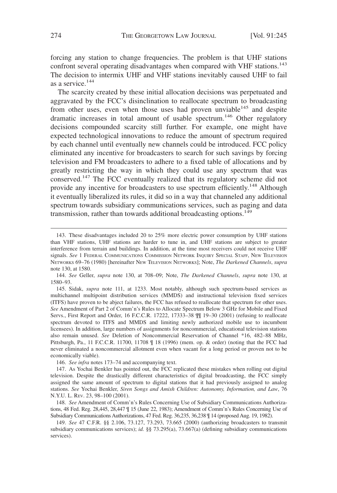forcing any station to change frequencies. The problem is that UHF stations confront several operating disadvantages when compared with VHF stations.<sup>143</sup> The decision to intermix UHF and VHF stations inevitably caused UHF to fail as a service.<sup>144</sup>

The scarcity created by these initial allocation decisions was perpetuated and aggravated by the FCC's disinclination to reallocate spectrum to broadcasting from other uses, even when those uses had proven unviable<sup>145</sup> and despite dramatic increases in total amount of usable spectrum.<sup>146</sup> Other regulatory decisions compounded scarcity still further. For example, one might have expected technological innovations to reduce the amount of spectrum required by each channel until eventually new channels could be introduced. FCC policy eliminated any incentive for broadcasters to search for such savings by forcing television and FM broadcasters to adhere to a fixed table of allocations and by greatly restricting the way in which they could use any spectrum that was conserved.<sup>147</sup> The FCC eventually realized that its regulatory scheme did not provide any incentive for broadcasters to use spectrum efficiently.<sup>148</sup> Although it eventually liberalized its rules, it did so in a way that channeled any additional spectrum towards subsidiary communications services, such as paging and data transmission, rather than towards additional broadcasting options.<sup>149</sup>

146. *See infra* notes 173–74 and accompanying text.

147. As Yochai Benkler has pointed out, the FCC replicated these mistakes when rolling out digital television. Despite the drastically different characteristics of digital broadcasting, the FCC simply assigned the same amount of spectrum to digital stations that it had previously assigned to analog stations. *See* Yochai Benkler, *Siren Songs and Amish Children: Autonomy, Information, and Law*, 76 N.Y.U. L. REV. 23, 98–100 (2001).

148. *See* Amendment of Comm'n's Rules Concerning Use of Subsidiary Communications Authorizations, 48 Fed. Reg. 28,445, 28,447 ¶ 15 (June 22, 1983); Amendment of Comm'n's Rules Concerning Use of Subsidiary Communications Authorizations, 47 Fed. Reg. 36,235, 36,238 ¶ 14 (proposed Aug. 19, 1982).

149. *See* 47 C.F.R. §§ 2.106, 73.127, 73.293, 73.665 (2000) (authorizing broadcasters to transmit subsidiary communications services); *id.* §§ 73.295(a), 73.667(a) (defining subsidiary communications services).

<sup>143.</sup> These disadvantages included 20 to 25% more electric power consumption by UHF stations than VHF stations, UHF stations are harder to tune in, and UHF stations are subject to greater interference from terrain and buildings. In addition, at the time most receivers could not receive UHF signals. *See* 1 FEDERAL COMMUNICATIONS COMMISSION NETWORK INQUIRY SPECIAL STAFF, NEW TELEVISION NETWORKS 69–76 (1980) [hereinafter NEW TELEVISION NETWORKS]; Note, *The Darkened Channels*, *supra* note 130, at 1580.

<sup>144.</sup> *See* Geller, *supra* note 130, at 708–09; Note, *The Darkened Channels*, *supra* note 130, at 1580–93.

<sup>145.</sup> Sidak, *supra* note 111, at 1233. Most notably, although such spectrum-based services as multichannel multipoint distribution services (MMDS) and instructional television fixed services (ITFS) have proven to be abject failures, the FCC has refused to reallocate that spectrum for other uses. *See* Amendment of Part 2 of Comm'n's Rules to Allocate Spectrum Below 3 GHz for Mobile and Fixed Servs., First Report and Order, 16 F.C.C.R. 17222, 17333-38  $\P\P$  19-30 (2001) (refusing to reallocate spectrum devoted to ITFS and MMDS and limiting newly authorized mobile use to incumbent licensees). In addition, large numbers of assignments for noncommercial, educational television stations also remain unused. *See* Deletion of Noncommercial Reservation of Channel \*16, 482–88 MHz, Pittsburgh, Pa., 11 F.C.C.R. 11700, 11708 ¶ 18 (1996) (mem. op. & order) (noting that the FCC had never eliminated a noncommercial allotment even when vacant for a long period or proven not to be economically viable).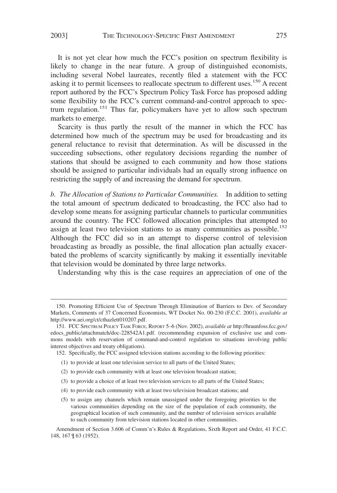It is not yet clear how much the FCC's position on spectrum flexibility is likely to change in the near future. A group of distinguished economists, including several Nobel laureates, recently filed a statement with the FCC asking it to permit licensees to reallocate spectrum to different uses.<sup>150</sup> A recent report authored by the FCC's Spectrum Policy Task Force has proposed adding some flexibility to the FCC's current command-and-control approach to spectrum regulation.<sup>151</sup> Thus far, policymakers have yet to allow such spectrum markets to emerge.

Scarcity is thus partly the result of the manner in which the FCC has determined how much of the spectrum may be used for broadcasting and its general reluctance to revisit that determination. As will be discussed in the succeeding subsections, other regulatory decisions regarding the number of stations that should be assigned to each community and how those stations should be assigned to particular individuals had an equally strong influence on restricting the supply of and increasing the demand for spectrum.

*b. The Allocation of Stations to Particular Communities.* In addition to setting the total amount of spectrum dedicated to broadcasting, the FCC also had to develop some means for assigning particular channels to particular communities around the country. The FCC followed allocation principles that attempted to assign at least two television stations to as many communities as possible.<sup>152</sup> Although the FCC did so in an attempt to disperse control of television broadcasting as broadly as possible, the final allocation plan actually exacerbated the problems of scarcity significantly by making it essentially inevitable that television would be dominated by three large networks.

Understanding why this is the case requires an appreciation of one of the

- (1) to provide at least one television service to all parts of the United States;
- (2) to provide each community with at least one television broadcast station;
- (3) to provide a choice of at least two television services to all parts of the United States;
- (4) to provide each community with at least two television broadcast stations; and
- (5) to assign any channels which remain unassigned under the foregoing priorities to the various communities depending on the size of the population of each community, the geographical location of such community, and the number of television services available to such community from television stations located in other communities.

<sup>150.</sup> Promoting Efficient Use of Spectrum Through Elimination of Barriers to Dev. of Secondary Markets, Comments of 37 Concerned Economists, WT Docket No. 00-230 (F.C.C. 2001), *available at* http://www.aei.org/ct/cthazlett010207.pdf.

<sup>151.</sup> FCC SPECTRUM POLICY TASK FORCE, REPORT 5–6 (Nov. 2002), *available at* http://hraunfoss.fcc.gov/ edocs\_public/attachmatch/doc-228542A1.pdf. (recommending expansion of exclusive use and commons models with reservation of command-and-control regulation to situations involving public interest objectives and treaty obligations).

<sup>152.</sup> Specifically, the FCC assigned television stations according to the following priorities:

Amendment of Section 3.606 of Comm'n's Rules & Regulations, Sixth Report and Order, 41 F.C.C. 148, 167 ¶ 63 (1952).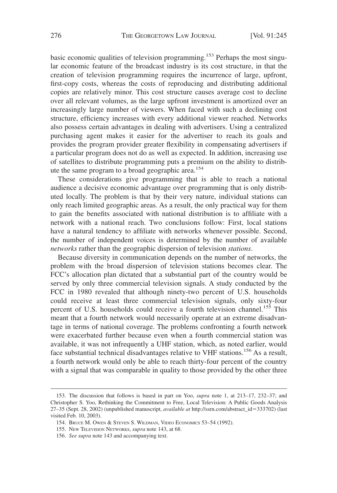basic economic qualities of television programming.<sup>153</sup> Perhaps the most singular economic feature of the broadcast industry is its cost structure, in that the creation of television programming requires the incurrence of large, upfront, first-copy costs, whereas the costs of reproducing and distributing additional copies are relatively minor. This cost structure causes average cost to decline over all relevant volumes, as the large upfront investment is amortized over an increasingly large number of viewers. When faced with such a declining cost structure, efficiency increases with every additional viewer reached. Networks also possess certain advantages in dealing with advertisers. Using a centralized purchasing agent makes it easier for the advertiser to reach its goals and provides the program provider greater flexibility in compensating advertisers if a particular program does not do as well as expected. In addition, increasing use of satellites to distribute programming puts a premium on the ability to distribute the same program to a broad geographic area.<sup>154</sup>

These considerations give programming that is able to reach a national audience a decisive economic advantage over programming that is only distributed locally. The problem is that by their very nature, individual stations can only reach limited geographic areas. As a result, the only practical way for them to gain the benefits associated with national distribution is to affiliate with a network with a national reach. Two conclusions follow: First, local stations have a natural tendency to affiliate with networks whenever possible. Second, the number of independent voices is determined by the number of available *networks* rather than the geographic dispersion of television *stations*.

Because diversity in communication depends on the number of networks, the problem with the broad dispersion of television stations becomes clear. The FCC's allocation plan dictated that a substantial part of the country would be served by only three commercial television signals. A study conducted by the FCC in 1980 revealed that although ninety-two percent of U.S. households could receive at least three commercial television signals, only sixty-four percent of U.S. households could receive a fourth television channel.<sup>155</sup> This meant that a fourth network would necessarily operate at an extreme disadvantage in terms of national coverage. The problems confronting a fourth network were exacerbated further because even when a fourth commercial station was available, it was not infrequently a UHF station, which, as noted earlier, would face substantial technical disadvantages relative to VHF stations.<sup>156</sup> As a result, a fourth network would only be able to reach thirty-four percent of the country with a signal that was comparable in quality to those provided by the other three

<sup>153.</sup> The discussion that follows is based in part on Yoo, *supra* note 1, at 213–17, 232–37; and Christopher S. Yoo, Rethinking the Commitment to Free, Local Television: A Public Goods Analysis 27–35 (Sept. 28, 2002) (unpublished manuscript, *available at* http://ssrn.com/abstract\_id333702) (last visited Feb. 10, 2003).

<sup>154.</sup> BRUCE M. OWEN & STEVEN S. WILDMAN, VIDEO ECONOMICS 53–54 (1992).

<sup>155.</sup> NEW TELEVISION NETWORKS, *supra* note 143, at 68.

<sup>156.</sup> *See supra* note 143 and accompanying text.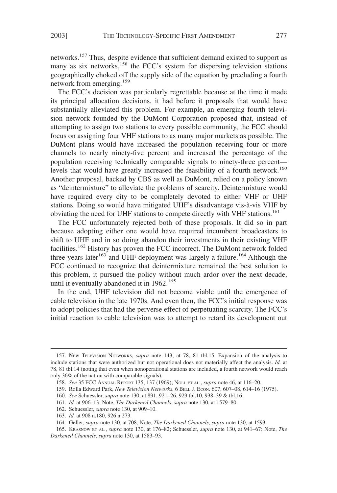networks.<sup>157</sup> Thus, despite evidence that sufficient demand existed to support as many as six networks,<sup>158</sup> the FCC's system for dispersing television stations geographically choked off the supply side of the equation by precluding a fourth network from emerging.<sup>159</sup>

The FCC's decision was particularly regrettable because at the time it made its principal allocation decisions, it had before it proposals that would have substantially alleviated this problem. For example, an emerging fourth television network founded by the DuMont Corporation proposed that, instead of attempting to assign two stations to every possible community, the FCC should focus on assigning four VHF stations to as many major markets as possible. The DuMont plans would have increased the population receiving four or more channels to nearly ninety-five percent and increased the percentage of the population receiving technically comparable signals to ninety-three percent levels that would have greatly increased the feasibility of a fourth network.<sup>160</sup> Another proposal, backed by CBS as well as DuMont, relied on a policy known as "deintermixture" to alleviate the problems of scarcity. Deintermixture would have required every city to be completely devoted to either VHF or UHF stations. Doing so would have mitigated UHF's disadvantage vis-à-vis VHF by obviating the need for UHF stations to compete directly with VHF stations.<sup>161</sup>

The FCC unfortunately rejected both of these proposals. It did so in part because adopting either one would have required incumbent broadcasters to shift to UHF and in so doing abandon their investments in their existing VHF facilities.<sup>162</sup> History has proven the FCC incorrect. The DuMont network folded three years later<sup>163</sup> and UHF deployment was largely a failure.<sup>164</sup> Although the FCC continued to recognize that deintermixture remained the best solution to this problem, it pursued the policy without much ardor over the next decade, until it eventually abandoned it in  $1962$ <sup>165</sup>

In the end, UHF television did not become viable until the emergence of cable television in the late 1970s. And even then, the FCC's initial response was to adopt policies that had the perverse effect of perpetuating scarcity. The FCC's initial reaction to cable television was to attempt to retard its development out

<sup>157.</sup> NEW TELEVISION NETWORKS, *supra* note 143, at 78, 81 tbl.15. Expansion of the analysis to include stations that were authorized but not operational does not materially affect the analysis. *Id.* at 78, 81 tbl.14 (noting that even when nonoperational stations are included, a fourth network would reach only 36% of the nation with comparable signals).

<sup>158.</sup> *See* 35 FCC ANNUAL REPORT 135, 137 (1969); NOLL ET AL., *supra* note 46, at 116–20.

<sup>159.</sup> Rolla Edward Park, *New Television Networks*,6BELL J. ECON. 607, 607–08, 614–16 (1975).

<sup>160.</sup> *See* Schuessler, *supra* note 130, at 891, 921–26, 929 tbl.10, 938–39 & tbl.16.

<sup>161.</sup> *Id.* at 906–13; Note, *The Darkened Channels*, *supra* note 130, at 1579–80.

<sup>162.</sup> Schuessler, *supra* note 130, at 909–10.

<sup>163.</sup> *Id.* at 908 n.180, 926 n.273.

<sup>164.</sup> Geller, *supra* note 130, at 708; Note, *The Darkened Channels*, *supra* note 130, at 1593.

<sup>165.</sup> KRASNOW ET AL., *supra* note 130, at 176–82; Schuessler, *supra* note 130, at 941–67; Note, *The Darkened Channels*, *supra* note 130, at 1583–93.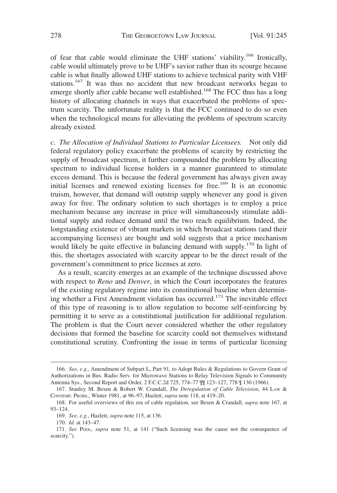of fear that cable would eliminate the UHF stations' viability.<sup>166</sup> Ironically, cable would ultimately prove to be UHF's savior rather than its scourge because cable is what finally allowed UHF stations to achieve technical parity with VHF stations.<sup>167</sup> It was thus no accident that new broadcast networks began to emerge shortly after cable became well established.<sup>168</sup> The FCC thus has a long history of allocating channels in ways that exacerbated the problems of spectrum scarcity. The unfortunate reality is that the FCC continued to do so even when the technological means for alleviating the problems of spectrum scarcity already existed.

*c. The Allocation of Individual Stations to Particular Licensees.* Not only did federal regulatory policy exacerbate the problems of scarcity by restricting the supply of broadcast spectrum, it further compounded the problem by allocating spectrum to individual license holders in a manner guaranteed to stimulate excess demand. This is because the federal government has always given away initial licenses and renewed existing licenses for free.<sup>169</sup> It is an economic truism, however, that demand will outstrip supply whenever any good is given away for free. The ordinary solution to such shortages is to employ a price mechanism because any increase in price will simultaneously stimulate additional supply and reduce demand until the two reach equilibrium. Indeed, the longstanding existence of vibrant markets in which broadcast stations (and their accompanying licenses) are bought and sold suggests that a price mechanism would likely be quite effective in balancing demand with supply.<sup>170</sup> In light of this, the shortages associated with scarcity appear to be the direct result of the government's commitment to price licenses at zero.

As a result, scarcity emerges as an example of the technique discussed above with respect to *Reno* and *Denver*, in which the Court incorporates the features of the existing regulatory regime into its constitutional baseline when determining whether a First Amendment violation has occurred.<sup>171</sup> The inevitable effect of this type of reasoning is to allow regulation to become self-reinforcing by permitting it to serve as a constitutional justification for additional regulation. The problem is that the Court never considered whether the other regulatory decisions that formed the baseline for scarcity could not themselves withstand constitutional scrutiny. Confronting the issue in terms of particular licensing

<sup>166.</sup> *See, e.g.*, Amendment of Subpart L, Part 91, to Adopt Rules & Regulations to Govern Grant of Authorizations in Bus. Radio Serv. for Microwave Stations to Relay Television Signals to Community Antenna Sys., Second Report and Order, 2 F.C.C.2d 725, 774–77 ¶¶ 123–127, 778 ¶ 130 (1966).

<sup>167.</sup> Stanley M. Besen & Robert W. Crandall, *The Deregulation of Cable Television*, 44 LAW & CONTEMP. PROBS., Winter 1981, at 96–97; Hazlett, *supra* note 118, at 419–20.

<sup>168.</sup> For useful overviews of this era of cable regulation, see Besen & Crandall, *supra* note 167, at 93–124.

<sup>169.</sup> *See, e.g.*, Hazlett, *supra* note 115, at 136.

<sup>170.</sup> *Id.* at 143–47.

<sup>171.</sup> *See* POOL, *supra* note 51, at 141 ("Such licensing was the cause not the consequence of scarcity.").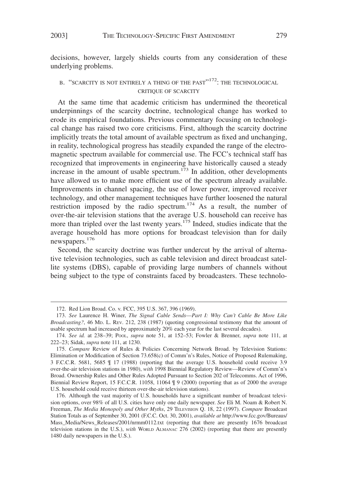decisions, however, largely shields courts from any consideration of these underlying problems.

### B. "SCARCITY IS NOT ENTIRELY A THING OF THE PAST"<sup>172</sup>: THE TECHNOLOGICAL CRITIQUE OF SCARCITY

At the same time that academic criticism has undermined the theoretical underpinnings of the scarcity doctrine, technological change has worked to erode its empirical foundations. Previous commentary focusing on technological change has raised two core criticisms. First, although the scarcity doctrine implicitly treats the total amount of available spectrum as fixed and unchanging, in reality, technological progress has steadily expanded the range of the electromagnetic spectrum available for commercial use. The FCC's technical staff has recognized that improvements in engineering have historically caused a steady increase in the amount of usable spectrum.<sup>173</sup> In addition, other developments have allowed us to make more efficient use of the spectrum already available. Improvements in channel spacing, the use of lower power, improved receiver technology, and other management techniques have further loosened the natural restriction imposed by the radio spectrum.<sup>174</sup> As a result, the number of over-the-air television stations that the average U.S. household can receive has more than tripled over the last twenty years.<sup>175</sup> Indeed, studies indicate that the average household has more options for broadcast television than for daily newspapers.<sup>176</sup>

Second, the scarcity doctrine was further undercut by the arrival of alternative television technologies, such as cable television and direct broadcast satellite systems (DBS), capable of providing large numbers of channels without being subject to the type of constraints faced by broadcasters. These technolo-

<sup>172.</sup> Red Lion Broad. Co. v. FCC, 395 U.S. 367, 396 (1969).

<sup>173.</sup> *See* Laurence H. Winer, *The Signal Cable Sends*—*Part I: Why Can't Cable Be More Like Broadcasting?*, 46 MD. L. REV. 212, 238 (1987) (quoting congressional testimony that the amount of usable spectrum had increased by approximately 20% each year for the last several decades).

<sup>174.</sup> *See id.* at 238–39; POOL, *supra* note 51, at 152–53; Fowler & Brenner, *supra* note 111, at 222–23; Sidak, *supra* note 111, at 1230.

<sup>175.</sup> *Compare* Review of Rules & Policies Concerning Network Broad. by Television Stations: Elimination or Modification of Section 73.658(c) of Comm'n's Rules, Notice of Proposed Rulemaking, 3 F.C.C.R. 5681, 5685 ¶ 17 (1988) (reporting that the average U.S. household could receive 3.9 over-the-air television stations in 1980), *with* 1998 Biennial Regulatory Review—Review of Comm'n's Broad. Ownership Rules and Other Rules Adopted Pursuant to Section 202 of Telecomms. Act of 1996, Biennial Review Report, 15 F.C.C.R. 11058, 11064 ¶ 9 (2000) (reporting that as of 2000 the average U.S. household could receive thirteen over-the-air television stations).

<sup>176.</sup> Although the vast majority of U.S. households have a significant number of broadcast television options, over 98% of all U.S. cities have only one daily newspaper. *See* Eli M. Noam & Robert N. Freeman, *The Media Monopoly and Other Myths*, 29 TELEVISION Q. 18, 22 (1997). *Compare* Broadcast Station Totals as of September 30, 2001 (F.C.C. Oct. 30, 2001), *available at* http://www.fcc.gov/Bureaus/ Mass\_Media/News\_Releases/2001/nrmm0112.txt (reporting that there are presently 1676 broadcast television stations in the U.S.), *with* WORLD ALMANAC 276 (2002) (reporting that there are presently 1480 daily newspapers in the U.S.).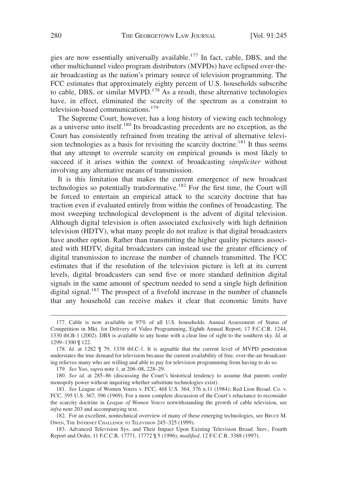gies are now essentially universally available.<sup>177</sup> In fact, cable, DBS, and the other multichannel video program distributors (MVPDs) have eclipsed over-theair broadcasting as the nation's primary source of television programming. The FCC estimates that approximately eighty percent of U.S. households subscribe to cable, DBS, or similar MVPD.<sup>178</sup> As a result, these alternative technologies have, in effect, eliminated the scarcity of the spectrum as a constraint to television-based communications. $179$ 

The Supreme Court, however, has a long history of viewing each technology as a universe unto itself.<sup>180</sup> Its broadcasting precedents are no exception, as the Court has consistently refrained from treating the arrival of alternative television technologies as a basis for revisiting the scarcity doctrine.<sup>181</sup> It thus seems that any attempt to overrule scarcity on empirical grounds is most likely to succeed if it arises within the context of broadcasting *simpliciter* without involving any alternative means of transmission.

It is this limitation that makes the current emergence of new broadcast technologies so potentially transformative.182 For the first time, the Court will be forced to entertain an empirical attack to the scarcity doctrine that has traction even if evaluated entirely from within the confines of broadcasting. The most sweeping technological development is the advent of digital television. Although digital television is often associated exclusively with high definition television (HDTV), what many people do not realize is that digital broadcasters have another option. Rather than transmitting the higher quality pictures associated with HDTV, digital broadcasters can instead use the greater efficiency of digital transmission to increase the number of channels transmitted. The FCC estimates that if the resolution of the television picture is left at its current levels, digital broadcasters can send five or more standard definition digital signals in the same amount of spectrum needed to send a single high definition digital signal.<sup>183</sup> The prospect of a fivefold increase in the number of channels that any household can receive makes it clear that economic limits have

179. *See* Yoo, *supra* note 1, at 206–08, 228–29.

<sup>177.</sup> Cable is now available in 97% of all U.S. households. Annual Assessment of Status of Competition in Mkt. for Delivery of Video Programming, Eighth Annual Report, 17 F.C.C.R. 1244, 1330 tbl.B-1 (2002). DBS is available to any home with a clear line of sight to the southern sky. *Id.* at 1299–1300 ¶ 122.

<sup>178.</sup> *Id.* at 1282 ¶ 79, 1338 tbl.C-1. It is arguable that the current level of MVPD penetration understates the true demand for television because the current availability of free, over-the-air broadcasting relieves many who are willing and able to pay for television programming from having to do so.

<sup>180.</sup> *See id.* at 285–86 (discussing the Court's historical tendency to assume that patents confer monopoly power without inquiring whether substitute technologies exist).

<sup>181.</sup> *See* League of Women Voters v. FCC, 468 U.S. 364, 376 n.11 (1984); Red Lion Broad. Co. v. FCC, 395 U.S. 367, 396 (1969). For a more complete discussion of the Court's reluctance to reconsider the scarcity doctrine in *League of Women Voters* notwithstanding the growth of cable television, see *infra* note 203 and accompanying text.

<sup>182.</sup> For an excellent, nontechnical overview of many of these emerging technologies, see BRUCE M. OWEN, THE INTERNET CHALLENGE TO TELEVISION 245–325 (1999).

<sup>183.</sup> Advanced Television Sys. and Their Impact Upon Existing Television Broad. Serv., Fourth Report and Order, 11 F.C.C.R. 17771, 17772 ¶ 5 (1996), *modified*, 12 F.C.C.R. 3388 (1997).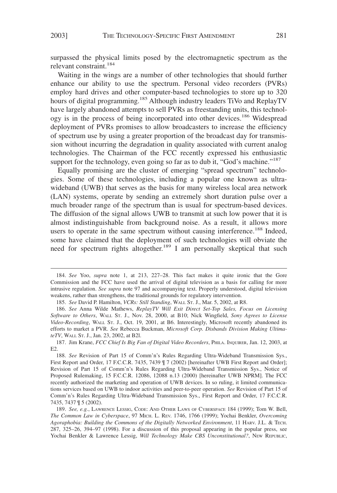surpassed the physical limits posed by the electromagnetic spectrum as the relevant constraint.<sup>184</sup>

Waiting in the wings are a number of other technologies that should further enhance our ability to use the spectrum. Personal video recorders (PVRs) employ hard drives and other computer-based technologies to store up to 320 hours of digital programming.<sup>185</sup> Although industry leaders TiVo and ReplayTV have largely abandoned attempts to sell PVRs as freestanding units, this technology is in the process of being incorporated into other devices.<sup>186</sup> Widespread deployment of PVRs promises to allow broadcasters to increase the efficiency of spectrum use by using a greater proportion of the broadcast day for transmission without incurring the degradation in quality associated with current analog technologies. The Chairman of the FCC recently expressed his enthusiastic support for the technology, even going so far as to dub it, "God's machine."<sup>187</sup>

Equally promising are the cluster of emerging "spread spectrum" technologies. Some of these technologies, including a popular one known as ultrawideband (UWB) that serves as the basis for many wireless local area network (LAN) systems, operate by sending an extremely short duration pulse over a much broader range of the spectrum than is usual for spectrum-based devices. The diffusion of the signal allows UWB to transmit at such low power that it is almost indistinguishable from background noise. As a result, it allows more users to operate in the same spectrum without causing interference.<sup>188</sup> Indeed, some have claimed that the deployment of such technologies will obviate the need for spectrum rights altogether.<sup>189</sup> I am personally skeptical that such

187. Jim Krane, *FCC Chief Is Big Fan of Digital Video Recorders*, PHILA. INQUIRER, Jan. 12, 2003, at E2.

<sup>184.</sup> *See* Yoo, *supra* note 1, at 213, 227–28. This fact makes it quite ironic that the Gore Commission and the FCC have used the arrival of digital television as a basis for calling for more intrusive regulation. *See supra* note 97 and accompanying text. Properly understood, digital television weakens, rather than strengthens, the traditional grounds for regulatory intervention.

<sup>185.</sup> *See* David P. Hamilton, *VCRs: Still Standing*, WALL ST. J., Mar. 5, 2002, at R8.

<sup>186.</sup> *See* Anna Wilde Mathews, *ReplayTV Will Exit Direct Set-Top Sales, Focus on Licensing Software to Others*, WALL ST. J., Nov. 28, 2000, at B10; Nick Wingfield, *Sony Agrees to License Video-Recording*, WALL ST. J., Oct. 19, 2001, at B6. Interestingly, Microsoft recently abandoned its efforts to market a PVR. *See* Rebecca Buckman, *Microsoft Corp. Disbands Division Making UltimateTV*, WALL ST. J., Jan. 23, 2002, at B2l.

<sup>188.</sup> *See* Revision of Part 15 of Comm'n's Rules Regarding Ultra-Wideband Transmission Sys., First Report and Order, 17 F.C.C.R. 7435, 7439  $\P$  7 (2002) [hereinafter UWB First Report and Order]; Revision of Part 15 of Comm'n's Rules Regarding Ultra-Wideband Transmission Sys., Notice of Proposed Rulemaking, 15 F.C.C.R. 12086, 12088 n.13 (2000) [hereinafter UWB NPRM]. The FCC recently authorized the marketing and operation of UWB devices. In so ruling, it limited communications services based on UWB to indoor activities and peer-to-peer operation. *See* Revision of Part 15 of Comm'n's Rules Regarding Ultra-Wideband Transmission Sys., First Report and Order, 17 F.C.C.R. 7435, 7437 ¶ 5 (2002).

<sup>189.</sup> *See, e.g.*, LAWRENCE LESSIG, CODE: AND OTHER LAWS OF CYBERSPACE 184 (1999); Tom W. Bell, *The Common Law in Cyberspace*, 97 MICH. L. REV. 1746, 1766 (1999); Yochai Benkler, *Overcoming Agoraphobia: Building the Commons of the Digitally Networked Environment*, 11 HARV. J.L. & TECH. 287, 325–26, 394–97 (1998). For a discussion of this proposal appearing in the popular press, see Yochai Benkler & Lawrence Lessig, *Will Technology Make CBS Unconstitutional?*, New Republic,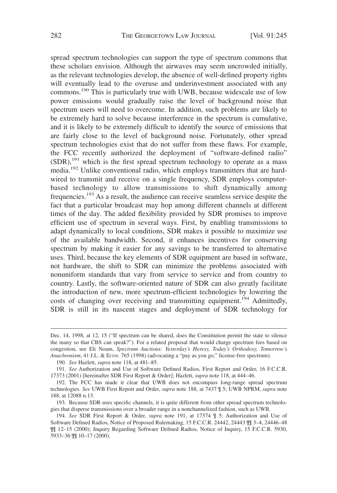spread spectrum technologies can support the type of spectrum commons that these scholars envision. Although the airwaves may seem uncrowded initially, as the relevant technologies develop, the absence of well-defined property rights will eventually lead to the overuse and underinvestment associated with any commons.<sup>190</sup> This is particularly true with UWB, because widescale use of low power emissions would gradually raise the level of background noise that spectrum users will need to overcome. In addition, such problems are likely to be extremely hard to solve because interference in the spectrum is cumulative, and it is likely to be extremely difficult to identify the source of emissions that are fairly close to the level of background noise. Fortunately, other spread spectrum technologies exist that do not suffer from these flaws. For example, the FCC recently authorized the deployment of "software-defined radio"  $(SDR)$ ,<sup>191</sup> which is the first spread spectrum technology to operate as a mass media.<sup>192</sup> Unlike conventional radio, which employs transmitters that are hardwired to transmit and receive on a single frequency, SDR employs computerbased technology to allow transmissions to shift dynamically among frequencies.<sup>193</sup> As a result, the audience can receive seamless service despite the fact that a particular broadcast may hop among different channels at different times of the day. The added flexibility provided by SDR promises to improve efficient use of spectrum in several ways. First, by enabling transmissions to adapt dynamically to local conditions, SDR makes it possible to maximize use of the available bandwidth. Second, it enhances incentives for conserving spectrum by making it easier for any savings to be transferred to alternative uses. Third, because the key elements of SDR equipment are based in software, not hardware, the shift to SDR can minimize the problems associated with nonuniform standards that vary from service to service and from country to country. Lastly, the software-oriented nature of SDR can also greatly facilitate the introduction of new, more spectrum-efficient technologies by lowering the costs of changing over receiving and transmitting equipment.<sup>194</sup> Admittedly, SDR is still in its nascent stages and deployment of SDR technology for

Dec. 14, 1998, at 12, 15 ("If spectrum can be shared, does the Constitution permit the state to silence the many so that CBS can speak?"). For a related proposal that would charge spectrum fees based on congestion, see Eli Noam, *Spectrum Auctions: Yesterday's Heresy, Today's Orthodoxy, Tomorrow's Anachronism*, 41 J.L. & ECON. 765 (1998) (advocating a "pay as you go," license-free spectrum).

<sup>190.</sup> *See* Hazlett, *supra* note 118, at 481–85.

<sup>191.</sup> *See* Authorization and Use of Software Defined Radios, First Report and Order, 16 F.C.C.R. 17373 (2001) [hereinafter SDR First Report & Order]; Hazlett, *supra* note 118, at 444–46.

<sup>192.</sup> The FCC has made it clear that UWB does not encompass long-range spread spectrum technologies. *See* UWB First Report and Order, *supra* note 188, at 7437 ¶ 5; UWB NPRM, *supra* note 188, at 12088 n.13.

<sup>193.</sup> Because SDR uses specific channels, it is quite different from other spread spectrum technologies that disperse transmissions over a broader range in a nonchannelized fashion, such as UWB.

<sup>194.</sup> *See* SDR First Report & Order, *supra* note 191, at 17374 ¶ 5; Authorization and Use of Software Defined Radios, Notice of Proposed Rulemaking, 15 F.C.C.R. 24442, 24443 ¶¶ 3–4, 24446–48 ¶¶ 12–15 (2000); Inquiry Regarding Software Defined Radios, Notice of Inquiry, 15 F.C.C.R. 5930, 5933–36 ¶¶ 10–17 (2000).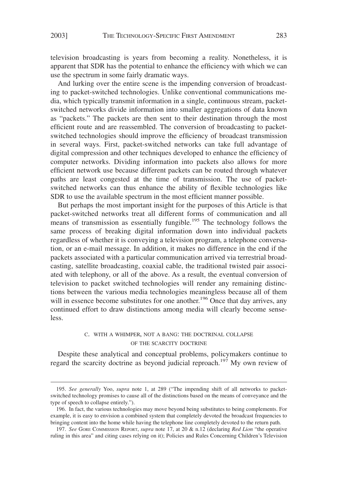television broadcasting is years from becoming a reality. Nonetheless, it is apparent that SDR has the potential to enhance the efficiency with which we can use the spectrum in some fairly dramatic ways.

And lurking over the entire scene is the impending conversion of broadcasting to packet-switched technologies. Unlike conventional communications media, which typically transmit information in a single, continuous stream, packetswitched networks divide information into smaller aggregations of data known as "packets." The packets are then sent to their destination through the most efficient route and are reassembled. The conversion of broadcasting to packetswitched technologies should improve the efficiency of broadcast transmission in several ways. First, packet-switched networks can take full advantage of digital compression and other techniques developed to enhance the efficiency of computer networks. Dividing information into packets also allows for more efficient network use because different packets can be routed through whatever paths are least congested at the time of transmission. The use of packetswitched networks can thus enhance the ability of flexible technologies like SDR to use the available spectrum in the most efficient manner possible.

But perhaps the most important insight for the purposes of this Article is that packet-switched networks treat all different forms of communication and all means of transmission as essentially fungible.<sup>195</sup> The technology follows the same process of breaking digital information down into individual packets regardless of whether it is conveying a television program, a telephone conversation, or an e-mail message. In addition, it makes no difference in the end if the packets associated with a particular communication arrived via terrestrial broadcasting, satellite broadcasting, coaxial cable, the traditional twisted pair associated with telephony, or all of the above. As a result, the eventual conversion of television to packet switched technologies will render any remaining distinctions between the various media technologies meaningless because all of them will in essence become substitutes for one another.<sup>196</sup> Once that day arrives, any continued effort to draw distinctions among media will clearly become senseless.

### C. WITH A WHIMPER, NOT A BANG: THE DOCTRINAL COLLAPSE OF THE SCARCITY DOCTRINE

Despite these analytical and conceptual problems, policymakers continue to regard the scarcity doctrine as beyond judicial reproach.<sup>197</sup> My own review of

<sup>195.</sup> *See generally* Yoo, *supra* note 1, at 289 ("The impending shift of all networks to packetswitched technology promises to cause all of the distinctions based on the means of conveyance and the type of speech to collapse entirely.").

<sup>196.</sup> In fact, the various technologies may move beyond being substitutes to being complements. For example, it is easy to envision a combined system that completely devoted the broadcast frequencies to bringing content into the home while having the telephone line completely devoted to the return path.

<sup>197.</sup> *See* GORE COMMISSION REPORT, *supra* note 17, at 20 & n.12 (declaring *Red Lion* "the operative ruling in this area" and citing cases relying on it); Policies and Rules Concerning Children's Television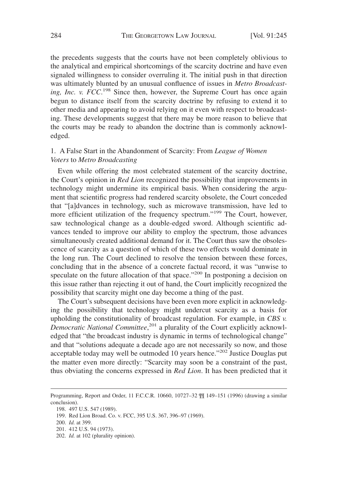the precedents suggests that the courts have not been completely oblivious to the analytical and empirical shortcomings of the scarcity doctrine and have even signaled willingness to consider overruling it. The initial push in that direction was ultimately blunted by an unusual confluence of issues in *Metro Broadcast*ing, Inc. v. FCC.<sup>198</sup> Since then, however, the Supreme Court has once again begun to distance itself from the scarcity doctrine by refusing to extend it to other media and appearing to avoid relying on it even with respect to broadcasting. These developments suggest that there may be more reason to believe that the courts may be ready to abandon the doctrine than is commonly acknowledged.

# 1. A False Start in the Abandonment of Scarcity: From *League of Women Voters* to *Metro Broadcasting*

Even while offering the most celebrated statement of the scarcity doctrine, the Court's opinion in *Red Lion* recognized the possibility that improvements in technology might undermine its empirical basis. When considering the argument that scientific progress had rendered scarcity obsolete, the Court conceded that "[a]dvances in technology, such as microwave transmission, have led to more efficient utilization of the frequency spectrum."<sup>199</sup> The Court, however, saw technological change as a double-edged sword. Although scientific advances tended to improve our ability to employ the spectrum, those advances simultaneously created additional demand for it. The Court thus saw the obsolescence of scarcity as a question of which of these two effects would dominate in the long run. The Court declined to resolve the tension between these forces, concluding that in the absence of a concrete factual record, it was "unwise to speculate on the future allocation of that space."<sup>200</sup> In postponing a decision on this issue rather than rejecting it out of hand, the Court implicitly recognized the possibility that scarcity might one day become a thing of the past.

The Court's subsequent decisions have been even more explicit in acknowledging the possibility that technology might undercut scarcity as a basis for upholding the constitutionality of broadcast regulation. For example, in *CBS v. Democratic National Committee*, <sup>201</sup> a plurality of the Court explicitly acknowledged that "the broadcast industry is dynamic in terms of technological change" and that "solutions adequate a decade ago are not necessarily so now, and those acceptable today may well be outmoded 10 years hence."202 Justice Douglas put the matter even more directly: "Scarcity may soon be a constraint of the past, thus obviating the concerns expressed in *Red Lion*. It has been predicted that it

Programming, Report and Order, 11 F.C.C.R. 10660, 10727–32 ¶¶ 149–151 (1996) (drawing a similar conclusion).

<sup>198. 497</sup> U.S. 547 (1989).

<sup>199.</sup> Red Lion Broad. Co. v. FCC, 395 U.S. 367, 396–97 (1969).

<sup>200.</sup> *Id.* at 399.

<sup>201. 412</sup> U.S. 94 (1973).

<sup>202.</sup> *Id.* at 102 (plurality opinion).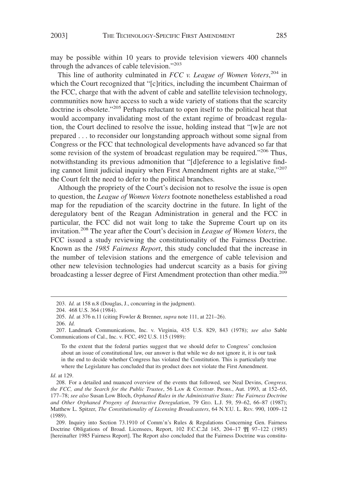may be possible within 10 years to provide television viewers 400 channels through the advances of cable television."<sup>203</sup>

This line of authority culminated in *FCC v. League of Women Voters*, <sup>204</sup> in which the Court recognized that "[c]ritics, including the incumbent Chairman of the FCC, charge that with the advent of cable and satellite television technology, communities now have access to such a wide variety of stations that the scarcity doctrine is obsolete."<sup>205</sup> Perhaps reluctant to open itself to the political heat that would accompany invalidating most of the extant regime of broadcast regulation, the Court declined to resolve the issue, holding instead that "[w]e are not prepared . . . to reconsider our longstanding approach without some signal from Congress or the FCC that technological developments have advanced so far that some revision of the system of broadcast regulation may be required."<sup>206</sup> Thus, notwithstanding its previous admonition that "[d]eference to a legislative finding cannot limit judicial inquiry when First Amendment rights are at stake, $"^{207}$ the Court felt the need to defer to the political branches.

Although the propriety of the Court's decision not to resolve the issue is open to question, the *League of Women Voters* footnote nonetheless established a road map for the repudiation of the scarcity doctrine in the future. In light of the deregulatory bent of the Reagan Administration in general and the FCC in particular, the FCC did not wait long to take the Supreme Court up on its invitation.<sup>208</sup> The year after the Court's decision in *League of Women Voters*, the FCC issued a study reviewing the constitutionality of the Fairness Doctrine. Known as the *1985 Fairness Report*, this study concluded that the increase in the number of television stations and the emergence of cable television and other new television technologies had undercut scarcity as a basis for giving broadcasting a lesser degree of First Amendment protection than other media.<sup>209</sup>

To the extent that the federal parties suggest that we should defer to Congress' conclusion about an issue of constitutional law, our answer is that while we do not ignore it, it is our task in the end to decide whether Congress has violated the Constitution. This is particularly true where the Legislature has concluded that its product does not violate the First Amendment.

*Id*. at 129.

<sup>203.</sup> *Id.* at 158 n.8 (Douglas, J., concurring in the judgment).

<sup>204. 468</sup> U.S. 364 (1984).

<sup>205.</sup> *Id.* at 376 n.11 (citing Fowler & Brenner, *supra* note 111, at 221–26).

<sup>206.</sup> *Id.*

<sup>207.</sup> Landmark Communications, Inc. v. Virginia, 435 U.S. 829, 843 (1978); *see also* Sable Communications of Cal., Inc. v. FCC, 492 U.S. 115 (1989):

<sup>208.</sup> For a detailed and nuanced overview of the events that followed, see Neal Devins, *Congress, the FCC, and the Search for the Public Trustee*, 56 LAW & CONTEMP. PROBS., Aut. 1993, at 152–65, 177–78; *see also* Susan Low Bloch, *Orphaned Rules in the Administrative State: The Fairness Doctrine and Other Orphaned Progeny of Interactive Deregulation*, 79 GEO. L.J. 59, 59–62, 66–87 (1987); Matthew L. Spitzer, *The Constitutionality of Licensing Broadcasters*, 64 N.Y.U. L. REV. 990, 1009-12 (1989).

<sup>209.</sup> Inquiry into Section 73.1910 of Comm'n's Rules & Regulations Concerning Gen. Fairness Doctrine Obligations of Broad. Licensees, Report, 102 F.C.C.2d 145, 204–17 ¶¶ 97–122 (1985) [hereinafter 1985 Fairness Report]. The Report also concluded that the Fairness Doctrine was constitu-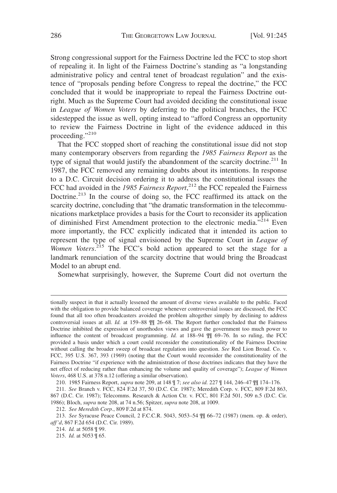Strong congressional support for the Fairness Doctrine led the FCC to stop short of repealing it. In light of the Fairness Doctrine's standing as "a longstanding administrative policy and central tenet of broadcast regulation" and the existence of "proposals pending before Congress to repeal the doctrine," the FCC concluded that it would be inappropriate to repeal the Fairness Doctrine outright. Much as the Supreme Court had avoided deciding the constitutional issue in *League of Women Voters* by deferring to the political branches, the FCC sidestepped the issue as well, opting instead to "afford Congress an opportunity to review the Fairness Doctrine in light of the evidence adduced in this proceeding."<sup>210</sup>

That the FCC stopped short of reaching the constitutional issue did not stop many contemporary observers from regarding the *1985 Fairness Report* as the type of signal that would justify the abandonment of the scarcity doctrine.<sup>211</sup> In 1987, the FCC removed any remaining doubts about its intentions. In response to a D.C. Circuit decision ordering it to address the constitutional issues the FCC had avoided in the *1985 Fairness Report*, <sup>212</sup> the FCC repealed the Fairness Doctrine.<sup>213</sup> In the course of doing so, the FCC reaffirmed its attack on the scarcity doctrine, concluding that "the dramatic transformation in the telecommunications marketplace provides a basis for the Court to reconsider its application of diminished First Amendment protection to the electronic media."<sup>214</sup> Even more importantly, the FCC explicitly indicated that it intended its action to represent the type of signal envisioned by the Supreme Court in *League of* Women Voters.<sup>215</sup> The FCC's bold action appeared to set the stage for a landmark renunciation of the scarcity doctrine that would bring the Broadcast Model to an abrupt end.

Somewhat surprisingly, however, the Supreme Court did not overturn the

tionally suspect in that it actually lessened the amount of diverse views available to the public. Faced with the obligation to provide balanced coverage whenever controversial issues are discussed, the FCC found that all too often broadcasters avoided the problem altogether simply by declining to address controversial issues at all. *Id.* at 159–88 ¶¶ 26–68. The Report further concluded that the Fairness Doctrine inhibited the expression of unorthodox views and gave the government too much power to influence the content of broadcast programming. *Id.* at 188–94 ¶¶ 69–76. In so ruling, the FCC provided a basis under which a court could reconsider the constitutionality of the Fairness Doctrine without calling the broader sweep of broadcast regulation into question. *See* Red Lion Broad. Co. v. FCC, 395 U.S. 367, 393 (1969) (noting that the Court would reconsider the constitutionality of the Fairness Doctrine "if experience with the administration of those doctrines indicates that they have the net effect of reducing rather than enhancing the volume and quality of coverage"); *League of Women Voters*, 468 U.S. at 378 n.12 (offering a similar observation).

<sup>210. 1985</sup> Fairness Report, *supra* note 209, at 148 ¶ 7; *see also id.* 227 ¶ 144, 246–47 ¶¶ 174–176.

<sup>211.</sup> *See* Branch v. FCC, 824 F.2d 37, 50 (D.C. Cir. 1987); Meredith Corp. v. FCC, 809 F.2d 863, 867 (D.C. Cir. 1987); Telecomms. Research & Action Ctr. v. FCC, 801 F.2d 501, 509 n.5 (D.C. Cir. 1986); Bloch, *supra* note 208, at 74 n.56; Spitzer, *supra* note 208, at 1009.

<sup>212.</sup> *See Meredith Corp*., 809 F.2d at 874.

<sup>213.</sup> *See* Syracuse Peace Council, 2 F.C.C.R. 5043, 5053–54 ¶¶ 66–72 (1987) (mem. op. & order), *aff'd*, 867 F.2d 654 (D.C. Cir. 1989).

<sup>214.</sup> *Id.* at 5058 ¶ 99.

<sup>215.</sup> *Id.* at 5053 ¶ 65.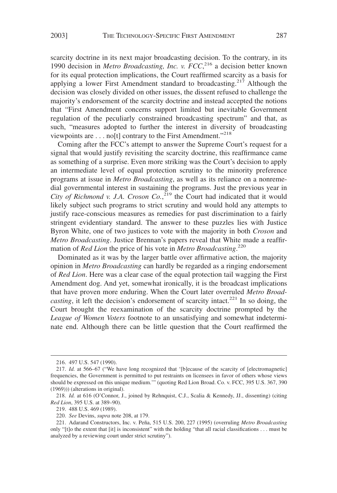scarcity doctrine in its next major broadcasting decision. To the contrary, in its 1990 decision in *Metro Broadcasting, Inc. v. FCC*, <sup>216</sup> a decision better known for its equal protection implications, the Court reaffirmed scarcity as a basis for applying a lower First Amendment standard to broadcasting.<sup>217</sup> Although the decision was closely divided on other issues, the dissent refused to challenge the majority's endorsement of the scarcity doctrine and instead accepted the notions that "First Amendment concerns support limited but inevitable Government regulation of the peculiarly constrained broadcasting spectrum" and that, as such, "measures adopted to further the interest in diversity of broadcasting viewpoints are  $\dots$  no[t] contrary to the First Amendment."<sup>218</sup>

Coming after the FCC's attempt to answer the Supreme Court's request for a signal that would justify revisiting the scarcity doctrine, this reaffirmance came as something of a surprise. Even more striking was the Court's decision to apply an intermediate level of equal protection scrutiny to the minority preference programs at issue in *Metro Broadcasting*, as well as its reliance on a nonremedial governmental interest in sustaining the programs. Just the previous year in City of Richmond v. J.A. Croson Co.,<sup>219</sup> the Court had indicated that it would likely subject such programs to strict scrutiny and would hold any attempts to justify race-conscious measures as remedies for past discrimination to a fairly stringent evidentiary standard. The answer to these puzzles lies with Justice Byron White, one of two justices to vote with the majority in both *Croson* and *Metro Broadcasting*. Justice Brennan's papers reveal that White made a reaffirmation of *Red Lion* the price of his vote in *Metro Broadcasting*. 220

Dominated as it was by the larger battle over affirmative action, the majority opinion in *Metro Broadcasting* can hardly be regarded as a ringing endorsement of *Red Lion*. Here was a clear case of the equal protection tail wagging the First Amendment dog. And yet, somewhat ironically, it is the broadcast implications that have proven more enduring. When the Court later overruled *Metro Broadcasting*, it left the decision's endorsement of scarcity intact.<sup>221</sup> In so doing, the Court brought the reexamination of the scarcity doctrine prompted by the *League of Women Voters* footnote to an unsatisfying and somewhat indeterminate end. Although there can be little question that the Court reaffirmed the

<sup>216. 497</sup> U.S. 547 (1990).

<sup>217.</sup> *Id.* at 566–67 ("We have long recognized that '[b]ecause of the scarcity of [electromagnetic] frequencies, the Government is permitted to put restraints on licensees in favor of others whose views should be expressed on this unique medium.'" (quoting Red Lion Broad. Co. v. FCC, 395 U.S. 367, 390 (1969))) (alterations in original).

<sup>218.</sup> *Id.* at 616 (O'Connor, J., joined by Rehnquist, C.J., Scalia & Kennedy, JJ., dissenting) (citing *Red Lion*, 395 U.S. at 389–90).

<sup>219. 488</sup> U.S. 469 (1989).

<sup>220.</sup> *See* Devins, *supra* note 208, at 179.

<sup>221.</sup> Adarand Constructors, Inc. v. Peña, 515 U.S. 200, 227 (1995) (overruling *Metro Broadcasting* only "[t]o the extent that [it] is inconsistent" with the holding "that all racial classifications . . . must be analyzed by a reviewing court under strict scrutiny").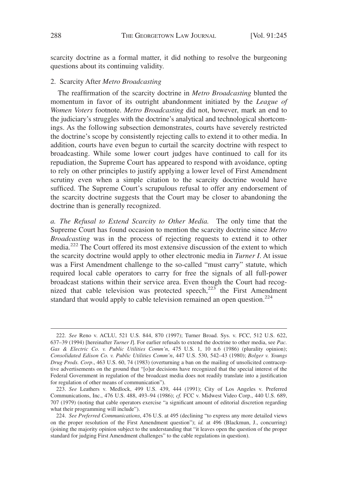scarcity doctrine as a formal matter, it did nothing to resolve the burgeoning questions about its continuing validity.

## 2. Scarcity After *Metro Broadcasting*

The reaffirmation of the scarcity doctrine in *Metro Broadcasting* blunted the momentum in favor of its outright abandonment initiated by the *League of Women Voters* footnote. *Metro Broadcasting* did not, however, mark an end to the judiciary's struggles with the doctrine's analytical and technological shortcomings. As the following subsection demonstrates, courts have severely restricted the doctrine's scope by consistently rejecting calls to extend it to other media. In addition, courts have even begun to curtail the scarcity doctrine with respect to broadcasting. While some lower court judges have continued to call for its repudiation, the Supreme Court has appeared to respond with avoidance, opting to rely on other principles to justify applying a lower level of First Amendment scrutiny even when a simple citation to the scarcity doctrine would have sufficed. The Supreme Court's scrupulous refusal to offer any endorsement of the scarcity doctrine suggests that the Court may be closer to abandoning the doctrine than is generally recognized.

*a. The Refusal to Extend Scarcity to Other Media.* The only time that the Supreme Court has found occasion to mention the scarcity doctrine since *Metro Broadcasting* was in the process of rejecting requests to extend it to other media.<sup>222</sup> The Court offered its most extensive discussion of the extent to which the scarcity doctrine would apply to other electronic media in *Turner I*. At issue was a First Amendment challenge to the so-called "must carry" statute, which required local cable operators to carry for free the signals of all full-power broadcast stations within their service area. Even though the Court had recognized that cable television was protected speech, $223$  the First Amendment standard that would apply to cable television remained an open question.<sup>224</sup>

<sup>222.</sup> *See* Reno v. ACLU, 521 U.S. 844, 870 (1997); Turner Broad. Sys. v. FCC, 512 U.S. 622, 637–39 (1994) [hereinafter *Turner I*]. For earlier refusals to extend the doctrine to other media, see *Pac. Gas & Electric Co. v. Public Utilities Comm'n*, 475 U.S. 1, 10 n.6 (1986) (plurality opinion); *Consolidated Edison Co. v. Public Utilities Comm'n*, 447 U.S. 530, 542–43 (1980); *Bolger v. Youngs Drug Prods. Corp*., 463 U.S. 60, 74 (1983) (overturning a ban on the mailing of unsolicited contraceptive advertisements on the ground that "[o]ur decisions have recognized that the special interest of the Federal Government in regulation of the broadcast media does not readily translate into a justification for regulation of other means of communication").

<sup>223.</sup> *See* Leathers v. Medlock, 499 U.S. 439, 444 (1991); City of Los Angeles v. Preferred Communications, Inc., 476 U.S. 488, 493–94 (1986); *cf.* FCC v. Midwest Video Corp., 440 U.S. 689, 707 (1979) (noting that cable operators exercise "a significant amount of editorial discretion regarding what their programming will include").

<sup>224.</sup> *See Preferred Communications*, 476 U.S. at 495 (declining "to express any more detailed views on the proper resolution of the First Amendment question"); *id.* at 496 (Blackmun, J., concurring) (joining the majority opinion subject to the understanding that "it leaves open the question of the proper standard for judging First Amendment challenges" to the cable regulations in question).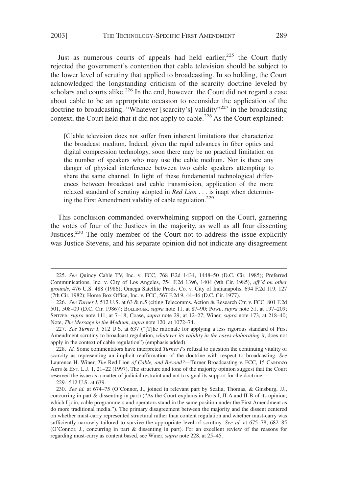Just as numerous courts of appeals had held earlier, $225$  the Court flatly rejected the government's contention that cable television should be subject to the lower level of scrutiny that applied to broadcasting. In so holding, the Court acknowledged the longstanding criticism of the scarcity doctrine leveled by scholars and courts alike.<sup>226</sup> In the end, however, the Court did not regard a case about cable to be an appropriate occasion to reconsider the application of the doctrine to broadcasting. "Whatever [scarcity's] validity"<sup>227</sup> in the broadcasting context, the Court held that it did not apply to cable.<sup>228</sup> As the Court explained:

[C]able television does not suffer from inherent limitations that characterize the broadcast medium. Indeed, given the rapid advances in fiber optics and digital compression technology, soon there may be no practical limitation on the number of speakers who may use the cable medium. Nor is there any danger of physical interference between two cable speakers attempting to share the same channel. In light of these fundamental technological differences between broadcast and cable transmission, application of the more relaxed standard of scrutiny adopted in *Red Lion* . . . is inapt when determining the First Amendment validity of cable regulation.<sup>229</sup>

This conclusion commanded overwhelming support on the Court, garnering the votes of four of the Justices in the majority, as well as all four dissenting Justices.<sup>230</sup> The only member of the Court not to address the issue explicitly was Justice Stevens, and his separate opinion did not indicate any disagreement

<sup>225.</sup> *See* Quincy Cable TV, Inc. v. FCC, 768 F.2d 1434, 1448–50 (D.C. Cir. 1985); Preferred Communications, Inc. v. City of Los Angeles, 754 F.2d 1396, 1404 (9th Cir. 1985), *aff'd on other grounds*, 476 U.S. 488 (1986); Omega Satellite Prods. Co. v. City of Indianapolis, 694 F.2d 119, 127 (7th Cir. 1982); Home Box Office, Inc. v. FCC, 567 F.2d 9, 44–46 (D.C. Cir. 1977).

<sup>226.</sup> *See Turner I*, 512 U.S. at 63 & n.5 (citing Telecomms. Action & Research Ctr. v. FCC, 801 F.2d 501, 508–09 (D.C. Cir. 1986)); BOLLINGER, *supra* note 11, at 87–90; POWE, *supra* note 51, at 197–209; SPITZER, *supra* note 111, at 7–18; Coase, *supra* note 29, at 12–27; Winer, *supra* note 173, at 218–40; Note, *The Message in the Medium*, *supra* note 120, at 1072–74.

<sup>227.</sup> *See Turner I*, 512 U.S. at 637 ("[T]he rationale for applying a less rigorous standard of First Amendment scrutiny to broadcast regulation, *whatever its validity in the cases elaborating it*, does not apply in the context of cable regulation") (emphasis added).

<sup>228.</sup> *Id.* Some commentators have interpreted *Turner I*'s refusal to question the continuing vitality of scarcity as representing an implicit reaffirmation of the doctrine with respect to broadcasting. *See* Laurence H. Winer, *The* Red Lion *of Cable, and Beyond?*—Turner Broadcasting v. FCC, 15 CARDOZO ARTS & ENT. L.J. 1, 21–22 (1997). The structure and tone of the majority opinion suggest that the Court reserved the issue as a matter of judicial restraint and not to signal its support for the doctrine.

<sup>229. 512</sup> U.S. at 639.

<sup>230.</sup> *See id.* at 674–75 (O'Connor, J., joined in relevant part by Scalia, Thomas, & Ginsburg, JJ., concurring in part & dissenting in part) ("As the Court explains in Parts I, II-A and II-B of its opinion, which I join, cable programmers and operators stand in the same position under the First Amendment as do more traditional media."). The primary disagreement between the majority and the dissent centered on whether must-carry represented structural rather than content regulation and whether must-carry was sufficiently narrowly tailored to survive the appropriate level of scrutiny. *See id.* at 675–78, 682–85 (O'Connor, J., concurring in part & dissenting in part). For an excellent review of the reasons for regarding must-carry as content based, see Winer, *supra* note 228, at 25–45.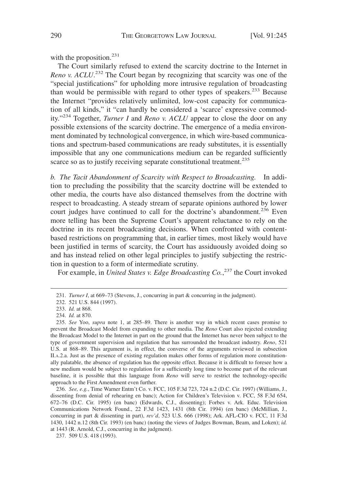with the proposition. $231$ 

The Court similarly refused to extend the scarcity doctrine to the Internet in *Reno v. ACLU*. <sup>232</sup> The Court began by recognizing that scarcity was one of the "special justifications" for upholding more intrusive regulation of broadcasting than would be permissible with regard to other types of speakers.<sup>233</sup> Because the Internet "provides relatively unlimited, low-cost capacity for communication of all kinds," it "can hardly be considered a 'scarce' expressive commodity."<sup>234</sup> Together, *Turner I* and *Reno v. ACLU* appear to close the door on any possible extensions of the scarcity doctrine. The emergence of a media environment dominated by technological convergence, in which wire-based communications and spectrum-based communications are ready substitutes, it is essentially impossible that any one communications medium can be regarded sufficiently scarce so as to justify receiving separate constitutional treatment.<sup>235</sup>

*b. The Tacit Abandonment of Scarcity with Respect to Broadcasting.* In addition to precluding the possibility that the scarcity doctrine will be extended to other media, the courts have also distanced themselves from the doctrine with respect to broadcasting. A steady stream of separate opinions authored by lower court judges have continued to call for the doctrine's abandonment.<sup>236</sup> Even more telling has been the Supreme Court's apparent reluctance to rely on the doctrine in its recent broadcasting decisions. When confronted with contentbased restrictions on programming that, in earlier times, most likely would have been justified in terms of scarcity, the Court has assiduously avoided doing so and has instead relied on other legal principles to justify subjecting the restriction in question to a form of intermediate scrutiny.

For example, in *United States v. Edge Broadcasting Co.*, <sup>237</sup> the Court invoked

<sup>231.</sup> *Turner I*, at 669–73 (Stevens, J., concurring in part & concurring in the judgment).

<sup>232. 521</sup> U.S. 844 (1997).

<sup>233.</sup> *Id.* at 868.

<sup>234.</sup> *Id.* at 870.

<sup>235.</sup> *See* Yoo, *supra* note 1, at 285–89. There is another way in which recent cases promise to prevent the Broadcast Model from expanding to other media. The *Reno* Court also rejected extending the Broadcast Model to the Internet in part on the ground that the Internet has never been subject to the type of government supervision and regulation that has surrounded the broadcast industry. *Reno*, 521 U.S. at 868–89. This argument is, in effect, the converse of the arguments reviewed in subsection II.A.2.a. Just as the presence of existing regulation makes other forms of regulation more constitutionally palatable, the absence of regulation has the opposite effect. Because it is difficult to foresee how a new medium would be subject to regulation for a sufficiently long time to become part of the relevant baseline, it is possible that this language from *Reno* will serve to restrict the technology-specific approach to the First Amendment even further.

<sup>236.</sup> *See, e.g.*, Time Warner Entm't Co. v. FCC, 105 F.3d 723, 724 n.2 (D.C. Cir. 1997) (Williams, J., dissenting from denial of rehearing en banc); Action for Children's Television v. FCC, 58 F.3d 654, 672–76 (D.C. Cir. 1995) (en banc) (Edwards, C.J., dissenting); Forbes v. Ark. Educ. Television Communications Network Found., 22 F.3d 1423, 1431 (8th Cir. 1994) (en banc) (McMillian, J., concurring in part & dissenting in part), *rev'd*, 523 U.S. 666 (1998); Ark. AFL-CIO v. FCC, 11 F.3d 1430, 1442 n.12 (8th Cir. 1993) (en banc) (noting the views of Judges Bowman, Beam, and Loken); *id.* at 1443 (R. Arnold, C.J., concurring in the judgment).

<sup>237. 509</sup> U.S. 418 (1993).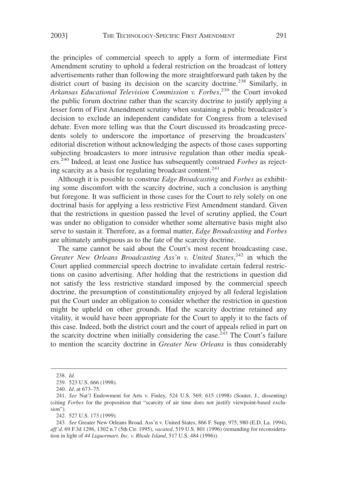the principles of commercial speech to apply a form of intermediate First Amendment scrutiny to uphold a federal restriction on the broadcast of lottery advertisements rather than following the more straightforward path taken by the district court of basing its decision on the scarcity doctrine.<sup>238</sup> Similarly, in *Arkansas Educational Television Commission v. Forbes*, <sup>239</sup> the Court invoked the public forum doctrine rather than the scarcity doctrine to justify applying a lesser form of First Amendment scrutiny when sustaining a public broadcaster's decision to exclude an independent candidate for Congress from a televised debate. Even more telling was that the Court discussed its broadcasting precedents solely to underscore the importance of preserving the broadcasters' editorial discretion without acknowledging the aspects of those cases supporting subjecting broadcasters to more intrusive regulation than other media speakers.<sup>240</sup> Indeed, at least one Justice has subsequently construed *Forbes* as rejecting scarcity as a basis for regulating broadcast content.<sup>241</sup>

Although it is possible to construe *Edge Broadcasting* and *Forbes* as exhibiting some discomfort with the scarcity doctrine, such a conclusion is anything but foregone. It was sufficient in those cases for the Court to rely solely on one doctrinal basis for applying a less restrictive First Amendment standard. Given that the restrictions in question passed the level of scrutiny applied, the Court was under no obligation to consider whether some alternative basis might also serve to sustain it. Therefore, as a formal matter, *Edge Broadcasting* and *Forbes* are ultimately ambiguous as to the fate of the scarcity doctrine.

The same cannot be said about the Court's most recent broadcasting case, Greater New Orleans Broadcasting Ass'n v. United States,<sup>242</sup> in which the Court applied commercial speech doctrine to invalidate certain federal restrictions on casino advertising. After holding that the restrictions in question did not satisfy the less restrictive standard imposed by the commercial speech doctrine, the presumption of constitutionality enjoyed by all federal legislation put the Court under an obligation to consider whether the restriction in question might be upheld on other grounds. Had the scarcity doctrine retained any vitality, it would have been appropriate for the Court to apply it to the facts of this case. Indeed, both the district court and the court of appeals relied in part on the scarcity doctrine when initially considering the case.<sup> $243$ </sup> The Court's failure to mention the scarcity doctrine in *Greater New Orleans* is thus considerably

242. 527 U.S. 173 (1999).

<sup>238.</sup> *Id.*

<sup>239. 523</sup> U.S. 666 (1998).

<sup>240.</sup> *Id*. at 673–75.

<sup>241.</sup> *See* Nat'l Endowment for Arts v. Finley, 524 U.S. 569, 615 (1998) (Souter, J., dissenting) (citing *Forbes* for the proposition that "scarcity of air time does not justify viewpoint-based exclusion").

<sup>243.</sup> *See* Greater New Orleans Broad. Ass'n v. United States, 866 F. Supp. 975, 980 (E.D. La. 1994), *aff'd,* 69 F.3d 1296, 1302 n.7 (5th Cir. 1995), *vacated*, 519 U.S. 801 (1996) (remanding for reconsideration in light of *44 Liquormart, Inc. v. Rhode Island*, 517 U.S. 484 (1996)).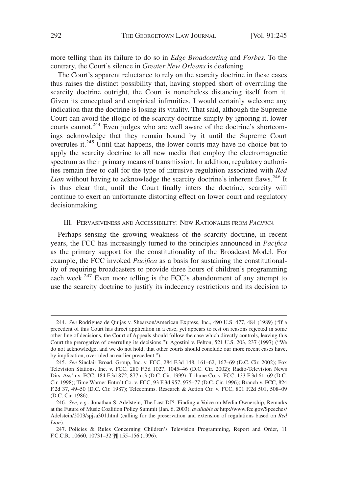more telling than its failure to do so in *Edge Broadcasting* and *Forbes*. To the contrary, the Court's silence in *Greater New Orleans* is deafening.

The Court's apparent reluctance to rely on the scarcity doctrine in these cases thus raises the distinct possibility that, having stopped short of overruling the scarcity doctrine outright, the Court is nonetheless distancing itself from it. Given its conceptual and empirical infirmities, I would certainly welcome any indication that the doctrine is losing its vitality. That said, although the Supreme Court can avoid the illogic of the scarcity doctrine simply by ignoring it, lower courts cannot.<sup>244</sup> Even judges who are well aware of the doctrine's shortcomings acknowledge that they remain bound by it until the Supreme Court overrules it. $245$  Until that happens, the lower courts may have no choice but to apply the scarcity doctrine to all new media that employ the electromagnetic spectrum as their primary means of transmission. In addition, regulatory authorities remain free to call for the type of intrusive regulation associated with *Red* Lion without having to acknowledge the scarcity doctrine's inherent flaws.<sup>246</sup> It is thus clear that, until the Court finally inters the doctrine, scarcity will continue to exert an unfortunate distorting effect on lower court and regulatory decisionmaking.

## III. PERVASIVENESS AND ACCESSIBILITY: NEW RATIONALES FROM *PACIFICA*

Perhaps sensing the growing weakness of the scarcity doctrine, in recent years, the FCC has increasingly turned to the principles announced in *Pacifica* as the primary support for the constitutionality of the Broadcast Model. For example, the FCC invoked *Pacifica* as a basis for sustaining the constitutionality of requiring broadcasters to provide three hours of children's programming each week.<sup>247</sup> Even more telling is the FCC's abandonment of any attempt to use the scarcity doctrine to justify its indecency restrictions and its decision to

<sup>244.</sup> *See* Rodriguez de Quijas v. Shearson/American Express, Inc., 490 U.S. 477, 484 (1989) ("If a precedent of this Court has direct application in a case, yet appears to rest on reasons rejected in some other line of decisions, the Court of Appeals should follow the case which directly controls, leaving this Court the prerogative of overruling its decisions."); Agostini v. Felton, 521 U.S. 203, 237 (1997) ("We do not acknowledge, and we do not hold, that other courts should conclude our more recent cases have, by implication, overruled an earlier precedent.").

<sup>245.</sup> *See* Sinclair Broad. Group, Inc. v. FCC, 284 F.3d 148, 161–62, 167–69 (D.C. Cir. 2002); Fox Television Stations, Inc. v. FCC, 280 F.3d 1027, 1045–46 (D.C. Cir. 2002); Radio-Television News Dirs. Ass'n v. FCC, 184 F.3d 872, 877 n.3 (D.C. Cir. 1999); Tribune Co. v. FCC, 133 F.3d 61, 69 (D.C. Cir. 1998); Time Warner Entm't Co. v. FCC, 93 F.3d 957, 975–77 (D.C. Cir. 1996); Branch v. FCC, 824 F.2d 37, 49–50 (D.C. Cir. 1987); Telecomms. Research & Action Ctr. v. FCC, 801 F.2d 501, 508–09 (D.C. Cir. 1986).

<sup>246.</sup> *See, e.g.*, Jonathan S. Adelstein, The Last DJ?: Finding a Voice on Media Ownership, Remarks at the Future of Music Coalition Policy Summit (Jan. 6, 2003), *available at* http://www.fcc.gov/Speeches/ Adelstein/2003/spjsa301.html (calling for the preservation and extension of regulations based on *Red Lion*).

<sup>247.</sup> Policies & Rules Concerning Children's Television Programming, Report and Order, 11 F.C.C.R. 10660, 10731–32 ¶¶ 155–156 (1996).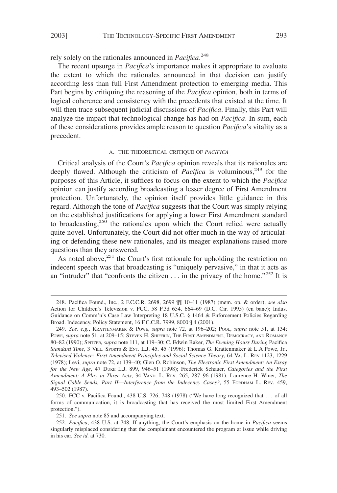rely solely on the rationales announced in *Pacifica*. 248

The recent upsurge in *Pacifica*'s importance makes it appropriate to evaluate the extent to which the rationales announced in that decision can justify according less than full First Amendment protection to emerging media. This Part begins by critiquing the reasoning of the *Pacifica* opinion, both in terms of logical coherence and consistency with the precedents that existed at the time. It will then trace subsequent judicial discussions of *Pacifica*. Finally, this Part will analyze the impact that technological change has had on *Pacifica*. In sum, each of these considerations provides ample reason to question *Pacifica*'s vitality as a precedent.

#### A. THE THEORETICAL CRITIQUE OF *PACIFICA*

Critical analysis of the Court's *Pacifica* opinion reveals that its rationales are deeply flawed. Although the criticism of *Pacifica* is voluminous,  $249$  for the purposes of this Article, it suffices to focus on the extent to which the *Pacifica* opinion can justify according broadcasting a lesser degree of First Amendment protection. Unfortunately, the opinion itself provides little guidance in this regard. Although the tone of *Pacifica* suggests that the Court was simply relying on the established justifications for applying a lower First Amendment standard to broadcasting,<sup>250</sup> the rationales upon which the Court relied were actually quite novel. Unfortunately, the Court did not offer much in the way of articulating or defending these new rationales, and its meager explanations raised more questions than they answered.

As noted above,<sup>251</sup> the Court's first rationale for upholding the restriction on indecent speech was that broadcasting is "uniquely pervasive," in that it acts as an "intruder" that "confronts the citizen . . . in the privacy of the home."<sup>252</sup> It is

<sup>248.</sup> Pacifica Found., Inc., 2 F.C.C.R. 2698, 2699 ¶¶ 10–11 (1987) (mem. op. & order); *see also* Action for Children's Television v. FCC, 58 F.3d 654, 664–69 (D.C. Cir. 1995) (en banc); Indus. Guidance on Comm'n's Case Law Interpreting 18 U.S.C. § 1464 & Enforcement Policies Regarding Broad. Indecency, Policy Statement, 16 F.C.C.R. 7999, 8000 ¶ 4 (2001).

<sup>249.</sup> *See, e.g.*, KRATTENMAKER & POWE, *supra* note 72, at 196–202; POOL, *supra* note 51, at 134; POWE, *supra* note 51, at 209-15; STEVEN H. SHIFFRIN, THE FIRST AMENDMENT, DEMOCRACY, AND ROMANCE 80–82 (1990); SPITZER, *supra* note 111, at 119–30; C. Edwin Baker, *The Evening Hours During* Pacifica *Standard Time*,3VILL. SPORTS & ENT. L.J. 45, 45 (1996); Thomas G. Krattenmaker & L.A Powe, Jr., *Televised Violence: First Amendment Principles and Social Science Theory*, 64 VA. L. REV 1123, 1229 (1978); Levi, *supra* note 72, at 139–40; Glen O. Robinson, *The Electronic First Amendment: An Essay for the New Age*, 47 DUKE L.J. 899, 946–51 (1998); Frederick Schauer, *Categories and the First Amendment: A Play in Three Acts*, 34 VAND. L. REV. 265, 287–96 (1981); Laurence H. Winer, *The Signal Cable Sends, Part II*—*Interference from the Indecency Cases?*, 55 FORDHAM L. REV. 459, 493–502 (1987).

<sup>250.</sup> FCC v. Pacifica Found., 438 U.S. 726, 748 (1978) ("We have long recognized that . . . of all forms of communication, it is broadcasting that has received the most limited First Amendment protection.").

<sup>251.</sup> *See supra* note 85 and accompanying text.

<sup>252.</sup> *Pacifica*, 438 U.S. at 748. If anything, the Court's emphasis on the home in *Pacifica* seems singularly misplaced considering that the complainant encountered the program at issue while driving in his car. *See id.* at 730.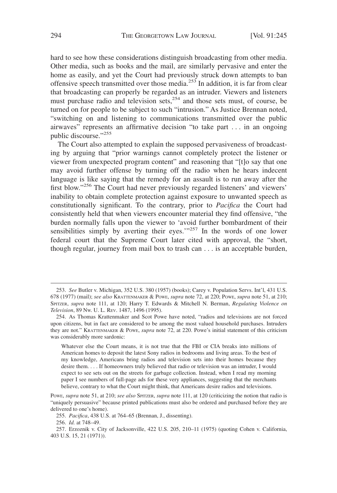hard to see how these considerations distinguish broadcasting from other media. Other media, such as books and the mail, are similarly pervasive and enter the home as easily, and yet the Court had previously struck down attempts to ban offensive speech transmitted over those media.<sup>253</sup> In addition, it is far from clear that broadcasting can properly be regarded as an intruder. Viewers and listeners must purchase radio and television sets,<sup>254</sup> and those sets must, of course, be turned on for people to be subject to such "intrusion." As Justice Brennan noted, "switching on and listening to communications transmitted over the public airwaves" represents an affirmative decision "to take part . . . in an ongoing public discourse."<sup>255</sup>

The Court also attempted to explain the supposed pervasiveness of broadcasting by arguing that "prior warnings cannot completely protect the listener or viewer from unexpected program content" and reasoning that "[t]o say that one may avoid further offense by turning off the radio when he hears indecent language is like saying that the remedy for an assault is to run away after the first blow."256 The Court had never previously regarded listeners' and viewers' inability to obtain complete protection against exposure to unwanted speech as constitutionally significant. To the contrary, prior to *Pacifica* the Court had consistently held that when viewers encounter material they find offensive, "the burden normally falls upon the viewer to 'avoid further bombardment of their sensibilities simply by averting their eyes. $1257$  In the words of one lower federal court that the Supreme Court later cited with approval, the "short, though regular, journey from mail box to trash can . . . is an acceptable burden,

256. *Id.* at 748–49.

<sup>253.</sup> *See* Butler v. Michigan, 352 U.S. 380 (1957) (books); Carey v. Population Servs. Int'l, 431 U.S. 678 (1977) (mail); *see also* KRATTENMAKER & POWE, *supra* note 72, at 220; POWE, *supra* note 51, at 210; SPITZER, *supra* note 111, at 120; Harry T. Edwards & Mitchell N. Berman, *Regulating Violence on Television*, 89 NW. U. L. REV. 1487, 1496 (1995).

<sup>254.</sup> As Thomas Krattenmaker and Scot Powe have noted, "radios and televisions are not forced upon citizens, but in fact are considered to be among the most valued household purchases. Intruders they are not." KRATTENMAKER & POWE, *supra* note 72, at 220. Powe's initial statement of this criticism was considerably more sardonic:

Whatever else the Court means, it is not true that the FBI or CIA breaks into millions of American homes to deposit the latest Sony radios in bedrooms and living areas. To the best of my knowledge, Americans bring radios and television sets into their homes because they desire them. . . . If homeowners truly believed that radio or television was an intruder, I would expect to see sets out on the streets for garbage collection. Instead, when I read my morning paper I see numbers of full-page ads for these very appliances, suggesting that the merchants believe, contrary to what the Court might think, that Americans desire radios and televisions.

Powe, *supra* note 51, at 210; *see also* SPITZER, *supra* note 111, at 120 (criticizing the notion that radio is "uniquely persuasive" because printed publications must also be ordered and purchased before they are delivered to one's home).

<sup>255.</sup> *Pacifica*, 438 U.S. at 764–65 (Brennan, J., dissenting).

<sup>257.</sup> Erzoznik v. City of Jacksonville, 422 U.S. 205, 210–11 (1975) (quoting Cohen v. California, 403 U.S. 15, 21 (1971)).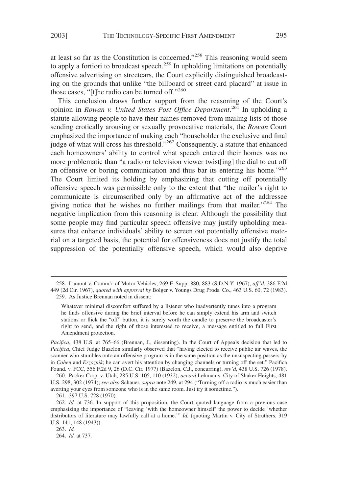at least so far as the Constitution is concerned."<sup>258</sup> This reasoning would seem to apply a fortiori to broadcast speech.<sup>259</sup> In upholding limitations on potentially offensive advertising on streetcars, the Court explicitly distinguished broadcasting on the grounds that unlike "the billboard or street card placard" at issue in those cases, "[t]he radio can be turned off."<sup>260</sup>

This conclusion draws further support from the reasoning of the Court's opinion in *Rowan v. United States Post Office Department*. <sup>261</sup> In upholding a statute allowing people to have their names removed from mailing lists of those sending erotically arousing or sexually provocative materials, the *Rowan* Court emphasized the importance of making each "householder the exclusive and final judge of what will cross his threshold."<sup>262</sup> Consequently, a statute that enhanced each homeowners' ability to control what speech entered their homes was no more problematic than "a radio or television viewer twist[ing] the dial to cut off an offensive or boring communication and thus bar its entering his home."<sup>263</sup> The Court limited its holding by emphasizing that cutting off potentially offensive speech was permissible only to the extent that "the mailer's right to communicate is circumscribed only by an affirmative act of the addressee giving notice that he wishes no further mailings from that mailer."<sup>264</sup> The negative implication from this reasoning is clear: Although the possibility that some people may find particular speech offensive may justify upholding measures that enhance individuals' ability to screen out potentially offensive material on a targeted basis, the potential for offensiveness does not justify the total suppression of the potentially offensive speech, which would also deprive

Whatever minimal discomfort suffered by a listener who inadvertently tunes into a program he finds offensive during the brief interval before he can simply extend his arm and switch stations or flick the "off" button, it is surely worth the candle to preserve the broadcaster's right to send, and the right of those interested to receive, a message entitled to full First Amendment protection.

*Pacifica*, 438 U.S. at 765–66 (Brennan, J., dissenting). In the Court of Appeals decision that led to *Pacifica*, Chief Judge Bazelon similarly observed that "having elected to receive public air waves, the scanner who stumbles onto an offensive program is in the same position as the unsuspecting passers-by in *Cohen* and *Erzoznik*; he can avert his attention by changing channels or turning off the set." Pacifica Found. v. FCC, 556 F.2d 9, 26 (D.C. Cir. 1977) (Bazelon, C.J., concurring), *rev'd*, 438 U.S. 726 (1978).

260. Packer Corp. v. Utah, 285 U.S. 105, 110 (1932); *accord* Lehman v. City of Shaker Heights, 481 U.S. 298, 302 (1974); *see also* Schauer, *supra* note 249, at 294 ("Turning off a radio is much easier than averting your eyes from someone who is in the same room. Just try it sometime.").

261. 397 U.S. 728 (1970).

262. *Id.* at 736. In support of this proposition, the Court quoted language from a previous case emphasizing the importance of "leaving 'with the homeowner himself' the power to decide 'whether distributors of literature may lawfully call at a home.'" *Id.* (quoting Martin v. City of Struthers, 319 U.S. 141, 148 (1943)).

263. *Id.*

264. *Id.* at 737.

<sup>258.</sup> Lamont v. Comm'r of Motor Vehicles, 269 F. Supp. 880, 883 (S.D.N.Y. 1967), *aff'd*, 386 F.2d 449 (2d Cir. 1967), *quoted with approval by* Bolger v. Youngs Drug Prods. Co., 463 U.S. 60, 72 (1983). 259. As Justice Brennan noted in dissent: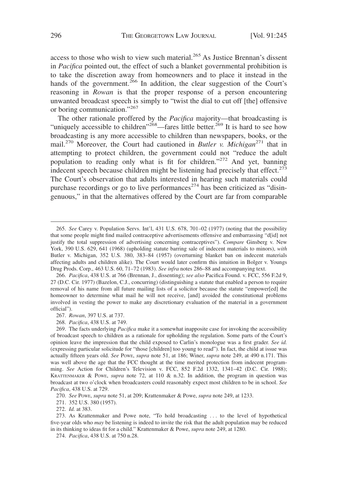access to those who wish to view such material.<sup>265</sup> As Justice Brennan's dissent in *Pacifica* pointed out, the effect of such a blanket governmental prohibition is to take the discretion away from homeowners and to place it instead in the hands of the government.<sup>266</sup> In addition, the clear suggestion of the Court's reasoning in *Rowan* is that the proper response of a person encountering unwanted broadcast speech is simply to "twist the dial to cut off [the] offensive or boring communication."<sup>267</sup>

The other rationale proffered by the *Pacifica* majority—that broadcasting is "uniquely accessible to children"<sup>268</sup>—fares little better.<sup>269</sup> It is hard to see how broadcasting is any more accessible to children than newspapers, books, or the mail.<sup>270</sup> Moreover, the Court had cautioned in *Butler v. Michigan*<sup>271</sup> that in attempting to protect children, the government could not "reduce the adult population to reading only what is fit for children."<sup>272</sup> And yet, banning indecent speech because children might be listening had precisely that effect.<sup>273</sup> The Court's observation that adults interested in hearing such materials could purchase recordings or go to live performances<sup>274</sup> has been criticized as "disingenuous," in that the alternatives offered by the Court are far from comparable

271. 352 U.S. 380 (1957).

272. *Id.* at 383.

<sup>265.</sup> *See* Carey v. Population Servs. Int'l, 431 U.S. 678, 701–02 (1977) (noting that the possibility that some people might find mailed contraceptive advertisements offensive and embarrassing "d[id] not justify the total suppression of advertising concerning contraceptives"). *Compare* Ginsberg v. New York, 390 U.S. 629, 641 (1968) (upholding statute barring sale of indecent materials to minors), *with* Butler v. Michigan, 352 U.S. 380, 383–84 (1957) (overturning blanket ban on indecent materials affecting adults and children alike). The Court would later confirm this intuition in Bolger v. Youngs Drug Prods. Corp., 463 U.S. 60, 71–72 (1983). *See infra* notes 286–88 and accompanying text.

<sup>266.</sup> *Pacifica*, 438 U.S. at 766 (Brennan, J., dissenting); *see also* Pacifica Found. v. FCC, 556 F.2d 9, 27 (D.C. Cir. 1977) (Bazelon, C.J., concurring) (distinguishing a statute that enabled a person to require removal of his name from all future mailing lists of a solicitor because the statute "empower[ed] the homeowner to determine what mail he will not receive, [and] avoided the constitutional problems involved in vesting the power to make any discretionary evaluation of the material in a government official").

<sup>267.</sup> *Rowan*, 397 U.S. at 737.

<sup>268.</sup> *Pacifica*, 438 U.S. at 749.

<sup>269.</sup> The facts underlying *Pacifica* make it a somewhat inapposite case for invoking the accessibility of broadcast speech to children as a rationale for upholding the regulation. Some parts of the Court's opinion leave the impression that the child exposed to Carlin's monologue was a first grader. *See id.* (expressing particular solicitude for "those [children] too young to read"). In fact, the child at issue was actually fifteen years old. *See* POWE, *supra* note 51, at 186; Winer, *supra* note 249, at 490 n.171. This was well above the age that the FCC thought at the time merited protection from indecent programming. *See* Action for Children's Television v. FCC, 852 F.2d 1332, 1341–42 (D.C. Cir. 1988); KRATTENMAKER & POWE, *supra* note 72, at 110 & n.32. In addition, the program in question was broadcast at two o'clock when broadcasters could reasonably expect most children to be in school. *See Pacifica*, 438 U.S. at 729.

<sup>270.</sup> *See* POWE, *supra* note 51, at 209; Krattenmaker & Powe, *supra* note 249, at 1233.

<sup>273.</sup> As Krattenmaker and Powe note, "To hold broadcasting . . . to the level of hypothetical five-year olds who *may* be listening is indeed to invite the risk that the adult population may be reduced in its thinking to ideas fit for a child." Krattenmaker & Powe, *supra* note 249, at 1280.

<sup>274.</sup> *Pacifica*, 438 U.S. at 750 n.28.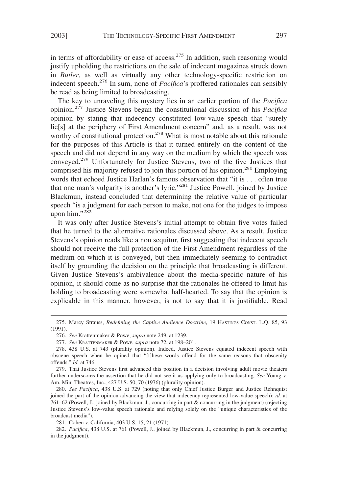in terms of affordability or ease of access.<sup>275</sup> In addition, such reasoning would justify upholding the restrictions on the sale of indecent magazines struck down in *Butler*, as well as virtually any other technology-specific restriction on indecent speech.<sup>276</sup> In sum, none of *Pacifica*'s proffered rationales can sensibly be read as being limited to broadcasting.

The key to unraveling this mystery lies in an earlier portion of the *Pacifica* opinion.<sup>277</sup> Justice Stevens began the constitutional discussion of his *Pacifica* opinion by stating that indecency constituted low-value speech that "surely lie[s] at the periphery of First Amendment concern" and, as a result, was not worthy of constitutional protection.<sup>278</sup> What is most notable about this rationale for the purposes of this Article is that it turned entirely on the content of the speech and did not depend in any way on the medium by which the speech was conveyed.<sup>279</sup> Unfortunately for Justice Stevens, two of the five Justices that comprised his majority refused to join this portion of his opinion.<sup>280</sup> Employing words that echoed Justice Harlan's famous observation that "it is . . . often true that one man's vulgarity is another's lyric,"<sup>281</sup> Justice Powell, joined by Justice Blackmun, instead concluded that determining the relative value of particular speech "is a judgment for each person to make, not one for the judges to impose upon him." $282$ 

It was only after Justice Stevens's initial attempt to obtain five votes failed that he turned to the alternative rationales discussed above. As a result, Justice Stevens's opinion reads like a non sequitur, first suggesting that indecent speech should not receive the full protection of the First Amendment regardless of the medium on which it is conveyed, but then immediately seeming to contradict itself by grounding the decision on the principle that broadcasting is different. Given Justice Stevens's ambivalence about the media-specific nature of his opinion, it should come as no surprise that the rationales he offered to limit his holding to broadcasting were somewhat half-hearted. To say that the opinion is explicable in this manner, however, is not to say that it is justifiable. Read

<sup>275.</sup> Marcy Strauss, *Redefining the Captive Audience Doctrine*, 19 HASTINGS CONST. L.Q. 85, 93 (1991).

<sup>276.</sup> *See* Krattenmaker & Powe, *supra* note 249, at 1239.

<sup>277.</sup> *See* KRATTENMAKER & POWE, *supra* note 72, at 198–201.

<sup>278. 438</sup> U.S. at 743 (plurality opinion). Indeed, Justice Stevens equated indecent speech with obscene speech when he opined that "[t]hese words offend for the same reasons that obscenity offends." *Id.* at 746.

<sup>279.</sup> That Justice Stevens first advanced this position in a decision involving adult movie theaters further underscores the assertion that he did not see it as applying only to broadcasting. *See* Young v. Am. Mini Theatres, Inc., 427 U.S. 50, 70 (1976) (plurality opinion).

<sup>280.</sup> *See Pacifica*, 438 U.S. at 729 (noting that only Chief Justice Burger and Justice Rehnquist joined the part of the opinion advancing the view that indecency represented low-value speech); *id.* at 761–62 (Powell, J., joined by Blackmun, J., concurring in part & concurring in the judgment) (rejecting Justice Stevens's low-value speech rationale and relying solely on the "unique characteristics of the broadcast media").

<sup>281.</sup> Cohen v. California, 403 U.S. 15, 21 (1971).

<sup>282.</sup> *Pacifica*, 438 U.S. at 761 (Powell, J., joined by Blackmun, J., concurring in part & concurring in the judgment).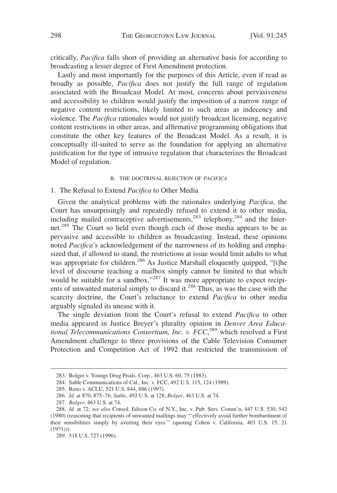critically, *Pacifica* falls short of providing an alternative basis for according to broadcasting a lesser degree of First Amendment protection.

Lastly and most importantly for the purposes of this Article, even if read as broadly as possible, *Pacifica* does not justify the full range of regulation associated with the Broadcast Model. At most, concerns about pervasiveness and accessibility to children would justify the imposition of a narrow range of negative content restrictions, likely limited to such areas as indecency and violence. The *Pacifica* rationales would not justify broadcast licensing, negative content restrictions in other areas, and affirmative programming obligations that constitute the other key features of the Broadcast Model. As a result, it is conceptually ill-suited to serve as the foundation for applying an alternative justification for the type of intrusive regulation that characterizes the Broadcast Model of regulation.

#### B. THE DOCTRINAL REJECTION OF *PACIFICA*

## 1. The Refusal to Extend *Pacifica* to Other Media

Given the analytical problems with the rationales underlying *Pacifica*, the Court has unsurprisingly and repeatedly refused to extend it to other media, including mailed contraceptive advertisements,<sup>283</sup> telephony,<sup>284</sup> and the Internet.<sup>285</sup> The Court so held even though each of those media appears to be as pervasive and accessible to children as broadcasting. Instead, these opinions noted *Pacifica*'s acknowledgement of the narrowness of its holding and emphasized that, if allowed to stand, the restrictions at issue would limit adults to what was appropriate for children.<sup>286</sup> As Justice Marshall eloquently quipped, "[t]he level of discourse reaching a mailbox simply cannot be limited to that which would be suitable for a sandbox."<sup>287</sup> It was more appropriate to expect recipients of unwanted material simply to discard it.<sup>288</sup> Thus, as was the case with the scarcity doctrine, the Court's reluctance to extend *Pacifica* to other media arguably signaled its unease with it.

The single deviation from the Court's refusal to extend *Pacifica* to other media appeared in Justice Breyer's plurality opinion in *Denver Area Educational Telecommunications Consortium, Inc. v. FCC*, <sup>289</sup> which resolved a First Amendment challenge to three provisions of the Cable Television Consumer Protection and Competition Act of 1992 that restricted the transmission of

<sup>283.</sup> Bolger v. Youngs Drug Prods. Corp., 463 U.S. 60, 75 (1983).

<sup>284.</sup> Sable Communications of Cal., Inc. v. FCC, 492 U.S. 115, 124 (1989).

<sup>285.</sup> Reno v. ACLU, 521 U.S. 844, 886 (1997).

<sup>286.</sup> *Id.* at 870, 875–76; *Sable*, 492 U.S. at 128; *Bolger*, 463 U.S. at 74.

<sup>287.</sup> *Bolger*, 463 U.S. at 74.

<sup>288.</sup> *Id.* at 72; *see also* Consol. Edison Co. of N.Y., Inc. v. Pub. Serv. Comm'n, 447 U.S. 530, 542 (1980) (reasoning that recipients of unwanted mailings may "'effectively avoid further bombardment of their sensibilities simply by averting their eyes'" (quoting Cohen v. California, 403 U.S. 15, 21  $(1971))$ .

<sup>289. 518</sup> U.S. 727 (1996).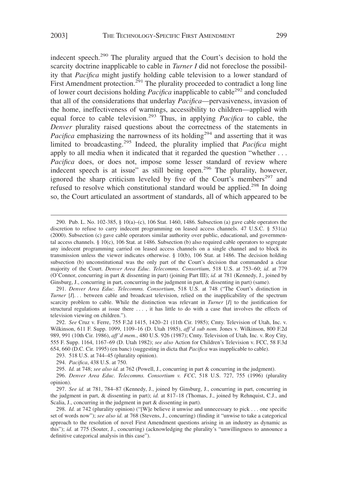indecent speech.<sup>290</sup> The plurality argued that the Court's decision to hold the scarcity doctrine inapplicable to cable in *Turner I* did not foreclose the possibility that *Pacifica* might justify holding cable television to a lower standard of First Amendment protection.<sup>291</sup> The plurality proceeded to contradict a long line of lower court decisions holding *Pacifica* inapplicable to cable<sup>292</sup> and concluded that all of the considerations that underlay *Pacifica*—pervasiveness, invasion of the home, ineffectiveness of warnings, accessibility to children—applied with equal force to cable television.293 Thus, in applying *Pacifica* to cable, the *Denver* plurality raised questions about the correctness of the statements in *Pacifica* emphasizing the narrowness of its holding<sup>294</sup> and asserting that it was limited to broadcasting.<sup>295</sup> Indeed, the plurality implied that *Pacifica* might apply to all media when it indicated that it regarded the question "whether . . . *Pacifica* does, or does not, impose some lesser standard of review where indecent speech is at issue" as still being open.<sup>296</sup> The plurality, however, ignored the sharp criticism leveled by five of the Court's members<sup>297</sup> and refused to resolve which constitutional standard would be applied.<sup>298</sup> In doing so, the Court articulated an assortment of standards, all of which appeared to be

291. *Denver Area Educ. Telecomms. Consortium*, 518 U.S. at 748 ("The Court's distinction in *Turner* [*I*]... between cable and broadcast television, relied on the inapplicability of the spectrum scarcity problem to cable. While the distinction was relevant in *Turner* [*I*] to the justification for structural regulations at issue there . . . , it has little to do with a case that involves the effects of television viewing on children.").

292. *See* Cruz v. Ferre, 755 F.2d 1415, 1420–21 (11th Cir. 1985); Cmty. Television of Utah, Inc. v. Wilkinson, 611 F. Supp. 1099, 1109–16 (D. Utah 1985), *aff'd sub nom.* Jones v. Wilkinson, 800 F.2d 989, 991 (10th Cir. 1986), *aff'd mem.*, 480 U.S. 926 (1987); Cmty. Television of Utah, Inc. v. Roy City, 555 F. Supp. 1164, 1167–69 (D. Utah 1982); *see also* Action for Children's Television v. FCC, 58 F.3d 654, 660 (D.C. Cir. 1995) (en banc) (suggesting in dicta that *Pacifica* was inapplicable to cable).

293. 518 U.S. at 744–45 (plurality opinion).

294. *Pacifica*, 438 U.S. at 750.

295. *Id.* at 748; *see also id.* at 762 (Powell, J., concurring in part & concurring in the judgment).

296. *Denver Area Educ. Telecomms. Consortium v. FCC*, 518 U.S. 727, 755 (1996) (plurality opinion).

297. *See id.* at 781, 784–87 (Kennedy, J., joined by Ginsburg, J., concurring in part, concurring in the judgment in part, & dissenting in part); *id.* at 817–18 (Thomas, J., joined by Rehnquist, C.J., and Scalia, J., concurring in the judgment in part & dissenting in part).

298. *Id.* at 742 (plurality opinion) ("[W]e believe it unwise and unnecessary to pick . . . one specific set of words now"); *see also id.* at 768 (Stevens, J., concurring) (finding it "unwise to take a categorical approach to the resolution of novel First Amendment questions arising in an industry as dynamic as this"); *id.* at 775 (Souter, J., concurring) (acknowledging the plurality's "unwillingness to announce a definitive categorical analysis in this case").

<sup>290.</sup> Pub. L. No. 102-385, § 10(a)–(c), 106 Stat. 1460, 1486. Subsection (a) gave cable operators the discretion to refuse to carry indecent programming on leased access channels. 47 U.S.C. § 531(a) (2000). Subsection (c) gave cable operators similar authority over public, educational, and governmental access channels. § 10(c), 106 Stat. at 1486. Subsection (b) also required cable operators to segregate any indecent programming carried on leased access channels on a single channel and to block its transmission unless the viewer indicates otherwise. § 10(b), 106 Stat. at 1486. The decision holding subsection (b) unconstitutional was the only part of the Court's decision that commanded a clear majority of the Court. *Denver Area Educ. Telecomms. Consortium*, 518 U.S. at 753–60; *id*. at 779 (O'Connor, concurring in part & dissenting in part) (joining Part III); *id.* at 781 (Kennedy, J., joined by Ginsburg, J., concurring in part, concurring in the judgment in part, & dissenting in part) (same).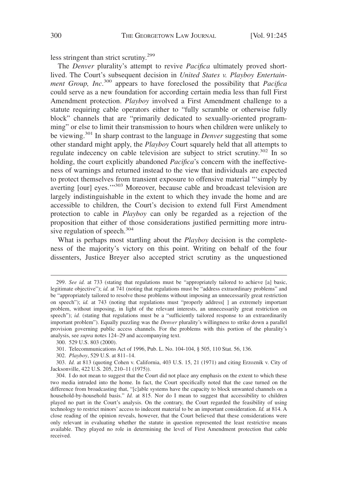less stringent than strict scrutiny.<sup>299</sup>

The *Denver* plurality's attempt to revive *Pacifica* ultimately proved shortlived. The Court's subsequent decision in *United States v. Playboy Entertainment Group, Inc*. <sup>300</sup> appears to have foreclosed the possibility that *Pacifica* could serve as a new foundation for according certain media less than full First Amendment protection. *Playboy* involved a First Amendment challenge to a statute requiring cable operators either to "fully scramble or otherwise fully block" channels that are "primarily dedicated to sexually-oriented programming" or else to limit their transmission to hours when children were unlikely to be viewing.<sup>301</sup> In sharp contrast to the language in *Denver* suggesting that some other standard might apply, the *Playboy* Court squarely held that all attempts to regulate indecency on cable television are subject to strict scrutiny.<sup>302</sup> In so holding, the court explicitly abandoned *Pacifica*'s concern with the ineffectiveness of warnings and returned instead to the view that individuals are expected to protect themselves from transient exposure to offensive material "'simply by averting [our] eyes.'"303 Moreover, because cable and broadcast television are largely indistinguishable in the extent to which they invade the home and are accessible to children, the Court's decision to extend full First Amendment protection to cable in *Playboy* can only be regarded as a rejection of the proposition that either of those considerations justified permitting more intrusive regulation of speech.<sup>304</sup>

What is perhaps most startling about the *Playboy* decision is the completeness of the majority's victory on this point. Writing on behalf of the four dissenters, Justice Breyer also accepted strict scrutiny as the unquestioned

<sup>299.</sup> *See id.* at 733 (stating that regulations must be "appropriately tailored to achieve [a] basic, legitimate objective"); *id.* at 741 (noting that regulations must be "address extraordinary problems" and be "appropriately tailored to resolve those problems without imposing an unnecessarily great restriction on speech"); *id.* at 743 (noting that regulations must "properly address[] an extremely important problem, without imposing, in light of the relevant interests, an unnecessarily great restriction on speech"); *id.* (stating that regulations must be a "sufficiently tailored response to an extraordinarily important problem"). Equally puzzling was the *Denver* plurality's willingness to strike down a parallel provision governing public access channels. For the problems with this portion of the plurality's analysis, see *supra* notes 124–29 and accompanying text.

<sup>300. 529</sup> U.S. 803 (2000).

<sup>301.</sup> Telecommunications Act of 1996, Pub. L. No. 104-104, § 505, 110 Stat. 56, 136.

<sup>302.</sup> *Playboy*, 529 U.S. at 811–14.

<sup>303.</sup> *Id.* at 813 (quoting Cohen v. California, 403 U.S. 15, 21 (1971) and citing Erzoznik v. City of Jacksonville, 422 U.S. 205, 210–11 (1975)).

<sup>304.</sup> I do not mean to suggest that the Court did not place any emphasis on the extent to which these two media intruded into the home. In fact, the Court specifically noted that the case turned on the difference from broadcasting that, "[c]able systems have the capacity to block unwanted channels on a household-by-household basis." *Id.* at 815. Nor do I mean to suggest that accessibility to children played no part in the Court's analysis. On the contrary, the Court regarded the feasibility of using technology to restrict minors' access to indecent material to be an important consideration. *Id.* at 814. A close reading of the opinion reveals, however, that the Court believed that these considerations were only relevant in evaluating whether the statute in question represented the least restrictive means available. They played no role in determining the level of First Amendment protection that cable received.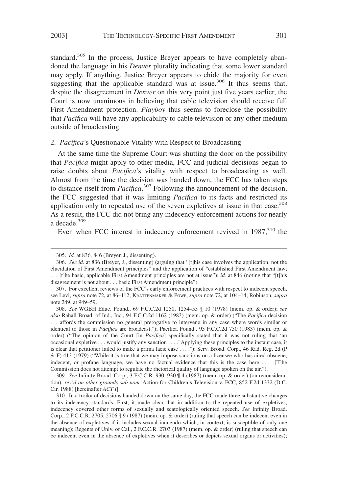standard.<sup>305</sup> In the process, Justice Breyer appears to have completely abandoned the language in his *Denver* plurality indicating that some lower standard may apply. If anything, Justice Breyer appears to chide the majority for even suggesting that the applicable standard was at issue.<sup>306</sup> It thus seems that, despite the disagreement in *Denver* on this very point just five years earlier, the Court is now unanimous in believing that cable television should receive full First Amendment protection. *Playboy* thus seems to foreclose the possibility that *Pacifica* will have any applicability to cable television or any other medium outside of broadcasting.

# 2. *Pacifica*'s Questionable Vitality with Respect to Broadcasting

At the same time the Supreme Court was shutting the door on the possibility that *Pacifica* might apply to other media, FCC and judicial decisions began to raise doubts about *Pacifica*'s vitality with respect to broadcasting as well. Almost from the time the decision was handed down, the FCC has taken steps to distance itself from *Pacifica*. <sup>307</sup> Following the announcement of the decision, the FCC suggested that it was limiting *Pacifica* to its facts and restricted its application only to repeated use of the seven expletives at issue in that case.<sup>308</sup> As a result, the FCC did not bring any indecency enforcement actions for nearly a decade.<sup>309</sup>

Even when FCC interest in indecency enforcement revived in  $1987$ ,  $310$  the

309. *See* Infinity Broad. Corp., 3 F.C.C.R. 930, 930 ¶ 4 (1987) (mem. op. & order) (on reconsideration), *rev'd on other grounds sub nom.* Action for Children's Television v. FCC, 852 F.2d 1332 (D.C. Cir. 1988) [hereinafter *ACT I*].

<sup>305.</sup> *Id.* at 836, 846 (Breyer, J., dissenting).

<sup>306.</sup> *See id.* at 836 (Breyer, J., dissenting) (arguing that "[t]his case involves the application, not the elucidation of First Amendment principles" and the application of "established First Amendment law; . . . [t]he basic, applicable First Amendment principles are not at issue"); *id.* at 846 (noting that "[t]his disagreement is not about . . . basic First Amendment principle").

<sup>307.</sup> For excellent reviews of the FCC's early enforcement practices with respect to indecent speech, see Levi, *supra* note 72, at 86–112; KRATTENMAKER & POWE, *supra* note 72, at 104–14; Robinson, *supra* note 249, at 949–59.

<sup>308.</sup> *See* WGBH Educ. Found*.*, 69 F.C.C.2d 1250, 1254–55 ¶ 10 (1978) (mem. op. & order); *see also* Rahall Broad. of Ind., Inc., 94 F.C.C.2d 1162 (1983) (mem. op. & order) ("The *Pacifica* decision . . . affords the commission no general prerogative to intervene in any case where words similar or identical to those in *Pacifica* are broadcast."); Pacifica Found., 95 F.C.C.2d 750 (1983) (mem. op. & order) ("The opinion of the Court [in *Pacifica*] specifically stated that it was not ruling that 'an occasional expletive . . . would justify any sanction . . . .'Applying these principles to the instant case, it is clear that petitioner failed to make a prima facie case . . . ."); Serv. Broad. Corp., 46 Rad. Reg. 2d (P & F) 413 (1979) ("While it is true that we may impose sanctions on a licensee who has aired obscene, indecent, or profane language, we have no factual evidence that this is the case here .... [T]he Commission does not attempt to regulate the rhetorical quality of language spoken on the air.").

<sup>310.</sup> In a troika of decisions handed down on the same day, the FCC made three substantive changes to its indecency standards. First, it made clear that in addition to the repeated use of expletives, indecency covered other forms of sexually and scatologically oriented speech. *See* Infinity Broad. Corp., 2 F.C.C.R. 2705, 2706 ¶ 9 (1987) (mem. op. & order) (ruling that speech can be indecent even in the absence of expletives if it includes sexual innuendo which, in context, is susceptible of only one meaning); Regents of Univ. of Cal., 2 F.C.C.R. 2703 (1987) (mem. op. & order) (ruling that speech can be indecent even in the absence of expletives when it describes or depicts sexual organs or activities);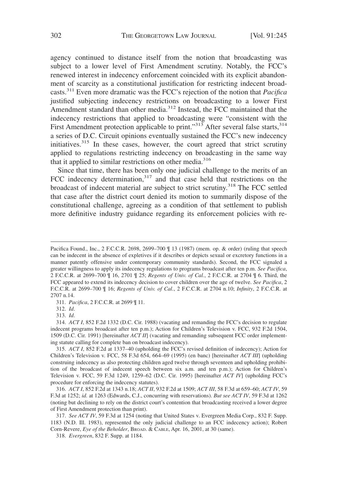agency continued to distance itself from the notion that broadcasting was subject to a lower level of First Amendment scrutiny. Notably, the FCC's renewed interest in indecency enforcement coincided with its explicit abandonment of scarcity as a constitutional justification for restricting indecent broadcasts.<sup>311</sup> Even more dramatic was the FCC's rejection of the notion that *Pacifica* justified subjecting indecency restrictions on broadcasting to a lower First Amendment standard than other media.<sup>312</sup> Instead, the FCC maintained that the indecency restrictions that applied to broadcasting were "consistent with the First Amendment protection applicable to print."<sup>313</sup> After several false starts, $314$ a series of D.C. Circuit opinions eventually sustained the FCC's new indecency initiatives.<sup>315</sup> In these cases, however, the court agreed that strict scrutiny applied to regulations restricting indecency on broadcasting in the same way that it applied to similar restrictions on other media. $316$ 

Since that time, there has been only one judicial challenge to the merits of an FCC indecency determination,<sup>317</sup> and that case held that restrictions on the broadcast of indecent material are subject to strict scrutiny.<sup>318</sup> The FCC settled that case after the district court denied its motion to summarily dispose of the constitutional challenge, agreeing as a condition of that settlement to publish more definitive industry guidance regarding its enforcement policies with re-

311. *Pacifica*, 2 F.C.C.R. at 2699 ¶ 11.

312. *Id*.

313. *Id*.

Pacifica Found., Inc., 2 F.C.C.R. 2698, 2699–700 ¶ 13 (1987) (mem. op. & order) (ruling that speech can be indecent in the absence of expletives if it describes or depicts sexual or excretory functions in a manner patently offensive under contemporary community standards). Second, the FCC signaled a greater willingness to apply its indecency regulations to programs broadcast after ten p.m. *See Pacifica*, 2 F.C.C.R. at 2699–700 ¶ 16, 2701 ¶ 25; *Regents of Univ. of Cal.*, 2 F.C.C.R. at 2704 ¶ 6. Third, the FCC appeared to extend its indecency decision to cover children over the age of twelve. *See Pacifica*, 2 F.C.C.R. at 2699–700 ¶ 16; *Regents of Univ. of Cal.*, 2 F.C.C.R. at 2704 n.10; *Infinity*, 2 F.C.C.R. at 2707 n.14.

<sup>314.</sup> *ACT I*, 852 F.2d 1332 (D.C. Cir. 1988) (vacating and remanding the FCC's decision to regulate indecent programs broadcast after ten p.m.); Action for Children's Television v. FCC, 932 F.2d 1504, 1509 (D.C. Cir. 1991) [hereinafter *ACT II*] (vacating and remanding subsequent FCC order implementing statute calling for complete ban on broadcast indecency).

<sup>315.</sup> *ACT I*, 852 F.2d at 1337–40 (upholding the FCC's revised definition of indecency); Action for Children's Television v. FCC, 58 F.3d 654, 664–69 (1995) (en banc) [hereinafter *ACT III*] (upholding construing indecency as also protecting children aged twelve through seventeen and upholding prohibition of the broadcast of indecent speech between six a.m. and ten p.m.); Action for Children's Television v. FCC, 59 F.3d 1249, 1259–62 (D.C. Cir. 1995) [hereinafter *ACT IV*] (upholding FCC's procedure for enforcing the indecency statutes).

<sup>316.</sup> *ACT I*, 852 F.2d at 1343 n.18; *ACT II*, 932 F.2d at 1509; *ACT III*, 58 F.3d at 659–60; *ACT IV*, 59 F.3d at 1252; *id.* at 1263 (Edwards, C.J., concurring with reservations). *But see ACT IV*, 59 F.3d at 1262 (noting but declining to rely on the district court's contention that broadcasting received a lower degree of First Amendment protection than print).

<sup>317.</sup> *See ACT IV*, 59 F.3d at 1254 (noting that United States v. Evergreen Media Corp., 832 F. Supp. 1183 (N.D. Ill. 1983), represented the only judicial challenge to an FCC indecency action); Robert Corn-Revere, *Eye of the Beholder*, BROAD.&CABLE, Apr. 16, 2001, at 30 (same).

<sup>318.</sup> *Evergreen*, 832 F. Supp. at 1184.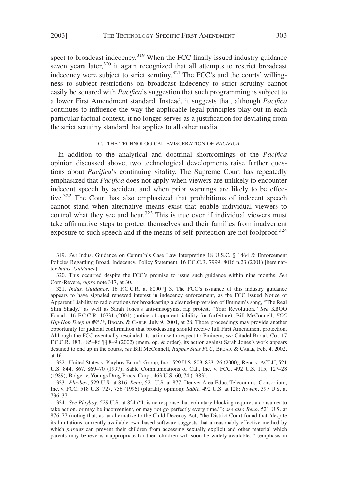spect to broadcast indecency.<sup>319</sup> When the FCC finally issued industry guidance seven years later, $320$  it again recognized that all attempts to restrict broadcast indecency were subject to strict scrutiny.<sup>321</sup> The FCC's and the courts' willingness to subject restrictions on broadcast indecency to strict scrutiny cannot easily be squared with *Pacifica*'s suggestion that such programming is subject to a lower First Amendment standard. Instead, it suggests that, although *Pacifica* continues to influence the way the applicable legal principles play out in each particular factual context, it no longer serves as a justification for deviating from the strict scrutiny standard that applies to all other media.

#### C. THE TECHNOLOGICAL EVISCERATION OF *PACIFICA*

In addition to the analytical and doctrinal shortcomings of the *Pacifica* opinion discussed above, two technological developments raise further questions about *Pacifica*'s continuing vitality. The Supreme Court has repeatedly emphasized that *Pacifica* does not apply when viewers are unlikely to encounter indecent speech by accident and when prior warnings are likely to be effective.<sup>322</sup> The Court has also emphasized that prohibitions of indecent speech cannot stand when alternative means exist that enable individual viewers to control what they see and hear.<sup>323</sup> This is true even if individual viewers must take affirmative steps to protect themselves and their families from inadvertent exposure to such speech and if the means of self-protection are not foolproof.<sup>324</sup>

<sup>319.</sup> *See* Indus. Guidance on Comm'n's Case Law Interpreting 18 U.S.C. § 1464 & Enforcement Policies Regarding Broad. Indecency, Policy Statement, 16 F.C.C.R. 7999, 8016 n.23 (2001) [hereinafter *Indus. Guidance*].

<sup>320.</sup> This occurred despite the FCC's promise to issue such guidance within nine months. *See* Corn-Revere, *supra* note 317, at 30.

<sup>321.</sup> *Indus. Guidance*, 16 F.C.C.R. at 8000 ¶ 3. The FCC's issuance of this industry guidance appears to have signaled renewed interest in indecency enforcement, as the FCC issued Notice of Apparent Liability to radio stations for broadcasting a cleaned-up version of Eminem's song, "The Real Slim Shady," as well as Sarah Jones's anti-misogynist rap protest, "Your Revolution." *See* KBOO Found., 16 F.C.C.R. 10731 (2001) (notice of apparent liability for forfeiture); Bill McConnell, *FCC Hip-Hop Deep in #@!\**, BROAD.&CABLE, July 9, 2001, at 28. Those proceedings may provide another opportunity for judicial confirmation that broadcasting should receive full First Amendment protection. Although the FCC eventually rescinded its action with respect to Eminem, *see* Citadel Broad. Co., 17 F.C.C.R. 483, 485–86 ¶¶ 8–9 (2002) (mem. op. & order), its action against Sarah Jones's work appears destined to end up in the courts, *see* Bill McConnell, *Rapper Sues FCC*, BROAD. & CABLE, Feb. 4, 2002, at 16.

<sup>322.</sup> United States v. Playboy Entm't Group, Inc., 529 U.S. 803, 823–26 (2000); Reno v. ACLU, 521 U.S. 844, 867, 869–70 (1997); Sable Communications of Cal., Inc. v. FCC, 492 U.S. 115, 127–28 (1989); Bolger v. Youngs Drug Prods. Corp., 463 U.S. 60, 74 (1983).

<sup>323.</sup> *Playboy*, 529 U.S. at 816; *Reno*, 521 U.S. at 877; Denver Area Educ. Telecomms. Consortium, Inc. v. FCC, 518 U.S. 727, 756 (1996) (plurality opinion); *Sable*, 492 U.S. at 128; *Rowan*, 397 U.S. at 736–37.

<sup>324.</sup> *See Playboy*, 529 U.S. at 824 ("It is no response that voluntary blocking requires a consumer to take action, or may be inconvenient, or may not go perfectly every time."); *see also Reno*, 521 U.S. at 876–77 (noting that, as an alternative to the Child Decency Act, "the District Court found that 'despite its limitations, currently available *user*-based software suggests that a reasonably effective method by which *parents* can prevent their children from accessing sexually explicit and other material which parents may believe is inappropriate for their children will soon be widely available.'" (emphasis in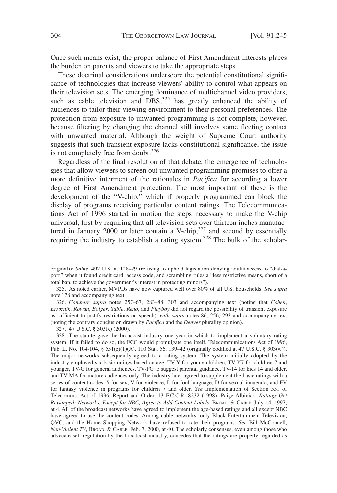Once such means exist, the proper balance of First Amendment interests places the burden on parents and viewers to take the appropriate steps.

These doctrinal considerations underscore the potential constitutional significance of technologies that increase viewers' ability to control what appears on their television sets. The emerging dominance of multichannel video providers, such as cable television and  $\overline{DBS}$ ,<sup>325</sup> has greatly enhanced the ability of audiences to tailor their viewing environment to their personal preferences. The protection from exposure to unwanted programming is not complete, however, because filtering by changing the channel still involves some fleeting contact with unwanted material. Although the weight of Supreme Court authority suggests that such transient exposure lacks constitutional significance, the issue is not completely free from doubt. $326$ 

Regardless of the final resolution of that debate, the emergence of technologies that allow viewers to screen out unwanted programming promises to offer a more definitive interment of the rationales in *Pacifica* for according a lower degree of First Amendment protection. The most important of these is the development of the "V-chip," which if properly programmed can block the display of programs receiving particular content ratings. The Telecommunications Act of 1996 started in motion the steps necessary to make the V-chip universal, first by requiring that all television sets over thirteen inches manufactured in January 2000 or later contain a V-chip, $327$  and second by essentially requiring the industry to establish a rating system.<sup>328</sup> The bulk of the scholar-

327. 47 U.S.C. § 303(x) (2000).

original)); *Sable*, 492 U.S. at 128–29 (refusing to uphold legislation denying adults access to "dial-aporn" when it found credit card, access code, and scrambling rules a "less restrictive means, short of a total ban, to achieve the government's interest in protecting minors").

<sup>325.</sup> As noted earlier, MVPDs have now captured well over 80% of all U.S. households. *See supra* note 178 and accompanying text.

<sup>326.</sup> *Compare supra* notes 257–67, 283–88, 303 and accompanying text (noting that *Cohen*, *Erzoznik*, *Rowan*, *Bolger*, *Sable*, *Reno*, and *Playboy* did not regard the possibility of transient exposure as sufficient to justify restrictions on speech), *with supra* notes 86, 256, 293 and accompanying text (noting the contrary conclusion drawn by *Pacifica* and the *Denver* plurality opinion).

<sup>328.</sup> The statute gave the broadcast industry one year in which to implement a voluntary rating system. If it failed to do so, the FCC would promulgate one itself. Telecommunications Act of 1996, Pub. L. No. 104-104, § 551(e)(1)(A), 110 Stat. 56, 139–42 (originally codified at 47 U.S.C. § 303(w)). The major networks subsequently agreed to a rating system. The system initially adopted by the industry employed six basic ratings based on age: TV-Y for young children, TV-Y7 for children 7 and younger, TV-G for general audiences, TV-PG to suggest parental guidance, TV-14 for kids 14 and older, and TV-MA for mature audiences only. The industry later agreed to supplement the basic ratings with a series of content codes: S for sex, V for violence, L for foul language, D for sexual innuendo, and FV for fantasy violence in programs for children 7 and older. *See* Implementation of Section 551 of Telecomms. Act of 1996, Report and Order, 13 F.C.C.R. 8232 (1998); Paige Albiniak, *Ratings Get Revamped: Networks, Except for NBC, Agree to Add Content Labels*, BROAD.&CABLE, July 14, 1997, at 4. All of the broadcast networks have agreed to implement the age-based ratings and all except NBC have agreed to use the content codes. Among cable networks, only Black Entertainment Television, QVC, and the Home Shopping Network have refused to rate their programs. *See* Bill McConnell, *Non-Violent TV*, BROAD. & CABLE, Feb. 7, 2000, at 40. The scholarly consensus, even among those who advocate self-regulation by the broadcast industry, concedes that the ratings are properly regarded as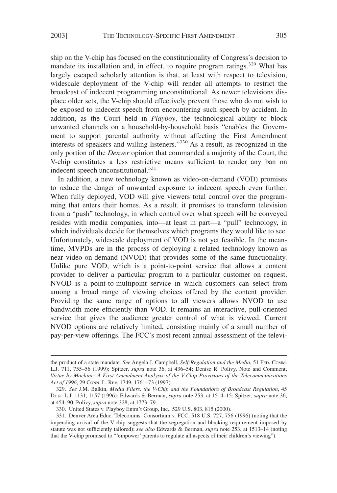ship on the V-chip has focused on the constitutionality of Congress's decision to mandate its installation and, in effect, to require program ratings.<sup>329</sup> What has largely escaped scholarly attention is that, at least with respect to television, widescale deployment of the V-chip will render all attempts to restrict the broadcast of indecent programming unconstitutional. As newer televisions displace older sets, the V-chip should effectively prevent those who do not wish to be exposed to indecent speech from encountering such speech by accident. In addition, as the Court held in *Playboy*, the technological ability to block unwanted channels on a household-by-household basis "enables the Government to support parental authority without affecting the First Amendment interests of speakers and willing listeners."<sup>330</sup> As a result, as recognized in the only portion of the *Denver* opinion that commanded a majority of the Court, the V-chip constitutes a less restrictive means sufficient to render any ban on indecent speech unconstitutional.<sup>331</sup>

In addition, a new technology known as video-on-demand (VOD) promises to reduce the danger of unwanted exposure to indecent speech even further. When fully deployed, VOD will give viewers total control over the programming that enters their homes. As a result, it promises to transform television from a "push" technology, in which control over what speech will be conveyed resides with media companies, into—at least in part—a "pull" technology, in which individuals decide for themselves which programs they would like to see. Unfortunately, widescale deployment of VOD is not yet feasible. In the meantime, MVPDs are in the process of deploying a related technology known as near video-on-demand (NVOD) that provides some of the same functionality. Unlike pure VOD, which is a point-to-point service that allows a content provider to deliver a particular program to a particular customer on request, NVOD is a point-to-multipoint service in which customers can select from among a broad range of viewing choices offered by the content provider. Providing the same range of options to all viewers allows NVOD to use bandwidth more efficiently than VOD. It remains an interactive, pull-oriented service that gives the audience greater control of what is viewed. Current NVOD options are relatively limited, consisting mainly of a small number of pay-per-view offerings. The FCC's most recent annual assessment of the televi-

the product of a state mandate. *See* Angela J. Campbell, *Self-Regulation and the Media*, 51 FED. COMM. L.J. 711, 755–56 (1999); Spitzer, *supra* note 36, at 436–54; Denise R. Polivy, Note and Comment, *Virtue by Machine: A First Amendment Analysis of the V-Chip Provisions of the Telecommunications Act of 1996*, 29 CONN. L. REV. 1749, 1761–73 (1997).

<sup>329.</sup> *See* J.M. Balkin, *Media Filers, the V-Chip and the Foundations of Broadcast Regulation*, 45 DUKE L.J. 1131, 1157 (1996); Edwards & Berman, *supra* note 253, at 1514–15; Spitzer, *supra* note 36, at 454–90; Polivy, *supra* note 328, at 1773–79.

<sup>330.</sup> United States v. Playboy Entm't Group, Inc., 529 U.S. 803, 815 (2000).

<sup>331.</sup> Denver Area Educ. Telecomms. Consortium v. FCC, 518 U.S. 727, 756 (1996) (noting that the impending arrival of the V-chip suggests that the segregation and blocking requirement imposed by statute was not sufficiently tailored); *see also* Edwards & Berman, *supra* note 253, at 1513–14 (noting that the V-chip promised to "'empower' parents to regulate all aspects of their children's viewing").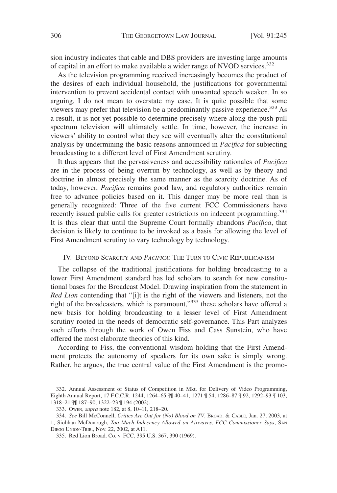sion industry indicates that cable and DBS providers are investing large amounts of capital in an effort to make available a wider range of NVOD services.<sup>332</sup>

As the television programming received increasingly becomes the product of the desires of each individual household, the justifications for governmental intervention to prevent accidental contact with unwanted speech weaken. In so arguing, I do not mean to overstate my case. It is quite possible that some viewers may prefer that television be a predominantly passive experience.<sup>333</sup> As a result, it is not yet possible to determine precisely where along the push-pull spectrum television will ultimately settle. In time, however, the increase in viewers' ability to control what they see will eventually alter the constitutional analysis by undermining the basic reasons announced in *Pacifica* for subjecting broadcasting to a different level of First Amendment scrutiny.

It thus appears that the pervasiveness and accessibility rationales of *Pacifica* are in the process of being overrun by technology, as well as by theory and doctrine in almost precisely the same manner as the scarcity doctrine. As of today, however, *Pacifica* remains good law, and regulatory authorities remain free to advance policies based on it. This danger may be more real than is generally recognized: Three of the five current FCC Commissioners have recently issued public calls for greater restrictions on indecent programming.<sup>334</sup> It is thus clear that until the Supreme Court formally abandons *Pacifica*, that decision is likely to continue to be invoked as a basis for allowing the level of First Amendment scrutiny to vary technology by technology.

# IV. BEYOND SCARCITY AND *PACIFICA*: THE TURN TO CIVIC REPUBLICANISM

The collapse of the traditional justifications for holding broadcasting to a lower First Amendment standard has led scholars to search for new constitutional bases for the Broadcast Model. Drawing inspiration from the statement in *Red Lion* contending that "[i]t is the right of the viewers and listeners, not the right of the broadcasters, which is paramount,"335 these scholars have offered a new basis for holding broadcasting to a lesser level of First Amendment scrutiny rooted in the needs of democratic self-governance. This Part analyzes such efforts through the work of Owen Fiss and Cass Sunstein, who have offered the most elaborate theories of this kind.

According to Fiss, the conventional wisdom holding that the First Amendment protects the autonomy of speakers for its own sake is simply wrong. Rather, he argues, the true central value of the First Amendment is the promo-

<sup>332.</sup> Annual Assessment of Status of Competition in Mkt. for Delivery of Video Programming, Eighth Annual Report, 17 F.C.C.R. 1244, 1264–65 ¶¶ 40–41, 1271 ¶ 54, 1286–87 ¶ 92, 1292–93 ¶ 103, 1318–21 ¶¶ 187–90, 1322–23 ¶ 194 (2002).

<sup>333.</sup> OWEN, *supra* note 182, at 8, 10–11, 218–20.

<sup>334.</sup> *See* Bill McConnell, *Critics Are Out for (No) Blood on TV*, BROAD.&CABLE, Jan. 27, 2003, at 1; Siobhan McDonough, *Too Much Indecency Allowed on Airwaves, FCC Commissioner Says*, SAN DIEGO UNION-TRIB., Nov. 22, 2002, at A11.

<sup>335.</sup> Red Lion Broad. Co. v. FCC, 395 U.S. 367, 390 (1969).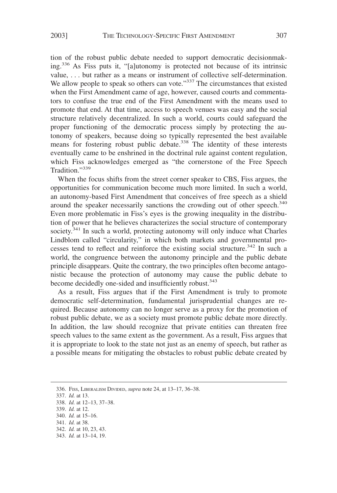tion of the robust public debate needed to support democratic decisionmaking.<sup>336</sup> As Fiss puts it, "[a]utonomy is protected not because of its intrinsic value, . . . but rather as a means or instrument of collective self-determination. We allow people to speak so others can vote."<sup>337</sup> The circumstances that existed when the First Amendment came of age, however, caused courts and commentators to confuse the true end of the First Amendment with the means used to promote that end. At that time, access to speech venues was easy and the social structure relatively decentralized. In such a world, courts could safeguard the proper functioning of the democratic process simply by protecting the autonomy of speakers, because doing so typically represented the best available means for fostering robust public debate.<sup>338</sup> The identity of these interests eventually came to be enshrined in the doctrinal rule against content regulation, which Fiss acknowledges emerged as "the cornerstone of the Free Speech Tradition."339

When the focus shifts from the street corner speaker to CBS, Fiss argues, the opportunities for communication become much more limited. In such a world, an autonomy-based First Amendment that conceives of free speech as a shield around the speaker necessarily sanctions the crowding out of other speech.<sup>340</sup> Even more problematic in Fiss's eyes is the growing inequality in the distribution of power that he believes characterizes the social structure of contemporary society.<sup>341</sup> In such a world, protecting autonomy will only induce what Charles Lindblom called "circularity," in which both markets and governmental processes tend to reflect and reinforce the existing social structure.<sup>342</sup> In such a world, the congruence between the autonomy principle and the public debate principle disappears. Quite the contrary, the two principles often become antagonistic because the protection of autonomy may cause the public debate to become decidedly one-sided and insufficiently robust.<sup>343</sup>

As a result, Fiss argues that if the First Amendment is truly to promote democratic self-determination, fundamental jurisprudential changes are required. Because autonomy can no longer serve as a proxy for the promotion of robust public debate, we as a society must promote public debate more directly. In addition, the law should recognize that private entities can threaten free speech values to the same extent as the government. As a result, Fiss argues that it is appropriate to look to the state not just as an enemy of speech, but rather as a possible means for mitigating the obstacles to robust public debate created by

<sup>336.</sup> FISS, LIBERALISM DIVIDED, *supra* note 24, at 13–17, 36–38.

<sup>337.</sup> *Id.* at 13.

<sup>338.</sup> *Id.* at 12–13, 37–38.

<sup>339.</sup> *Id.* at 12.

<sup>340.</sup> *Id.* at 15–16.

<sup>341.</sup> *Id.* at 38. 342. *Id.* at 10, 23, 43.

<sup>343.</sup> *Id.* at 13–14, 19.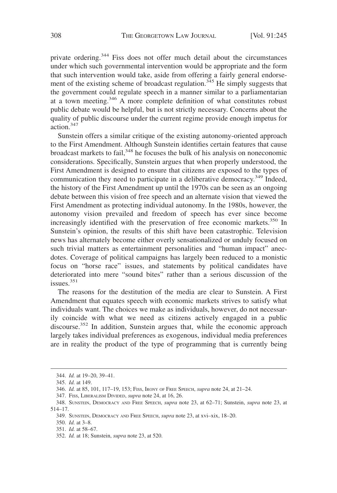private ordering.<sup>344</sup> Fiss does not offer much detail about the circumstances under which such governmental intervention would be appropriate and the form that such intervention would take, aside from offering a fairly general endorsement of the existing scheme of broadcast regulation.<sup>345</sup> He simply suggests that the government could regulate speech in a manner similar to a parliamentarian at a town meeting.346 A more complete definition of what constitutes robust public debate would be helpful, but is not strictly necessary. Concerns about the quality of public discourse under the current regime provide enough impetus for action.347

Sunstein offers a similar critique of the existing autonomy-oriented approach to the First Amendment. Although Sunstein identifies certain features that cause broadcast markets to fail,<sup>348</sup> he focuses the bulk of his analysis on noneconomic considerations. Specifically, Sunstein argues that when properly understood, the First Amendment is designed to ensure that citizens are exposed to the types of communication they need to participate in a deliberative democracy.<sup>349</sup> Indeed, the history of the First Amendment up until the 1970s can be seen as an ongoing debate between this vision of free speech and an alternate vision that viewed the First Amendment as protecting individual autonomy. In the 1980s, however, the autonomy vision prevailed and freedom of speech has ever since become increasingly identified with the preservation of free economic markets.<sup>350</sup> In Sunstein's opinion, the results of this shift have been catastrophic. Television news has alternately become either overly sensationalized or unduly focused on such trivial matters as entertainment personalities and "human impact" anecdotes. Coverage of political campaigns has largely been reduced to a monistic focus on "horse race" issues, and statements by political candidates have deteriorated into mere "sound bites" rather than a serious discussion of the issues.<sup>351</sup>

The reasons for the destitution of the media are clear to Sunstein. A First Amendment that equates speech with economic markets strives to satisfy what individuals want. The choices we make as individuals, however, do not necessarily coincide with what we need as citizens actively engaged in a public discourse.<sup>352</sup> In addition, Sunstein argues that, while the economic approach largely takes individual preferences as exogenous, individual media preferences are in reality the product of the type of programming that is currently being

<sup>344.</sup> *Id.* at 19–20, 39–41.

<sup>345.</sup> *Id.* at 149.

<sup>346.</sup> *Id.* at 85, 101, 117–19, 153; FISS, IRONY OF FREE SPEECH, *supra* note 24, at 21–24.

<sup>347.</sup> FISS, LIBERALISM DIVIDED, *supra* note 24, at 16, 26.

<sup>348.</sup> SUNSTEIN, DEMOCRACY AND FREE SPEECH, *supra* note 23, at 62–71; Sunstein, *supra* note 23, at 514–17.

<sup>349.</sup> SUNSTEIN, DEMOCRACY AND FREE SPEECH, *supra* note 23, at xvi–xix, 18–20.

<sup>350.</sup> *Id.* at 3–8.

<sup>351.</sup> *Id.* at 58–67.

<sup>352.</sup> *Id.* at 18; Sunstein, *supra* note 23, at 520.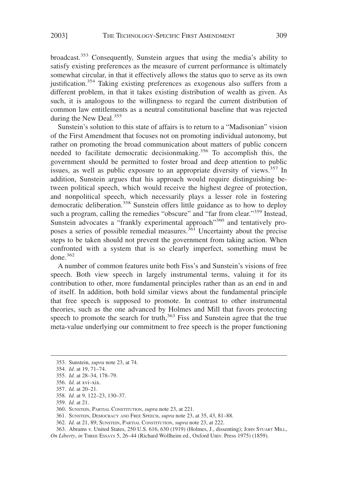broadcast.<sup>353</sup> Consequently, Sunstein argues that using the media's ability to satisfy existing preferences as the measure of current performance is ultimately somewhat circular, in that it effectively allows the status quo to serve as its own justification.<sup>354</sup> Taking existing preferences as exogenous also suffers from a different problem, in that it takes existing distribution of wealth as given. As such, it is analogous to the willingness to regard the current distribution of common law entitlements as a neutral constitutional baseline that was rejected during the New Deal. $355$ 

Sunstein's solution to this state of affairs is to return to a "Madisonian" vision of the First Amendment that focuses not on promoting individual autonomy, but rather on promoting the broad communication about matters of public concern needed to facilitate democratic decisionmaking.<sup>356</sup> To accomplish this, the government should be permitted to foster broad and deep attention to public issues, as well as public exposure to an appropriate diversity of views.<sup>357</sup> In addition, Sunstein argues that his approach would require distinguishing between political speech, which would receive the highest degree of protection, and nonpolitical speech, which necessarily plays a lesser role in fostering democratic deliberation.<sup>358</sup> Sunstein offers little guidance as to how to deploy such a program, calling the remedies "obscure" and "far from clear."<sup>359</sup> Instead, Sunstein advocates a "frankly experimental approach"<sup>360</sup> and tentatively proposes a series of possible remedial measures.<sup>361</sup> Uncertainty about the precise steps to be taken should not prevent the government from taking action. When confronted with a system that is so clearly imperfect, something must be done. $362$ 

A number of common features unite both Fiss's and Sunstein's visions of free speech. Both view speech in largely instrumental terms, valuing it for its contribution to other, more fundamental principles rather than as an end in and of itself. In addition, both hold similar views about the fundamental principle that free speech is supposed to promote. In contrast to other instrumental theories, such as the one advanced by Holmes and Mill that favors protecting speech to promote the search for truth, $363$  Fiss and Sunstein agree that the true meta-value underlying our commitment to free speech is the proper functioning

- 358. *Id.* at 9, 122–23, 130–37.
- 359. *Id.* at 21.

- 361. SUNSTEIN, DEMOCRACY AND FREE SPEECH, *supra* note 23, at 35, 43, 81–88.
- 362. *Id.* at 21, 89; SUNSTEIN, PARTIAL CONSTITUTION, *supra* note 23, at 222.

363. Abrams v. United States, 250 U.S. 616, 630 (1919) (Holmes, J., dissenting); JOHN STUART MILL,

<sup>353.</sup> Sunstein, *supra* note 23, at 74.

<sup>354.</sup> *Id.* at 19, 71–74.

<sup>355.</sup> *Id.* at 28–34, 178–79.

<sup>356.</sup> *Id.* at xvi–xix.

<sup>357.</sup> *Id.* at 20–21.

<sup>360.</sup> SUNSTEIN, PARTIAL CONSTITUTION, *supra* note 23, at 221.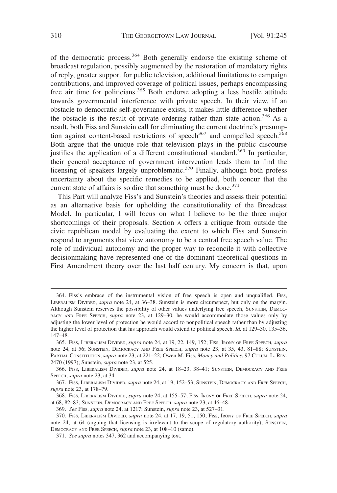of the democratic process.<sup>364</sup> Both generally endorse the existing scheme of broadcast regulation, possibly augmented by the restoration of mandatory rights of reply, greater support for public television, additional limitations to campaign contributions, and improved coverage of political issues, perhaps encompassing free air time for politicians.<sup>365</sup> Both endorse adopting a less hostile attitude towards governmental interference with private speech. In their view, if an obstacle to democratic self-governance exists, it makes little difference whether the obstacle is the result of private ordering rather than state action.<sup>366</sup> As a result, both Fiss and Sunstein call for eliminating the current doctrine's presumption against content-based restrictions of speech<sup>367</sup> and compelled speech.<sup>368</sup> Both argue that the unique role that television plays in the public discourse justifies the application of a different constitutional standard.<sup>369</sup> In particular, their general acceptance of government intervention leads them to find the licensing of speakers largely unproblematic.<sup>370</sup> Finally, although both profess uncertainty about the specific remedies to be applied, both concur that the current state of affairs is so dire that something must be done.<sup>371</sup>

This Part will analyze Fiss's and Sunstein's theories and assess their potential as an alternative basis for upholding the constitutionality of the Broadcast Model. In particular, I will focus on what I believe to be the three major shortcomings of their proposals. Section A offers a critique from outside the civic republican model by evaluating the extent to which Fiss and Sunstein respond to arguments that view autonomy to be a central free speech value. The role of individual autonomy and the proper way to reconcile it with collective decisionmaking have represented one of the dominant theoretical questions in First Amendment theory over the last half century. My concern is that, upon

368. FISS, LIBERALISM DIVIDED, *supra* note 24, at 155–57; FISS, IRONY OF FREE SPEECH, *supra* note 24, at 68, 82–83; SUNSTEIN, DEMOCRACY AND FREE SPEECH, *supra* note 23, at 46–48.

369. *See* Fiss, *supra* note 24, at 1217; Sunstein, *supra* note 23, at 527–31.

<sup>364.</sup> Fiss's embrace of the instrumental vision of free speech is open and unqualified. FISS, LIBERALISM DIVIDED, *supra* note 24, at 36–38. Sunstein is more circumspect, but only on the margin. Although Sunstein reserves the possibility of other values underlying free speech, SUNSTEIN, DEMOC-RACY AND FREE SPEECH, *supra* note 23, at 129–30, he would accommodate those values only by adjusting the lower level of protection he would accord to nonpolitical speech rather than by adjusting the higher level of protection that his approach would extend to political speech. *Id.* at 129–30, 135–36, 147–48.

<sup>365.</sup> FISS, LIBERALISM DIVIDED, *supra* note 24, at 19, 22, 149, 152; FISS, IRONY OF FREE SPEECH, *supra* note 24, at 56; SUNSTEIN, DEMOCRACY AND FREE SPEECH, *supra* note 23, at 35, 43, 81–88; SUNSTEIN, PARTIAL CONSTITUTION, *supra* note 23, at 221–22; Owen M. Fiss, *Money and Politics*, 97 COLUM. L. REV. 2470 (1997); Sunstein, *supra* note 23, at 525.

<sup>366.</sup> FISS, LIBERALISM DIVIDED, *supra* note 24, at 18–23, 38–41; SUNSTEIN, DEMOCRACY AND FREE SPEECH, *supra* note 23, at 34.

<sup>367.</sup> FISS, LIBERALISM DIVIDED, *supra* note 24, at 19, 152–53; SUNSTEIN, DEMOCRACY AND FREE SPEECH, *supra* note 23, at 178–79.

<sup>370.</sup> FISS, LIBERALISM DIVIDED, *supra* note 24, at 17, 19, 51, 150; FISS, IRONY OF FREE SPEECH, *supra* note 24, at 64 (arguing that licensing is irrelevant to the scope of regulatory authority); SUNSTEIN, DEMOCRACY AND FREE SPEECH, *supra* note 23, at 108–10 (same).

<sup>371.</sup> *See supra* notes 347, 362 and accompanying text.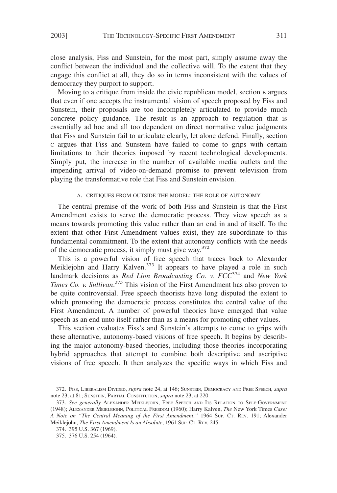close analysis, Fiss and Sunstein, for the most part, simply assume away the conflict between the individual and the collective will. To the extent that they engage this conflict at all, they do so in terms inconsistent with the values of democracy they purport to support.

Moving to a critique from inside the civic republican model, section B argues that even if one accepts the instrumental vision of speech proposed by Fiss and Sunstein, their proposals are too incompletely articulated to provide much concrete policy guidance. The result is an approach to regulation that is essentially ad hoc and all too dependent on direct normative value judgments that Fiss and Sunstein fail to articulate clearly, let alone defend. Finally, section C argues that Fiss and Sunstein have failed to come to grips with certain limitations to their theories imposed by recent technological developments. Simply put, the increase in the number of available media outlets and the impending arrival of video-on-demand promise to prevent television from playing the transformative role that Fiss and Sunstein envision.

### A. CRITIQUES FROM OUTSIDE THE MODEL: THE ROLE OF AUTONOMY

The central premise of the work of both Fiss and Sunstein is that the First Amendment exists to serve the democratic process. They view speech as a means towards promoting this value rather than an end in and of itself. To the extent that other First Amendment values exist, they are subordinate to this fundamental commitment. To the extent that autonomy conflicts with the needs of the democratic process, it simply must give way.<sup>372</sup>

This is a powerful vision of free speech that traces back to Alexander Meiklejohn and Harry Kalven.<sup>373</sup> It appears to have played a role in such landmark decisions as *Red Lion Broadcasting Co. v. FCC*<sup>374</sup> and *New York Times Co. v. Sullivan*. <sup>375</sup> This vision of the First Amendment has also proven to be quite controversial. Free speech theorists have long disputed the extent to which promoting the democratic process constitutes the central value of the First Amendment. A number of powerful theories have emerged that value speech as an end unto itself rather than as a means for promoting other values.

This section evaluates Fiss's and Sunstein's attempts to come to grips with these alternative, autonomy-based visions of free speech. It begins by describing the major autonomy-based theories, including those theories incorporating hybrid approaches that attempt to combine both descriptive and ascriptive visions of free speech. It then analyzes the specific ways in which Fiss and

<sup>372.</sup> FISS, LIBERALISM DIVIDED, *supra* note 24, at 146; SUNSTEIN, DEMOCRACY AND FREE SPEECH, *supra* note 23, at 81; SUNSTEIN, PARTIAL CONSTITUTION, *supra* note 23, at 220.

<sup>373.</sup> *See generally* ALEXANDER MEIKLEJOHN, FREE SPEECH AND ITS RELATION TO SELF-GOVERNMENT (1948); ALEXANDER MEIKLEJOHN, POLITICAL FREEDOM (1960); Harry Kalven, *The* New York Times *Case: A Note on "The Central Meaning of the First Amendment*,*"* 1964 SUP. CT. REV. 191; Alexander Meiklejohn, *The First Amendment Is an Absolute*, 1961 SUP. CT. REV. 245.

<sup>374. 395</sup> U.S. 367 (1969).

<sup>375. 376</sup> U.S. 254 (1964).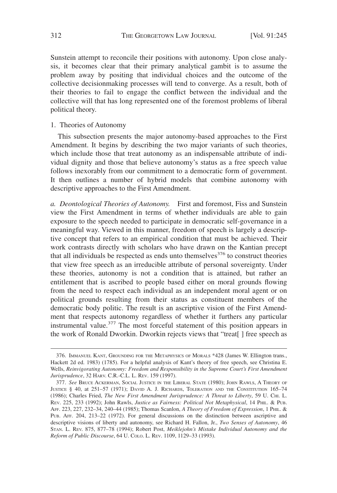Sunstein attempt to reconcile their positions with autonomy. Upon close analysis, it becomes clear that their primary analytical gambit is to assume the problem away by positing that individual choices and the outcome of the collective decisionmaking processes will tend to converge. As a result, both of their theories to fail to engage the conflict between the individual and the collective will that has long represented one of the foremost problems of liberal political theory.

1. Theories of Autonomy

This subsection presents the major autonomy-based approaches to the First Amendment. It begins by describing the two major variants of such theories, which include those that treat autonomy as an indispensable attribute of individual dignity and those that believe autonomy's status as a free speech value follows inexorably from our commitment to a democratic form of government. It then outlines a number of hybrid models that combine autonomy with descriptive approaches to the First Amendment.

*a. Deontological Theories of Autonomy.* First and foremost, Fiss and Sunstein view the First Amendment in terms of whether individuals are able to gain exposure to the speech needed to participate in democratic self-governance in a meaningful way. Viewed in this manner, freedom of speech is largely a descriptive concept that refers to an empirical condition that must be achieved. Their work contrasts directly with scholars who have drawn on the Kantian precept that all individuals be respected as ends unto themselves $^{376}$  to construct theories that view free speech as an irreducible attribute of personal sovereignty. Under these theories, autonomy is not a condition that is attained, but rather an entitlement that is ascribed to people based either on moral grounds flowing from the need to respect each individual as an independent moral agent or on political grounds resulting from their status as constituent members of the democratic body politic. The result is an ascriptive vision of the First Amendment that respects autonomy regardless of whether it furthers any particular instrumental value.<sup>377</sup> The most forceful statement of this position appears in the work of Ronald Dworkin. Dworkin rejects views that "treat[ ] free speech as

<sup>376.</sup> IMMANUEL KANT, GROUNDING FOR THE METAPHYSICS OF MORALS \*428 (James W. Ellington trans., Hackett 2d ed. 1983) (1785). For a helpful analysis of Kant's theory of free speech, see Christina E. Wells, *Reinvigorating Autonomy: Freedom and Responsibility in the Supreme Court's First Amendment Jurisprudence*, 32 HARV. C.R.-C.L. L. REV. 159 (1997).

<sup>377.</sup> See BRUCE ACKERMAN, SOCIAL JUSTICE IN THE LIBERAL STATE (1980); JOHN RAWLS, A THEORY OF JUSTICE § 40, at 251–57 (1971); DAVID A. J. RICHARDS, TOLERATION AND THE CONSTITUTION 165–74 (1986); Charles Fried, *The New First Amendment Jurisprudence: A Threat to Liberty*, 59 U. CHI. L. REV. 225, 233 (1992); John Rawls, *Justice as Fairness: Political Not Metaphysical*, 14 PHIL.&PUB. AFF. 223, 227, 232–34, 240–44 (1985); Thomas Scanlon, *A Theory of Freedom of Expression*,1PHIL. & PUB. AFF. 204, 213–22 (1972). For general discussions on the distinction between ascriptive and descriptive visions of liberty and autonomy, see Richard H. Fallon, Jr., *Two Senses of Autonomy*, 46 STAN. L. REV. 875, 877–78 (1994); Robert Post, *Meiklejohn's Mistake Individual Autonomy and the Reform of Public Discourse*, 64 U. COLO. L. REV. 1109, 1129–33 (1993).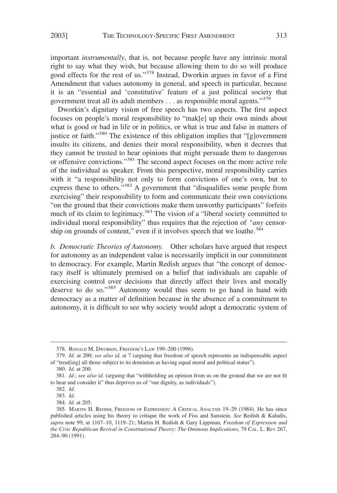important *instrumentally*, that is, not because people have any intrinsic moral right to say what they wish, but because allowing them to do so will produce good effects for the rest of us."<sup>378</sup> Instead, Dworkin argues in favor of a First Amendment that values autonomy in general, and speech in particular, because it is an "essential and 'constitutive' feature of a just political society that government treat all its adult members  $\dots$  as responsible moral agents."<sup>379</sup>

Dworkin's dignitary vision of free speech has two aspects. The first aspect focuses on people's moral responsibility to "mak[e] up their own minds about what is good or bad in life or in politics, or what is true and false in matters of justice or faith."<sup>380</sup> The existence of this obligation implies that "[g]overnment insults its citizens, and denies their moral responsibility, when it decrees that they cannot be trusted to hear opinions that might persuade them to dangerous or offensive convictions."381 The second aspect focuses on the more active role of the individual as speaker. From this perspective, moral responsibility carries with it "a responsibility not only to form convictions of one's own, but to express these to others."<sup>382</sup> A government that "disqualifies some people from exercising" their responsibility to form and communicate their own convictions "on the ground that their convictions make them unworthy participants" forfeits much of its claim to legitimacy.<sup>383</sup> The vision of a "liberal society committed to individual moral responsibility" thus requires that the rejection of *"any* censorship on grounds of content," even if it involves speech that we loathe.<sup>384</sup>

*b. Democratic Theories of Autonomy.* Other scholars have argued that respect for autonomy as an independent value is necessarily implicit in our commitment to democracy. For example, Martin Redish argues that "the concept of democracy itself is ultimately premised on a belief that individuals are capable of exercising control over decisions that directly affect their lives and morally deserve to do so."<sup>385</sup> Autonomy would thus seem to go hand in hand with democracy as a matter of definition because in the absence of a commitment to autonomy, it is difficult to see why society would adopt a democratic system of

<sup>378.</sup> RONALD M. DWORKIN, FREEDOM'S LAW 199–200 (1996).

<sup>379.</sup> *Id.* at 200; *see also id.* at 7 (arguing that freedom of speech represents an indispensable aspect of "treat[ing] all those subject to its dominion as having equal moral and political status").

<sup>380.</sup> *Id.* at 200.

<sup>381.</sup> *Id.*; *see also id.* (arguing that "withholding an opinion from us on the ground that we are not fit to hear and consider it" thus deprives us of "our dignity, as individuals").

<sup>382.</sup> *Id.*

<sup>383.</sup> *Id.*

<sup>384.</sup> *Id.* at 205.

<sup>385.</sup> MARTIN H. REDISH, FREEDOM OF EXPRESSION: A CRITICAL ANALYSIS 19–29 (1984). He has since published articles using his theory to critique the work of Fiss and Sunstein. *See* Redish & Kaludis, *supra* note 99, at 1107–10, 1119–21; Martin H. Redish & Gary Lippman, *Freedom of Expression and the Civic Republican Revival in Constitutional Theory: The Ominous Implications*, 79 CAL. L. REV 267, 284–90 (1991).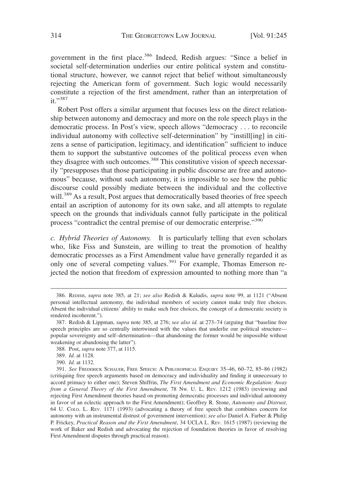government in the first place.<sup>386</sup> Indeed, Redish argues: "Since a belief in societal self-determination underlies our entire political system and constitutional structure, however, we cannot reject that belief without simultaneously rejecting the American form of government. Such logic would necessarily constitute a rejection of the first amendment, rather than an interpretation of it."387

Robert Post offers a similar argument that focuses less on the direct relationship between autonomy and democracy and more on the role speech plays in the democratic process. In Post's view, speech allows "democracy . . . to reconcile individual autonomy with collective self-determination" by "instill[ing] in citizens a sense of participation, legitimacy, and identification" sufficient to induce them to support the substantive outcomes of the political process even when they disagree with such outcomes.<sup>388</sup> This constitutive vision of speech necessarily "presupposes that those participating in public discourse are free and autonomous" because, without such autonomy, it is impossible to see how the public discourse could possibly mediate between the individual and the collective will.<sup>389</sup> As a result, Post argues that democratically based theories of free speech entail an ascription of autonomy for its own sake, and all attempts to regulate speech on the grounds that individuals cannot fully participate in the political process "contradict the central premise of our democratic enterprise."<sup>390</sup>

*c. Hybrid Theories of Autonomy.* It is particularly telling that even scholars who, like Fiss and Sunstein, are willing to treat the promotion of healthy democratic processes as a First Amendment value have generally regarded it as only one of several competing values.<sup>391</sup> For example, Thomas Emerson rejected the notion that freedom of expression amounted to nothing more than "a

<sup>386.</sup> REDISH, *supra* note 385, at 21; *see also* Redish & Kaludis, *supra* note 99, at 1121 ("Absent personal intellectual autonomy, the individual members of society cannot make truly free choices. Absent the individual citizens' ability to make such free choices, the concept of a democratic society is rendered incoherent.").

<sup>387.</sup> Redish & Lippman, *supra* note 385, at 276; *see also id.* at 273–74 (arguing that "baseline free speech principles are so centrally intertwined with the values that underlie our political structure popular sovereignty and self–determination—that abandoning the former would be impossible without weakening or abandoning the latter").

<sup>388.</sup> Post, *supra* note 377, at 1115.

<sup>389.</sup> *Id.* at 1128.

<sup>390.</sup> *Id.* at 1132.

<sup>391.</sup> *See* FREDERICK SCHAUER, FREE SPEECH:APHILOSOPHICAL ENQUIRY 35–46, 60–72, 85–86 (1982) (critiquing free speech arguments based on democracy and individuality and finding it unnecessary to accord primacy to either one); Steven Shiffrin, *The First Amendment and Economic Regulation: Away from a General Theory of the First Amendment*, 78 NW. U. L. REV. 1212 (1983) (reviewing and rejecting First Amendment theories based on promoting democratic processes and individual autonomy in favor of an eclectic approach to the First Amendment); Geoffrey R. Stone, *Autonomy and Distrust*, 64 U. COLO. L. REV. 1171 (1993) (advocating a theory of free speech that combines concern for autonomy with an instrumental distrust of government intervention); *see also* Daniel A. Farber & Philip P. Frickey, *Practical Reason and the First Amendment*, 34 UCLA L. REV. 1615 (1987) (reviewing the work of Baker and Redish and advocating the rejection of foundation theories in favor of resolving First Amendment disputes through practical reason).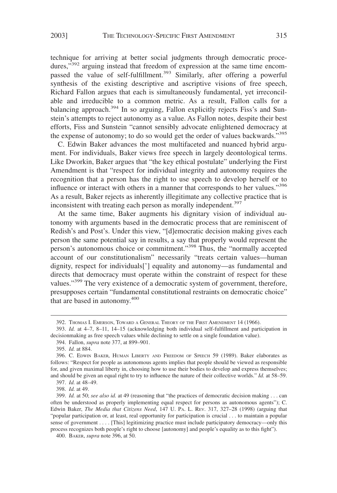technique for arriving at better social judgments through democratic procedures,<sup>392</sup> arguing instead that freedom of expression at the same time encompassed the value of self-fulfillment.<sup>393</sup> Similarly, after offering a powerful synthesis of the existing descriptive and ascriptive visions of free speech, Richard Fallon argues that each is simultaneously fundamental, yet irreconcilable and irreducible to a common metric. As a result, Fallon calls for a balancing approach.<sup>394</sup> In so arguing, Fallon explicitly rejects Fiss's and Sunstein's attempts to reject autonomy as a value. As Fallon notes, despite their best efforts, Fiss and Sunstein "cannot sensibly advocate enlightened democracy at the expense of autonomy; to do so would get the order of values backwards."<sup>395</sup>

C. Edwin Baker advances the most multifaceted and nuanced hybrid argument. For individuals, Baker views free speech in largely deontological terms. Like Dworkin, Baker argues that "the key ethical postulate" underlying the First Amendment is that "respect for individual integrity and autonomy requires the recognition that a person has the right to use speech to develop herself or to influence or interact with others in a manner that corresponds to her values."<sup>396</sup> As a result, Baker rejects as inherently illegitimate any collective practice that is inconsistent with treating each person as morally independent.<sup>397</sup>

At the same time, Baker augments his dignitary vision of individual autonomy with arguments based in the democratic process that are reminiscent of Redish's and Post's. Under this view, "[d]emocratic decision making gives each person the same potential say in results, a say that properly would represent the person's autonomous choice or commitment."<sup>398</sup> Thus, the "normally accepted account of our constitutionalism" necessarily "treats certain values—human dignity, respect for individuals['] equality and autonomy—as fundamental and directs that democracy must operate within the constraint of respect for these values."<sup>399</sup> The very existence of a democratic system of government, therefore, presupposes certain "fundamental constitutional restraints on democratic choice" that are based in autonomy. $400$ 

<sup>392.</sup> THOMAS I. EMERSON, TOWARD A GENERAL THEORY OF THE FIRST AMENDMENT 14 (1966).

<sup>393.</sup> *Id.* at 4–7, 8–11, 14–15 (acknowledging both individual self-fulfillment and participation in decisionmaking as free speech values while declining to settle on a single foundation value).

<sup>394.</sup> Fallon, *supra* note 377, at 899–901.

<sup>395.</sup> *Id.* at 884.

<sup>396.</sup> C. EDWIN BAKER, HUMAN LIBERTY AND FREEDOM OF SPEECH 59 (1989). Baker elaborates as follows: "Respect for people as autonomous agents implies that people should be viewed as responsible for, and given maximal liberty in, choosing how to use their bodies to develop and express themselves; and should be given an equal right to try to influence the nature of their collective worlds." *Id.* at 58–59.

<sup>397.</sup> *Id.* at 48–49.

<sup>398.</sup> *Id.* at 49.

<sup>399.</sup> *Id.* at 50; *see also id.* at 49 (reasoning that "the practices of democratic decision making . . . can often be understood as properly implementing equal respect for persons as autonomous agents"); C. Edwin Baker, *The Media that Citizens Need*, 147 U. PA. L. REV. 317, 327–28 (1998) (arguing that "popular participation or, at least, real opportunity for participation is crucial . . . to maintain a popular sense of government . . . . [This] legitimizing practice must include participatory democracy—only this process recognizes both people's right to choose [autonomy] and people's equality as to this fight").

<sup>400.</sup> BAKER, *supra* note 396, at 50.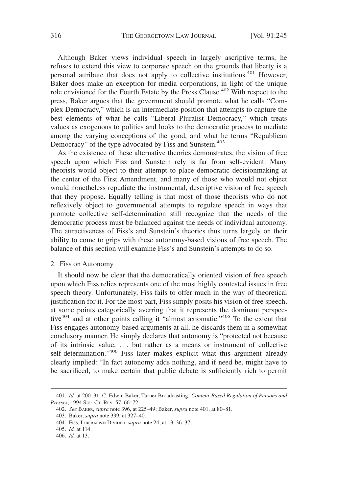Although Baker views individual speech in largely ascriptive terms, he refuses to extend this view to corporate speech on the grounds that liberty is a personal attribute that does not apply to collective institutions.<sup>401</sup> However, Baker does make an exception for media corporations, in light of the unique role envisioned for the Fourth Estate by the Press Clause.<sup>402</sup> With respect to the press, Baker argues that the government should promote what he calls "Complex Democracy," which is an intermediate position that attempts to capture the best elements of what he calls "Liberal Pluralist Democracy," which treats values as exogenous to politics and looks to the democratic process to mediate among the varying conceptions of the good, and what he terms "Republican Democracy" of the type advocated by Fiss and Sunstein.<sup>403</sup>

As the existence of these alternative theories demonstrates, the vision of free speech upon which Fiss and Sunstein rely is far from self-evident. Many theorists would object to their attempt to place democratic decisionmaking at the center of the First Amendment, and many of those who would not object would nonetheless repudiate the instrumental, descriptive vision of free speech that they propose. Equally telling is that most of those theorists who do not reflexively object to governmental attempts to regulate speech in ways that promote collective self-determination still recognize that the needs of the democratic process must be balanced against the needs of individual autonomy. The attractiveness of Fiss's and Sunstein's theories thus turns largely on their ability to come to grips with these autonomy-based visions of free speech. The balance of this section will examine Fiss's and Sunstein's attempts to do so.

#### 2. Fiss on Autonomy

It should now be clear that the democratically oriented vision of free speech upon which Fiss relies represents one of the most highly contested issues in free speech theory. Unfortunately, Fiss fails to offer much in the way of theoretical justification for it. For the most part, Fiss simply posits his vision of free speech, at some points categorically averring that it represents the dominant perspective<sup>404</sup> and at other points calling it "almost axiomatic."<sup>405</sup> To the extent that Fiss engages autonomy-based arguments at all, he discards them in a somewhat conclusory manner. He simply declares that autonomy is "protected not because of its intrinsic value, . . . but rather as a means or instrument of collective self-determination."<sup>406</sup> Fiss later makes explicit what this argument already clearly implied: "In fact autonomy adds nothing, and if need be, might have to be sacrificed, to make certain that public debate is sufficiently rich to permit

<sup>401.</sup> *Id.* at 200–31; C. Edwin Baker, Turner Broadcasting*: Content-Based Regulation of Persons and Presses*, 1994 SUP. CT. REV. 57, 66–72.

<sup>402.</sup> *See* BAKER, *supra* note 396, at 225–49; Baker, *supra* note 401, at 80–81.

<sup>403.</sup> Baker, *supra* note 399, at 327–40.

<sup>404.</sup> FISS, LIBERALISM DIVIDED, *supra* note 24, at 13, 36–37.

<sup>405.</sup> *Id.* at 114.

<sup>406.</sup> *Id.* at 13.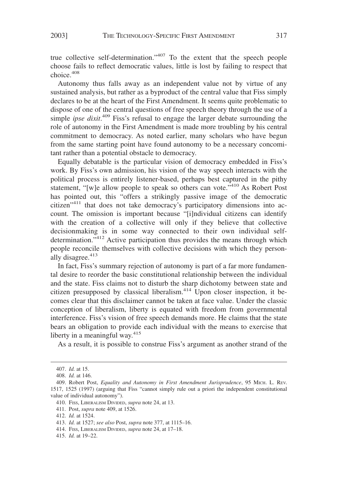true collective self-determination."407 To the extent that the speech people choose fails to reflect democratic values, little is lost by failing to respect that choice.<sup>408</sup>

Autonomy thus falls away as an independent value not by virtue of any sustained analysis, but rather as a byproduct of the central value that Fiss simply declares to be at the heart of the First Amendment. It seems quite problematic to dispose of one of the central questions of free speech theory through the use of a simple *ipse dixit*. <sup>409</sup> Fiss's refusal to engage the larger debate surrounding the role of autonomy in the First Amendment is made more troubling by his central commitment to democracy. As noted earlier, many scholars who have begun from the same starting point have found autonomy to be a necessary concomitant rather than a potential obstacle to democracy.

Equally debatable is the particular vision of democracy embedded in Fiss's work. By Fiss's own admission, his vision of the way speech interacts with the political process is entirely listener-based, perhaps best captured in the pithy statement, "[w]e allow people to speak so others can vote."<sup>410</sup> As Robert Post has pointed out, this "offers a strikingly passive image of the democratic citizen"<sup>411</sup> that does not take democracy's participatory dimensions into account. The omission is important because "[i]ndividual citizens can identify with the creation of a collective will only if they believe that collective decisionmaking is in some way connected to their own individual selfdetermination."<sup>412</sup> Active participation thus provides the means through which people reconcile themselves with collective decisions with which they personally disagree. $413$ 

In fact, Fiss's summary rejection of autonomy is part of a far more fundamental desire to reorder the basic constitutional relationship between the individual and the state. Fiss claims not to disturb the sharp dichotomy between state and citizen presupposed by classical liberalism. $414$  Upon closer inspection, it becomes clear that this disclaimer cannot be taken at face value. Under the classic conception of liberalism, liberty is equated with freedom from governmental interference. Fiss's vision of free speech demands more. He claims that the state bears an obligation to provide each individual with the means to exercise that liberty in a meaningful way. $415$ 

As a result, it is possible to construe Fiss's argument as another strand of the

<sup>407.</sup> *Id.* at 15.

<sup>408.</sup> *Id.* at 146.

<sup>409.</sup> Robert Post, *Equality and Autonomy in First Amendment Jurisprudence*, 95 MICH. L. REV. 1517, 1525 (1997) (arguing that Fiss "cannot simply rule out a priori the independent constitutional value of individual autonomy").

<sup>410.</sup> FISS, LIBERALISM DIVIDED, *supra* note 24, at 13.

<sup>411.</sup> Post, *supra* note 409, at 1526.

<sup>412.</sup> *Id.* at 1524.

<sup>413.</sup> *Id.* at 1527; *see also* Post, *supra* note 377, at 1115–16.

<sup>414.</sup> FISS, LIBERALISM DIVIDED, *supra* note 24, at 17–18.

<sup>415.</sup> *Id.* at 19–22.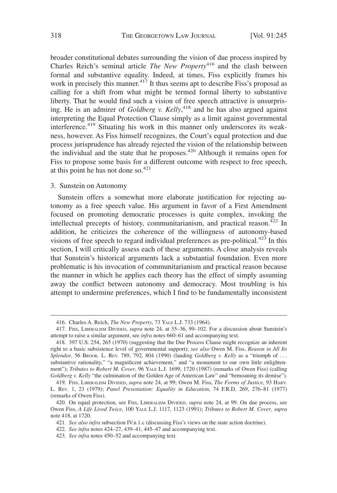broader constitutional debates surrounding the vision of due process inspired by Charles Reich's seminal article *The New Property*<sup>416</sup> and the clash between formal and substantive equality. Indeed, at times, Fiss explicitly frames his work in precisely this manner.<sup>417</sup> It thus seems apt to describe Fiss's proposal as calling for a shift from what might be termed formal liberty to substantive liberty. That he would find such a vision of free speech attractive is unsurprising. He is an admirer of *Goldberg v. Kelly*, <sup>418</sup> and he has also argued against interpreting the Equal Protection Clause simply as a limit against governmental interference.<sup>419</sup> Situating his work in this manner only underscores its weakness, however. As Fiss himself recognizes, the Court's equal protection and due process jurisprudence has already rejected the vision of the relationship between the individual and the state that he proposes.<sup>420</sup> Although it remains open for Fiss to propose some basis for a different outcome with respect to free speech, at this point he has not done so. $421$ 

3. Sunstein on Autonomy

Sunstein offers a somewhat more elaborate justification for rejecting autonomy as a free speech value. His argument in favor of a First Amendment focused on promoting democratic processes is quite complex, invoking the intellectual precepts of history, communitarianism, and practical reason.<sup>422</sup> In addition, he criticizes the coherence of the willingness of autonomy-based visions of free speech to regard individual preferences as pre-political.<sup>423</sup> In this section, I will critically assess each of these arguments. A close analysis reveals that Sunstein's historical arguments lack a substantial foundation. Even more problematic is his invocation of communitarianism and practical reason because the manner in which he applies each theory has the effect of simply assuming away the conflict between autonomy and democracy. Most troubling is his attempt to undermine preferences, which I find to be fundamentally inconsistent

<sup>416.</sup> Charles A. Reich, *The New Property*, 73 YALE L.J. 733 (1964).

<sup>417.</sup> FISS, LIBERALISM DIVIDED, *supra* note 24, at 35–36, 99–102. For a discussion about Sunstein's attempt to raise a similar argument, see *infra* notes 660–61 and accompanying text.

<sup>418. 397</sup> U.S. 254, 265 (1970) (suggesting that the Due Process Clause might recognize an inherent right to a basic subsistence level of governmental support); *see also* Owen M. Fiss, *Reason in All Its Splendor*, 56 BROOK. L. REV. 789, 792, 804 (1990) (lauding *Goldberg v. Kelly* as a "triumph of . . . substantive rationality," "a magnificent achievement," and "a monument to our own little enlightenment"); *Tributes to Robert M. Cover*, 96 YALE L.J. 1699, 1720 (1987) (remarks of Owen Fiss) (calling *Goldberg v. Kelly* "the culmination of the Golden Age of American Law" and "bemoaning its demise").

<sup>419.</sup> FISS, LIBERALISM DIVIDED, *supra* note 24, at 99; Owen M. Fiss, *The Forms of Justice*, 93 HARV. L. REV. 1, 23 (1979); *Panel Presentation: Equality in Education*, 74 F.R.D. 269, 276–81 (1977) (remarks of Owen Fiss).

<sup>420.</sup> On equal protection, see FISS, LIBERALISM DIVIDED, *supra* note 24, at 99. On due process, see Owen Fiss, *A Life Lived Twice*, 100 YALE L.J. 1117, 1123 (1991); *Tributes to Robert M. Cover*, *supra* note 418, at 1720.

<sup>421.</sup> *See also infra* subsection IV.B.1.c (discussing Fiss's views on the state action doctrine).

<sup>422.</sup> *See infra* notes 424–27, 439–41, 445–47 and accompanying text.

<sup>423.</sup> *See infra* notes 450–52 and accompanying text.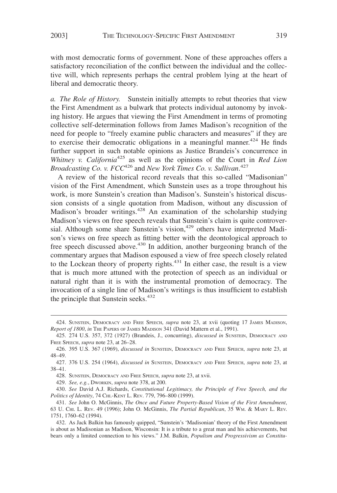with most democratic forms of government. None of these approaches offers a satisfactory reconciliation of the conflict between the individual and the collective will, which represents perhaps the central problem lying at the heart of liberal and democratic theory.

*a. The Role of History.* Sunstein initially attempts to rebut theories that view the First Amendment as a bulwark that protects individual autonomy by invoking history. He argues that viewing the First Amendment in terms of promoting collective self-determination follows from James Madison's recognition of the need for people to "freely examine public characters and measures" if they are to exercise their democratic obligations in a meaningful manner.<sup>424</sup> He finds further support in such notable opinions as Justice Brandeis's concurrence in *Whitney v. California*<sup>425</sup> as well as the opinions of the Court in *Red Lion Broadcasting Co. v. FCC*<sup>426</sup> and *New York Times Co. v. Sullivan*. 427

A review of the historical record reveals that this so-called "Madisonian" vision of the First Amendment, which Sunstein uses as a trope throughout his work, is more Sunstein's creation than Madison's. Sunstein's historical discussion consists of a single quotation from Madison, without any discussion of Madison's broader writings.428 An examination of the scholarship studying Madison's views on free speech reveals that Sunstein's claim is quite controversial. Although some share Sunstein's vision, $429$  others have interpreted Madison's views on free speech as fitting better with the deontological approach to free speech discussed above.<sup>430</sup> In addition, another burgeoning branch of the commentary argues that Madison espoused a view of free speech closely related to the Lockean theory of property rights.<sup>431</sup> In either case, the result is a view that is much more attuned with the protection of speech as an individual or natural right than it is with the instrumental promotion of democracy. The invocation of a single line of Madison's writings is thus insufficient to establish the principle that Sunstein seeks.<sup>432</sup>

<sup>424.</sup> SUNSTEIN, DEMOCRACY AND FREE SPEECH, *supra* note 23, at xvii (quoting 17 JAMES MADISON, *Report of 1800*, *in* THE PAPERS OF JAMES MADISON 341 (David Mattern et al., 1991).

<sup>425. 274</sup> U.S. 357, 372 (1927) (Brandeis, J., concurring), *discussed in* SUNSTEIN, DEMOCRACY AND FREE SPEECH, *supra* note 23, at 26–28.

<sup>426. 395</sup> U.S. 367 (1969), *discussed in* SUNSTEIN, DEMOCRACY AND FREE SPEECH, *supra* note 23, at 48–49.

<sup>427. 376</sup> U.S. 254 (1964), *discussed in* SUNSTEIN, DEMOCRACY AND FREE SPEECH, *supra* note 23, at 38–41.

<sup>428.</sup> SUNSTEIN, DEMOCRACY AND FREE SPEECH, *supra* note 23, at xvii.

<sup>429.</sup> *See, e.g.*, DWORKIN, *supra* note 378, at 200.

<sup>430.</sup> *See* David A.J. Richards, *Constitutional Legitimacy, the Principle of Free Speech, and the Politics of Identity*, 74 CHI.-KENT L. REV. 779, 796–800 (1999).

<sup>431.</sup> *See* John O. McGinnis, *The Once and Future Property-Based Vision of the First Amendment*, 63 U. CHI. L. REV. 49 (1996); John O. McGinnis, *The Partial Republican*, 35 WM. & MARY L. REV. 1751, 1760–62 (1994).

<sup>432.</sup> As Jack Balkin has famously quipped, "Sunstein's 'Madisonian' theory of the First Amendment is about as Madisonian as Madison, Wisconsin: It is a tribute to a great man and his achievements, but bears only a limited connection to his views." J.M. Balkin, *Populism and Progressivism as Constitu-*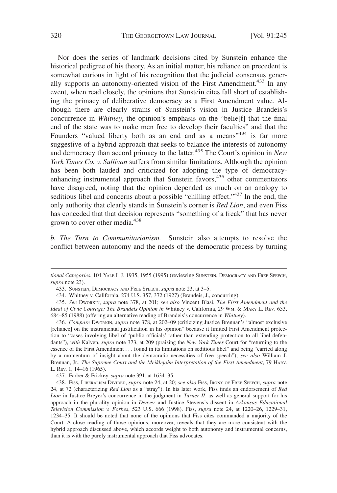Nor does the series of landmark decisions cited by Sunstein enhance the historical pedigree of his theory. As an initial matter, his reliance on precedent is somewhat curious in light of his recognition that the judicial consensus generally supports an autonomy-oriented vision of the First Amendment.<sup>433</sup> In any event, when read closely, the opinions that Sunstein cites fall short of establishing the primacy of deliberative democracy as a First Amendment value. Although there are clearly strains of Sunstein's vision in Justice Brandeis's concurrence in *Whitney*, the opinion's emphasis on the "belie[f] that the final end of the state was to make men free to develop their faculties" and that the Founders "valued liberty both as an end and as a means"<sup>434</sup> is far more suggestive of a hybrid approach that seeks to balance the interests of autonomy and democracy than accord primacy to the latter.435 The Court's opinion in *New York Times Co. v. Sullivan* suffers from similar limitations. Although the opinion has been both lauded and criticized for adopting the type of democracyenhancing instrumental approach that Sunstein favors,<sup>436</sup> other commentators have disagreed, noting that the opinion depended as much on an analogy to seditious libel and concerns about a possible "chilling effect."<sup>437</sup> In the end, the only authority that clearly stands in Sunstein's corner is *Red Lion*, and even Fiss has conceded that that decision represents "something of a freak" that has never grown to cover other media.<sup>438</sup>

*b. The Turn to Communitarianism.* Sunstein also attempts to resolve the conflict between autonomy and the needs of the democratic process by turning

*tional Categories*, 104 YALE L.J. 1935, 1955 (1995) (reviewing SUNSTEIN, DEMOCRACY AND FREE SPEECH, *supra* note 23).

<sup>433.</sup> SUNSTEIN, DEMOCRACY AND FREE SPEECH, *supra* note 23, at 3–5.

<sup>434.</sup> Whitney v. California, 274 U.S. 357, 372 (1927) (Brandeis, J., concurring).

<sup>435.</sup> *See* DWORKIN, *supra* note 378, at 201; *see also* Vincent Blasi, *The First Amendment and the Ideal of Civic Courage: The Brandeis Opinion in* Whitney v. California, 29 WM. & MARY L. REV. 653, 684–85 (1988) (offering an alternative reading of Brandeis's concurrence in *Whitney*).

<sup>436.</sup> *Compare* DWORKIN, *supra* note 378, at 202–09 (criticizing Justice Brennan's "almost exclusive [reliance] on the instrumental justification in his opinion" because it limited First Amendment protection to "cases involving libel of 'public officials' rather than extending protection to all libel defendants"), *with* Kalven, *supra* note 373, at 209 (praising the *New York Times* Court for "returning to the essence of the First Amendment . . . found in its limitations on seditious libel" and being "carried along by a momentum of insight about the democratic necessities of free speech"); *see also* William J. Brennan, Jr., *The Supreme Court and the Meiklejohn Interpretation of the First Amendment*, 79 HARV. L. REV. 1, 14–16 (1965).

<sup>437.</sup> Farber & Frickey, *supra* note 391, at 1634–35.

<sup>438.</sup> FISS, LIBERALISM DIVIDED, *supra* note 24, at 20; *see also* FISS, IRONY OF FREE SPEECH, *supra* note 24, at 72 (characterizing *Red Lion* as a "stray"). In his later work, Fiss finds an endorsement of *Red Lion* in Justice Breyer's concurrence in the judgment in *Turner II*, as well as general support for his approach in the plurality opinion in *Denver* and Justice Stevens's dissent in *Arkansas Educational Television Commission v. Forbes*, 523 U.S. 666 (1998). Fiss, *supra* note 24, at 1220–26, 1229–31, 1234–35. It should be noted that none of the opinions that Fiss cites commanded a majority of the Court. A close reading of those opinions, moreover, reveals that they are more consistent with the hybrid approach discussed above, which accords weight to both autonomy and instrumental concerns, than it is with the purely instrumental approach that Fiss advocates.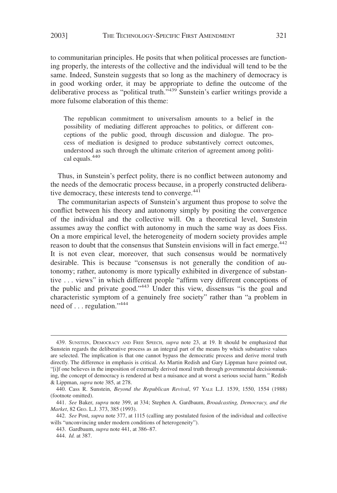to communitarian principles. He posits that when political processes are functioning properly, the interests of the collective and the individual will tend to be the same. Indeed, Sunstein suggests that so long as the machinery of democracy is in good working order, it may be appropriate to define the outcome of the deliberative process as "political truth."<sup>439</sup> Sunstein's earlier writings provide a more fulsome elaboration of this theme:

The republican commitment to universalism amounts to a belief in the possibility of mediating different approaches to politics, or different conceptions of the public good, through discussion and dialogue. The process of mediation is designed to produce substantively correct outcomes, understood as such through the ultimate criterion of agreement among political equals.440

Thus, in Sunstein's perfect polity, there is no conflict between autonomy and the needs of the democratic process because, in a properly constructed deliberative democracy, these interests tend to converge.<sup>441</sup>

The communitarian aspects of Sunstein's argument thus propose to solve the conflict between his theory and autonomy simply by positing the convergence of the individual and the collective will. On a theoretical level, Sunstein assumes away the conflict with autonomy in much the same way as does Fiss. On a more empirical level, the heterogeneity of modern society provides ample reason to doubt that the consensus that Sunstein envisions will in fact emerge.<sup>442</sup> It is not even clear, moreover, that such consensus would be normatively desirable. This is because "consensus is not generally the condition of autonomy; rather, autonomy is more typically exhibited in divergence of substantive . . . views" in which different people "affirm very different conceptions of the public and private good."<sup>443</sup> Under this view, dissensus "is the goal and characteristic symptom of a genuinely free society" rather than "a problem in need of . . . regulation."<sup>444</sup>

<sup>439.</sup> SUNSTEIN, DEMOCRACY AND FREE SPEECH, *supra* note 23, at 19. It should be emphasized that Sunstein regards the deliberative process as an integral part of the means by which substantive values are selected. The implication is that one cannot bypass the democratic process and derive moral truth directly. The difference in emphasis is critical. As Martin Redish and Gary Lippman have pointed out, "[i]f one believes in the imposition of externally derived moral truth through governmental decisionmaking, the concept of democracy is rendered at best a nuisance and at worst a serious social harm." Redish & Lippman, *supra* note 385, at 278.

<sup>440.</sup> Cass R. Sunstein, *Beyond the Republican Revival*, 97 YALE L.J. 1539, 1550, 1554 (1988) (footnote omitted).

<sup>441.</sup> *See* Baker, *supra* note 399, at 334; Stephen A. Gardbaum, *Broadcasting, Democracy, and the Market*, 82 GEO. L.J. 373, 385 (1993).

<sup>442.</sup> *See* Post, *supra* note 377, at 1115 (calling any postulated fusion of the individual and collective wills "unconvincing under modern conditions of heterogeneity").

<sup>443.</sup> Gardbaum, *supra* note 441, at 386–87.

<sup>444.</sup> *Id.* at 387.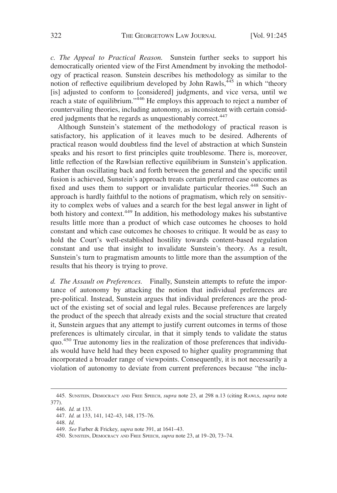*c. The Appeal to Practical Reason.* Sunstein further seeks to support his democratically oriented view of the First Amendment by invoking the methodology of practical reason. Sunstein describes his methodology as similar to the notion of reflective equilibrium developed by John Rawls, $445$  in which "theory [is] adjusted to conform to [considered] judgments, and vice versa, until we reach a state of equilibrium."<sup>446</sup> He employs this approach to reject a number of countervailing theories, including autonomy, as inconsistent with certain considered judgments that he regards as unquestionably correct.<sup>447</sup>

Although Sunstein's statement of the methodology of practical reason is satisfactory, his application of it leaves much to be desired. Adherents of practical reason would doubtless find the level of abstraction at which Sunstein speaks and his resort to first principles quite troublesome. There is, moreover, little reflection of the Rawlsian reflective equilibrium in Sunstein's application. Rather than oscillating back and forth between the general and the specific until fusion is achieved, Sunstein's approach treats certain preferred case outcomes as fixed and uses them to support or invalidate particular theories.<sup>448</sup> Such an approach is hardly faithful to the notions of pragmatism, which rely on sensitivity to complex webs of values and a search for the best legal answer in light of both history and context.<sup>449</sup> In addition, his methodology makes his substantive results little more than a product of which case outcomes he chooses to hold constant and which case outcomes he chooses to critique. It would be as easy to hold the Court's well-established hostility towards content-based regulation constant and use that insight to invalidate Sunstein's theory. As a result, Sunstein's turn to pragmatism amounts to little more than the assumption of the results that his theory is trying to prove.

*d. The Assault on Preferences.* Finally, Sunstein attempts to refute the importance of autonomy by attacking the notion that individual preferences are pre-political. Instead, Sunstein argues that individual preferences are the product of the existing set of social and legal rules. Because preferences are largely the product of the speech that already exists and the social structure that created it, Sunstein argues that any attempt to justify current outcomes in terms of those preferences is ultimately circular, in that it simply tends to validate the status quo.<sup>450</sup> True autonomy lies in the realization of those preferences that individuals would have held had they been exposed to higher quality programming that incorporated a broader range of viewpoints. Consequently, it is not necessarily a violation of autonomy to deviate from current preferences because "the inclu-

<sup>445.</sup> SUNSTEIN, DEMOCRACY AND FREE SPEECH, *supra* note 23, at 298 n.13 (citing RAWLS, *supra* note 377).

<sup>446.</sup> *Id.* at 133.

<sup>447.</sup> *Id.* at 133, 141, 142–43, 148, 175–76.

<sup>448.</sup> *Id.*

<sup>449.</sup> *See* Farber & Frickey, *supra* note 391, at 1641–43.

<sup>450.</sup> SUNSTEIN, DEMOCRACY AND FREE SPEECH, *supra* note 23, at 19–20, 73–74.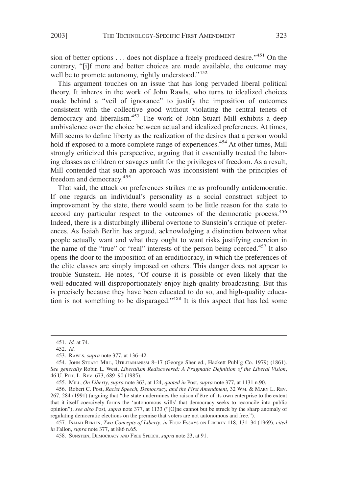sion of better options . . . does not displace a freely produced desire."<sup>451</sup> On the contrary, "[i]f more and better choices are made available, the outcome may well be to promote autonomy, rightly understood."<sup>452</sup>

This argument touches on an issue that has long pervaded liberal political theory. It inheres in the work of John Rawls, who turns to idealized choices made behind a "veil of ignorance" to justify the imposition of outcomes consistent with the collective good without violating the central tenets of democracy and liberalism.<sup>453</sup> The work of John Stuart Mill exhibits a deep ambivalence over the choice between actual and idealized preferences. At times, Mill seems to define liberty as the realization of the desires that a person would hold if exposed to a more complete range of experiences.<sup>454</sup> At other times, Mill strongly criticized this perspective, arguing that it essentially treated the laboring classes as children or savages unfit for the privileges of freedom. As a result, Mill contended that such an approach was inconsistent with the principles of freedom and democracy.<sup>455</sup>

That said, the attack on preferences strikes me as profoundly antidemocratic. If one regards an individual's personality as a social construct subject to improvement by the state, there would seem to be little reason for the state to accord any particular respect to the outcomes of the democratic process.<sup>456</sup> Indeed, there is a disturbingly illiberal overtone to Sunstein's critique of preferences. As Isaiah Berlin has argued, acknowledging a distinction between what people actually want and what they ought to want risks justifying coercion in the name of the "true" or "real" interests of the person being coerced.<sup>457</sup> It also opens the door to the imposition of an eruditiocracy, in which the preferences of the elite classes are simply imposed on others. This danger does not appear to trouble Sunstein. He notes, "Of course it is possible or even likely that the well-educated will disproportionately enjoy high-quality broadcasting. But this is precisely because they have been educated to do so, and high-quality education is not something to be disparaged."<sup>458</sup> It is this aspect that has led some

<sup>451.</sup> *Id.* at 74.

<sup>452.</sup> *Id.*

<sup>453.</sup> RAWLS, *supra* note 377, at 136–42.

<sup>454.</sup> JOHN STUART MILL, UTILITARIANISM 8–17 (George Sher ed., Hackett Publ'g Co. 1979) (1861). *See generally* Robin L. West, *Liberalism Rediscovered: A Pragmatic Definition of the Liberal Vision*, 46 U. PITT. L. REV. 673, 689–90 (1985).

<sup>455.</sup> MILL, *On Liberty*, *supra* note 363, at 124, *quoted in* Post, *supra* note 377, at 1131 n.90.

<sup>456.</sup> Robert C. Post, *Racist Speech, Democracy, and the First Amendment*, 32 WM.&MARY L. REV. 267, 284 (1991) (arguing that "the state undermines the raison d'être of its own enterprise to the extent that it itself coercively forms the 'autonomous wills' that democracy seeks to reconcile into public opinion"); *see also* Post, *supra* note 377, at 1133 ("[O]ne cannot but be struck by the sharp anomaly of regulating democratic elections on the premise that voters are not autonomous and free.").

<sup>457.</sup> ISAIAH BERLIN, *Two Concepts of Liberty*, *in* FOUR ESSAYS ON LIBERTY 118, 131–34 (1969), *cited in* Fallon, *supra* note 377, at 886 n.65.

<sup>458.</sup> SUNSTEIN, DEMOCRACY AND FREE SPEECH, *supra* note 23, at 91.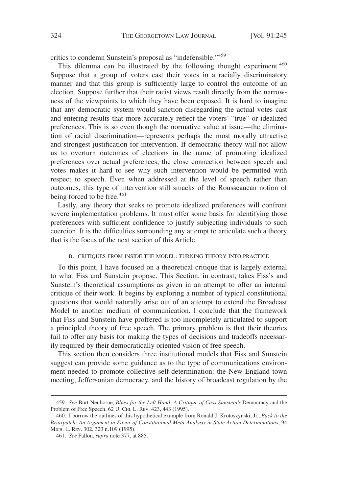critics to condemn Sunstein's proposal as "indefensible."<sup>459</sup>

This dilemma can be illustrated by the following thought experiment.<sup>460</sup> Suppose that a group of voters cast their votes in a racially discriminatory manner and that this group is sufficiently large to control the outcome of an election. Suppose further that their racist views result directly from the narrowness of the viewpoints to which they have been exposed. It is hard to imagine that any democratic system would sanction disregarding the actual votes cast and entering results that more accurately reflect the voters' "true" or idealized preferences. This is so even though the normative value at issue—the elimination of racial discrimination—represents perhaps the most morally attractive and strongest justification for intervention. If democratic theory will not allow us to overturn outcomes of elections in the name of promoting idealized preferences over actual preferences, the close connection between speech and votes makes it hard to see why such intervention would be permitted with respect to speech. Even when addressed at the level of speech rather than outcomes, this type of intervention still smacks of the Rousseauean notion of being forced to be free. $461$ 

Lastly, any theory that seeks to promote idealized preferences will confront severe implementation problems. It must offer some basis for identifying those preferences with sufficient confidence to justify subjecting individuals to such coercion. It is the difficulties surrounding any attempt to articulate such a theory that is the focus of the next section of this Article.

### B. CRITIQUES FROM INSIDE THE MODEL: TURNING THEORY INTO PRACTICE

To this point, I have focused on a theoretical critique that is largely external to what Fiss and Sunstein propose. This Section, in contrast, takes Fiss's and Sunstein's theoretical assumptions as given in an attempt to offer an internal critique of their work. It begins by exploring a number of typical constitutional questions that would naturally arise out of an attempt to extend the Broadcast Model to another medium of communication. I conclude that the framework that Fiss and Sunstein have proffered is too incompletely articulated to support a principled theory of free speech. The primary problem is that their theories fail to offer any basis for making the types of decisions and tradeoffs necessarily required by their democratically oriented vision of free speech.

This section then considers three institutional models that Fiss and Sunstein suggest can provide some guidance as to the type of communications environment needed to promote collective self-determination: the New England town meeting, Jeffersonian democracy, and the history of broadcast regulation by the

<sup>459.</sup> *See* Burt Neuborne, *Blues for the Left Hand: A Critique of Cass Sunstein's* Democracy and the Problem of Free Speech, 62 U. CHI. L. REV. 423, 443 (1995).

<sup>460.</sup> I borrow the outlines of this hypothetical example from Ronald J. Krotoszynski, Jr., *Back to the Briarpatch: An Argument in Favor of Constitutional Meta-Analysis in State Action Determinations*, 94 MICH. L. REV. 302, 323 n.109 (1995).

<sup>461.</sup> *See* Fallon, *supra* note 377, at 885.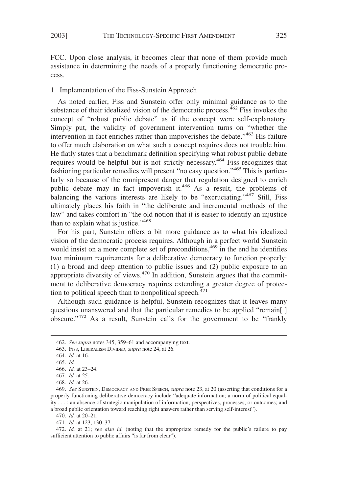FCC. Upon close analysis, it becomes clear that none of them provide much assistance in determining the needs of a properly functioning democratic process.

# 1. Implementation of the Fiss-Sunstein Approach

As noted earlier, Fiss and Sunstein offer only minimal guidance as to the substance of their idealized vision of the democratic process. $462$  Fiss invokes the concept of "robust public debate" as if the concept were self-explanatory. Simply put, the validity of government intervention turns on "whether the intervention in fact enriches rather than impoverishes the debate."<sup>463</sup> His failure to offer much elaboration on what such a concept requires does not trouble him. He flatly states that a benchmark definition specifying what robust public debate requires would be helpful but is not strictly necessary.<sup>464</sup> Fiss recognizes that fashioning particular remedies will present "no easy question."465 This is particularly so because of the omnipresent danger that regulation designed to enrich public debate may in fact impoverish it.<sup>466</sup> As a result, the problems of balancing the various interests are likely to be "excruciating."<sup>467</sup> Still, Fiss ultimately places his faith in "the deliberate and incremental methods of the law" and takes comfort in "the old notion that it is easier to identify an injustice than to explain what is justice."<sup>468</sup>

For his part, Sunstein offers a bit more guidance as to what his idealized vision of the democratic process requires. Although in a perfect world Sunstein would insist on a more complete set of preconditions,<sup>469</sup> in the end he identifies two minimum requirements for a deliberative democracy to function properly: (1) a broad and deep attention to public issues and (2) public exposure to an appropriate diversity of views.<sup>470</sup> In addition, Sunstein argues that the commitment to deliberative democracy requires extending a greater degree of protection to political speech than to nonpolitical speech. $471$ 

Although such guidance is helpful, Sunstein recognizes that it leaves many questions unanswered and that the particular remedies to be applied "remain[ ] obscure."<sup>472</sup> As a result, Sunstein calls for the government to be "frankly

470. *Id.* at 20–21.

471. *Id.* at 123, 130–37.

472. *Id.* at 21; *see also id.* (noting that the appropriate remedy for the public's failure to pay sufficient attention to public affairs "is far from clear").

<sup>462.</sup> *See supra* notes 345, 359–61 and accompanying text.

<sup>463.</sup> FISS, LIBERALISM DIVIDED, *supra* note 24, at 26.

<sup>464.</sup> *Id.* at 16.

<sup>465.</sup> *Id.*

<sup>466.</sup> *Id.* at 23–24.

<sup>467.</sup> *Id.* at 25.

<sup>468.</sup> *Id.* at 26.

<sup>469.</sup> *See* SUNSTEIN, DEMOCRACY AND FREE SPEECH, *supra* note 23, at 20 (asserting that conditions for a properly functioning deliberative democracy include "adequate information; a norm of political equality . . . ; an absence of strategic manipulation of information, perspectives, processes, or outcomes; and a broad public orientation toward reaching right answers rather than serving self-interest").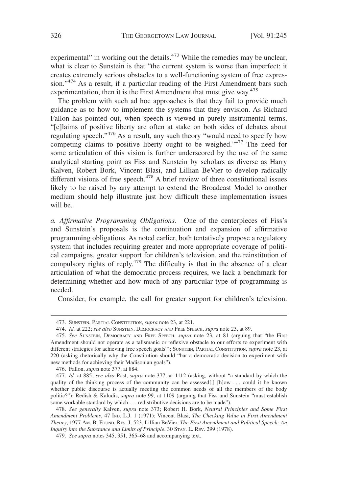experimental" in working out the details.<sup>473</sup> While the remedies may be unclear, what is clear to Sunstein is that "the current system is worse than imperfect; it creates extremely serious obstacles to a well-functioning system of free expression."<sup>474</sup> As a result, if a particular reading of the First Amendment bars such experimentation, then it is the First Amendment that must give way.<sup>475</sup>

The problem with such ad hoc approaches is that they fail to provide much guidance as to how to implement the systems that they envision. As Richard Fallon has pointed out, when speech is viewed in purely instrumental terms, "[c]laims of positive liberty are often at stake on both sides of debates about regulating speech."<sup>476</sup> As a result, any such theory "would need to specify how competing claims to positive liberty ought to be weighed."<sup>477</sup> The need for some articulation of this vision is further underscored by the use of the same analytical starting point as Fiss and Sunstein by scholars as diverse as Harry Kalven, Robert Bork, Vincent Blasi, and Lillian BeVier to develop radically different visions of free speech.<sup>478</sup> A brief review of three constitutional issues likely to be raised by any attempt to extend the Broadcast Model to another medium should help illustrate just how difficult these implementation issues will be.

*a. Affirmative Programming Obligations.* One of the centerpieces of Fiss's and Sunstein's proposals is the continuation and expansion of affirmative programming obligations. As noted earlier, both tentatively propose a regulatory system that includes requiring greater and more appropriate coverage of political campaigns, greater support for children's television, and the reinstitution of compulsory rights of reply. $479$  The difficulty is that in the absence of a clear articulation of what the democratic process requires, we lack a benchmark for determining whether and how much of any particular type of programming is needed.

Consider, for example, the call for greater support for children's television.

<sup>473.</sup> SUNSTEIN, PARTIAL CONSTITUTION, *supra* note 23, at 221.

<sup>474.</sup> *Id.* at 222; *see also* SUNSTEIN, DEMOCRACY AND FREE SPEECH, *supra* note 23, at 89.

<sup>475.</sup> *See* SUNSTEIN, DEMOCRACY AND FREE SPEECH, *supra* note 23, at 81 (arguing that "the First Amendment should not operate as a talismanic or reflexive obstacle to our efforts to experiment with different strategies for achieving free speech goals"); SUNSTEIN, PARTIAL CONSTITUTION, *supra* note 23, at 220 (asking rhetorically why the Constitution should "bar a democratic decision to experiment with new methods for achieving their Madisonian goals").

<sup>476.</sup> Fallon, *supra* note 377, at 884.

<sup>477.</sup> *Id.* at 885; *see also* Post, *supra* note 377, at 1112 (asking, without "a standard by which the quality of the thinking process of the community can be assessed[,] [h]ow . . . could it be known whether public discourse is actually meeting the common needs of all the members of the body politic?"); Redish & Kaludis, *supra* note 99, at 1109 (arguing that Fiss and Sunstein "must establish some workable standard by which . . . redistributive decisions are to be made").

<sup>478.</sup> *See generally* Kalven, *supra* note 373; Robert H. Bork, *Neutral Principles and Some First Amendment Problems*, 47 IND. L.J. 1 (1971); Vincent Blasi, *The Checking Value in First Amendment Theory*, 1977 AM. B. FOUND. RES. J. 523; Lillian BeVier, *The First Amendment and Political Speech: An Inquiry into the Substance and Limits of Principle*, 30 STAN. L. REV. 299 (1978).

<sup>479.</sup> *See supra* notes 345, 351, 365–68 and accompanying text.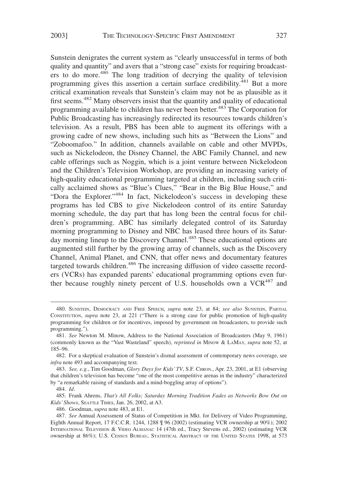Sunstein denigrates the current system as "clearly unsuccessful in terms of both quality and quantity" and avers that a "strong case" exists for requiring broadcasters to do more.<sup>480</sup> The long tradition of decrying the quality of television programming gives this assertion a certain surface credibility.<sup>481</sup> But a more critical examination reveals that Sunstein's claim may not be as plausible as it first seems.<sup>482</sup> Many observers insist that the quantity and quality of educational programming available to children has never been better.<sup>483</sup> The Corporation for Public Broadcasting has increasingly redirected its resources towards children's television. As a result, PBS has been able to augment its offerings with a growing cadre of new shows, including such hits as "Between the Lions" and "Zoboomafoo." In addition, channels available on cable and other MVPDs, such as Nickelodeon, the Disney Channel, the ABC Family Channel, and new cable offerings such as Noggin, which is a joint venture between Nickelodeon and the Children's Television Workshop, are providing an increasing variety of high-quality educational programming targeted at children, including such critically acclaimed shows as "Blue's Clues," "Bear in the Big Blue House," and "Dora the Explorer."<sup>484</sup> In fact, Nickelodeon's success in developing these programs has led CBS to give Nickelodeon control of its entire Saturday morning schedule, the day part that has long been the central focus for children's programming. ABC has similarly delegated control of its Saturday morning programming to Disney and NBC has leased three hours of its Saturday morning lineup to the Discovery Channel.<sup>485</sup> These educational options are augmented still further by the growing array of channels, such as the Discovery Channel, Animal Planet, and CNN, that offer news and documentary features targeted towards children.<sup>486</sup> The increasing diffusion of video cassette recorders (VCRs) has expanded parents' educational programming options even further because roughly ninety percent of U.S. households own a VCR<sup>487</sup> and

486. Goodman, *supra* note 483, at E1.

<sup>480.</sup> SUNSTEIN, DEMOCRACY AND FREE SPEECH, *supra* note 23, at 84; *see also* SUNSTEIN, PARTIAL CONSTITUTION, *supra* note 23, at 221 ("There is a strong case for public promotion of high-quality programming for children or for incentives, imposed by government on broadcasters, to provide such programming.").

<sup>481.</sup> *See* Newton M. Minow, Address to the National Association of Broadcasters (May 9, 1961) (commonly known as the "Vast Wasteland" speech), *reprinted in* MINOW & LAMAY, *supra* note 52, at 185–96.

<sup>482.</sup> For a skeptical evaluation of Sunstein's dismal assessment of contemporary news coverage, see *infra* note 493 and accompanying text.

<sup>483.</sup> *See, e.g.*, Tim Goodman, *Glory Days for Kids' TV*, S.F. CHRON., Apr. 23, 2001, at E1 (observing that children's television has become "one of the most competitive arenas in the industry" characterized by "a remarkable raising of standards and a mind-boggling array of options").

<sup>484.</sup> *Id*.

<sup>485.</sup> Frank Ahrens, *That's All Folks; Saturday Morning Tradition Fades as Networks Bow Out on Kids' Shows*, SEATTLE TIMES, Jan. 26, 2002, at A3.

<sup>487.</sup> *See* Annual Assessment of Status of Competition in Mkt. for Delivery of Video Programming, Eighth Annual Report, 17 F.C.C.R. 1244, 1288 ¶ 96 (2002) (estimating VCR ownership at 90%); 2002 INTERNATIONAL TELEVISION & VIDEO ALMANAC 14 (47th ed., Tracy Stevens ed., 2002) (estimating VCR ownership at 86%); U.S. CENSUS BUREAU, STATISTICAL ABSTRACT OF THE UNITED STATES 1998, at 573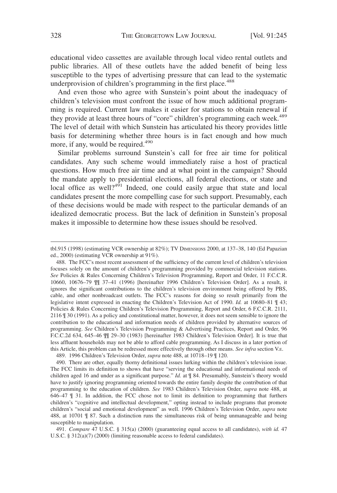educational video cassettes are available through local video rental outlets and public libraries. All of these outlets have the added benefit of being less susceptible to the types of advertising pressure that can lead to the systematic underprovision of children's programming in the first place.<sup>488</sup>

And even those who agree with Sunstein's point about the inadequacy of children's television must confront the issue of how much additional programming is required. Current law makes it easier for stations to obtain renewal if they provide at least three hours of "core" children's programming each week.<sup>489</sup> The level of detail with which Sunstein has articulated his theory provides little basis for determining whether three hours is in fact enough and how much more, if any, would be required.<sup>490</sup>

Similar problems surround Sunstein's call for free air time for political candidates. Any such scheme would immediately raise a host of practical questions. How much free air time and at what point in the campaign? Should the mandate apply to presidential elections, all federal elections, or state and local office as well? $4\overline{91}$  Indeed, one could easily argue that state and local candidates present the more compelling case for such support. Presumably, each of these decisions would be made with respect to the particular demands of an idealized democratic process. But the lack of definition in Sunstein's proposal makes it impossible to determine how these issues should be resolved.

489. 1996 Children's Television Order, *supra* note 488, at 10718–19 ¶ 120.

491. *Compare* 47 U.S.C. § 315(a) (2000) (guaranteeing equal access to all candidates), *with id.* 47 U.S.C. § 312(a)(7) (2000) (limiting reasonable access to federal candidates).

tbl.915 (1998) (estimating VCR ownership at 82%); TV DIMENSIONS 2000, at 137–38, 140 (Ed Papazian ed., 2000) (estimating VCR ownership at 91%).

<sup>488.</sup> The FCC's most recent assessment of the sufficiency of the current level of children's television focuses solely on the amount of children's programming provided by commercial television stations. *See* Policies & Rules Concerning Children's Television Programming, Report and Order, 11 F.C.C.R. 10660, 10676–79 ¶¶ 37–41 (1996) [hereinafter 1996 Children's Television Order]. As a result, it ignores the significant contributions to the children's television environment being offered by PBS, cable, and other nonbroadcast outlets. The FCC's reasons for doing so result primarily from the legislative intent expressed in enacting the Children's Television Act of 1990. *Id.* at 10680–81 ¶ 43; Policies & Rules Concerning Children's Television Programming, Report and Order, 6 F.C.C.R. 2111, 2116 ¶ 30 (1991). As a policy and constitutional matter, however, it does not seem sensible to ignore the contribution to the educational and information needs of children provided by alternative sources of programming. *See* Children's Television Programming & Advertising Practices, Report and Order, 96 F.C.C.2d 634, 645–46 ¶¶ 29–30 (1983) [hereinafter 1983 Children's Television Order]. It is true that less affluent households may not be able to afford cable programming. As I discuss in a later portion of this Article, this problem can be redressed more effectively through other means. *See infra* section V.E.

<sup>490.</sup> There are other, equally thorny definitional issues lurking within the children's television issue. The FCC limits its definition to shows that have "serving the educational and informational needs of children aged 16 and under as a significant purpose." *Id.* at  $\mathbb{I}$  84. Presumably, Sunstein's theory would have to justify ignoring programming oriented towards the entire family despite the contribution of that programming to the education of children. *See* 1983 Children's Television Order, *supra* note 488, at 646–47 ¶ 31. In addition, the FCC chose not to limit its definition to programming that furthers children's "cognitive and intellectual development," opting instead to include programs that promote children's "social and emotional development" as well. 1996 Children's Television Order, *supra* note 488, at 10701 ¶ 87. Such a distinction runs the simultaneous risk of being unmanageable and being susceptible to manipulation.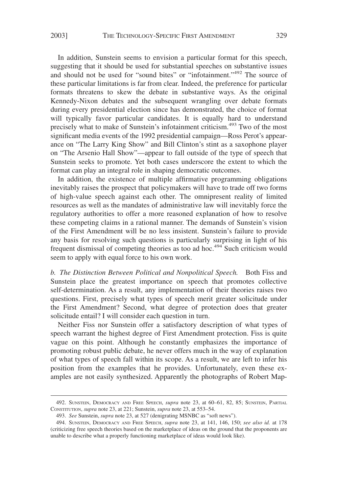In addition, Sunstein seems to envision a particular format for this speech, suggesting that it should be used for substantial speeches on substantive issues and should not be used for "sound bites" or "infotainment."<sup>492</sup> The source of these particular limitations is far from clear. Indeed, the preference for particular formats threatens to skew the debate in substantive ways. As the original Kennedy-Nixon debates and the subsequent wrangling over debate formats during every presidential election since has demonstrated, the choice of format will typically favor particular candidates. It is equally hard to understand precisely what to make of Sunstein's infotainment criticism.<sup>493</sup> Two of the most significant media events of the 1992 presidential campaign—Ross Perot's appearance on "The Larry King Show" and Bill Clinton's stint as a saxophone player on "The Arsenio Hall Show"—appear to fall outside of the type of speech that Sunstein seeks to promote. Yet both cases underscore the extent to which the format can play an integral role in shaping democratic outcomes.

In addition, the existence of multiple affirmative programming obligations inevitably raises the prospect that policymakers will have to trade off two forms of high-value speech against each other. The omnipresent reality of limited resources as well as the mandates of administrative law will inevitably force the regulatory authorities to offer a more reasoned explanation of how to resolve these competing claims in a rational manner. The demands of Sunstein's vision of the First Amendment will be no less insistent. Sunstein's failure to provide any basis for resolving such questions is particularly surprising in light of his frequent dismissal of competing theories as too ad hoc.<sup>494</sup> Such criticism would seem to apply with equal force to his own work.

*b. The Distinction Between Political and Nonpolitical Speech.* Both Fiss and Sunstein place the greatest importance on speech that promotes collective self-determination. As a result, any implementation of their theories raises two questions. First, precisely what types of speech merit greater solicitude under the First Amendment? Second, what degree of protection does that greater solicitude entail? I will consider each question in turn.

Neither Fiss nor Sunstein offer a satisfactory description of what types of speech warrant the highest degree of First Amendment protection. Fiss is quite vague on this point. Although he constantly emphasizes the importance of promoting robust public debate, he never offers much in the way of explanation of what types of speech fall within its scope. As a result, we are left to infer his position from the examples that he provides. Unfortunately, even these examples are not easily synthesized. Apparently the photographs of Robert Map-

<sup>492.</sup> SUNSTEIN, DEMOCRACY AND FREE SPEECH, *supra* note 23, at 60–61, 82, 85; SUNSTEIN, PARTIAL CONSTITUTION, *supra* note 23, at 221; Sunstein, *supra* note 23, at 553–54.

<sup>493.</sup> *See* Sunstein, *supra* note 23, at 527 (denigrating MSNBC as "soft news").

<sup>494.</sup> SUNSTEIN, DEMOCRACY AND FREE SPEECH, *supra* note 23, at 141, 146, 150; *see also id.* at 178 (criticizing free speech theories based on the marketplace of ideas on the ground that the proponents are unable to describe what a properly functioning marketplace of ideas would look like).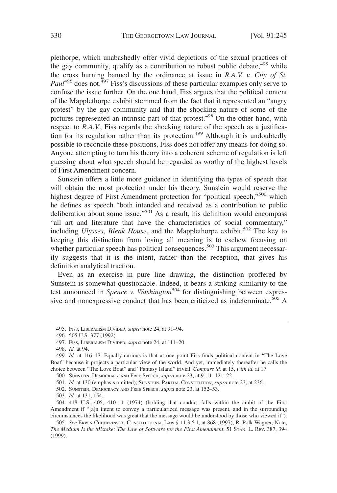plethorpe, which unabashedly offer vivid depictions of the sexual practices of the gay community, qualify as a contribution to robust public debate,  $495$  while the cross burning banned by the ordinance at issue in *R.A.V. v. City of St. Paul*<sup>496</sup> does not.<sup>497</sup> Fiss's discussions of these particular examples only serve to confuse the issue further. On the one hand, Fiss argues that the political content of the Mapplethorpe exhibit stemmed from the fact that it represented an "angry protest" by the gay community and that the shocking nature of some of the pictures represented an intrinsic part of that protest.<sup>498</sup> On the other hand, with respect to *R.A.V.*, Fiss regards the shocking nature of the speech as a justification for its regulation rather than its protection.<sup>499</sup> Although it is undoubtedly possible to reconcile these positions, Fiss does not offer any means for doing so. Anyone attempting to turn his theory into a coherent scheme of regulation is left guessing about what speech should be regarded as worthy of the highest levels of First Amendment concern.

Sunstein offers a little more guidance in identifying the types of speech that will obtain the most protection under his theory. Sunstein would reserve the highest degree of First Amendment protection for "political speech,"<sup>500</sup> which he defines as speech "both intended and received as a contribution to public deliberation about some issue."501 As a result, his definition would encompass "all art and literature that have the characteristics of social commentary," including *Ulysses*, *Bleak House*, and the Mapplethorpe exhibit.<sup>502</sup> The key to keeping this distinction from losing all meaning is to eschew focusing on whether particular speech has political consequences.<sup>503</sup> This argument necessarily suggests that it is the intent, rather than the reception, that gives his definition analytical traction.

Even as an exercise in pure line drawing, the distinction proffered by Sunstein is somewhat questionable. Indeed, it bears a striking similarity to the test announced in *Spence v. Washington*<sup>504</sup> for distinguishing between expressive and nonexpressive conduct that has been criticized as indeterminate.<sup>505</sup> A

<sup>495.</sup> FISS, LIBERALISM DIVIDED, *supra* note 24, at 91–94.

<sup>496. 505</sup> U.S. 377 (1992).

<sup>497.</sup> FISS, LIBERALISM DIVIDED, *supra* note 24, at 111–20.

<sup>498.</sup> *Id.* at 94.

<sup>499.</sup> *Id.* at 116–17. Equally curious is that at one point Fiss finds political content in "The Love Boat" because it projects a particular view of the world. And yet, immediately thereafter he calls the choice between "The Love Boat" and "Fantasy Island" trivial. *Compare id.* at 15, *with id.* at 17.

<sup>500.</sup> SUNSTEIN, DEMOCRACY AND FREE SPEECH, *supra* note 23, at 9–11, 121–22.

<sup>501.</sup> *Id.* at 130 (emphasis omitted); SUNSTEIN, PARTIAL CONSTITUTION, *supra* note 23, at 236.

<sup>502.</sup> SUNSTEIN, DEMOCRACY AND FREE SPEECH, *supra* note 23, at 152–53.

<sup>503.</sup> *Id.* at 131, 154.

<sup>504. 418</sup> U.S. 405, 410–11 (1974) (holding that conduct falls within the ambit of the First Amendment if "[a]n intent to convey a particularized message was present, and in the surrounding circumstances the likelihood was great that the message would be understood by those who viewed it").

<sup>505.</sup> *See* ERWIN CHEMERINSKY, CONSTITUTIONAL LAW § 11.3.6.1, at 868 (1997); R. Polk Wagner, Note, *The Medium Is the Mistake: The Law of Software for the First Amendment*, 51 STAN. L. REV. 387, 394 (1999).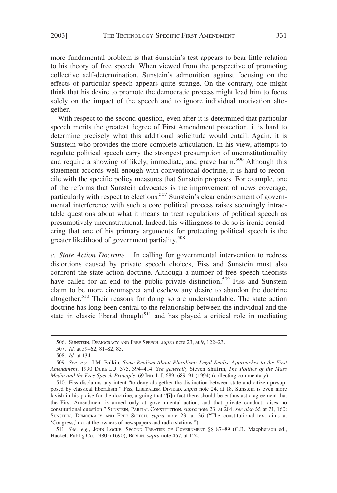more fundamental problem is that Sunstein's test appears to bear little relation to his theory of free speech. When viewed from the perspective of promoting collective self-determination, Sunstein's admonition against focusing on the effects of particular speech appears quite strange. On the contrary, one might think that his desire to promote the democratic process might lead him to focus solely on the impact of the speech and to ignore individual motivation altogether.

With respect to the second question, even after it is determined that particular speech merits the greatest degree of First Amendment protection, it is hard to determine precisely what this additional solicitude would entail. Again, it is Sunstein who provides the more complete articulation. In his view, attempts to regulate political speech carry the strongest presumption of unconstitutionality and require a showing of likely, immediate, and grave harm.<sup>506</sup> Although this statement accords well enough with conventional doctrine, it is hard to reconcile with the specific policy measures that Sunstein proposes. For example, one of the reforms that Sunstein advocates is the improvement of news coverage, particularly with respect to elections.<sup>507</sup> Sunstein's clear endorsement of governmental interference with such a core political process raises seemingly intractable questions about what it means to treat regulations of political speech as presumptively unconstitutional. Indeed, his willingness to do so is ironic considering that one of his primary arguments for protecting political speech is the greater likelihood of government partiality.<sup>508</sup>

*c. State Action Doctrine.* In calling for governmental intervention to redress distortions caused by private speech choices, Fiss and Sunstein must also confront the state action doctrine. Although a number of free speech theorists have called for an end to the public-private distinction,<sup>509</sup> Fiss and Sunstein claim to be more circumspect and eschew any desire to abandon the doctrine altogether.<sup>510</sup> Their reasons for doing so are understandable. The state action doctrine has long been central to the relationship between the individual and the state in classic liberal thought $511$  and has played a critical role in mediating

<sup>506.</sup> SUNSTEIN, DEMOCRACY AND FREE SPEECH, *supra* note 23, at 9, 122–23.

<sup>507.</sup> *Id.* at 59–62, 81–82, 85.

<sup>508.</sup> *Id.* at 134.

<sup>509.</sup> *See, e.g.*, J.M. Balkin, *Some Realism About Pluralism: Legal Realist Approaches to the First Amendment*, 1990 DUKE L.J. 375, 394–414. *See generally* Steven Shiffrin, *The Politics of the Mass Media and the Free Speech Principle*, 69 IND. L.J. 689, 689–91 (1994) (collecting commentary).

<sup>510.</sup> Fiss disclaims any intent "to deny altogether the distinction between state and citizen presupposed by classical liberalism." FISS, LIBERALISM DIVIDED, *supra* note 24, at 18. Sunstein is even more lavish in his praise for the doctrine, arguing that "[i]n fact there should be enthusiastic agreement that the First Amendment is aimed only at governmental action, and that private conduct raises no constitutional question." SUNSTEIN, PARTIAL CONSTITUTION, *supra* note 23, at 204; *see also id.* at 71, 160; SUNSTEIN, DEMOCRACY AND FREE SPEECH, *supra* note 23, at 36 ("The constitutional text aims at 'Congress,' not at the owners of newspapers and radio stations.").

<sup>511.</sup> *See, e.g.*, JOHN LOCKE, SECOND TREATISE OF GOVERNMENT §§ 87–89 (C.B. Macpherson ed., Hackett Publ'g Co. 1980) (1690); BERLIN, *supra* note 457, at 124.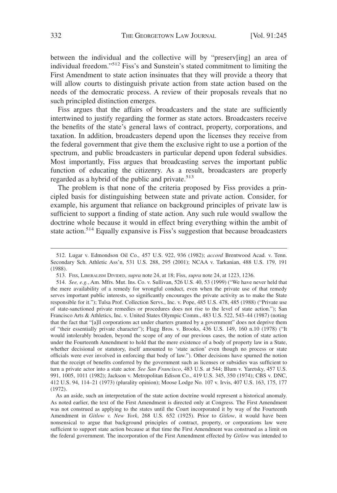between the individual and the collective will by "preserv[ing] an area of individual freedom."512 Fiss's and Sunstein's stated commitment to limiting the First Amendment to state action insinuates that they will provide a theory that will allow courts to distinguish private action from state action based on the needs of the democratic process. A review of their proposals reveals that no such principled distinction emerges.

Fiss argues that the affairs of broadcasters and the state are sufficiently intertwined to justify regarding the former as state actors. Broadcasters receive the benefits of the state's general laws of contract, property, corporations, and taxation. In addition, broadcasters depend upon the licenses they receive from the federal government that give them the exclusive right to use a portion of the spectrum, and public broadcasters in particular depend upon federal subsidies. Most importantly, Fiss argues that broadcasting serves the important public function of educating the citizenry. As a result, broadcasters are properly regarded as a hybrid of the public and private. $513$ 

The problem is that none of the criteria proposed by Fiss provides a principled basis for distinguishing between state and private action. Consider, for example, his argument that reliance on background principles of private law is sufficient to support a finding of state action. Any such rule would swallow the doctrine whole because it would in effect bring everything within the ambit of state action.<sup>514</sup> Equally expansive is Fiss's suggestion that because broadcasters

<sup>512.</sup> Lugar v. Edmondson Oil Co., 457 U.S. 922, 936 (1982); *accord* Brentwood Acad. v. Tenn. Secondary Sch. Athletic Ass'n, 531 U.S. 288, 295 (2001); NCAA v. Tarkanian, 488 U.S. 179, 191 (1988).

<sup>513.</sup> FISS, LIBERALISM DIVIDED, *supra* note 24, at 18; Fiss, *supra* note 24, at 1223, 1236.

<sup>514.</sup> *See, e.g.*, Am. Mfrs. Mut. Ins. Co. v. Sullivan, 526 U.S. 40, 53 (1999) ("We have never held that the mere availability of a remedy for wrongful conduct, even when the private use of that remedy serves important public interests, so significantly encourages the private activity as to make the State responsible for it."); Tulsa Prof. Collection Servs., Inc. v. Pope, 485 U.S. 478, 485 (1988) ("Private use of state-sanctioned private remedies or procedures does not rise to the level of state action."); San Francisco Arts & Athletics, Inc. v. United States Olympic Comm., 483 U.S. 522, 543–44 (1987) (noting that the fact that "[a]ll corporations act under charters granted by a government" does not deprive them of "their essentially private character"); Flagg Bros. v. Brooks, 436 U.S. 149, 160 n.10 (1978) ("It would intolerably broaden, beyond the scope of any of our previous cases, the notion of state action under the Fourteenth Amendment to hold that the mere existence of a body of property law in a State, whether decisional or statutory, itself amounted to 'state action' even though no process or state officials were ever involved in enforcing that body of law."). Other decisions have spurned the notion that the receipt of benefits conferred by the government such as licenses or subsidies was sufficient to turn a private actor into a state actor. *See San Francisco*, 483 U.S. at 544; Blum v. Yaretsky, 457 U.S. 991, 1005, 1011 (1982); Jackson v. Metropolitan Edison Co., 419 U.S. 345, 350 (1974); CBS v. DNC, 412 U.S. 94, 114–21 (1973) (plurality opinion); Moose Lodge No. 107 v. Irvis, 407 U.S. 163, 175, 177 (1972).

As an aside, such an interpretation of the state action doctrine would represent a historical anomaly. As noted earlier, the text of the First Amendment is directed only at Congress. The First Amendment was not construed as applying to the states until the Court incorporated it by way of the Fourteenth Amendment in *Gitlow v. New York*, 268 U.S. 652 (1925). Prior to *Gitlow*, it would have been nonsensical to argue that background principles of contract, property, or corporations law were sufficient to support state action because at that time the First Amendment was construed as a limit on the federal government. The incorporation of the First Amendment effected by *Gitlow* was intended to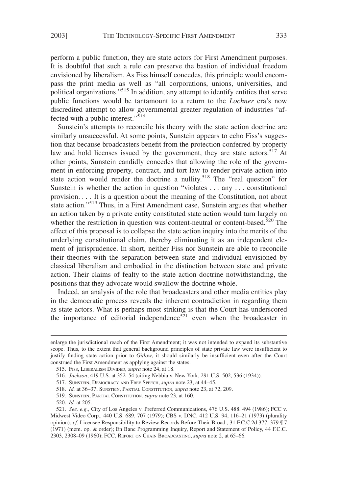perform a public function, they are state actors for First Amendment purposes. It is doubtful that such a rule can preserve the bastion of individual freedom envisioned by liberalism. As Fiss himself concedes, this principle would encompass the print media as well as "all corporations, unions, universities, and political organizations."515 In addition, any attempt to identify entities that serve public functions would be tantamount to a return to the *Lochner* era's now discredited attempt to allow governmental greater regulation of industries "affected with a public interest."<sup>516</sup>

Sunstein's attempts to reconcile his theory with the state action doctrine are similarly unsuccessful. At some points, Sunstein appears to echo Fiss's suggestion that because broadcasters benefit from the protection conferred by property law and hold licenses issued by the government, they are state actors.<sup>517</sup> At other points, Sunstein candidly concedes that allowing the role of the government in enforcing property, contract, and tort law to render private action into state action would render the doctrine a nullity.<sup>518</sup> The "real question" for Sunstein is whether the action in question "violates . . . any . . . constitutional provision. . . . It is a question about the meaning of the Constitution, not about state action."<sup>519</sup> Thus, in a First Amendment case, Sunstein argues that whether an action taken by a private entity constituted state action would turn largely on whether the restriction in question was content-neutral or content-based.<sup>520</sup> The effect of this proposal is to collapse the state action inquiry into the merits of the underlying constitutional claim, thereby eliminating it as an independent element of jurisprudence. In short, neither Fiss nor Sunstein are able to reconcile their theories with the separation between state and individual envisioned by classical liberalism and embodied in the distinction between state and private action. Their claims of fealty to the state action doctrine notwithstanding, the positions that they advocate would swallow the doctrine whole.

Indeed, an analysis of the role that broadcasters and other media entities play in the democratic process reveals the inherent contradiction in regarding them as state actors. What is perhaps most striking is that the Court has underscored the importance of editorial independence<sup>521</sup> even when the broadcaster in

enlarge the jurisdictional reach of the First Amendment; it was not intended to expand its substantive scope. Thus, to the extent that general background principles of state private law were insufficient to justify finding state action prior to *Gitlow*, it should similarly be insufficient even after the Court construed the First Amendment as applying against the states.

<sup>515.</sup> FISS, LIBERALISM DIVIDED, *supra* note 24, at 18.

<sup>516.</sup> *Jackson*, 419 U.S. at 352–54 (citing Nebbia v. New York, 291 U.S. 502, 536 (1934)).

<sup>517.</sup> SUNSTEIN, DEMOCRACY AND FREE SPEECH, *supra* note 23, at 44–45.

<sup>518.</sup> *Id.* at 36–37; SUNSTEIN, PARTIAL CONSTITUTION, *supra* note 23, at 72, 209.

<sup>519.</sup> SUNSTEIN, PARTIAL CONSTITUTION, *supra* note 23, at 160.

<sup>520.</sup> *Id.* at 205.

<sup>521.</sup> *See, e.g.*, City of Los Angeles v. Preferred Communications, 476 U.S. 488, 494 (1986); FCC v. Midwest Video Corp., 440 U.S. 689, 707 (1979); CBS v. DNC, 412 U.S. 94, 116–21 (1973) (plurality opinion); *cf.* Licensee Responsibility to Review Records Before Their Broad., 31 F.C.C.2d 377, 379 ¶ 7 (1971) (mem. op. & order); En Banc Programming Inquiry, Report and Statement of Policy, 44 F.C.C. 2303, 2308–09 (1960); FCC, REPORT ON CHAIN BROADCASTING, *supra* note 2, at 65–66.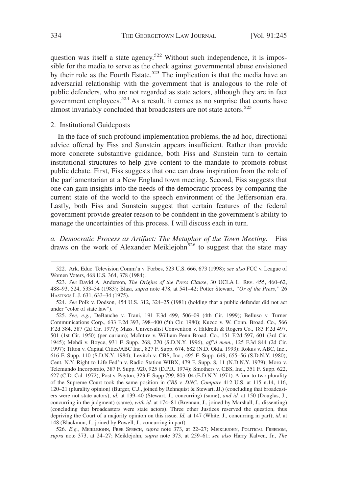question was itself a state agency.<sup>522</sup> Without such independence, it is impossible for the media to serve as the check against governmental abuse envisioned by their role as the Fourth Estate.<sup>523</sup> The implication is that the media have an adversarial relationship with the government that is analogous to the role of public defenders, who are not regarded as state actors, although they are in fact government employees.<sup>524</sup> As a result, it comes as no surprise that courts have almost invariably concluded that broadcasters are not state actors.<sup>525</sup>

## 2. Institutional Guideposts

In the face of such profound implementation problems, the ad hoc, directional advice offered by Fiss and Sunstein appears insufficient. Rather than provide more concrete substantive guidance, both Fiss and Sunstein turn to certain institutional structures to help give content to the mandate to promote robust public debate. First, Fiss suggests that one can draw inspiration from the role of the parliamentarian at a New England town meeting. Second, Fiss suggests that one can gain insights into the needs of the democratic process by comparing the current state of the world to the speech environment of the Jeffersonian era. Lastly, both Fiss and Sunstein suggest that certain features of the federal government provide greater reason to be confident in the government's ability to manage the uncertainties of this process. I will discuss each in turn.

*a. Democratic Process as Artifact: The Metaphor of the Town Meeting.* Fiss draws on the work of Alexander Meiklejohn<sup>526</sup> to suggest that the state may

526. *E.g.*, MEIKLEJOHN, FREE SPEECH, *supra* note 373, at 22–27; MEIKLEJOHN, POLITICAL FREEDOM, *supra* note 373, at 24–27; Meiklejohn, *supra* note 373, at 259–61; *see also* Harry Kalven, Jr., *The*

<sup>522.</sup> Ark. Educ. Television Comm'n v. Forbes, 523 U.S. 666, 673 (1998); *see also* FCC v. League of Women Voters, 468 U.S. 364, 378 (1984).

<sup>523.</sup> *See* David A. Anderson, *The Origins of the Press Clause*, 30 UCLA L. REV. 455, 460–62, 488–93, 524, 533–34 (1983); Blasi, *supra* note 478, at 541–42; Potter Stewart, *"Or of the Press*,*"* 26 HASTINGS L.J. 631, 633–34 (1975).

<sup>524.</sup> *See* Polk v. Dodson, 454 U.S. 312, 324–25 (1981) (holding that a public defender did not act under "color of state law").

<sup>525.</sup> *See, e.g.*, DeBauche v. Trani, 191 F.3d 499, 506–09 (4th Cir. 1999); Belluso v. Turner Communications Corp., 633 F.2d 393, 398–400 (5th Cir. 1980); Kuzco v. W. Conn. Broad. Co., 566 F.2d 384, 387 (2d Cir. 1977); Mass. Universalist Convention v. Hildreth & Rogers Co., 183 F.2d 497, 501 (1st Cir. 1950) (per curiam); McIntire v. William Penn Broad. Co., 151 F.2d 597, 601 (3rd Cir. 1945); Mehdi v. Boyce, 931 F. Supp. 268, 270 (S.D.N.Y. 1996), *aff'd mem.*, 125 F.3d 844 (2d Cir. 1997); Tilton v. Capital Cities/ABC Inc., 827 F. Supp. 674, 682 (N.D. Okla. 1993); Rokus v. ABC, Inc., 616 F. Supp. 110 (S.D.N.Y. 1984); Levitch v. CBS, Inc., 495 F. Supp. 649, 655–56 (S.D.N.Y. 1980); Cent. N.Y. Right to Life Fed'n v. Radio Station WIBX, 479 F. Supp. 8, 11 (N.D.N.Y. 1979); Moro v. Telemundo Incorporato, 387 F. Supp. 920, 925 (D.P.R. 1974); Smothers v. CBS, Inc., 351 F. Supp. 622, 627 (C.D. Cal. 1972); Post v. Payton, 323 F. Supp 799, 803–04 (E.D.N.Y. 1971). A four-to-two plurality of the Supreme Court took the same position in *CBS v. DNC*. *Compare* 412 U.S. at 115 n.14, 116, 120–21 (plurality opinion) (Burger, C.J., joined by Rehnquist & Stewart, JJ.) (concluding that broadcasters were not state actors), *id.* at 139–40 (Stewart, J., concurring) (same), *and id.* at 150 (Douglas, J., concurring in the judgment) (same), *with id.* at 174–81 (Brennan, J., joined by Marshall, J., dissenting) (concluding that broadcasters were state actors). Three other Justices reserved the question, thus depriving the Court of a majority opinion on this issue. *Id.* at 147 (White, J., concurring in part); *id*. at 148 (Blackmun, J., joined by Powell, J., concurring in part).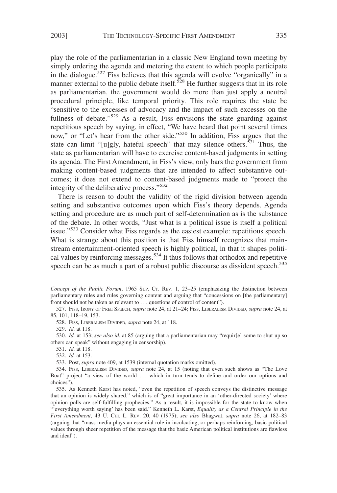play the role of the parliamentarian in a classic New England town meeting by simply ordering the agenda and metering the extent to which people participate in the dialogue.<sup>527</sup> Fiss believes that this agenda will evolve "organically" in a manner external to the public debate itself.<sup>528</sup> He further suggests that in its role as parliamentarian, the government would do more than just apply a neutral procedural principle, like temporal priority. This role requires the state be "sensitive to the excesses of advocacy and the impact of such excesses on the fullness of debate."<sup>529</sup> As a result, Fiss envisions the state guarding against repetitious speech by saying, in effect, "We have heard that point several times now," or "Let's hear from the other side."<sup>530</sup> In addition, Fiss argues that the state can limit "[u]gly, hateful speech" that may silence others.<sup>531</sup> Thus, the state as parliamentarian will have to exercise content-based judgments in setting its agenda. The First Amendment, in Fiss's view, only bars the government from making content-based judgments that are intended to affect substantive outcomes; it does not extend to content-based judgments made to "protect the integrity of the deliberative process."<sup>532</sup>

There is reason to doubt the validity of the rigid division between agenda setting and substantive outcomes upon which Fiss's theory depends. Agenda setting and procedure are as much part of self-determination as is the substance of the debate. In other words, "Just what is a political issue is itself a political issue."<sup>533</sup> Consider what Fiss regards as the easiest example: repetitious speech. What is strange about this position is that Fiss himself recognizes that mainstream entertainment-oriented speech is highly political, in that it shapes political values by reinforcing messages.<sup>534</sup> It thus follows that orthodox and repetitive speech can be as much a part of a robust public discourse as dissident speech.<sup>535</sup>

528. FISS, LIBERALISM DIVIDED, *supra* note 24, at 118.

529. *Id.* at 118.

530. *Id.* at 153; *see also id*. at 85 (arguing that a parliamentarian may "requir[e] some to shut up so others can speak" without engaging in censorship).

531. *Id.* at 118.

532. *Id.* at 153.

533. Post, *supra* note 409, at 1539 (internal quotation marks omitted).

*Concept of the Public Forum*, 1965 SUP. CT. REV. 1, 23–25 (emphasizing the distinction between parliamentary rules and rules governing content and arguing that "concessions on [the parliamentary] front should not be taken as relevant to . . . questions of control of content").

<sup>527.</sup> FISS, IRONY OF FREE SPEECH, *supra* note 24, at 21–24; FISS, LIBERALISM DIVIDED, *supra* note 24, at 85, 101, 118–19, 153.

<sup>534.</sup> FISS, LIBERALISM DIVIDED, *supra* note 24, at 15 (noting that even such shows as "The Love Boat" project "a view of the world ... which in turn tends to define and order our options and choices").

<sup>535.</sup> As Kenneth Karst has noted, "even the repetition of speech conveys the distinctive message that an opinion is widely shared," which is of "great importance in an 'other-directed society' where opinion polls are self-fulfilling prophecies." As a result, it is impossible for the state to know when "'everything worth saying' has been said." Kenneth L. Karst, *Equality as a Central Principle in the First Amendment*, 43 U. CHI. L. REV. 20, 40 (1975); *see also* Bhagwat, *supra* note 26, at 182–83 (arguing that "mass media plays an essential role in inculcating, or perhaps reinforcing, basic political values through sheer repetition of the message that the basic American political institutions are flawless and ideal").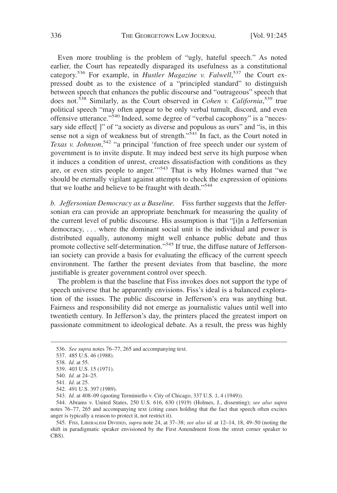Even more troubling is the problem of "ugly, hateful speech." As noted earlier, the Court has repeatedly disparaged its usefulness as a constitutional category.<sup>536</sup> For example, in *Hustler Magazine v. Falwell*,<sup>537</sup> the Court expressed doubt as to the existence of a "principled standard" to distinguish between speech that enhances the public discourse and "outrageous" speech that does not.<sup>538</sup> Similarly, as the Court observed in *Cohen v. California*, <sup>539</sup> true political speech "may often appear to be only verbal tumult, discord, and even offensive utterance."<sup>540</sup> Indeed, some degree of "verbal cacophony" is a "necessary side effect[]" of "a society as diverse and populous as ours" and "is, in this sense not a sign of weakness but of strength."<sup>541</sup> In fact, as the Court noted in *Texas v. Johnson*, <sup>542</sup> "a principal 'function of free speech under our system of government is to invite dispute. It may indeed best serve its high purpose when it induces a condition of unrest, creates dissatisfaction with conditions as they are, or even stirs people to anger."<sup>543</sup> That is why Holmes warned that "we should be eternally vigilant against attempts to check the expression of opinions that we loathe and believe to be fraught with death."544

*b. Jeffersonian Democracy as a Baseline.* Fiss further suggests that the Jeffersonian era can provide an appropriate benchmark for measuring the quality of the current level of public discourse. His assumption is that "[i]n a Jeffersonian democracy, . . . where the dominant social unit is the individual and power is distributed equally, autonomy might well enhance public debate and thus promote collective self-determination."545 If true, the diffuse nature of Jeffersonian society can provide a basis for evaluating the efficacy of the current speech environment. The farther the present deviates from that baseline, the more justifiable is greater government control over speech.

The problem is that the baseline that Fiss invokes does not support the type of speech universe that he apparently envisions. Fiss's ideal is a balanced exploration of the issues. The public discourse in Jefferson's era was anything but. Fairness and responsibility did not emerge as journalistic values until well into twentieth century. In Jefferson's day, the printers placed the greatest import on passionate commitment to ideological debate. As a result, the press was highly

<sup>536.</sup> *See supra* notes 76–77, 265 and accompanying text.

<sup>537. 485</sup> U.S. 46 (1988).

<sup>538.</sup> *Id.* at 55.

<sup>539. 403</sup> U.S. 15 (1971).

<sup>540.</sup> *Id.* at 24–25.

<sup>541.</sup> *Id*. at 25.

<sup>542. 491</sup> U.S. 397 (1989).

<sup>543.</sup> *Id.* at 408–09 (quoting Terminiello v. City of Chicago, 337 U.S. 1, 4 (1949)).

<sup>544.</sup> Abrams v. United States, 250 U.S. 616, 630 (1919) (Holmes, J., dissenting); *see also supra* notes 76–77, 265 and accompanying text (citing cases holding that the fact that speech often excites anger is typically a reason to protect it, not restrict it).

<sup>545.</sup> FISS, LIBERALISM DIVIDED, *supra* note 24, at 37–38; *see also id.* at 12–14, 18, 49–50 (noting the shift in paradigmatic speaker envisioned by the First Amendment from the street corner speaker to CBS).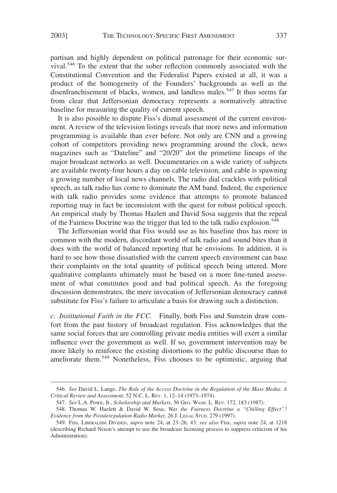partisan and highly dependent on political patronage for their economic survival.<sup>546</sup> To the extent that the sober reflection commonly associated with the Constitutional Convention and the Federalist Papers existed at all, it was a product of the homogeneity of the Founders' backgrounds as well as the disenfranchisement of blacks, women, and landless males.<sup>547</sup> It thus seems far from clear that Jeffersonian democracy represents a normatively attractive baseline for measuring the quality of current speech.

It is also possible to dispute Fiss's dismal assessment of the current environment. A review of the television listings reveals that more news and information programming is available than ever before. Not only are CNN and a growing cohort of competitors providing news programming around the clock, news magazines such as "Dateline" and "20/20" dot the primetime lineups of the major broadcast networks as well. Documentaries on a wide variety of subjects are available twenty-four hours a day on cable television, and cable is spawning a growing number of local news channels. The radio dial crackles with political speech, as talk radio has come to dominate the AM band. Indeed, the experience with talk radio provides some evidence that attempts to promote balanced reporting may in fact be inconsistent with the quest for robust political speech. An empirical study by Thomas Hazlett and David Sosa suggests that the repeal of the Fairness Doctrine was the trigger that led to the talk radio explosion.<sup>548</sup>

The Jeffersonian world that Fiss would use as his baseline thus has more in common with the modern, discordant world of talk radio and sound bites than it does with the world of balanced reporting that he envisions. In addition, it is hard to see how those dissatisfied with the current speech environment can base their complaints on the total quantity of political speech being uttered. More qualitative complaints ultimately must be based on a more fine-tuned assessment of what constitutes good and bad political speech. As the foregoing discussion demonstrates, the mere invocation of Jeffersonian democracy cannot substitute for Fiss's failure to articulate a basis for drawing such a distinction.

*c. Institutional Faith in the FCC.* Finally, both Fiss and Sunstein draw comfort from the past history of broadcast regulation. Fiss acknowledges that the same social forces that are controlling private media entities will exert a similar influence over the government as well. If so, government intervention may be more likely to reinforce the existing distortions to the public discourse than to ameliorate them.<sup>549</sup> Nonetheless, Fiss chooses to be optimistic, arguing that

<sup>546.</sup> *See* David L. Lange, *The Role of the Access Doctrine in the Regulation of the Mass Media: A Critical Review and Assessment*, 52 N.C. L. REV. 1, 12–14 (1973–1974).

<sup>547.</sup> *See* L.A. Powe, Jr., *Scholarship and Markets*, 56 GEO. WASH. L. REV. 172, 183 (1987).

<sup>548.</sup> Thomas W. Hazlett & David W. Sosa, *Was the Fairness Doctrine a "Chilling Effect"? Evidence from the Postderegulation Radio Market*, 26 J. LEGAL STUD. 279 (1997).

<sup>549.</sup> FISS, LIBERALISM DIVIDED, *supra* note 24, at 23–26, 43; *see also* Fiss, *supra* note 24, at 1218 (describing Richard Nixon's attempt to use the broadcast licensing process to suppress criticism of his Administration).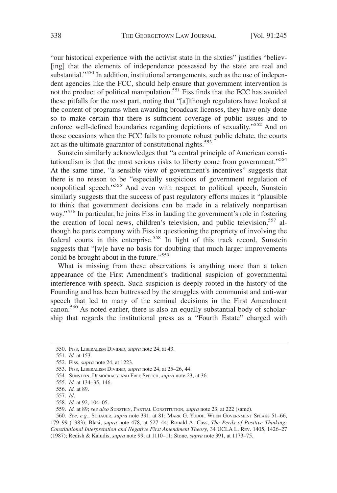"our historical experience with the activist state in the sixties" justifies "believ- [ing] that the elements of independence possessed by the state are real and substantial."<sup>550</sup> In addition, institutional arrangements, such as the use of independent agencies like the FCC, should help ensure that government intervention is not the product of political manipulation.<sup>551</sup> Fiss finds that the FCC has avoided these pitfalls for the most part, noting that "[a]lthough regulators have looked at the content of programs when awarding broadcast licenses, they have only done so to make certain that there is sufficient coverage of public issues and to enforce well-defined boundaries regarding depictions of sexuality."<sup>552</sup> And on those occasions when the FCC fails to promote robust public debate, the courts act as the ultimate guarantor of constitutional rights.<sup>553</sup>

Sunstein similarly acknowledges that "a central principle of American constitutionalism is that the most serious risks to liberty come from government."<sup>554</sup> At the same time, "a sensible view of government's incentives" suggests that there is no reason to be "especially suspicious of government regulation of nonpolitical speech."<sup>555</sup> And even with respect to political speech, Sunstein similarly suggests that the success of past regulatory efforts makes it "plausible to think that government decisions can be made in a relatively nonpartisan way."<sup>556</sup> In particular, he joins Fiss in lauding the government's role in fostering the creation of local news, children's television, and public television,  $557$  although he parts company with Fiss in questioning the propriety of involving the federal courts in this enterprise.<sup>558</sup> In light of this track record, Sunstein suggests that "[w]e have no basis for doubting that much larger improvements could be brought about in the future."<sup>559</sup>

What is missing from these observations is anything more than a token appearance of the First Amendment's traditional suspicion of governmental interference with speech. Such suspicion is deeply rooted in the history of the Founding and has been buttressed by the struggles with communist and anti-war speech that led to many of the seminal decisions in the First Amendment canon.<sup>560</sup> As noted earlier, there is also an equally substantial body of scholarship that regards the institutional press as a "Fourth Estate" charged with

<sup>550.</sup> FISS, LIBERALISM DIVIDED, *supra* note 24, at 43.

<sup>551.</sup> *Id.* at 153.

<sup>552.</sup> Fiss, *supra* note 24, at 1223.

<sup>553.</sup> FISS, LIBERALISM DIVIDED, *supra* note 24, at 25–26, 44.

<sup>554.</sup> SUNSTEIN, DEMOCRACY AND FREE SPEECH, *supra* note 23, at 36.

<sup>555.</sup> *Id.* at 134–35, 146.

<sup>556.</sup> *Id.* at 89.

<sup>557.</sup> *Id*.

<sup>558.</sup> *Id.* at 92, 104–05.

<sup>559.</sup> *Id.* at 89; *see also* SUNSTEIN, PARTIAL CONSTITUTION, *supra* note 23, at 222 (same).

<sup>560.</sup> *See, e.g.*, SCHAUER, *supra* note 391, at 81; MARK G. YUDOF, WHEN GOVERNMENT SPEAKS 51–66, 179–99 (1983); Blasi, *supra* note 478, at 527–44; Ronald A. Cass, *The Perils of Positive Thinking: Constitutional Interpretation and Negative First Amendment Theory*, 34 UCLA L. REV. 1405, 1426–27 (1987); Redish & Kaludis, *supra* note 99, at 1110–11; Stone, *supra* note 391, at 1173–75.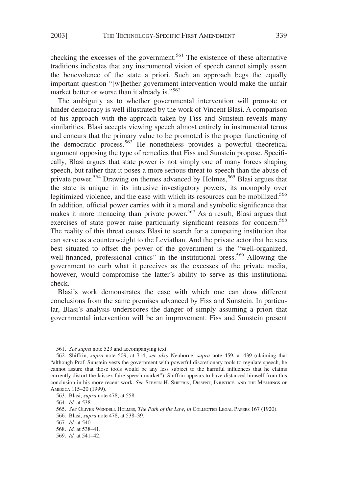checking the excesses of the government.<sup>561</sup> The existence of these alternative traditions indicates that any instrumental vision of speech cannot simply assert the benevolence of the state a priori. Such an approach begs the equally important question "[w]hether government intervention would make the unfair market better or worse than it already is."<sup>562</sup>

The ambiguity as to whether governmental intervention will promote or hinder democracy is well illustrated by the work of Vincent Blasi. A comparison of his approach with the approach taken by Fiss and Sunstein reveals many similarities. Blasi accepts viewing speech almost entirely in instrumental terms and concurs that the primary value to be promoted is the proper functioning of the democratic process.<sup>563</sup> He nonetheless provides a powerful theoretical argument opposing the type of remedies that Fiss and Sunstein propose. Specifically, Blasi argues that state power is not simply one of many forces shaping speech, but rather that it poses a more serious threat to speech than the abuse of private power.<sup>564</sup> Drawing on themes advanced by Holmes,<sup>565</sup> Blasi argues that the state is unique in its intrusive investigatory powers, its monopoly over legitimized violence, and the ease with which its resources can be mobilized.<sup>566</sup> In addition, official power carries with it a moral and symbolic significance that makes it more menacing than private power.<sup>567</sup> As a result, Blasi argues that exercises of state power raise particularly significant reasons for concern.<sup>568</sup> The reality of this threat causes Blasi to search for a competing institution that can serve as a counterweight to the Leviathan. And the private actor that he sees best situated to offset the power of the government is the "well-organized, well-financed, professional critics" in the institutional press.<sup>569</sup> Allowing the government to curb what it perceives as the excesses of the private media, however, would compromise the latter's ability to serve as this institutional check.

Blasi's work demonstrates the ease with which one can draw different conclusions from the same premises advanced by Fiss and Sunstein. In particular, Blasi's analysis underscores the danger of simply assuming a priori that governmental intervention will be an improvement. Fiss and Sunstein present

<sup>561.</sup> *See supra* note 523 and accompanying text.

<sup>562.</sup> Shiffrin, *supra* note 509, at 714; *see also* Neuborne, *supra* note 459, at 439 (claiming that "although Prof. Sunstein vests the government with powerful discretionary tools to regulate speech, he cannot assure that those tools would be any less subject to the harmful influences that he claims currently distort the laissez-faire speech market"). Shiffrin appears to have distanced himself from this conclusion in his more recent work. *See* STEVEN H. SHIFFRIN, DISSENT, INJUSTICE, AND THE MEANINGS OF AMERICA 115–20 (1999).

<sup>563.</sup> Blasi, *supra* note 478, at 558.

<sup>564.</sup> *Id.* at 538.

<sup>565.</sup> *See* OLIVER WENDELL HOLMES, *The Path of the Law*, *in* COLLECTED LEGAL PAPERS 167 (1920).

<sup>566.</sup> Blasi, *supra* note 478, at 538–39.

<sup>567.</sup> *Id.* at 540.

<sup>568.</sup> *Id.* at 538–41.

<sup>569.</sup> *Id.* at 541–42.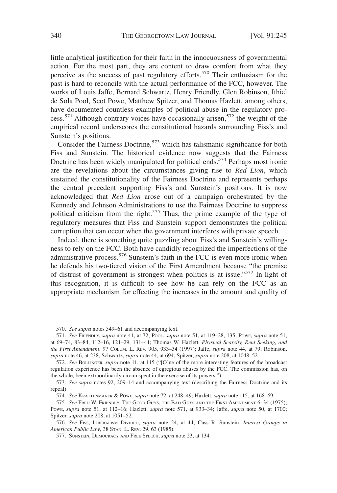little analytical justification for their faith in the innocuousness of governmental action. For the most part, they are content to draw comfort from what they perceive as the success of past regulatory efforts.<sup>570</sup> Their enthusiasm for the past is hard to reconcile with the actual performance of the FCC, however. The works of Louis Jaffe, Bernard Schwartz, Henry Friendly, Glen Robinson, Ithiel de Sola Pool, Scot Powe, Matthew Spitzer, and Thomas Hazlett, among others, have documented countless examples of political abuse in the regulatory process.<sup>571</sup> Although contrary voices have occasionally arisen,<sup>572</sup> the weight of the empirical record underscores the constitutional hazards surrounding Fiss's and Sunstein's positions.

Consider the Fairness Doctrine,<sup>573</sup> which has talismanic significance for both Fiss and Sunstein. The historical evidence now suggests that the Fairness Doctrine has been widely manipulated for political ends.<sup>574</sup> Perhaps most ironic are the revelations about the circumstances giving rise to *Red Lion*, which sustained the constitutionality of the Fairness Doctrine and represents perhaps the central precedent supporting Fiss's and Sunstein's positions. It is now acknowledged that *Red Lion* arose out of a campaign orchestrated by the Kennedy and Johnson Administrations to use the Fairness Doctrine to suppress political criticism from the right.<sup>575</sup> Thus, the prime example of the type of regulatory measures that Fiss and Sunstein support demonstrates the political corruption that can occur when the government interferes with private speech.

Indeed, there is something quite puzzling about Fiss's and Sunstein's willingness to rely on the FCC. Both have candidly recognized the imperfections of the administrative process.<sup>576</sup> Sunstein's faith in the FCC is even more ironic when he defends his two-tiered vision of the First Amendment because "the premise of distrust of government is strongest when politics is at issue."<sup>577</sup> In light of this recognition, it is difficult to see how he can rely on the FCC as an appropriate mechanism for effecting the increases in the amount and quality of

<sup>570.</sup> *See supra* notes 549–61 and accompanying text.

<sup>571.</sup> *See* FRIENDLY, *supra* note 41, at 72; POOL, *supra* note 51, at 119–28, 135; POWE, *supra* note 51, at 69–74, 83–84, 112–16, 121–29, 131–41; Thomas W. Hazlett, *Physical Scarcity, Rent Seeking, and the First Amendment*, 97 COLUM. L. REV. 905, 933–34 (1997); Jaffe, *supra* note 44, at 79; Robinson, *supra* note 46, at 238; Schwartz, *supra* note 44, at 694; Spitzer, *supra* note 208, at 1048–52.

<sup>572.</sup> *See* BOLLINGER, *supra* note 11, at 115 ("[O]ne of the more interesting features of the broadcast regulation experience has been the absence of egregious abuses by the FCC. The commission has, on the whole, been extraordinarily circumspect in the exercise of its powers.").

<sup>573.</sup> *See supra* notes 92, 209–14 and accompanying text (describing the Fairness Doctrine and its repeal).

<sup>574.</sup> *See* KRATTENMAKER & POWE, *supra* note 72, at 248–49; Hazlett, *supra* note 115, at 168–69.

<sup>575.</sup> *See* FRED W. FRIENDLY, THE GOOD GUYS, THE BAD GUYS AND THE FIRST AMENDMENT 6–34 (1975); POWE, *supra* note 51, at 112–16; Hazlett, *supra* note 571, at 933–34; Jaffe, *supra* note 50, at 1700; Spitzer, *supra* note 208, at 1051–52.

<sup>576.</sup> *See* FISS, LIBERALISM DIVIDED, *supra* note 24, at 44; Cass R. Sunstein, *Interest Groups in American Public Law*, 38 STAN. L. REV. 29, 63 (1985).

<sup>577.</sup> SUNSTEIN, DEMOCRACY AND FREE SPEECH, *supra* note 23, at 134.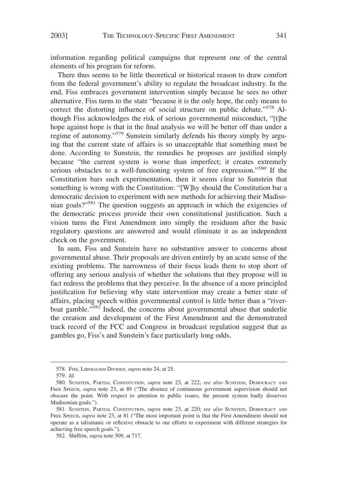information regarding political campaigns that represent one of the central elements of his program for reform.

There thus seems to be little theoretical or historical reason to draw comfort from the federal government's ability to regulate the broadcast industry. In the end, Fiss embraces government intervention simply because he sees no other alternative. Fiss turns to the state "because it is the only hope, the only means to correct the distorting influence of social structure on public debate."<sup>578</sup> Although Fiss acknowledges the risk of serious governmental misconduct, "[t]he hope against hope is that in the final analysis we will be better off than under a regime of autonomy."<sup>579</sup> Sunstein similarly defends his theory simply by arguing that the current state of affairs is so unacceptable that something must be done. According to Sunstein, the remedies he proposes are justified simply because "the current system is worse than imperfect; it creates extremely serious obstacles to a well-functioning system of free expression."<sup>580</sup> If the Constitution bars such experimentation, then it seems clear to Sunstein that something is wrong with the Constitution: "[W]hy should the Constitution bar a democratic decision to experiment with new methods for achieving their Madisonian goals?"<sup>581</sup> The question suggests an approach in which the exigencies of the democratic process provide their own constitutional justification. Such a vision turns the First Amendment into simply the residuum after the basic regulatory questions are answered and would eliminate it as an independent check on the government.

In sum, Fiss and Sunstein have no substantive answer to concerns about governmental abuse. Their proposals are driven entirely by an acute sense of the existing problems. The narrowness of their focus leads them to stop short of offering any serious analysis of whether the solutions that they propose will in fact redress the problems that they perceive. In the absence of a more principled justification for believing why state intervention may create a better state of affairs, placing speech within governmental control is little better than a "riverboat gamble."<sup>582</sup> Indeed, the concerns about governmental abuse that underlie the creation and development of the First Amendment and the demonstrated track record of the FCC and Congress in broadcast regulation suggest that as gambles go, Fiss's and Sunstein's face particularly long odds.

<sup>578.</sup> FISS, LIBERALISM DIVIDED, *supra* note 24, at 25.

<sup>579.</sup> *Id.*

<sup>580.</sup> SUNSTEIN, PARTIAL CONSTITUTION, *supra* note 23, at 222; *see also* SUNSTEIN, DEMOCRACY AND FREE SPEECH, *supra* note 23, at 89 ("The absence of continuous government supervision should not obscure the point. With respect to attention to public issues, the present system badly disserves Madisonian goals.").

<sup>581.</sup> SUNSTEIN, PARTIAL CONSTITUTION, *supra* note 23, at 220; *see also* SUNSTEIN, DEMOCRACY AND FREE SPEECH, *supra* note 23, at 81 ("The most important point is that the First Amendment should not operate as a talismanic or reflexive obstacle to our efforts to experiment with different strategies for achieving free speech goals.").

<sup>582.</sup> Shiffrin, *supra* note 509, at 717.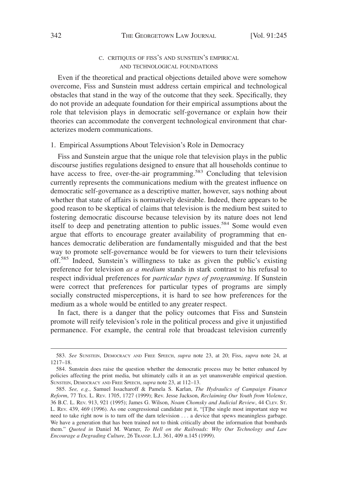# C. CRITIQUES OF FISS'S AND SUNSTEIN'S EMPIRICAL AND TECHNOLOGICAL FOUNDATIONS

Even if the theoretical and practical objections detailed above were somehow overcome, Fiss and Sunstein must address certain empirical and technological obstacles that stand in the way of the outcome that they seek. Specifically, they do not provide an adequate foundation for their empirical assumptions about the role that television plays in democratic self-governance or explain how their theories can accommodate the convergent technological environment that characterizes modern communications.

## 1. Empirical Assumptions About Television's Role in Democracy

Fiss and Sunstein argue that the unique role that television plays in the public discourse justifies regulations designed to ensure that all households continue to have access to free, over-the-air programming.<sup>583</sup> Concluding that television currently represents the communications medium with the greatest influence on democratic self-governance as a descriptive matter, however, says nothing about whether that state of affairs is normatively desirable. Indeed, there appears to be good reason to be skeptical of claims that television is the medium best suited to fostering democratic discourse because television by its nature does not lend itself to deep and penetrating attention to public issues.<sup>584</sup> Some would even argue that efforts to encourage greater availability of programming that enhances democratic deliberation are fundamentally misguided and that the best way to promote self-governance would be for viewers to turn their televisions off.<sup>585</sup> Indeed, Sunstein's willingness to take as given the public's existing preference for television *as a medium* stands in stark contrast to his refusal to respect individual preferences for *particular types of programming*. If Sunstein were correct that preferences for particular types of programs are simply socially constructed misperceptions, it is hard to see how preferences for the medium as a whole would be entitled to any greater respect.

In fact, there is a danger that the policy outcomes that Fiss and Sunstein promote will reify television's role in the political process and give it unjustified permanence. For example, the central role that broadcast television currently

<sup>583.</sup> *See* SUNSTEIN, DEMOCRACY AND FREE SPEECH, *supra* note 23, at 20; Fiss, *supra* note 24, at 1217–18.

<sup>584.</sup> Sunstein does raise the question whether the democratic process may be better enhanced by policies affecting the print media, but ultimately calls it an as yet unanswerable empirical question. SUNSTEIN, DEMOCRACY AND FREE SPEECH, *supra* note 23, at 112–13.

<sup>585.</sup> *See, e.g.*, Samuel Issacharoff & Pamela S. Karlan, *The Hydraulics of Campaign Finance Reform*, 77 TEX. L. REV. 1705, 1727 (1999); Rev. Jesse Jackson, *Reclaiming Our Youth from Violence*, 36 B.C. L. REV. 913, 921 (1995); James G. Wilson, *Noam Chomsky and Judicial Review*, 44 CLEV. ST. L. REV. 439, 469 (1996). As one congressional candidate put it, "[T]he single most important step we need to take right now is to turn off the darn television . . . a device that spews meaningless garbage. We have a generation that has been trained not to think critically about the information that bombards them." *Quoted in* Daniel M. Warner, *To Hell on the Railroads: Why Our Technology and Law Encourage a Degrading Culture*, 26 TRANSP. L.J. 361, 409 n.145 (1999).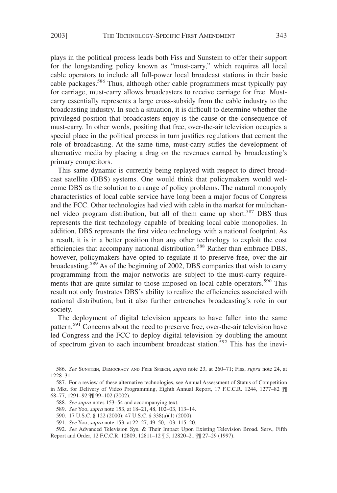plays in the political process leads both Fiss and Sunstein to offer their support for the longstanding policy known as "must-carry," which requires all local cable operators to include all full-power local broadcast stations in their basic cable packages.<sup>586</sup> Thus, although other cable programmers must typically pay for carriage, must-carry allows broadcasters to receive carriage for free. Mustcarry essentially represents a large cross-subsidy from the cable industry to the broadcasting industry. In such a situation, it is difficult to determine whether the privileged position that broadcasters enjoy is the cause or the consequence of must-carry. In other words, positing that free, over-the-air television occupies a special place in the political process in turn justifies regulations that cement the role of broadcasting. At the same time, must-carry stifles the development of alternative media by placing a drag on the revenues earned by broadcasting's primary competitors.

This same dynamic is currently being replayed with respect to direct broadcast satellite (DBS) systems. One would think that policymakers would welcome DBS as the solution to a range of policy problems. The natural monopoly characteristics of local cable service have long been a major focus of Congress and the FCC. Other technologies had vied with cable in the market for multichannel video program distribution, but all of them came up short.<sup>587</sup> DBS thus represents the first technology capable of breaking local cable monopolies. In addition, DBS represents the first video technology with a national footprint. As a result, it is in a better position than any other technology to exploit the cost efficiencies that accompany national distribution.<sup>588</sup> Rather than embrace DBS, however, policymakers have opted to regulate it to preserve free, over-the-air broadcasting.<sup>589</sup> As of the beginning of 2002, DBS companies that wish to carry programming from the major networks are subject to the must-carry requirements that are quite similar to those imposed on local cable operators.<sup>590</sup> This result not only frustrates DBS's ability to realize the efficiencies associated with national distribution, but it also further entrenches broadcasting's role in our society.

The deployment of digital television appears to have fallen into the same pattern.<sup>591</sup> Concerns about the need to preserve free, over-the-air television have led Congress and the FCC to deploy digital television by doubling the amount of spectrum given to each incumbent broadcast station.<sup>592</sup> This has the inevi-

<sup>586.</sup> *See* SUNSTEIN, DEMOCRACY AND FREE SPEECH, *supra* note 23, at 260–71; Fiss, *supra* note 24, at 1228–31.

<sup>587.</sup> For a review of these alternative technologies, see Annual Assessment of Status of Competition in Mkt. for Delivery of Video Programming, Eighth Annual Report, 17 F.C.C.R. 1244, 1277–82 ¶¶ 68–77, 1291–92 ¶¶ 99–102 (2002).

<sup>588.</sup> *See supra* notes 153–54 and accompanying text.

<sup>589.</sup> *See* Yoo, *supra* note 153, at 18–21, 48, 102–03, 113–14.

<sup>590. 17</sup> U.S.C. § 122 (2000); 47 U.S.C. § 338(a)(1) (2000).

<sup>591.</sup> *See* Yoo, *supra* note 153, at 22–27, 49–50, 103, 115–20.

<sup>592.</sup> *See* Advanced Television Sys. & Their Impact Upon Existing Television Broad. Serv., Fifth Report and Order, 12 F.C.C.R. 12809, 12811–12 ¶ 5, 12820–21 ¶¶ 27–29 (1997).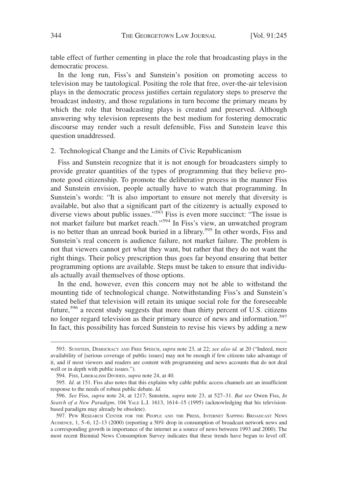table effect of further cementing in place the role that broadcasting plays in the democratic process.

In the long run, Fiss's and Sunstein's position on promoting access to television may be tautological. Positing the role that free, over-the-air television plays in the democratic process justifies certain regulatory steps to preserve the broadcast industry, and those regulations in turn become the primary means by which the role that broadcasting plays is created and preserved. Although answering why television represents the best medium for fostering democratic discourse may render such a result defensible, Fiss and Sunstein leave this question unaddressed.

#### 2. Technological Change and the Limits of Civic Republicanism

Fiss and Sunstein recognize that it is not enough for broadcasters simply to provide greater quantities of the types of programming that they believe promote good citizenship. To promote the deliberative process in the manner Fiss and Sunstein envision, people actually have to watch that programming. In Sunstein's words: "It is also important to ensure not merely that diversity is available, but also that a significant part of the citizenry is actually exposed to diverse views about public issues."<sup>593</sup> Fiss is even more succinct: "The issue is not market failure but market reach."<sup>594</sup> In Fiss's view, an unwatched program is no better than an unread book buried in a library.<sup>595</sup> In other words, Fiss and Sunstein's real concern is audience failure, not market failure. The problem is not that viewers cannot get what they want, but rather that they do not want the right things. Their policy prescription thus goes far beyond ensuring that better programming options are available. Steps must be taken to ensure that individuals actually avail themselves of those options.

In the end, however, even this concern may not be able to withstand the mounting tide of technological change. Notwithstanding Fiss's and Sunstein's stated belief that television will retain its unique social role for the foreseeable future,<sup>596</sup> a recent study suggests that more than thirty percent of U.S. citizens no longer regard television as their primary source of news and information.<sup>597</sup> In fact, this possibility has forced Sunstein to revise his views by adding a new

<sup>593.</sup> SUNSTEIN, DEMOCRACY AND FREE SPEECH, *supra* note 23, at 22; *see also id.* at 20 ("Indeed, mere availability of [serious coverage of public issues] may not be enough if few citizens take advantage of it, and if most viewers and readers are content with programming and news accounts that do not deal well or in depth with public issues.").

<sup>594.</sup> FISS, LIBERALISM DIVIDED, *supra* note 24, at 40.

<sup>595.</sup> *Id.* at 151. Fiss also notes that this explains why cable public access channels are an insufficient response to the needs of robust public debate. *Id.*

<sup>596.</sup> *See* Fiss, *supra* note 24, at 1217; Sunstein, *supra* note 23, at 527–31. *But see* Owen Fiss, *In Search of a New Paradigm*, 104 YALE L.J. 1613, 1614–15 (1995) (acknowledging that his televisionbased paradigm may already be obsolete).

<sup>597.</sup> PEW RESEARCH CENTER FOR THE PEOPLE AND THE PRESS, INTERNET SAPPING BROADCAST NEWS AUDIENCE, 1, 5–6, 12–13 (2000) (reporting a 50% drop in consumption of broadcast network news and a corresponding growth in importance of the internet as a source of news between 1993 and 2000). The most recent Biennial News Consumption Survey indicates that these trends have begun to level off.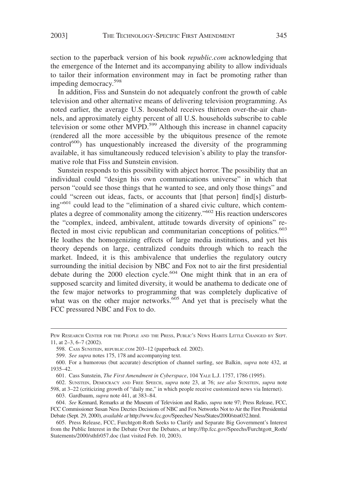section to the paperback version of his book *republic.com* acknowledging that the emergence of the Internet and its accompanying ability to allow individuals to tailor their information environment may in fact be promoting rather than impeding democracy.<sup>598</sup>

In addition, Fiss and Sunstein do not adequately confront the growth of cable television and other alternative means of delivering television programming. As noted earlier, the average U.S. household receives thirteen over-the-air channels, and approximately eighty percent of all U.S. households subscribe to cable television or some other MVPD.<sup>599</sup> Although this increase in channel capacity (rendered all the more accessible by the ubiquitous presence of the remote control<sup>600</sup>) has unquestionably increased the diversity of the programming available, it has simultaneously reduced television's ability to play the transformative role that Fiss and Sunstein envision.

Sunstein responds to this possibility with abject horror. The possibility that an individual could "design his own communications universe" in which that person "could see those things that he wanted to see, and only those things" and could "screen out ideas, facts, or accounts that [that person] find[s] disturbing"<sup>601</sup> could lead to the "elimination of a shared civic culture, which contemplates a degree of commonality among the citizenry."602 His reaction underscores the "complex, indeed, ambivalent, attitude towards diversity of opinions" reflected in most civic republican and communitarian conceptions of politics.<sup>603</sup> He loathes the homogenizing effects of large media institutions, and yet his theory depends on large, centralized conduits through which to reach the market. Indeed, it is this ambivalence that underlies the regulatory outcry surrounding the initial decision by NBC and Fox not to air the first presidential debate during the 2000 election cycle.<sup>604</sup> One might think that in an era of supposed scarcity and limited diversity, it would be anathema to dedicate one of the few major networks to programming that was completely duplicative of what was on the other major networks. $605$  And yet that is precisely what the FCC pressured NBC and Fox to do.

PEW RESEARCH CENTER FOR THE PEOPLE AND THE PRESS, PUBLIC'S NEWS HABITS LITTLE CHANGED BY SEPT. 11, at 2–3, 6–7 (2002).

<sup>598.</sup> CASS SUNSTEIN, REPUBLIC.COM 203–12 (paperback ed. 2002).

<sup>599.</sup> *See supra* notes 175, 178 and accompanying text.

<sup>600.</sup> For a humorous (but accurate) description of channel surfing, see Balkin, *supra* note 432, at 1935–42.

<sup>601.</sup> Cass Sunstein, *The First Amendment in Cyberspace*, 104 YALE L.J. 1757, 1786 (1995).

<sup>602.</sup> SUNSTEIN, DEMOCRACY AND FREE SPEECH, *supra* note 23, at 76; *see also* SUNSTEIN, *supra* note 598, at 3–22 (criticizing growth of "daily me," in which people receive customized news via Internet). 603. Gardbaum, *supra* note 441, at 383–84.

<sup>604.</sup> *See* Kennard, Remarks at the Museum of Television and Radio, *supra* note 97; Press Release, FCC, FCC Commissioner Susan Ness Decries Decisions of NBC and Fox Networks Not to Air the First Presidential Debate (Sept. 29, 2000), *available at* http://www.fcc.gov/Speeches/ Ness/States/2000/stsn032.html.

<sup>605.</sup> Press Release, FCC, Furchtgott-Roth Seeks to Clarify and Separate Big Government's Interest from the Public Interest in the Debate Over the Debates, *at* http://ftp.fcc.gov/Speechs/Furchtgott\_Roth/ Statements/2000/sthfr057.doc (last visited Feb. 10, 2003).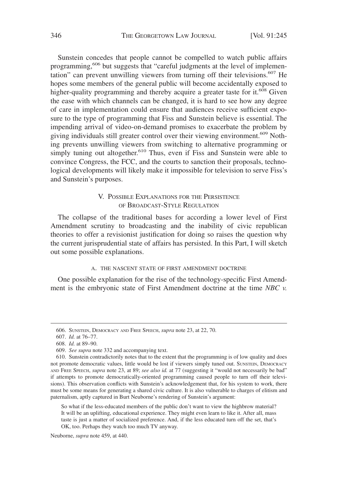Sunstein concedes that people cannot be compelled to watch public affairs programming,<sup>606</sup> but suggests that "careful judgments at the level of implementation" can prevent unwilling viewers from turning off their televisions.<sup>607</sup> He hopes some members of the general public will become accidentally exposed to higher-quality programming and thereby acquire a greater taste for it.<sup>608</sup> Given the ease with which channels can be changed, it is hard to see how any degree of care in implementation could ensure that audiences receive sufficient exposure to the type of programming that Fiss and Sunstein believe is essential. The impending arrival of video-on-demand promises to exacerbate the problem by giving individuals still greater control over their viewing environment.<sup>609</sup> Nothing prevents unwilling viewers from switching to alternative programming or simply tuning out altogether.<sup>610</sup> Thus, even if Fiss and Sunstein were able to convince Congress, the FCC, and the courts to sanction their proposals, technological developments will likely make it impossible for television to serve Fiss's and Sunstein's purposes.

# V. POSSIBLE EXPLANATIONS FOR THE PERSISTENCE OF BROADCAST-STYLE REGULATION

The collapse of the traditional bases for according a lower level of First Amendment scrutiny to broadcasting and the inability of civic republican theories to offer a revisionist justification for doing so raises the question why the current jurisprudential state of affairs has persisted. In this Part, I will sketch out some possible explanations.

### A. THE NASCENT STATE OF FIRST AMENDMENT DOCTRINE

One possible explanation for the rise of the technology-specific First Amendment is the embryonic state of First Amendment doctrine at the time *NBC v.*

So what if the less-educated members of the public don't want to view the highbrow material? It will be an uplifting, educational experience. They might even learn to like it. After all, mass taste is just a matter of socialized preference. And, if the less educated turn off the set, that's OK, too. Perhaps they watch too much TV anyway.

Neuborne, *supra* note 459, at 440.

<sup>606.</sup> SUNSTEIN, DEMOCRACY AND FREE SPEECH, *supra* note 23, at 22, 70.

<sup>607.</sup> *Id.* at 76–77.

<sup>608.</sup> *Id.* at 89–90.

<sup>609.</sup> *See supra* note 332 and accompanying text.

<sup>610.</sup> Sunstein contradictorily notes that to the extent that the programming is of low quality and does not promote democratic values, little would be lost if viewers simply tuned out. SUNSTEIN, DEMOCRACY AND FREE SPEECH, *supra* note 23, at 89; *see also id.* at 77 (suggesting it "would not necessarily be bad" if attempts to promote democratically-oriented programming caused people to turn off their televisions). This observation conflicts with Sunstein's acknowledgement that, for his system to work, there must be some means for generating a shared civic culture. It is also vulnerable to charges of elitism and paternalism, aptly captured in Burt Neuborne's rendering of Sunstein's argument: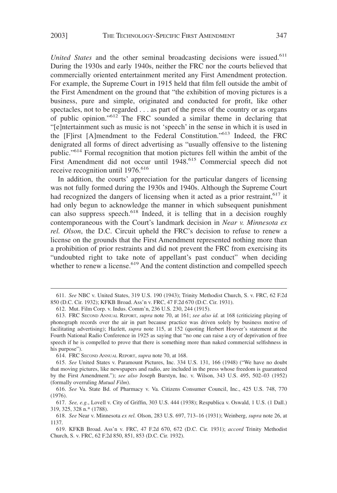*United States* and the other seminal broadcasting decisions were issued.<sup>611</sup> During the 1930s and early 1940s, neither the FRC nor the courts believed that commercially oriented entertainment merited any First Amendment protection. For example, the Supreme Court in 1915 held that film fell outside the ambit of the First Amendment on the ground that "the exhibition of moving pictures is a business, pure and simple, originated and conducted for profit, like other spectacles, not to be regarded . . . as part of the press of the country or as organs of public opinion."<sup>612</sup> The FRC sounded a similar theme in declaring that "[e]ntertainment such as music is not 'speech' in the sense in which it is used in the [F]irst [A]mendment to the Federal Constitution."<sup>613</sup> Indeed, the FRC denigrated all forms of direct advertising as "usually offensive to the listening public."614 Formal recognition that motion pictures fell within the ambit of the First Amendment did not occur until 1948.<sup>615</sup> Commercial speech did not receive recognition until 1976.<sup>616</sup>

In addition, the courts' appreciation for the particular dangers of licensing was not fully formed during the 1930s and 1940s. Although the Supreme Court had recognized the dangers of licensing when it acted as a prior restraint,  $617$  it had only begun to acknowledge the manner in which subsequent punishment can also suppress speech.<sup>618</sup> Indeed, it is telling that in a decision roughly contemporaneous with the Court's landmark decision in *Near v. Minnesota ex rel. Olson*, the D.C. Circuit upheld the FRC's decision to refuse to renew a license on the grounds that the First Amendment represented nothing more than a prohibition of prior restraints and did not prevent the FRC from exercising its "undoubted right to take note of appellant's past conduct" when deciding whether to renew a license.<sup>619</sup> And the content distinction and compelled speech

614. FRC SECOND ANNUAL REPORT, *supra* note 70, at 168.

<sup>611.</sup> *See* NBC v. United States, 319 U.S. 190 (1943); Trinity Methodist Church, S. v. FRC, 62 F.2d 850 (D.C. Cir. 1932); KFKB Broad. Ass'n v. FRC, 47 F.2d 670 (D.C. Cir. 1931).

<sup>612.</sup> Mut. Film Corp. v. Indus. Comm'n, 236 U.S. 230, 244 (1915).

<sup>613.</sup> FRC SECOND ANNUAL REPORT, *supra* note 70, at 161; *see also id.* at 168 (criticizing playing of phonograph records over the air in part because practice was driven solely by business motive of facilitating advertising); Hazlett, *supra* note 115, at 152 (quoting Herbert Hoover's statement at the Fourth National Radio Conference in 1925 as saying that "no one can raise a cry of deprivation of free speech if he is compelled to prove that there is something more than naked commercial selfishness in his purpose").

<sup>615.</sup> *See* United States v. Paramount Pictures, Inc. 334 U.S. 131, 166 (1948) ("We have no doubt that moving pictures, like newspapers and radio, are included in the press whose freedom is guaranteed by the First Amendment."); *see also* Joseph Burstyn, Inc. v. Wilson, 343 U.S. 495, 502–03 (1952) (formally overruling *Mutual Film*).

<sup>616.</sup> *See* Va. State Bd. of Pharmacy v. Va. Citizens Consumer Council, Inc., 425 U.S. 748, 770 (1976).

<sup>617.</sup> *See, e.g.*, Lovell v. City of Griffin, 303 U.S. 444 (1938); Respublica v. Oswald, 1 U.S. (1 Dall.) 319, 325, 328 n.\* (1788).

<sup>618.</sup> *See* Near v. Minnesota *ex rel.* Olson, 283 U.S. 697, 713–16 (1931); Weinberg, *supra* note 26, at 1137.

<sup>619.</sup> KFKB Broad. Ass'n v. FRC, 47 F.2d 670, 672 (D.C. Cir. 1931); *accord* Trinity Methodist Church, S. v. FRC, 62 F.2d 850, 851, 853 (D.C. Cir. 1932).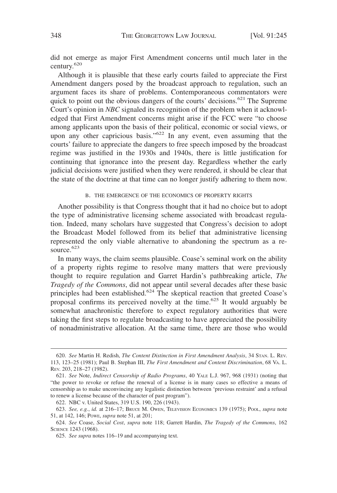did not emerge as major First Amendment concerns until much later in the century.<sup>620</sup>

Although it is plausible that these early courts failed to appreciate the First Amendment dangers posed by the broadcast approach to regulation, such an argument faces its share of problems. Contemporaneous commentators were quick to point out the obvious dangers of the courts' decisions.<sup>621</sup> The Supreme Court's opinion in *NBC* signaled its recognition of the problem when it acknowledged that First Amendment concerns might arise if the FCC were "to choose among applicants upon the basis of their political, economic or social views, or upon any other capricious basis." $622$  In any event, even assuming that the courts' failure to appreciate the dangers to free speech imposed by the broadcast regime was justified in the 1930s and 1940s, there is little justification for continuing that ignorance into the present day. Regardless whether the early judicial decisions were justified when they were rendered, it should be clear that the state of the doctrine at that time can no longer justify adhering to them now.

#### B. THE EMERGENCE OF THE ECONOMICS OF PROPERTY RIGHTS

Another possibility is that Congress thought that it had no choice but to adopt the type of administrative licensing scheme associated with broadcast regulation. Indeed, many scholars have suggested that Congress's decision to adopt the Broadcast Model followed from its belief that administrative licensing represented the only viable alternative to abandoning the spectrum as a resource.<sup>623</sup>

In many ways, the claim seems plausible. Coase's seminal work on the ability of a property rights regime to resolve many matters that were previously thought to require regulation and Garret Hardin's pathbreaking article, *The Tragedy of the Commons*, did not appear until several decades after these basic principles had been established.<sup>624</sup> The skeptical reaction that greeted Coase's proposal confirms its perceived novelty at the time.<sup>625</sup> It would arguably be somewhat anachronistic therefore to expect regulatory authorities that were taking the first steps to regulate broadcasting to have appreciated the possibility of nonadministrative allocation. At the same time, there are those who would

<sup>620.</sup> *See* Martin H. Redish, *The Content Distinction in First Amendment Analysis*, 34 STAN. L. REV. 113, 123–25 (1981); Paul B. Stephan III, *The First Amendment and Content Discrimination*, 68 VA. L. REV. 203, 218–27 (1982).

<sup>621.</sup> *See* Note, *Indirect Censorship of Radio Programs*, 40 YALE L.J. 967, 968 (1931) (noting that "the power to revoke or refuse the renewal of a license is in many cases so effective a means of censorship as to make unconvincing any legalistic distinction between 'previous restraint' and a refusal to renew a license because of the character of past program").

<sup>622.</sup> NBC v. United States, 319 U.S. 190, 226 (1943).

<sup>623.</sup> *See, e.g.*, *id.* at 216–17; BRUCE M. OWEN, TELEVISION ECONOMICS 139 (1975); POOL, *supra* note 51, at 142, 146; POWE, *supra* note 51, at 201;

<sup>624.</sup> *See* Coase, *Social Cost*, *supra* note 118; Garrett Hardin, *The Tragedy of the Commons*, 162 SCIENCE 1243 (1968).

<sup>625.</sup> *See supra* notes 116–19 and accompanying text.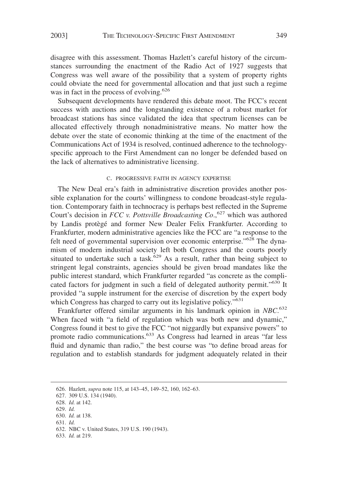disagree with this assessment. Thomas Hazlett's careful history of the circumstances surrounding the enactment of the Radio Act of 1927 suggests that Congress was well aware of the possibility that a system of property rights could obviate the need for governmental allocation and that just such a regime was in fact in the process of evolving.<sup>626</sup>

Subsequent developments have rendered this debate moot. The FCC's recent success with auctions and the longstanding existence of a robust market for broadcast stations has since validated the idea that spectrum licenses can be allocated effectively through nonadministrative means. No matter how the debate over the state of economic thinking at the time of the enactment of the Communications Act of 1934 is resolved, continued adherence to the technologyspecific approach to the First Amendment can no longer be defended based on the lack of alternatives to administrative licensing.

#### C. PROGRESSIVE FAITH IN AGENCY EXPERTISE

The New Deal era's faith in administrative discretion provides another possible explanation for the courts' willingness to condone broadcast-style regulation. Contemporary faith in technocracy is perhaps best reflected in the Supreme Court's decision in *FCC v. Pottsville Broadcasting Co.*,<sup>627</sup> which was authored by Landis protègé and former New Dealer Felix Frankfurter. According to Frankfurter, modern administrative agencies like the FCC are "a response to the felt need of governmental supervision over economic enterprise."<sup>628</sup> The dynamism of modern industrial society left both Congress and the courts poorly situated to undertake such a task.<sup>629</sup> As a result, rather than being subject to stringent legal constraints, agencies should be given broad mandates like the public interest standard, which Frankfurter regarded "as concrete as the complicated factors for judgment in such a field of delegated authority permit."<sup>630</sup> It provided "a supple instrument for the exercise of discretion by the expert body which Congress has charged to carry out its legislative policy."<sup>631</sup>

Frankfurter offered similar arguments in his landmark opinion in *NBC*. 632 When faced with "a field of regulation which was both new and dynamic," Congress found it best to give the FCC "not niggardly but expansive powers" to promote radio communications.<sup>633</sup> As Congress had learned in areas "far less fluid and dynamic than radio," the best course was "to define broad areas for regulation and to establish standards for judgment adequately related in their

- 628. *Id.* at 142.
- 629. *Id.*

633. *Id.* at 219.

<sup>626.</sup> Hazlett, *supra* note 115, at 143–45, 149–52, 160, 162–63.

<sup>627. 309</sup> U.S. 134 (1940).

<sup>630.</sup> *Id.* at 138.

<sup>631.</sup> *Id.*

<sup>632.</sup> NBC v. United States, 319 U.S. 190 (1943).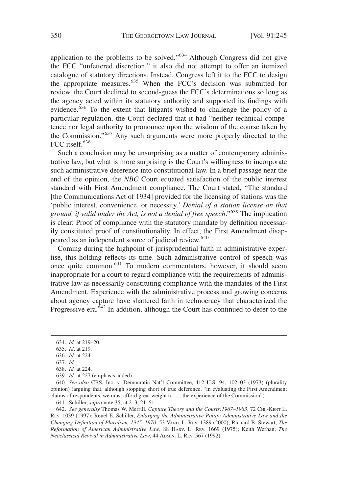application to the problems to be solved."634 Although Congress did not give the FCC "unfettered discretion," it also did not attempt to offer an itemized catalogue of statutory directions. Instead, Congress left it to the FCC to design the appropriate measures.<sup>635</sup> When the FCC's decision was submitted for review, the Court declined to second-guess the FCC's determinations so long as the agency acted within its statutory authority and supported its findings with evidence.<sup>636</sup> To the extent that litigants wished to challenge the policy of a particular regulation, the Court declared that it had "neither technical competence nor legal authority to pronounce upon the wisdom of the course taken by the Commission."637 Any such arguments were more properly directed to the FCC itself.<sup>638</sup>

Such a conclusion may be unsurprising as a matter of contemporary administrative law, but what is more surprising is the Court's willingness to incorporate such administrative deference into constitutional law. In a brief passage near the end of the opinion, the *NBC* Court equated satisfaction of the public interest standard with First Amendment compliance. The Court stated, "The standard [the Communications Act of 1934] provided for the licensing of stations was the 'public interest, convenience, or necessity.' *Denial of a station license on that ground, if valid under the Act, is not a denial of free speech*."<sup>639</sup> The implication is clear: Proof of compliance with the statutory mandate by definition necessarily constituted proof of constitutionality. In effect, the First Amendment disappeared as an independent source of judicial review.<sup>640</sup>

Coming during the highpoint of jurisprudential faith in administrative expertise, this holding reflects its time. Such administrative control of speech was once quite common.641 To modern commentators, however, it should seem inappropriate for a court to regard compliance with the requirements of administrative law as necessarily constituting compliance with the mandates of the First Amendment. Experience with the administrative process and growing concerns about agency capture have shattered faith in technocracy that characterized the Progressive era. $642$  In addition, although the Court has continued to defer to the

641. Schiller, *supra* note 35, at 2–3, 21–51.

642. *See generally* Thomas W. Merrill, *Capture Theory and the Courts:1967–1983*, 72 CHI.-KENT L. REV. 1039 (1997); Reuel E. Schiller, *Enlarging the Administrative Polity: Administrative Law and the Changing Definition of Pluralism, 1945–1970*, 53 VAND. L. REV. 1389 (2000); Richard B. Stewart, *The Reformation of American Administrative Law*, 88 HARV. L. REV. 1669 (1975); Keith Werhan, *The Neoclassical Revival in Administrative Law*, 44 ADMIN. L. REV. 567 (1992).

<sup>634.</sup> *Id.* at 219–20.

<sup>635.</sup> *Id*. at 219.

<sup>636.</sup> *Id.* at 224.

<sup>637.</sup> *Id.*

<sup>638.</sup> *Id.* at 224.

<sup>639.</sup> *Id.* at 227 (emphasis added).

<sup>640.</sup> *See also* CBS, Inc. v. Democratic Nat'l Committee, 412 U.S. 94, 102–03 (1973) (plurality opinion) (arguing that, although stopping short of true deference, "in evaluating the First Amendment claims of respondents, we must afford great weight to . . . the experience of the Commission").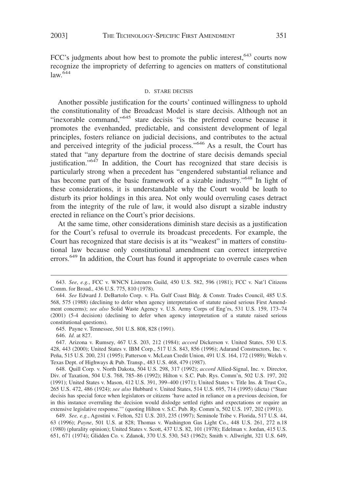FCC's judgments about how best to promote the public interest, <sup>643</sup> courts now recognize the impropriety of deferring to agencies on matters of constitutional  $law<sup>644</sup>$ 

#### D. STARE DECISIS

Another possible justification for the courts' continued willingness to uphold the constitutionality of the Broadcast Model is stare decisis. Although not an "inexorable command,"645 stare decisis "is the preferred course because it promotes the evenhanded, predictable, and consistent development of legal principles, fosters reliance on judicial decisions, and contributes to the actual and perceived integrity of the judicial process."646 As a result, the Court has stated that "any departure from the doctrine of stare decisis demands special justification."<sup>647</sup> In addition, the Court has recognized that stare decisis is particularly strong when a precedent has "engendered substantial reliance and has become part of the basic framework of a sizable industry."<sup>648</sup> In light of these considerations, it is understandable why the Court would be loath to disturb its prior holdings in this area. Not only would overruling cases detract from the integrity of the rule of law, it would also disrupt a sizable industry erected in reliance on the Court's prior decisions.

At the same time, other considerations diminish stare decisis as a justification for the Court's refusal to overrule its broadcast precedents. For example, the Court has recognized that stare decisis is at its "weakest" in matters of constitutional law because only constitutional amendment can correct interpretive errors.<sup>649</sup> In addition, the Court has found it appropriate to overrule cases when

648. Quill Corp. v. North Dakota, 504 U.S. 298, 317 (1992); *accord* Allied-Signal, Inc. v. Director, Div. of Taxation, 504 U.S. 768, 785–86 (1992); Hilton v. S.C. Pub. Rys. Comm'n, 502 U.S. 197, 202 (1991); United States v. Mason, 412 U.S. 391, 399–400 (1971); United States v. Title Ins. & Trust Co., 265 U.S. 472, 486 (1924); *see also* Hubbard v. United States, 514 U.S. 695, 714 (1995) (dicta) ("Stare decisis has special force when legislators or citizens 'have acted in reliance on a previous decision, for in this instance overruling the decision would dislodge settled rights and expectations or require an extensive legislative response.'" (quoting Hilton v. S.C. Pub. Ry. Comm'n, 502 U.S. 197, 202 (1991)).

649. *See, e.g.*, Agostini v. Felton, 521 U.S. 203, 235 (1997); Seminole Tribe v. Florida, 517 U.S. 44, 63 (1996); *Payne*, 501 U.S. at 828; Thomas v. Washington Gas Light Co., 448 U.S. 261, 272 n.18 (1980) (plurality opinion); United States v. Scott, 437 U.S. 82, 101 (1978); Edelman v. Jordan, 415 U.S. 651, 671 (1974); Glidden Co. v. Zdanok, 370 U.S. 530, 543 (1962); Smith v. Allwright, 321 U.S. 649,

<sup>643.</sup> *See*, *e.g.*, FCC v. WNCN Listeners Guild, 450 U.S. 582, 596 (1981); FCC v. Nat'l Citizens Comm. for Broad., 436 U.S. 775, 810 (1978).

<sup>644.</sup> *See* Edward J. DeBartolo Corp. v. Fla. Gulf Coast Bldg. & Constr. Trades Council, 485 U.S. 568, 575 (1988) (declining to defer when agency interpretation of statute raised serious First Amendment concerns); *see also* Solid Waste Agency v. U.S. Army Corps of Eng'rs, 531 U.S. 159, 173–74 (2001) (5-4 decision) (declining to defer when agency interpretation of a statute raised serious constitutional questions).

<sup>645.</sup> Payne v. Tennessee, 501 U.S. 808, 828 (1991).

<sup>646.</sup> *Id*. at 827.

<sup>647.</sup> Arizona v. Rumsey, 467 U.S. 203, 212 (1984); *accord* Dickerson v. United States, 530 U.S. 428, 443 (2000); United States v. IBM Corp., 517 U.S. 843, 856 (1996); Adarand Constructors, Inc. v. Peña, 515 U.S. 200, 231 (1995); Patterson v. McLean Credit Union, 491 U.S. 164, 172 (1989); Welch v. Texas Dept. of Highways & Pub. Transp., 483 U.S. 468, 479 (1987).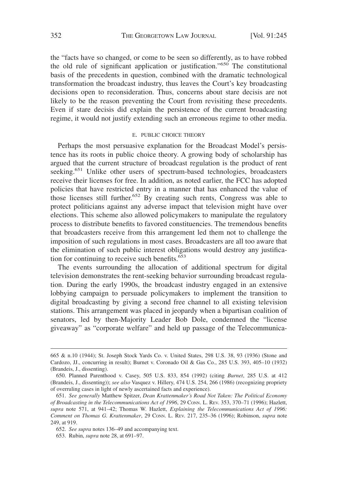the "facts have so changed, or come to be seen so differently, as to have robbed the old rule of significant application or justification."<sup>650</sup> The constitutional basis of the precedents in question, combined with the dramatic technological transformation the broadcast industry, thus leaves the Court's key broadcasting decisions open to reconsideration. Thus, concerns about stare decisis are not likely to be the reason preventing the Court from revisiting these precedents. Even if stare decisis did explain the persistence of the current broadcasting regime, it would not justify extending such an erroneous regime to other media.

## E. PUBLIC CHOICE THEORY

Perhaps the most persuasive explanation for the Broadcast Model's persistence has its roots in public choice theory. A growing body of scholarship has argued that the current structure of broadcast regulation is the product of rent seeking.<sup>651</sup> Unlike other users of spectrum-based technologies, broadcasters receive their licenses for free. In addition, as noted earlier, the FCC has adopted policies that have restricted entry in a manner that has enhanced the value of those licenses still further.<sup>652</sup> By creating such rents, Congress was able to protect politicians against any adverse impact that television might have over elections. This scheme also allowed policymakers to manipulate the regulatory process to distribute benefits to favored constituencies. The tremendous benefits that broadcasters receive from this arrangement led them not to challenge the imposition of such regulations in most cases. Broadcasters are all too aware that the elimination of such public interest obligations would destroy any justification for continuing to receive such benefits.<sup>653</sup>

The events surrounding the allocation of additional spectrum for digital television demonstrates the rent-seeking behavior surrounding broadcast regulation. During the early 1990s, the broadcast industry engaged in an extensive lobbying campaign to persuade policymakers to implement the transition to digital broadcasting by giving a second free channel to all existing television stations. This arrangement was placed in jeopardy when a bipartisan coalition of senators, led by then-Majority Leader Bob Dole, condemned the "license giveaway" as "corporate welfare" and held up passage of the Telecommunica-

<sup>665 &</sup>amp; n.10 (1944); St. Joseph Stock Yards Co. v. United States, 298 U.S. 38, 93 (1936) (Stone and Cardozo, JJ., concurring in result); Burnet v. Coronado Oil & Gas Co., 285 U.S. 393, 405–10 (1932) (Brandeis, J., dissenting).

<sup>650.</sup> Planned Parenthood v. Casey, 505 U.S. 833, 854 (1992) (citing *Burnet*, 285 U.S. at 412 (Brandeis, J., dissenting)); *see also* Vasquez v. Hillery, 474 U.S. 254, 266 (1986) (recognizing propriety of overruling cases in light of newly ascertained facts and experience).

<sup>651.</sup> *See generally* Matthew Spitzer, *Dean Krattenmaker's Road Not Taken: The Political Economy of Broadcasting in the Telecommunications Act of 1996*, 29 CONN. L. REV. 353, 370–71 (1996); Hazlett, *supra* note 571, at 941–42; Thomas W. Hazlett, *Explaining the Telecommunications Act of 1996: Comment on Thomas G. Krattenmaker*, 29 CONN. L. REV. 217, 235–36 (1996); Robinson, *supra* note 249, at 919.

<sup>652.</sup> *See supra* notes 136–49 and accompanying text.

<sup>653.</sup> Rubin, *supra* note 28, at 691–97.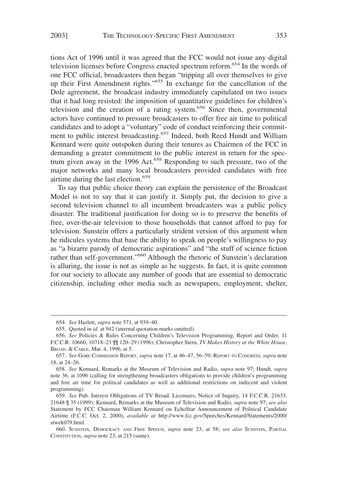tions Act of 1996 until it was agreed that the FCC would not issue any digital television licenses before Congress enacted spectrum reform.<sup>654</sup> In the words of one FCC official, broadcasters then began "tripping all over themselves to give up their First Amendment rights."655 In exchange for the cancellation of the Dole agreement, the broadcast industry immediately capitulated on two issues that it had long resisted: the imposition of quantitative guidelines for children's television and the creation of a rating system.<sup>656</sup> Since then, governmental actors have continued to pressure broadcasters to offer free air time to political candidates and to adopt a "voluntary" code of conduct reinforcing their commitment to public interest broadcasting.<sup>657</sup> Indeed, both Reed Hundt and William Kennard were quite outspoken during their tenures as Chairmen of the FCC in demanding a greater commitment to the public interest in return for the spectrum given away in the 1996 Act.<sup>658</sup> Responding to such pressure, two of the major networks and many local broadcasters provided candidates with free airtime during the last election.<sup>659</sup>

To say that public choice theory can explain the persistence of the Broadcast Model is not to say that it can justify it. Simply put, the decision to give a second television channel to all incumbent broadcasters was a public policy disaster. The traditional justification for doing so is to preserve the benefits of free, over-the-air television to those households that cannot afford to pay for television. Sunstein offers a particularly strident version of this argument when he ridicules systems that base the ability to speak on people's willingness to pay as "a bizarre parody of democratic aspirations" and "the stuff of science fiction rather than self-government."<sup>660</sup> Although the rhetoric of Sunstein's declaration is alluring, the issue is not as simple as he suggests. In fact, it is quite common for our society to allocate any number of goods that are essential to democratic citizenship, including other media such as newspapers, employment, shelter,

<sup>654.</sup> *See* Hazlett, *supra* note 571, at 939–40.

<sup>655.</sup> Quoted in *id.* at 942 (internal quotation marks omitted).

<sup>656.</sup> *See* Policies & Rules Concerning Children's Television Programming, Report and Order, 11 F.C.C.R. 10660, 10718–23 ¶¶ 120–29 (1996); Christopher Stern, *TV Makes History at the White House*, BROAD.&CABLE, Mar. 4, 1996, at 5.

<sup>657.</sup> *See* GORE COMMISSION REPORT, *supra* note 17, at 46–47, 56–59; REPORT TO CONGRESS, *supra* note 18, at 24–26.

<sup>658.</sup> *See* Kennard, Remarks at the Museum of Television and Radio, *supra* note 97; Hundt, *supra* note 36, at 1096 (calling for strengthening broadcasters obligations to provide children's programming and free air time for political candidates as well as additional restrictions on indecent and violent programming).

<sup>659.</sup> *See* Pub. Interest Obligations of TV Broad. Licensees, Notice of Inquiry, 14 F.C.C.R. 21633, 21648 ¶ 35 (1999); Kennard, Remarks at the Museum of Television and Radio, *supra* note 97; *see also* Statement by FCC Chairman William Kennard on EchoStar Announcement of Political Candidate Airtime (F.C.C. Oct. 2, 2000), *available at* http://www.fcc.gov/Speeches/Kennard/Statements/2000/ stwek079.html.

<sup>660.</sup> SUNSTEIN, DEMOCRACY AND FREE SPEECH, *supra* note 23, at 58; *see also* SUNSTEIN, PARTIAL CONSTITUTION, *supra* note 23, at 215 (same).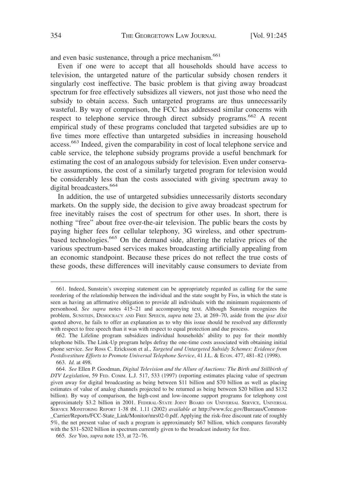and even basic sustenance, through a price mechanism.<sup>661</sup>

Even if one were to accept that all households should have access to television, the untargeted nature of the particular subsidy chosen renders it singularly cost ineffective. The basic problem is that giving away broadcast spectrum for free effectively subsidizes all viewers, not just those who need the subsidy to obtain access. Such untargeted programs are thus unnecessarily wasteful. By way of comparison, the FCC has addressed similar concerns with respect to telephone service through direct subsidy programs.<sup>662</sup> A recent empirical study of these programs concluded that targeted subsidies are up to five times more effective than untargeted subsidies in increasing household access.<sup>663</sup> Indeed, given the comparability in cost of local telephone service and cable service, the telephone subsidy programs provide a useful benchmark for estimating the cost of an analogous subsidy for television. Even under conservative assumptions, the cost of a similarly targeted program for television would be considerably less than the costs associated with giving spectrum away to digital broadcasters.<sup>664</sup>

In addition, the use of untargeted subsidies unnecessarily distorts secondary markets. On the supply side, the decision to give away broadcast spectrum for free inevitably raises the cost of spectrum for other uses. In short, there is nothing "free" about free over-the-air television. The public bears the costs by paying higher fees for cellular telephony, 3G wireless, and other spectrumbased technologies.<sup>665</sup> On the demand side, altering the relative prices of the various spectrum-based services makes broadcasting artificially appealing from an economic standpoint. Because these prices do not reflect the true costs of these goods, these differences will inevitably cause consumers to deviate from

<sup>661.</sup> Indeed, Sunstein's sweeping statement can be appropriately regarded as calling for the same reordering of the relationship between the individual and the state sought by Fiss, in which the state is seen as having an affirmative obligation to provide all individuals with the minimum requirements of personhood. *See supra* notes 415–21 and accompanying text. Although Sunstein recognizes the problem, SUNSTEIN, DEMOCRACY AND FREE SPEECH, *supra* note 23, at 269–70, aside from the *ipse dixit* quoted above, he fails to offer an explanation as to why this issue should be resolved any differently with respect to free speech than it was with respect to equal protection and due process.

<sup>662.</sup> The Lifeline program subsidizes individual households' ability to pay for their monthly telephone bills. The Link-Up program helps defray the one-time costs associated with obtaining initial phone service. *See* Ross C. Ericksson et al., *Targeted and Untargeted Subsidy Schemes: Evidence from* Postdivestiture Efforts to Promote Universal Telephone Service, 41 J.L. & Econ. 477, 481-82 (1998).

<sup>663.</sup> *Id.* at 498.

<sup>664.</sup> *See* Ellen P. Goodman, *Digital Television and the Allure of Auctions: The Birth and Stillbirth of DTV Legislation*, 59 FED. COMM. L.J. 517, 533 (1997) (reporting estimates placing value of spectrum given away for digital broadcasting as being between \$11 billion and \$70 billion as well as placing estimates of value of analog channels projected to be returned as being between \$20 billion and \$132 billion). By way of comparison, the high-cost and low-income support programs for telephony cost approximately \$3.2 billion in 2001. FEDERAL-STATE JOINT BOARD ON UNIVERSAL SERVICE, UNIVERSAL SERVICE MONITORING REPORT 1-38 tbl. 1.11 (2002) *available at* http://www.fcc.gov/Bureaus/Common- \_Carrier/Reports/FCC-State\_Link/Monitor/mrs02-0.pdf. Applying the risk-free discount rate of roughly 5%, the net present value of such a program is approximately \$67 billion, which compares favorably with the  $$31–$202 billion$  in spectrum currently given to the broadcast industry for free.

<sup>665.</sup> *See* Yoo, *supra* note 153, at 72–76.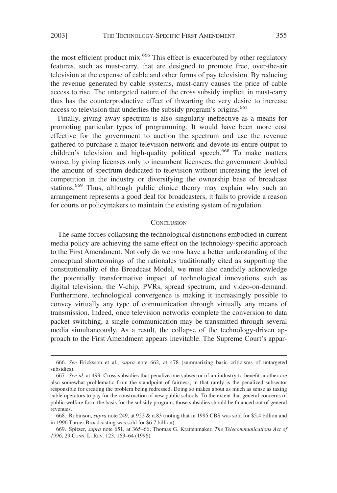the most efficient product mix.<sup>666</sup> This effect is exacerbated by other regulatory features, such as must-carry, that are designed to promote free, over-the-air television at the expense of cable and other forms of pay television. By reducing the revenue generated by cable systems, must-carry causes the price of cable access to rise. The untargeted nature of the cross subsidy implicit in must-carry thus has the counterproductive effect of thwarting the very desire to increase access to television that underlies the subsidy program's origins.<sup>667</sup>

Finally, giving away spectrum is also singularly ineffective as a means for promoting particular types of programming. It would have been more cost effective for the government to auction the spectrum and use the revenue gathered to purchase a major television network and devote its entire output to children's television and high-quality political speech.<sup>668</sup> To make matters worse, by giving licenses only to incumbent licensees, the government doubled the amount of spectrum dedicated to television without increasing the level of competition in the industry or diversifying the ownership base of broadcast stations.669 Thus, although public choice theory may explain why such an arrangement represents a good deal for broadcasters, it fails to provide a reason for courts or policymakers to maintain the existing system of regulation.

## **CONCLUSION**

The same forces collapsing the technological distinctions embodied in current media policy are achieving the same effect on the technology-specific approach to the First Amendment. Not only do we now have a better understanding of the conceptual shortcomings of the rationales traditionally cited as supporting the constitutionality of the Broadcast Model, we must also candidly acknowledge the potentially transformative impact of technological innovations such as digital television, the V-chip, PVRs, spread spectrum, and video-on-demand. Furthermore, technological convergence is making it increasingly possible to convey virtually any type of communication through virtually any means of transmission. Indeed, once television networks complete the conversion to data packet switching, a single communication may be transmitted through several media simultaneously. As a result, the collapse of the technology-driven approach to the First Amendment appears inevitable. The Supreme Court's appar-

<sup>666.</sup> *See* Ericksson et al., *supra* note 662, at 478 (summarizing basic criticisms of untargeted subsidies).

<sup>667.</sup> *See id.* at 499. Cross subsidies that penalize one subsector of an industry to benefit another are also somewhat problematic from the standpoint of fairness, in that rarely is the penalized subsector responsible for creating the problem being redressed. Doing so makes about as much as sense as taxing cable operators to pay for the construction of new public schools. To the extent that general concerns of public welfare form the basis for the subsidy program, those subsidies should be financed out of general revenues.

<sup>668.</sup> Robinson, *supra* note 249, at 922 & n.83 (noting that in 1995 CBS was sold for \$5.4 billion and in 1996 Turner Broadcasting was sold for \$6.7 billion).

<sup>669.</sup> Spitzer, *supra* note 651, at 365–66; Thomas G. Krattenmaker, *The Telecommunications Act of 1996*, 29 CONN. L. REV. 123, 163–64 (1996).